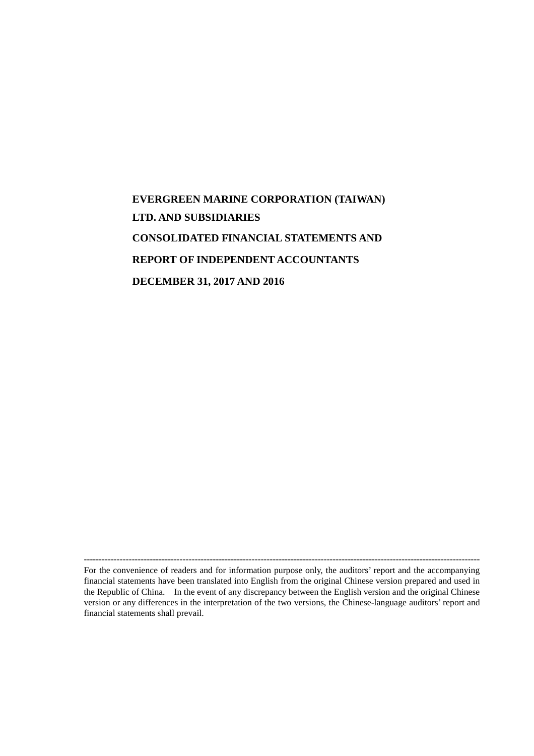# **EVERGREEN MARINE CORPORATION (TAIWAN) LTD. AND SUBSIDIARIES CONSOLIDATED FINANCIAL STATEMENTS AND REPORT OF INDEPENDENT ACCOUNTANTS DECEMBER 31, 2017 AND 2016**

------------------------------------------------------------------------------------------------------------------------------------ For the convenience of readers and for information purpose only, the auditors' report and the accompanying financial statements have been translated into English from the original Chinese version prepared and used in the Republic of China. In the event of any discrepancy between the English version and the original Chinese version or any differences in the interpretation of the two versions, the Chinese-language auditors' report and financial statements shall prevail.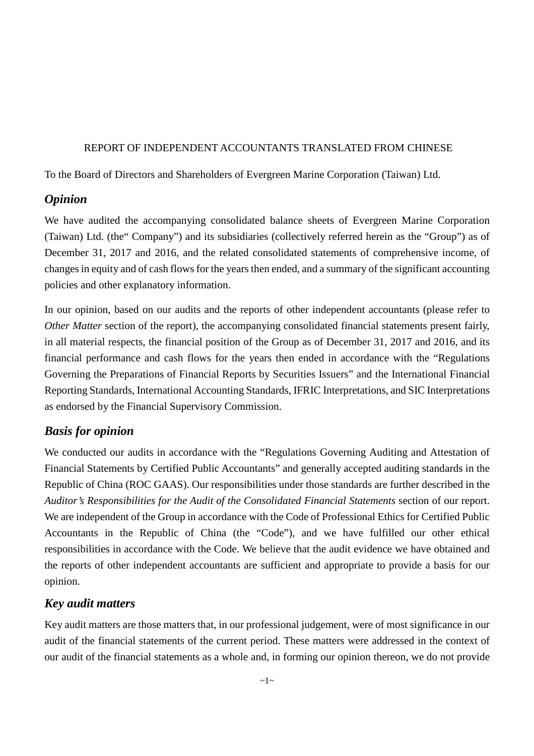# REPORT OF INDEPENDENT ACCOUNTANTS TRANSLATED FROM CHINESE

To the Board of Directors and Shareholders of Evergreen Marine Corporation (Taiwan) Ltd.

# *Opinion*

We have audited the accompanying consolidated balance sheets of Evergreen Marine Corporation (Taiwan) Ltd. (the" Company") and its subsidiaries (collectively referred herein as the "Group") as of December 31, 2017 and 2016, and the related consolidated statements of comprehensive income, of changes in equity and of cash flows for the years then ended, and a summary of the significant accounting policies and other explanatory information.

In our opinion, based on our audits and the reports of other independent accountants (please refer to *Other Matter* section of the report), the accompanying consolidated financial statements present fairly, in all material respects, the financial position of the Group as of December 31, 2017 and 2016, and its financial performance and cash flows for the years then ended in accordance with the "Regulations Governing the Preparations of Financial Reports by Securities Issuers" and the International Financial Reporting Standards, International Accounting Standards, IFRIC Interpretations, and SIC Interpretations as endorsed by the Financial Supervisory Commission.

# *Basis for opinion*

We conducted our audits in accordance with the "Regulations Governing Auditing and Attestation of Financial Statements by Certified Public Accountants" and generally accepted auditing standards in the Republic of China (ROC GAAS). Our responsibilities under those standards are further described in the *Auditor's Responsibilities for the Audit of the Consolidated Financial Statements* section of our report. We are independent of the Group in accordance with the Code of Professional Ethics for Certified Public Accountants in the Republic of China (the "Code"), and we have fulfilled our other ethical responsibilities in accordance with the Code. We believe that the audit evidence we have obtained and the reports of other independent accountants are sufficient and appropriate to provide a basis for our opinion.

# *Key audit matters*

Key audit matters are those matters that, in our professional judgement, were of most significance in our audit of the financial statements of the current period. These matters were addressed in the context of our audit of the financial statements as a whole and, in forming our opinion thereon, we do not provide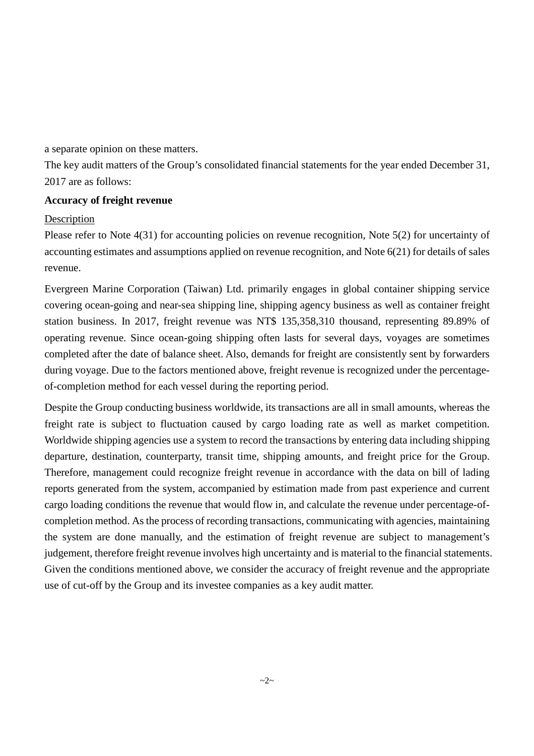a separate opinion on these matters.

The key audit matters of the Group's consolidated financial statements for the year ended December 31, 2017 are as follows:

# **Accuracy of freight revenue**

# Description

Please refer to Note 4(31) for accounting policies on revenue recognition, Note 5(2) for uncertainty of accounting estimates and assumptions applied on revenue recognition, and Note 6(21) for details of sales revenue.

Evergreen Marine Corporation (Taiwan) Ltd. primarily engages in global container shipping service covering ocean-going and near-sea shipping line, shipping agency business as well as container freight station business. In 2017, freight revenue was NT\$ 135,358,310 thousand, representing 89.89% of operating revenue. Since ocean-going shipping often lasts for several days, voyages are sometimes completed after the date of balance sheet. Also, demands for freight are consistently sent by forwarders during voyage. Due to the factors mentioned above, freight revenue is recognized under the percentageof-completion method for each vessel during the reporting period.

Despite the Group conducting business worldwide, its transactions are all in small amounts, whereas the freight rate is subject to fluctuation caused by cargo loading rate as well as market competition. Worldwide shipping agencies use a system to record the transactions by entering data including shipping departure, destination, counterparty, transit time, shipping amounts, and freight price for the Group. Therefore, management could recognize freight revenue in accordance with the data on bill of lading reports generated from the system, accompanied by estimation made from past experience and current cargo loading conditions the revenue that would flow in, and calculate the revenue under percentage-ofcompletion method. As the process of recording transactions, communicating with agencies, maintaining the system are done manually, and the estimation of freight revenue are subject to management's judgement, therefore freight revenue involves high uncertainty and is material to the financial statements. Given the conditions mentioned above, we consider the accuracy of freight revenue and the appropriate use of cut-off by the Group and its investee companies as a key audit matter.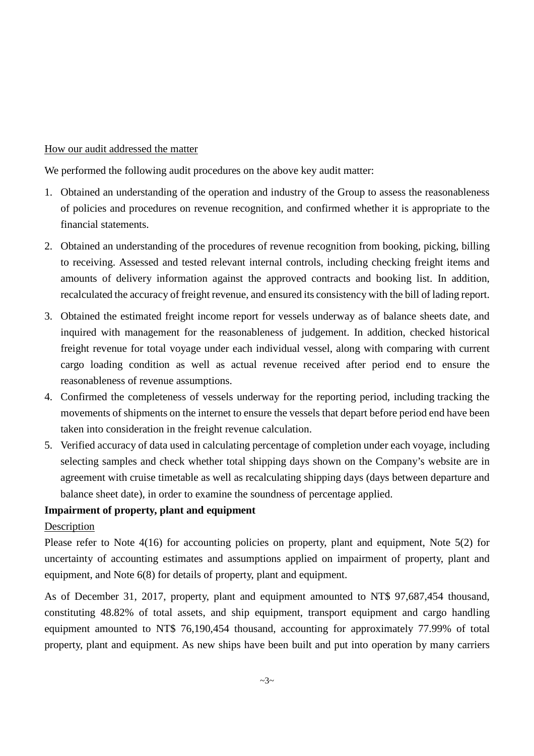## How our audit addressed the matter

We performed the following audit procedures on the above key audit matter:

- 1. Obtained an understanding of the operation and industry of the Group to assess the reasonableness of policies and procedures on revenue recognition, and confirmed whether it is appropriate to the financial statements.
- 2. Obtained an understanding of the procedures of revenue recognition from booking, picking, billing to receiving. Assessed and tested relevant internal controls, including checking freight items and amounts of delivery information against the approved contracts and booking list. In addition, recalculated the accuracy of freight revenue, and ensured its consistency with the bill of lading report.
- 3. Obtained the estimated freight income report for vessels underway as of balance sheets date, and inquired with management for the reasonableness of judgement. In addition, checked historical freight revenue for total voyage under each individual vessel, along with comparing with current cargo loading condition as well as actual revenue received after period end to ensure the reasonableness of revenue assumptions.
- 4. Confirmed the completeness of vessels underway for the reporting period, including tracking the movements of shipments on the internet to ensure the vessels that depart before period end have been taken into consideration in the freight revenue calculation.
- 5. Verified accuracy of data used in calculating percentage of completion under each voyage, including selecting samples and check whether total shipping days shown on the Company's website are in agreement with cruise timetable as well as recalculating shipping days (days between departure and balance sheet date), in order to examine the soundness of percentage applied.

# **Impairment of property, plant and equipment**

# Description

Please refer to Note 4(16) for accounting policies on property, plant and equipment, Note 5(2) for uncertainty of accounting estimates and assumptions applied on impairment of property, plant and equipment, and Note 6(8) for details of property, plant and equipment.

As of December 31, 2017, property, plant and equipment amounted to NT\$ 97,687,454 thousand, constituting 48.82% of total assets, and ship equipment, transport equipment and cargo handling equipment amounted to NT\$ 76,190,454 thousand, accounting for approximately 77.99% of total property, plant and equipment. As new ships have been built and put into operation by many carriers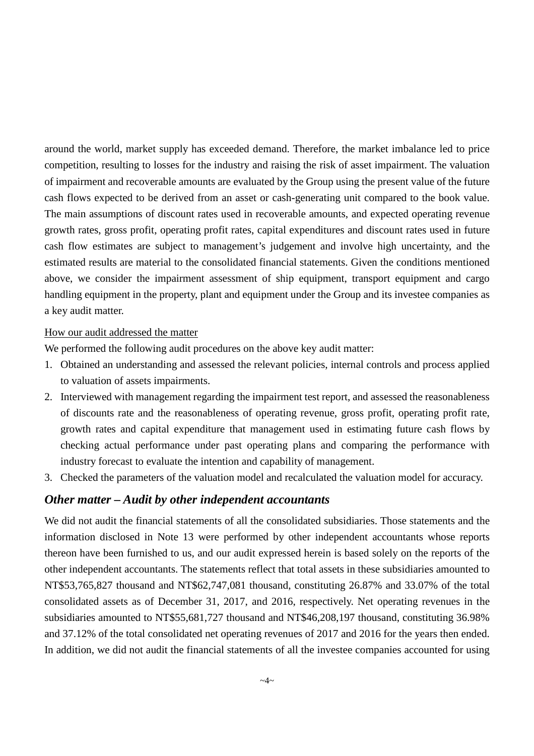around the world, market supply has exceeded demand. Therefore, the market imbalance led to price competition, resulting to losses for the industry and raising the risk of asset impairment. The valuation of impairment and recoverable amounts are evaluated by the Group using the present value of the future cash flows expected to be derived from an asset or cash-generating unit compared to the book value. The main assumptions of discount rates used in recoverable amounts, and expected operating revenue growth rates, gross profit, operating profit rates, capital expenditures and discount rates used in future cash flow estimates are subject to management's judgement and involve high uncertainty, and the estimated results are material to the consolidated financial statements. Given the conditions mentioned above, we consider the impairment assessment of ship equipment, transport equipment and cargo handling equipment in the property, plant and equipment under the Group and its investee companies as a key audit matter.

### How our audit addressed the matter

We performed the following audit procedures on the above key audit matter:

- 1. Obtained an understanding and assessed the relevant policies, internal controls and process applied to valuation of assets impairments.
- 2. Interviewed with management regarding the impairment test report, and assessed the reasonableness of discounts rate and the reasonableness of operating revenue, gross profit, operating profit rate, growth rates and capital expenditure that management used in estimating future cash flows by checking actual performance under past operating plans and comparing the performance with industry forecast to evaluate the intention and capability of management.
- 3. Checked the parameters of the valuation model and recalculated the valuation model for accuracy.

# *Other matter – Audit by other independent accountants*

We did not audit the financial statements of all the consolidated subsidiaries. Those statements and the information disclosed in Note 13 were performed by other independent accountants whose reports thereon have been furnished to us, and our audit expressed herein is based solely on the reports of the other independent accountants. The statements reflect that total assets in these subsidiaries amounted to NT\$53,765,827 thousand and NT\$62,747,081 thousand, constituting 26.87% and 33.07% of the total consolidated assets as of December 31, 2017, and 2016, respectively. Net operating revenues in the subsidiaries amounted to NT\$55,681,727 thousand and NT\$46,208,197 thousand, constituting 36.98% and 37.12% of the total consolidated net operating revenues of 2017 and 2016 for the years then ended. In addition, we did not audit the financial statements of all the investee companies accounted for using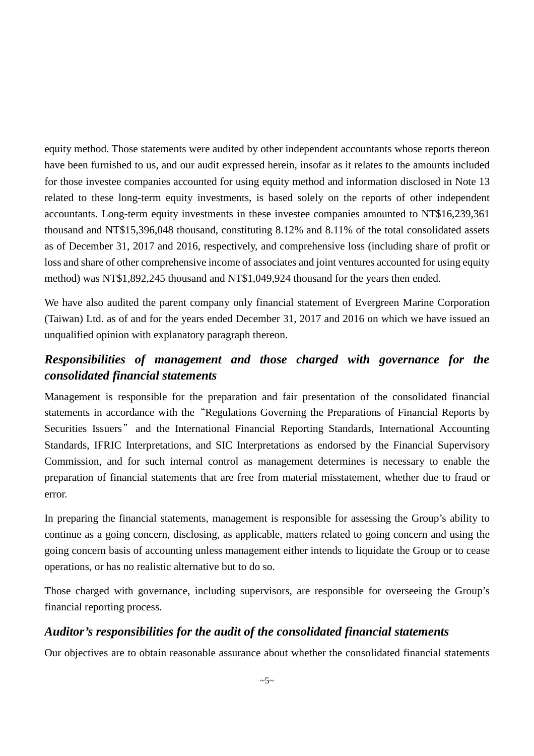equity method. Those statements were audited by other independent accountants whose reports thereon have been furnished to us, and our audit expressed herein, insofar as it relates to the amounts included for those investee companies accounted for using equity method and information disclosed in Note 13 related to these long-term equity investments, is based solely on the reports of other independent accountants. Long-term equity investments in these investee companies amounted to NT\$16,239,361 thousand and NT\$15,396,048 thousand, constituting 8.12% and 8.11% of the total consolidated assets as of December 31, 2017 and 2016, respectively, and comprehensive loss (including share of profit or loss and share of other comprehensive income of associates and joint ventures accounted for using equity method) was NT\$1,892,245 thousand and NT\$1,049,924 thousand for the years then ended.

We have also audited the parent company only financial statement of Evergreen Marine Corporation (Taiwan) Ltd. as of and for the years ended December 31, 2017 and 2016 on which we have issued an unqualified opinion with explanatory paragraph thereon.

# *Responsibilities of management and those charged with governance for the consolidated financial statements*

Management is responsible for the preparation and fair presentation of the consolidated financial statements in accordance with the "Regulations Governing the Preparations of Financial Reports by Securities Issuers" and the International Financial Reporting Standards, International Accounting Standards, IFRIC Interpretations, and SIC Interpretations as endorsed by the Financial Supervisory Commission, and for such internal control as management determines is necessary to enable the preparation of financial statements that are free from material misstatement, whether due to fraud or error.

In preparing the financial statements, management is responsible for assessing the Group's ability to continue as a going concern, disclosing, as applicable, matters related to going concern and using the going concern basis of accounting unless management either intends to liquidate the Group or to cease operations, or has no realistic alternative but to do so.

Those charged with governance, including supervisors, are responsible for overseeing the Group's financial reporting process.

# *Auditor's responsibilities for the audit of the consolidated financial statements*

Our objectives are to obtain reasonable assurance about whether the consolidated financial statements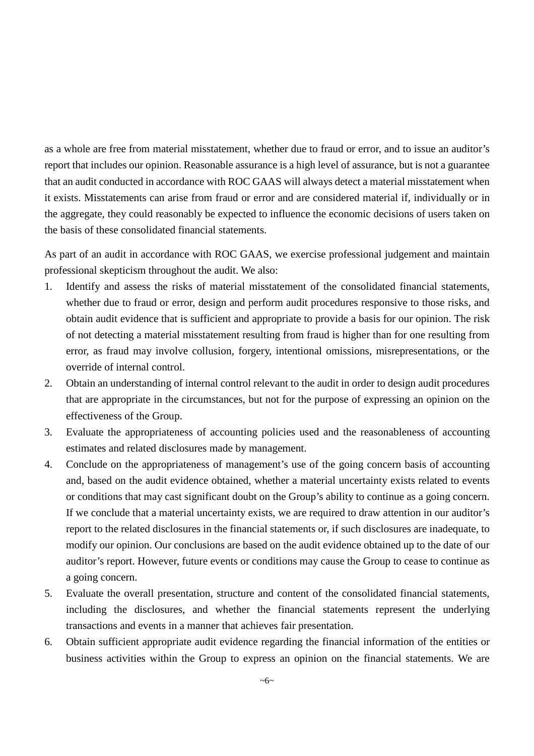as a whole are free from material misstatement, whether due to fraud or error, and to issue an auditor's report that includes our opinion. Reasonable assurance is a high level of assurance, but is not a guarantee that an audit conducted in accordance with ROC GAAS will always detect a material misstatement when it exists. Misstatements can arise from fraud or error and are considered material if, individually or in the aggregate, they could reasonably be expected to influence the economic decisions of users taken on the basis of these consolidated financial statements.

As part of an audit in accordance with ROC GAAS, we exercise professional judgement and maintain professional skepticism throughout the audit. We also:

- 1. Identify and assess the risks of material misstatement of the consolidated financial statements, whether due to fraud or error, design and perform audit procedures responsive to those risks, and obtain audit evidence that is sufficient and appropriate to provide a basis for our opinion. The risk of not detecting a material misstatement resulting from fraud is higher than for one resulting from error, as fraud may involve collusion, forgery, intentional omissions, misrepresentations, or the override of internal control.
- 2. Obtain an understanding of internal control relevant to the audit in order to design audit procedures that are appropriate in the circumstances, but not for the purpose of expressing an opinion on the effectiveness of the Group.
- 3. Evaluate the appropriateness of accounting policies used and the reasonableness of accounting estimates and related disclosures made by management.
- 4. Conclude on the appropriateness of management's use of the going concern basis of accounting and, based on the audit evidence obtained, whether a material uncertainty exists related to events or conditions that may cast significant doubt on the Group's ability to continue as a going concern. If we conclude that a material uncertainty exists, we are required to draw attention in our auditor's report to the related disclosures in the financial statements or, if such disclosures are inadequate, to modify our opinion. Our conclusions are based on the audit evidence obtained up to the date of our auditor's report. However, future events or conditions may cause the Group to cease to continue as a going concern.
- 5. Evaluate the overall presentation, structure and content of the consolidated financial statements, including the disclosures, and whether the financial statements represent the underlying transactions and events in a manner that achieves fair presentation.
- 6. Obtain sufficient appropriate audit evidence regarding the financial information of the entities or business activities within the Group to express an opinion on the financial statements. We are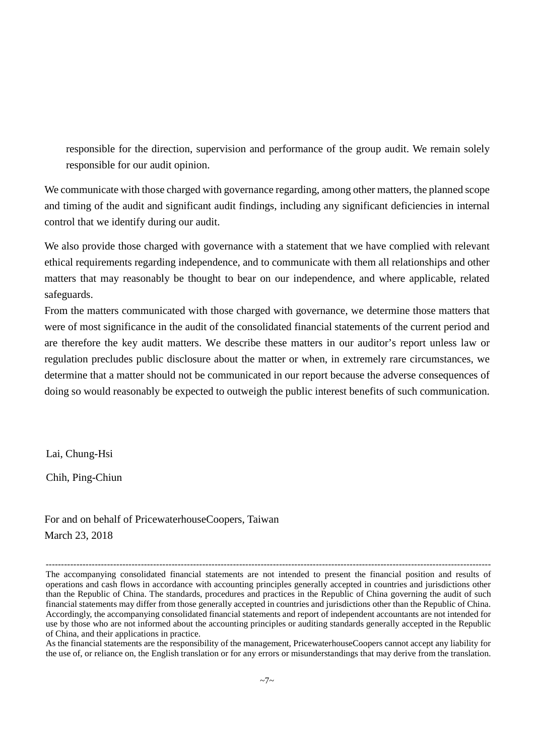responsible for the direction, supervision and performance of the group audit. We remain solely responsible for our audit opinion.

We communicate with those charged with governance regarding, among other matters, the planned scope and timing of the audit and significant audit findings, including any significant deficiencies in internal control that we identify during our audit.

We also provide those charged with governance with a statement that we have complied with relevant ethical requirements regarding independence, and to communicate with them all relationships and other matters that may reasonably be thought to bear on our independence, and where applicable, related safeguards.

From the matters communicated with those charged with governance, we determine those matters that were of most significance in the audit of the consolidated financial statements of the current period and are therefore the key audit matters. We describe these matters in our auditor's report unless law or regulation precludes public disclosure about the matter or when, in extremely rare circumstances, we determine that a matter should not be communicated in our report because the adverse consequences of doing so would reasonably be expected to outweigh the public interest benefits of such communication.

Lai, Chung-Hsi

Chih, Ping-Chiun

For and on behalf of PricewaterhouseCoopers, Taiwan March 23, 2018

<sup>-------------------------------------------------------------------------------------------------------------------------------------------------</sup> The accompanying consolidated financial statements are not intended to present the financial position and results of operations and cash flows in accordance with accounting principles generally accepted in countries and jurisdictions other than the Republic of China. The standards, procedures and practices in the Republic of China governing the audit of such financial statements may differ from those generally accepted in countries and jurisdictions other than the Republic of China. Accordingly, the accompanying consolidated financial statements and report of independent accountants are not intended for use by those who are not informed about the accounting principles or auditing standards generally accepted in the Republic of China, and their applications in practice.

As the financial statements are the responsibility of the management, PricewaterhouseCoopers cannot accept any liability for the use of, or reliance on, the English translation or for any errors or misunderstandings that may derive from the translation.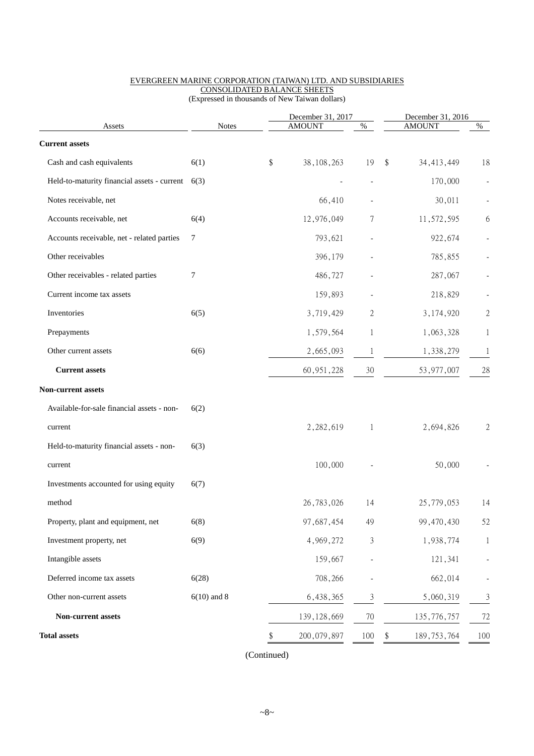| Notes<br>Assets                                    |               | December 31, 2017<br><b>AMOUNT</b> | $\%$          | December 31, 2016<br><b>AMOUNT</b><br>$\%$ |                     |              |
|----------------------------------------------------|---------------|------------------------------------|---------------|--------------------------------------------|---------------------|--------------|
| <b>Current assets</b>                              |               |                                    |               |                                            |                     |              |
| Cash and cash equivalents                          | 6(1)          | \$                                 | 38, 108, 263  | 19                                         | \$<br>34, 413, 449  | 18           |
| Held-to-maturity financial assets - current $6(3)$ |               |                                    |               | $\overline{a}$                             | 170,000             |              |
| Notes receivable, net                              |               |                                    | 66,410        |                                            | 30,011              |              |
| Accounts receivable, net                           | 6(4)          |                                    | 12,976,049    | 7                                          | 11,572,595          | 6            |
| Accounts receivable, net - related parties         | 7             |                                    | 793,621       |                                            | 922,674             |              |
| Other receivables                                  |               |                                    | 396,179       |                                            | 785,855             |              |
| Other receivables - related parties                | 7             |                                    | 486,727       |                                            | 287,067             |              |
| Current income tax assets                          |               |                                    | 159,893       |                                            | 218,829             |              |
| Inventories                                        | 6(5)          |                                    | 3,719,429     | 2                                          | 3,174,920           | $\mathbf{2}$ |
| Prepayments                                        |               |                                    | 1,579,564     | 1                                          | 1,063,328           | $\mathbf{1}$ |
| Other current assets                               | 6(6)          |                                    | 2,665,093     | 1                                          | 1,338,279           | 1            |
| <b>Current assets</b>                              |               |                                    | 60, 951, 228  | 30                                         | 53, 977, 007        | 28           |
| Non-current assets                                 |               |                                    |               |                                            |                     |              |
| Available-for-sale financial assets - non-         | 6(2)          |                                    |               |                                            |                     |              |
| current                                            |               |                                    | 2,282,619     | 1                                          | 2,694,826           | $\mathbf{2}$ |
| Held-to-maturity financial assets - non-           | 6(3)          |                                    |               |                                            |                     |              |
| current                                            |               |                                    | 100,000       |                                            | 50,000              |              |
| Investments accounted for using equity             | 6(7)          |                                    |               |                                            |                     |              |
| method                                             |               |                                    | 26,783,026    | 14                                         | 25,779,053          | 14           |
| Property, plant and equipment, net                 | 6(8)          |                                    | 97,687,454    | 49                                         | 99, 470, 430        | 52           |
| Investment property, net                           | 6(9)          |                                    | 4,969,272     | $\mathfrak{Z}$                             | 1,938,774           | 1            |
| Intangible assets                                  |               |                                    | 159,667       |                                            | 121,341             |              |
| Deferred income tax assets                         | 6(28)         |                                    | 708,266       |                                            | 662,014             |              |
| Other non-current assets                           | $6(10)$ and 8 |                                    | 6,438,365     | 3                                          | 5,060,319           | 3            |
| Non-current assets                                 |               |                                    | 139, 128, 669 | 70                                         | 135,776,757         | 72           |
| <b>Total assets</b>                                |               | \$                                 | 200,079,897   | 100                                        | \$<br>189, 753, 764 | 100          |

#### EVERGREEN MARINE CORPORATION (TAIWAN) LTD. AND SUBSIDIARIES CONSOLIDATED BALANCE SHEETS

(Expressed in thousands of New Taiwan dollars)

(Continued)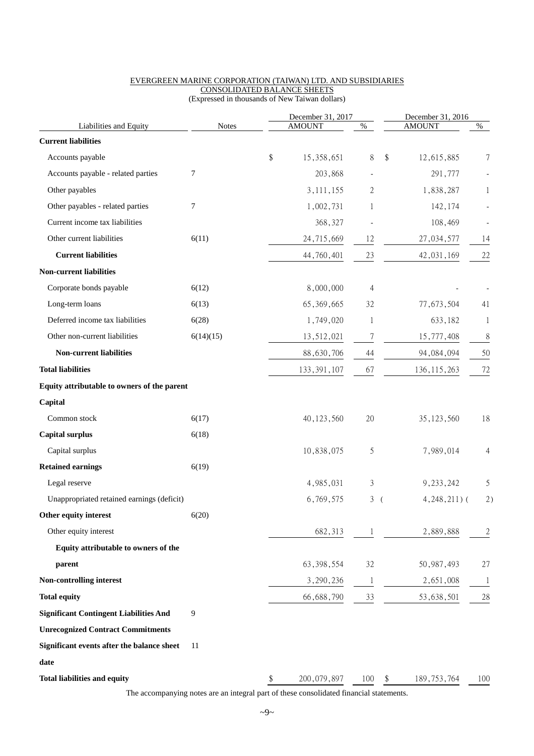| Liabilities and Equity                        | <b>Notes</b> | December 31, 2017<br><b>AMOUNT</b> | $\%$           |                | December 31, 2016<br><b>AMOUNT</b> | $\%$    |
|-----------------------------------------------|--------------|------------------------------------|----------------|----------------|------------------------------------|---------|
| <b>Current liabilities</b>                    |              |                                    |                |                |                                    |         |
| Accounts payable                              |              | \$<br>15,358,651                   | 8              | \$             | 12,615,885                         | 7       |
| Accounts payable - related parties            | 7            | 203,868                            |                |                | 291,777                            |         |
| Other payables                                |              | 3, 111, 155                        | $\mathfrak{2}$ |                | 1,838,287                          | 1       |
| Other payables - related parties              | 7            | 1,002,731                          | 1              |                | 142,174                            |         |
| Current income tax liabilities                |              | 368,327                            |                |                | 108,469                            |         |
| Other current liabilities                     | 6(11)        | 24,715,669                         | 12             |                | 27,034,577                         | 14      |
| <b>Current liabilities</b>                    |              | 44,760,401                         | 23             |                | 42,031,169                         | 22      |
| <b>Non-current liabilities</b>                |              |                                    |                |                |                                    |         |
| Corporate bonds payable                       | 6(12)        | 8,000,000                          | 4              |                |                                    |         |
| Long-term loans                               | 6(13)        | 65, 369, 665                       | 32             |                | 77,673,504                         | 41      |
| Deferred income tax liabilities               | 6(28)        | 1,749,020                          | 1              |                | 633,182                            | -1      |
| Other non-current liabilities                 | 6(14)(15)    | 13,512,021                         | 7              |                | 15,777,408                         | $\,8\,$ |
| <b>Non-current liabilities</b>                |              | 88,630,706                         | 44             |                | 94,084,094                         | 50      |
| <b>Total liabilities</b>                      |              | 133, 391, 107                      | 67             |                | 136, 115, 263                      | 72      |
| Equity attributable to owners of the parent   |              |                                    |                |                |                                    |         |
| Capital                                       |              |                                    |                |                |                                    |         |
| Common stock                                  | 6(17)        | 40, 123, 560                       | 20             |                | 35, 123, 560                       | 18      |
| <b>Capital surplus</b>                        | 6(18)        |                                    |                |                |                                    |         |
| Capital surplus                               |              | 10,838,075                         | 5              |                | 7,989,014                          | 4       |
| <b>Retained earnings</b>                      | 6(19)        |                                    |                |                |                                    |         |
| Legal reserve                                 |              | 4,985,031                          | 3              |                | 9, 233, 242                        | 5       |
| Unappropriated retained earnings (deficit)    |              | 6,769,575                          | $\mathfrak{Z}$ | $\overline{ }$ | $4,248,211$ ) (                    | 2)      |
| Other equity interest                         | 6(20)        |                                    |                |                |                                    |         |
| Other equity interest                         |              | 682,313                            |                |                | 2,889,888                          | 2       |
| Equity attributable to owners of the          |              |                                    |                |                |                                    |         |
| parent                                        |              | 63, 398, 554                       | 32             |                | 50,987,493                         | 27      |
| Non-controlling interest                      |              | 3, 290, 236                        |                |                | 2,651,008                          | -1      |
| <b>Total equity</b>                           |              | 66, 688, 790                       | 33             |                | 53,638,501                         | 28      |
| <b>Significant Contingent Liabilities And</b> | 9            |                                    |                |                |                                    |         |
| <b>Unrecognized Contract Commitments</b>      |              |                                    |                |                |                                    |         |
| Significant events after the balance sheet    | 11           |                                    |                |                |                                    |         |
| date                                          |              |                                    |                |                |                                    |         |
| <b>Total liabilities and equity</b>           |              | \$<br>200,079,897                  | 100            | \$             | 189, 753, 764                      | 100     |
|                                               |              |                                    |                |                |                                    |         |

### EVERGREEN MARINE CORPORATION (TAIWAN) LTD. AND SUBSIDIARIES CONSOLIDATED BALANCE SHEETS

(Expressed in thousands of New Taiwan dollars)

The accompanying notes are an integral part of these consolidated financial statements.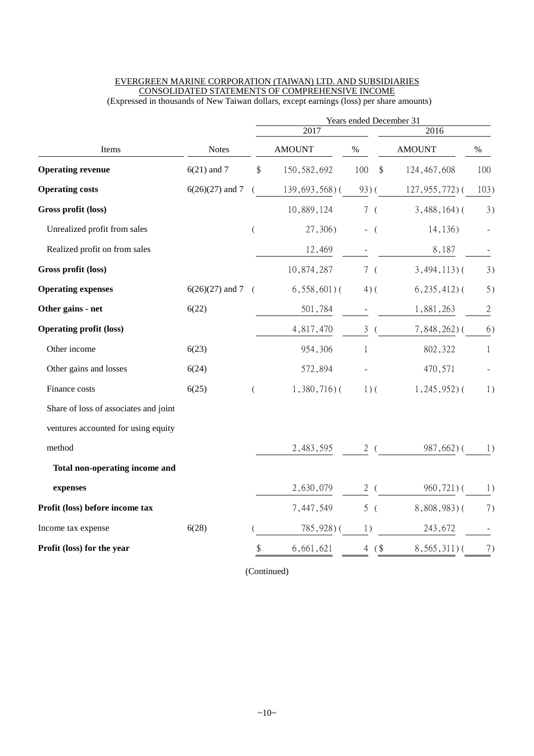#### EVERGREEN MARINE CORPORATION (TAIWAN) LTD. AND SUBSIDIARIES CONSOLIDATED STATEMENTS OF COMPREHENSIVE INCOME (Expressed in thousands of New Taiwan dollars, except earnings (loss) per share amounts)

|                                       |                   |          |                  | Years ended December 31    |                     |              |  |  |  |  |
|---------------------------------------|-------------------|----------|------------------|----------------------------|---------------------|--------------|--|--|--|--|
|                                       |                   |          | 2017             |                            | 2016                |              |  |  |  |  |
| Items                                 | <b>Notes</b>      |          | <b>AMOUNT</b>    | $\%$                       | <b>AMOUNT</b>       | $\%$         |  |  |  |  |
| <b>Operating revenue</b>              | $6(21)$ and 7     | $\$\$    | 150,582,692      | 100<br>\$                  | 124, 467, 608       | 100          |  |  |  |  |
| <b>Operating costs</b>                | $6(26)(27)$ and 7 |          | $139,693,568$ )( | $93)$ (                    | $127, 955, 772$ ) ( | 103)         |  |  |  |  |
| Gross profit (loss)                   |                   |          | 10,889,124       | 7(                         | $3,488,164$ (       | 3)           |  |  |  |  |
| Unrealized profit from sales          |                   | (        | 27,306)          | - (                        | 14, 136)            |              |  |  |  |  |
| Realized profit on from sales         |                   |          | 12,469           |                            | 8,187               |              |  |  |  |  |
| Gross profit (loss)                   |                   |          | 10,874,287       | 7 (                        | $3,494,113$ ) (     | 3)           |  |  |  |  |
| <b>Operating expenses</b>             | $6(26)(27)$ and 7 | $\left($ | $6,558,601$ (    | $4)$ (                     | $6, 235, 412$ ) (   | 5)           |  |  |  |  |
| Other gains - net                     | 6(22)             |          | 501,784          |                            | 1,881,263           | $\mathbf{2}$ |  |  |  |  |
| <b>Operating profit (loss)</b>        |                   |          | 4,817,470        | $\mathfrak{Z}$<br>$\left($ | $7,848,262$ ) (     | 6)           |  |  |  |  |
| Other income                          | 6(23)             |          | 954,306          | $\mathbf{1}$               | 802,322             | $\mathbf{1}$ |  |  |  |  |
| Other gains and losses                | 6(24)             |          | 572,894          |                            | 470,571             |              |  |  |  |  |
| Finance costs                         | 6(25)             | €        | $1,380,716$ ) (  | $1)$ (                     | $1,245,952$ ) (     | 1)           |  |  |  |  |
| Share of loss of associates and joint |                   |          |                  |                            |                     |              |  |  |  |  |
| ventures accounted for using equity   |                   |          |                  |                            |                     |              |  |  |  |  |
| method                                |                   |          | 2,483,595        | 2(                         | 987,662)(           | 1)           |  |  |  |  |
| Total non-operating income and        |                   |          |                  |                            |                     |              |  |  |  |  |
| expenses                              |                   |          | 2,630,079        | 2(                         | $960,721$ ) (       | 1)           |  |  |  |  |
| Profit (loss) before income tax       |                   |          | 7,447,549        | 5(                         | 8,808,983)(         | 7)           |  |  |  |  |
| Income tax expense                    | 6(28)             |          | $785,928$ ) (    | 1)                         | 243,672             |              |  |  |  |  |
| Profit (loss) for the year            |                   | \$       | 6,661,621        | $($ \$<br>4                | $8,565,311$ (       | 7)           |  |  |  |  |
|                                       |                   |          |                  |                            |                     |              |  |  |  |  |

(Continued)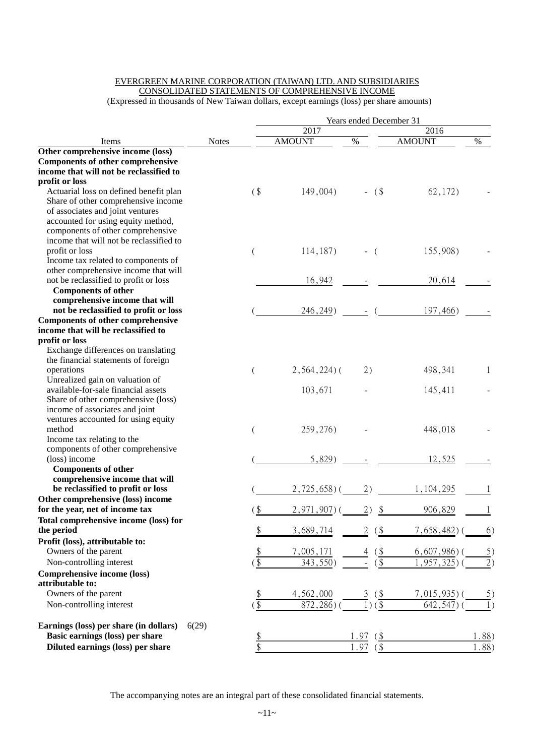# EVERGREEN MARINE CORPORATION (TAIWAN) LTD. AND SUBSIDIARIES CONSOLIDATED STATEMENTS OF COMPREHENSIVE INCOME

(Expressed in thousands of New Taiwan dollars, except earnings (loss) per share amounts)

|                                                                             |              | Years ended December 31  |                 |                                   |               |                 |  |  |  |
|-----------------------------------------------------------------------------|--------------|--------------------------|-----------------|-----------------------------------|---------------|-----------------|--|--|--|
|                                                                             |              |                          | 2017            |                                   | 2016          |                 |  |  |  |
| Items                                                                       | <b>Notes</b> |                          | <b>AMOUNT</b>   | $\%$                              | <b>AMOUNT</b> | $\%$            |  |  |  |
| Other comprehensive income (loss)                                           |              |                          |                 |                                   |               |                 |  |  |  |
| <b>Components of other comprehensive</b>                                    |              |                          |                 |                                   |               |                 |  |  |  |
| income that will not be reclassified to                                     |              |                          |                 |                                   |               |                 |  |  |  |
| profit or loss                                                              |              |                          |                 |                                   |               |                 |  |  |  |
| Actuarial loss on defined benefit plan                                      |              | $($ \$                   | 149,004)        | $-$ (\$)                          | 62,172)       |                 |  |  |  |
| Share of other comprehensive income                                         |              |                          |                 |                                   |               |                 |  |  |  |
| of associates and joint ventures                                            |              |                          |                 |                                   |               |                 |  |  |  |
| accounted for using equity method,                                          |              |                          |                 |                                   |               |                 |  |  |  |
| components of other comprehensive                                           |              |                          |                 |                                   |               |                 |  |  |  |
| income that will not be reclassified to                                     |              |                          |                 |                                   |               |                 |  |  |  |
| profit or loss                                                              |              |                          | 114, 187)       | $-$ (                             | 155,908)      |                 |  |  |  |
| Income tax related to components of<br>other comprehensive income that will |              |                          |                 |                                   |               |                 |  |  |  |
| not be reclassified to profit or loss                                       |              |                          | 16,942          |                                   | 20,614        |                 |  |  |  |
| <b>Components of other</b>                                                  |              |                          |                 |                                   |               |                 |  |  |  |
| comprehensive income that will                                              |              |                          |                 |                                   |               |                 |  |  |  |
| not be reclassified to profit or loss                                       |              |                          | 246, 249        |                                   | 197,466)      |                 |  |  |  |
| <b>Components of other comprehensive</b>                                    |              |                          |                 |                                   |               |                 |  |  |  |
| income that will be reclassified to                                         |              |                          |                 |                                   |               |                 |  |  |  |
| profit or loss                                                              |              |                          |                 |                                   |               |                 |  |  |  |
| Exchange differences on translating                                         |              |                          |                 |                                   |               |                 |  |  |  |
| the financial statements of foreign                                         |              |                          |                 |                                   |               |                 |  |  |  |
| operations                                                                  |              |                          | $2,564,224$ ) ( | 2)                                | 498,341       | 1               |  |  |  |
| Unrealized gain on valuation of                                             |              |                          |                 |                                   |               |                 |  |  |  |
| available-for-sale financial assets                                         |              |                          | 103,671         |                                   | 145,411       |                 |  |  |  |
| Share of other comprehensive (loss)                                         |              |                          |                 |                                   |               |                 |  |  |  |
| income of associates and joint                                              |              |                          |                 |                                   |               |                 |  |  |  |
| ventures accounted for using equity                                         |              |                          |                 |                                   |               |                 |  |  |  |
| method                                                                      |              |                          | 259,276)        |                                   | 448,018       |                 |  |  |  |
| Income tax relating to the                                                  |              |                          |                 |                                   |               |                 |  |  |  |
| components of other comprehensive                                           |              |                          |                 |                                   |               |                 |  |  |  |
| (loss) income                                                               |              |                          | 5,829)          |                                   | 12,525        |                 |  |  |  |
| <b>Components of other</b>                                                  |              |                          |                 |                                   |               |                 |  |  |  |
| comprehensive income that will                                              |              |                          |                 |                                   |               |                 |  |  |  |
| be reclassified to profit or loss                                           |              |                          | $2,725,658$ )(  | 2)                                | 1, 104, 295   |                 |  |  |  |
| Other comprehensive (loss) income                                           |              |                          |                 |                                   |               |                 |  |  |  |
| for the year, net of income tax                                             |              | $($ \$                   | $2,971,907$ (   | $\overline{2}$ )<br>$\frac{1}{2}$ | 906,829       |                 |  |  |  |
| Total comprehensive income (loss) for                                       |              |                          |                 |                                   |               |                 |  |  |  |
| the period                                                                  |              | \$                       | 3,689,714       | $\mathbf{2}$<br>(                 | 7,658,482)    | 6)              |  |  |  |
| Profit (loss), attributable to:                                             |              |                          |                 |                                   |               |                 |  |  |  |
| Owners of the parent                                                        |              | $\frac{3}{3}$            | 7,005,171       | $\frac{3}{3}$<br>4                | $6,607,986$ ) | $\overline{5}$  |  |  |  |
| Non-controlling interest                                                    |              |                          | 343,550)        |                                   | 1,957,325)    | $\overline{2})$ |  |  |  |
| Comprehensive income (loss)                                                 |              |                          |                 |                                   |               |                 |  |  |  |
| attributable to:                                                            |              |                          |                 |                                   |               |                 |  |  |  |
| Owners of the parent                                                        |              | \$                       | 4,562,000       | $\frac{3}{2}$<br>3                | $7,015,935$ ) | 5)              |  |  |  |
| Non-controlling interest                                                    |              | $\overline{\frac{1}{2}}$ | 872,286)        | $\sqrt{2}$                        | 642,547)      | $1^{\circ}$     |  |  |  |
| Earnings (loss) per share (in dollars)<br>6(29)                             |              |                          |                 |                                   |               |                 |  |  |  |
| Basic earnings (loss) per share                                             |              | $\frac{1}{2}$            |                 | .97<br>$\frac{3}{2}$              |               | .88)            |  |  |  |
| Diluted earnings (loss) per share                                           |              | $\overline{\$}$          |                 | 1.97<br>$\overline{\mathcal{S}}$  |               | 1.88)           |  |  |  |

The accompanying notes are an integral part of these consolidated financial statements.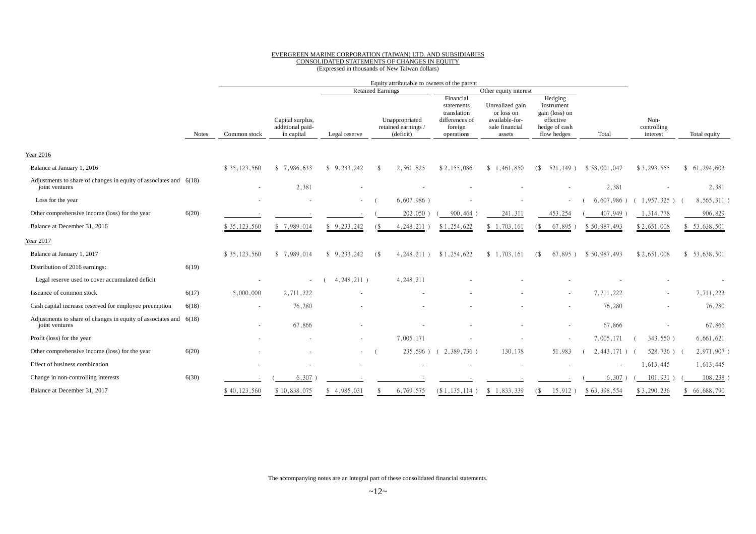#### EVERGREEN MARINE CORPORATION (TAIWAN) LTD. AND SUBSIDIARIES

#### CONSOLIDATED STATEMENTS OF CHANGES IN EQUITY

(Expressed in thousands of New Taiwan dollars)

|                                                                                     |              |              |                                                    |                          |    | Equity attributable to owners of the parent        |                                                                                   |                                                                             |    |                                                                                      |                 |                                 |              |
|-------------------------------------------------------------------------------------|--------------|--------------|----------------------------------------------------|--------------------------|----|----------------------------------------------------|-----------------------------------------------------------------------------------|-----------------------------------------------------------------------------|----|--------------------------------------------------------------------------------------|-----------------|---------------------------------|--------------|
|                                                                                     |              |              |                                                    | <b>Retained Earnings</b> |    |                                                    |                                                                                   | Other equity interest                                                       |    |                                                                                      |                 |                                 |              |
|                                                                                     | <b>Notes</b> | Common stock | Capital surplus,<br>additional paid-<br>in capital | Legal reserve            |    | Unappropriated<br>retained earnings /<br>(deficit) | Financial<br>statements<br>translation<br>differences of<br>foreign<br>operations | Unrealized gain<br>or loss on<br>available-for-<br>sale financial<br>assets |    | Hedging<br>instrument<br>gain (loss) on<br>effective<br>hedge of cash<br>flow hedges | Total           | Non-<br>controlling<br>interest | Total equity |
|                                                                                     |              |              |                                                    |                          |    |                                                    |                                                                                   |                                                                             |    |                                                                                      |                 |                                 |              |
| Year 2016                                                                           |              |              |                                                    |                          |    |                                                    |                                                                                   |                                                                             |    |                                                                                      |                 |                                 |              |
| Balance at January 1, 2016                                                          |              | \$35,123,560 | \$7,986,633                                        | \$9,233,242              | \$ | 2,561,825                                          | \$2,155,086                                                                       | \$1,461,850                                                                 | (  | 521,149)                                                                             | \$58,001,047    | \$3,293,555                     | \$61,294,602 |
| Adjustments to share of changes in equity of associates and 6(18)<br>joint ventures |              |              | 2,381                                              |                          |    |                                                    |                                                                                   |                                                                             |    |                                                                                      | 2,381           |                                 | 2,381        |
| Loss for the year                                                                   |              |              |                                                    | $\blacksquare$           |    | $6,607,986$ )                                      |                                                                                   |                                                                             |    |                                                                                      | 6,607,986       | 1,957,325)                      | 8,565,311)   |
| Other comprehensive income (loss) for the year                                      | 6(20)        |              |                                                    |                          |    | $202,050$ )                                        | 900,464                                                                           | 241,311                                                                     |    | 453,254                                                                              | 407,949         | 1,314,778                       | 906,829      |
| Balance at December 31, 2016                                                        |              | \$35,123,560 | \$7,989,014                                        | \$9,233,242              |    | 4, 248, 211                                        | \$1,254,622                                                                       | \$1,703,161                                                                 |    | 67,895                                                                               | \$50,987,493    | \$2,651,008                     | \$53,638,501 |
| Year 2017                                                                           |              |              |                                                    |                          |    |                                                    |                                                                                   |                                                                             |    |                                                                                      |                 |                                 |              |
| Balance at January 1, 2017                                                          |              | \$35,123,560 | \$7,989,014                                        | \$9,233,242              | (  | $4,248,211$ )                                      | \$1,254,622                                                                       | \$1,703,161                                                                 | (  | $67,895$ )                                                                           | \$50,987,493    | \$2,651,008                     | \$53,638,501 |
| Distribution of 2016 earnings:                                                      | 6(19)        |              |                                                    |                          |    |                                                    |                                                                                   |                                                                             |    |                                                                                      |                 |                                 |              |
| Legal reserve used to cover accumulated deficit                                     |              |              |                                                    | $4,248,211$ )            |    | 4, 248, 211                                        |                                                                                   |                                                                             |    |                                                                                      |                 |                                 |              |
| Issuance of common stock                                                            | 6(17)        | 5,000,000    | 2,711,222                                          |                          |    |                                                    |                                                                                   |                                                                             |    |                                                                                      | 7,711,222       | $\sim$                          | 7,711,222    |
| Cash capital increase reserved for employee preemption                              | 6(18)        |              | 76,280                                             |                          |    |                                                    |                                                                                   |                                                                             |    |                                                                                      | 76,280          | $\sim$                          | 76,280       |
| Adjustments to share of changes in equity of associates and<br>joint ventures       | 6(18)        |              | 67,866                                             |                          |    |                                                    |                                                                                   |                                                                             |    |                                                                                      | 67,866          |                                 | 67,866       |
| Profit (loss) for the year                                                          |              |              |                                                    |                          |    | 7,005,171                                          |                                                                                   |                                                                             |    |                                                                                      | 7,005,171       | 343,550)                        | 6,661,621    |
| Other comprehensive income (loss) for the year                                      | 6(20)        |              |                                                    | $\blacksquare$           |    |                                                    | 235,596) (2,389,736)                                                              | 130,178                                                                     |    | 51,983                                                                               | $2,443,171$ ) ( | 528,736) (                      | 2,971,907)   |
| Effect of business combination                                                      |              |              |                                                    |                          |    |                                                    |                                                                                   |                                                                             |    |                                                                                      |                 | 1,613,445                       | 1,613,445    |
| Change in non-controlling interests                                                 | 6(30)        |              | 6,307                                              |                          |    |                                                    |                                                                                   |                                                                             |    |                                                                                      | 6,307           | 101,931                         | 108,238      |
| Balance at December 31, 2017                                                        |              | \$40,123,560 | \$10,838,075                                       | \$4,985,031              |    | 6,769,575                                          | $(\$1,135,114)$                                                                   | \$1,833,339                                                                 | (S | $15,912$ )                                                                           | \$63,398,554    | \$3,290,236                     | \$66,688,790 |

The accompanying notes are an integral part of these consolidated financial statements.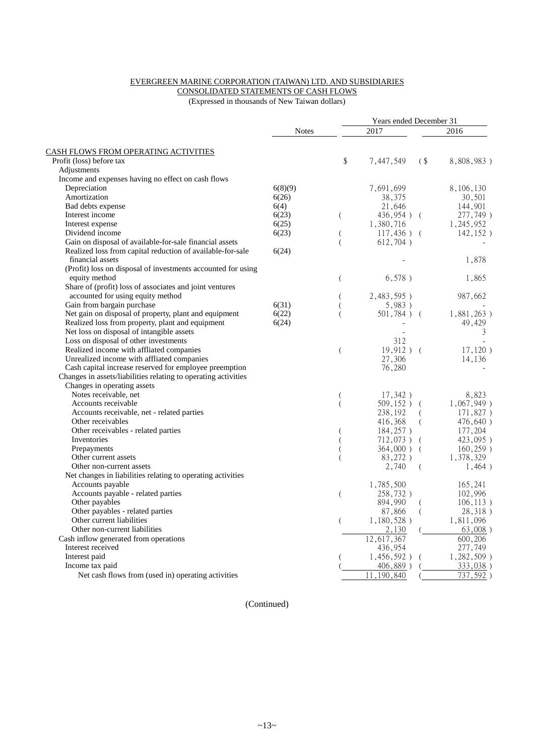#### EVERGREEN MARINE CORPORATION (TAIWAN) LTD. AND SUBSIDIARIES

CONSOLIDATED STATEMENTS OF CASH FLOWS

(Expressed in thousands of New Taiwan dollars)

|                                                                |              |                | Years ended December 31 |          |               |
|----------------------------------------------------------------|--------------|----------------|-------------------------|----------|---------------|
|                                                                | <b>Notes</b> |                | 2017                    |          | 2016          |
| <b>CASH FLOWS FROM OPERATING ACTIVITIES</b>                    |              |                |                         |          |               |
| Profit (loss) before tax                                       |              | \$             | 7,447,549               | (        | 8,808,983)    |
| Adjustments                                                    |              |                |                         |          |               |
| Income and expenses having no effect on cash flows             |              |                |                         |          |               |
| Depreciation                                                   | 6(8)(9)      |                | 7,691,699               |          | 8,106,130     |
| Amortization                                                   | 6(26)        |                | 38,375                  |          | 30,501        |
| Bad debts expense                                              | 6(4)         |                | 21,646                  |          | 144,901       |
| Interest income                                                | 6(23)        | $\left($       | $436,954$ ) (           |          | 277,749)      |
| Interest expense                                               | 6(25)        |                | 1,380,716               |          | 1,245,952     |
| Dividend income                                                | 6(23)        |                | $117,436$ ) (           |          | 142,152)      |
| Gain on disposal of available-for-sale financial assets        |              | $\overline{(}$ | 612,704)                |          |               |
| Realized loss from capital reduction of available-for-sale     | 6(24)        |                |                         |          |               |
| financial assets                                               |              |                |                         |          | 1,878         |
| (Profit) loss on disposal of investments accounted for using   |              |                |                         |          |               |
| equity method                                                  |              | $\left($       | 6,578)                  |          | 1,865         |
| Share of (profit) loss of associates and joint ventures        |              |                |                         |          |               |
| accounted for using equity method                              |              | (              | 2,483,595)              |          | 987,662       |
| Gain from bargain purchase                                     | 6(31)        |                | 5,983)                  |          |               |
| Net gain on disposal of property, plant and equipment          | 6(22)        |                | $501,784$ ) (           |          | 1,881,263)    |
| Realized loss from property, plant and equipment               | 6(24)        |                |                         |          | 49,429        |
| Net loss on disposal of intangible assets                      |              |                |                         |          | 3             |
| Loss on disposal of other investments                          |              |                | 312                     |          |               |
| Realized income with affliated companies                       |              | $\overline{(}$ | $19,912$ ) (            |          | $17,120$ )    |
| Unrealized income with affliated companies                     |              |                | 27,306                  |          | 14,136        |
| Cash capital increase reserved for employee preemption         |              |                | 76,280                  |          |               |
| Changes in assets/liabilities relating to operating activities |              |                |                         |          |               |
| Changes in operating assets                                    |              |                |                         |          |               |
| Notes receivable, net                                          |              | (              | $17,342$ )              |          | 8,823         |
| Accounts receivable                                            |              | $\overline{(}$ | $509, 152$ ) (          |          | $1,067,949$ ) |
| Accounts receivable, net - related parties                     |              |                | 238,192                 |          | 171,827)      |
| Other receivables                                              |              |                | 416,368                 | (        | 476,640)      |
| Other receivables - related parties                            |              |                | 184,257)                |          | 177,204       |
| Inventories                                                    |              | $\left($       | $712,073$ ) (           |          | 423,095)      |
| Prepayments                                                    |              | $\overline{(}$ | $364,000$ ) (           |          | 160, 259)     |
| Other current assets                                           |              |                | 83,272)                 |          | 1,378,329     |
| Other non-current assets                                       |              |                | 2,740                   | $\left($ | 1,464)        |
| Net changes in liabilities relating to operating activities    |              |                |                         |          |               |
| Accounts payable                                               |              |                | 1,785,500               |          | 165,241       |
| Accounts payable - related parties                             |              | (              | 258,732)                |          | 102,996       |
| Other payables                                                 |              |                | 894,990                 | (        | 106, 113)     |
| Other payables - related parties                               |              |                | 87,866                  | (        | 28,318)       |
| Other current liabilities                                      |              | $\overline{(}$ | $1,180,528$ )           |          | 1,811,096     |
| Other non-current liabilities                                  |              |                | 2,130                   |          | $63,008$ )    |
| Cash inflow generated from operations                          |              |                | 12,617,367              |          | 600,206       |
| Interest received                                              |              |                | 436,954                 |          | 277,749       |
| Interest paid                                                  |              |                | $1,456,592$ )           | $\left($ | 1,282,509)    |
| Income tax paid                                                |              |                | $406,889$ )             |          | 333,038)      |
| Net cash flows from (used in) operating activities             |              |                | 11,190,840              |          | 737,592)      |
|                                                                |              |                |                         |          |               |

(Continued)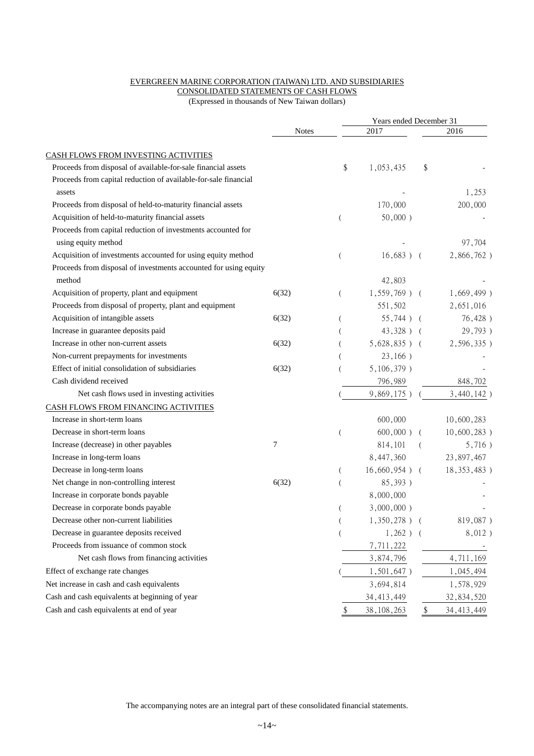#### EVERGREEN MARINE CORPORATION (TAIWAN) LTD. AND SUBSIDIARIES

CONSOLIDATED STATEMENTS OF CASH FLOWS

(Expressed in thousands of New Taiwan dollars)

|                                                                  |              |          | Years ended December 31 |    |               |  |
|------------------------------------------------------------------|--------------|----------|-------------------------|----|---------------|--|
|                                                                  | <b>Notes</b> |          | 2017                    |    | 2016          |  |
| <b>CASH FLOWS FROM INVESTING ACTIVITIES</b>                      |              |          |                         |    |               |  |
| Proceeds from disposal of available-for-sale financial assets    |              | \$       | 1,053,435               | \$ |               |  |
| Proceeds from capital reduction of available-for-sale financial  |              |          |                         |    |               |  |
| assets                                                           |              |          |                         |    | 1,253         |  |
| Proceeds from disposal of held-to-maturity financial assets      |              |          | 170,000                 |    | 200,000       |  |
| Acquisition of held-to-maturity financial assets                 |              | (        | $50,000$ )              |    |               |  |
| Proceeds from capital reduction of investments accounted for     |              |          |                         |    |               |  |
| using equity method                                              |              |          |                         |    | 97,704        |  |
| Acquisition of investments accounted for using equity method     |              | (        | $16,683$ ) (            |    | 2,866,762)    |  |
| Proceeds from disposal of investments accounted for using equity |              |          |                         |    |               |  |
| method                                                           |              |          | 42,803                  |    |               |  |
| Acquisition of property, plant and equipment                     | 6(32)        | $\left($ | $1,559,769$ ) (         |    | $1,669,499$ ) |  |
| Proceeds from disposal of property, plant and equipment          |              |          | 551,502                 |    | 2,651,016     |  |
| Acquisition of intangible assets                                 | 6(32)        | (        | $55,744$ ) (            |    | 76,428)       |  |
| Increase in guarantee deposits paid                              |              |          | $43,328$ ) (            |    | 29,793)       |  |
| Increase in other non-current assets                             | 6(32)        |          | $5,628,835$ ) (         |    | 2,596,335)    |  |
| Non-current prepayments for investments                          |              |          | 23,166)                 |    |               |  |
| Effect of initial consolidation of subsidiaries                  | 6(32)        |          | $5, 106, 379$ )         |    |               |  |
| Cash dividend received                                           |              |          | 796,989                 |    | 848,702       |  |
| Net cash flows used in investing activities                      |              |          | 9,869,175)              |    | $3,440,142$ ) |  |
| CASH FLOWS FROM FINANCING ACTIVITIES                             |              |          |                         |    |               |  |
| Increase in short-term loans                                     |              |          | 600,000                 |    | 10,600,283    |  |
| Decrease in short-term loans                                     |              | (        | $600,000$ ) (           |    | 10,600,283)   |  |
| Increase (decrease) in other payables                            | 7            |          | 814,101                 |    | 5,716)        |  |
| Increase in long-term loans                                      |              |          | 8,447,360               |    | 23,897,467    |  |
| Decrease in long-term loans                                      |              | (        | $16,660,954$ ) (        |    | 18, 353, 483) |  |
| Net change in non-controlling interest                           | 6(32)        |          | 85,393)                 |    |               |  |
| Increase in corporate bonds payable                              |              |          | 8,000,000               |    |               |  |
| Decrease in corporate bonds payable                              |              |          | $3,000,000$ )           |    |               |  |
| Decrease other non-current liabilities                           |              | $\left($ | $1,350,278$ ) (         |    | 819,087)      |  |
| Decrease in guarantee deposits received                          |              |          | $1,262$ ) (             |    | 8,012)        |  |
| Proceeds from issuance of common stock                           |              |          | 7,711,222               |    |               |  |
| Net cash flows from financing activities                         |              |          | 3,874,796               |    | 4,711,169     |  |
| Effect of exchange rate changes                                  |              |          | $1,501,647$ )           |    | 1,045,494     |  |
| Net increase in cash and cash equivalents                        |              |          | 3,694,814               |    | 1,578,929     |  |
| Cash and cash equivalents at beginning of year                   |              |          | 34, 413, 449            |    | 32,834,520    |  |
| Cash and cash equivalents at end of year                         |              | \$       | 38, 108, 263            | \$ | 34, 413, 449  |  |

The accompanying notes are an integral part of these consolidated financial statements.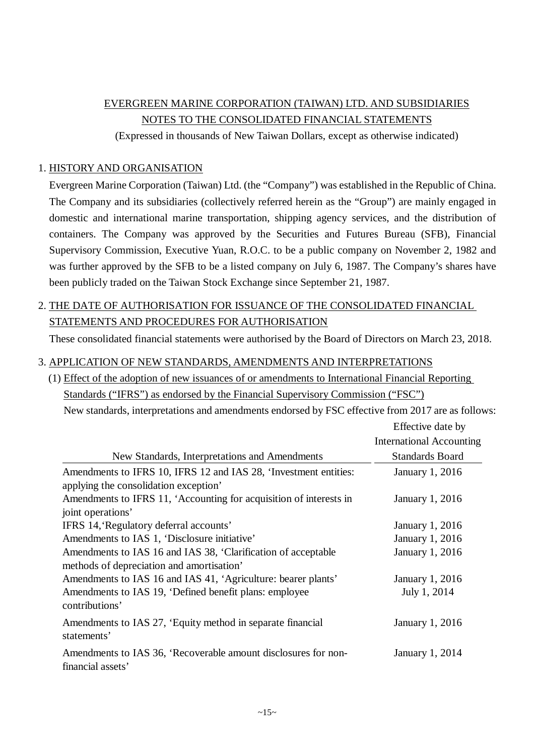# EVERGREEN MARINE CORPORATION (TAIWAN) LTD. AND SUBSIDIARIES NOTES TO THE CONSOLIDATED FINANCIAL STATEMENTS

(Expressed in thousands of New Taiwan Dollars, except as otherwise indicated)

# 1. HISTORY AND ORGANISATION

Evergreen Marine Corporation (Taiwan) Ltd. (the "Company") was established in the Republic of China. The Company and its subsidiaries (collectively referred herein as the "Group") are mainly engaged in domestic and international marine transportation, shipping agency services, and the distribution of containers. The Company was approved by the Securities and Futures Bureau (SFB), Financial Supervisory Commission, Executive Yuan, R.O.C. to be a public company on November 2, 1982 and was further approved by the SFB to be a listed company on July 6, 1987. The Company's shares have been publicly traded on the Taiwan Stock Exchange since September 21, 1987.

# 2. THE DATE OF AUTHORISATION FOR ISSUANCE OF THE CONSOLIDATED FINANCIAL STATEMENTS AND PROCEDURES FOR AUTHORISATION

These consolidated financial statements were authorised by the Board of Directors on March 23, 2018.

# 3. APPLICATION OF NEW STANDARDS, AMENDMENTS AND INTERPRETATIONS

(1) Effect of the adoption of new issuances of or amendments to International Financial Reporting Standards ("IFRS") as endorsed by the Financial Supervisory Commission ("FSC")

New standards, interpretations and amendments endorsed by FSC effective from 2017 are as follows:

|                                                                                     | <b>International Accounting</b> |
|-------------------------------------------------------------------------------------|---------------------------------|
| New Standards, Interpretations and Amendments                                       | <b>Standards Board</b>          |
| Amendments to IFRS 10, IFRS 12 and IAS 28, 'Investment entities:                    | January 1, 2016                 |
| applying the consolidation exception'                                               |                                 |
| Amendments to IFRS 11, 'Accounting for acquisition of interests in                  | January 1, 2016                 |
| joint operations'                                                                   |                                 |
| IFRS 14, Regulatory deferral accounts'                                              | January 1, 2016                 |
| Amendments to IAS 1, 'Disclosure initiative'                                        | January 1, 2016                 |
| Amendments to IAS 16 and IAS 38, 'Clarification of acceptable                       | January 1, 2016                 |
| methods of depreciation and amortisation'                                           |                                 |
| Amendments to IAS 16 and IAS 41, 'Agriculture: bearer plants'                       | January 1, 2016                 |
| Amendments to IAS 19, 'Defined benefit plans: employee<br>contributions'            | July 1, 2014                    |
| Amendments to IAS 27, 'Equity method in separate financial<br>statements'           | January 1, 2016                 |
| Amendments to IAS 36, 'Recoverable amount disclosures for non-<br>financial assets' | January 1, 2014                 |

Effective date by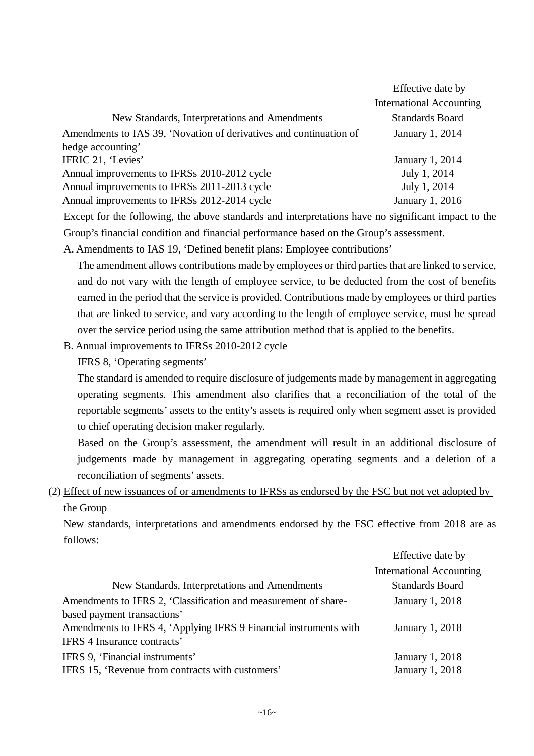|                                                                    | Effective date by<br><b>International Accounting</b> |
|--------------------------------------------------------------------|------------------------------------------------------|
| New Standards, Interpretations and Amendments                      | <b>Standards Board</b>                               |
| Amendments to IAS 39, 'Novation of derivatives and continuation of | January 1, 2014                                      |
| hedge accounting'                                                  |                                                      |
| IFRIC 21, 'Levies'                                                 | January 1, 2014                                      |
| Annual improvements to IFRSs 2010-2012 cycle                       | July 1, 2014                                         |
| Annual improvements to IFRSs 2011-2013 cycle                       | July 1, 2014                                         |
| Annual improvements to IFRSs 2012-2014 cycle                       | January 1, 2016                                      |

Except for the following, the above standards and interpretations have no significant impact to the Group's financial condition and financial performance based on the Group's assessment.

A. Amendments to IAS 19, 'Defined benefit plans: Employee contributions'

The amendment allows contributions made by employees or third parties that are linked to service, and do not vary with the length of employee service, to be deducted from the cost of benefits earned in the period that the service is provided. Contributions made by employees or third parties that are linked to service, and vary according to the length of employee service, must be spread over the service period using the same attribution method that is applied to the benefits.

B. Annual improvements to IFRSs 2010-2012 cycle

IFRS 8, 'Operating segments'

The standard is amended to require disclosure of judgements made by management in aggregating operating segments. This amendment also clarifies that a reconciliation of the total of the reportable segments' assets to the entity's assets is required only when segment asset is provided to chief operating decision maker regularly.

Based on the Group's assessment, the amendment will result in an additional disclosure of judgements made by management in aggregating operating segments and a deletion of a reconciliation of segments' assets.

(2) Effect of new issuances of or amendments to IFRSs as endorsed by the FSC but not yet adopted by the Group

New standards, interpretations and amendments endorsed by the FSC effective from 2018 are as follows:

|                                                                   | Effective date by               |
|-------------------------------------------------------------------|---------------------------------|
|                                                                   | <b>International Accounting</b> |
| New Standards, Interpretations and Amendments                     | <b>Standards Board</b>          |
| Amendments to IFRS 2, 'Classification and measurement of share-   | <b>January 1, 2018</b>          |
| based payment transactions'                                       |                                 |
| Amendments to IFRS 4, 'Applying IFRS 9 Financial instruments with | January 1, 2018                 |
| IFRS 4 Insurance contracts'                                       |                                 |
| IFRS 9, 'Financial instruments'                                   | January 1, 2018                 |
| IFRS 15, 'Revenue from contracts with customers'                  | January 1, 2018                 |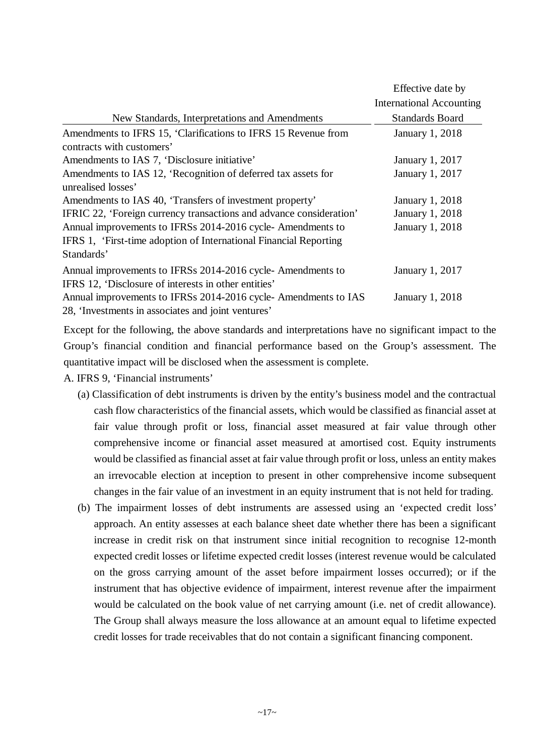|                                                                     | Effective date by               |
|---------------------------------------------------------------------|---------------------------------|
|                                                                     | <b>International Accounting</b> |
| New Standards, Interpretations and Amendments                       | <b>Standards Board</b>          |
| Amendments to IFRS 15, 'Clarifications to IFRS 15 Revenue from      | <b>January 1, 2018</b>          |
| contracts with customers'                                           |                                 |
| Amendments to IAS 7, 'Disclosure initiative'                        | January 1, 2017                 |
| Amendments to IAS 12, 'Recognition of deferred tax assets for       | January 1, 2017                 |
| unrealised losses'                                                  |                                 |
| Amendments to IAS 40, 'Transfers of investment property'            | January 1, 2018                 |
| IFRIC 22, 'Foreign currency transactions and advance consideration' | January 1, 2018                 |
| Annual improvements to IFRSs 2014-2016 cycle- Amendments to         | January 1, 2018                 |
| IFRS 1, 'First-time adoption of International Financial Reporting   |                                 |
| Standards'                                                          |                                 |
| Annual improvements to IFRSs 2014-2016 cycle- Amendments to         | January 1, 2017                 |
| IFRS 12, 'Disclosure of interests in other entities'                |                                 |
| Annual improvements to IFRSs 2014-2016 cycle- Amendments to IAS     | January 1, 2018                 |
| 28, 'Investments in associates and joint ventures'                  |                                 |

Except for the following, the above standards and interpretations have no significant impact to the Group's financial condition and financial performance based on the Group's assessment. The quantitative impact will be disclosed when the assessment is complete.

A. IFRS 9, 'Financial instruments'

- (a) Classification of debt instruments is driven by the entity's business model and the contractual cash flow characteristics of the financial assets, which would be classified as financial asset at fair value through profit or loss, financial asset measured at fair value through other comprehensive income or financial asset measured at amortised cost. Equity instruments would be classified as financial asset at fair value through profit or loss, unless an entity makes an irrevocable election at inception to present in other comprehensive income subsequent changes in the fair value of an investment in an equity instrument that is not held for trading.
- (b) The impairment losses of debt instruments are assessed using an 'expected credit loss' approach. An entity assesses at each balance sheet date whether there has been a significant increase in credit risk on that instrument since initial recognition to recognise 12-month expected credit losses or lifetime expected credit losses (interest revenue would be calculated on the gross carrying amount of the asset before impairment losses occurred); or if the instrument that has objective evidence of impairment, interest revenue after the impairment would be calculated on the book value of net carrying amount (i.e. net of credit allowance). The Group shall always measure the loss allowance at an amount equal to lifetime expected credit losses for trade receivables that do not contain a significant financing component.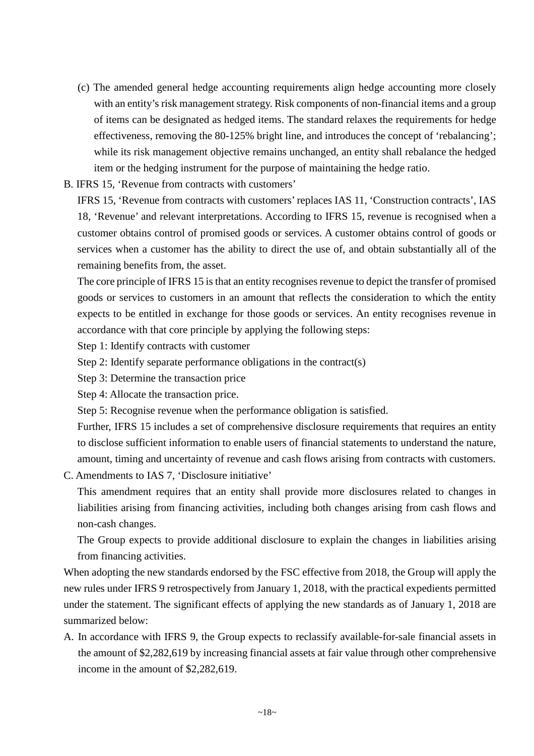- (c) The amended general hedge accounting requirements align hedge accounting more closely with an entity's risk management strategy. Risk components of non-financial items and a group of items can be designated as hedged items. The standard relaxes the requirements for hedge effectiveness, removing the 80-125% bright line, and introduces the concept of 'rebalancing'; while its risk management objective remains unchanged, an entity shall rebalance the hedged item or the hedging instrument for the purpose of maintaining the hedge ratio.
- B. IFRS 15, 'Revenue from contracts with customers'

IFRS 15, 'Revenue from contracts with customers' replaces IAS 11, 'Construction contracts', IAS 18, 'Revenue' and relevant interpretations. According to IFRS 15, revenue is recognised when a customer obtains control of promised goods or services. A customer obtains control of goods or services when a customer has the ability to direct the use of, and obtain substantially all of the remaining benefits from, the asset.

The core principle of IFRS 15 is that an entity recognises revenue to depict the transfer of promised goods or services to customers in an amount that reflects the consideration to which the entity expects to be entitled in exchange for those goods or services. An entity recognises revenue in accordance with that core principle by applying the following steps:

- Step 1: Identify contracts with customer
- Step 2: Identify separate performance obligations in the contract(s)
- Step 3: Determine the transaction price
- Step 4: Allocate the transaction price.
- Step 5: Recognise revenue when the performance obligation is satisfied.

Further, IFRS 15 includes a set of comprehensive disclosure requirements that requires an entity to disclose sufficient information to enable users of financial statements to understand the nature, amount, timing and uncertainty of revenue and cash flows arising from contracts with customers.

C. Amendments to IAS 7, 'Disclosure initiative'

This amendment requires that an entity shall provide more disclosures related to changes in liabilities arising from financing activities, including both changes arising from cash flows and non-cash changes.

The Group expects to provide additional disclosure to explain the changes in liabilities arising from financing activities.

When adopting the new standards endorsed by the FSC effective from 2018, the Group will apply the new rules under IFRS 9 retrospectively from January 1, 2018, with the practical expedients permitted under the statement. The significant effects of applying the new standards as of January 1, 2018 are summarized below:

A. In accordance with IFRS 9, the Group expects to reclassify available-for-sale financial assets in the amount of \$2,282,619 by increasing financial assets at fair value through other comprehensive income in the amount of \$2,282,619.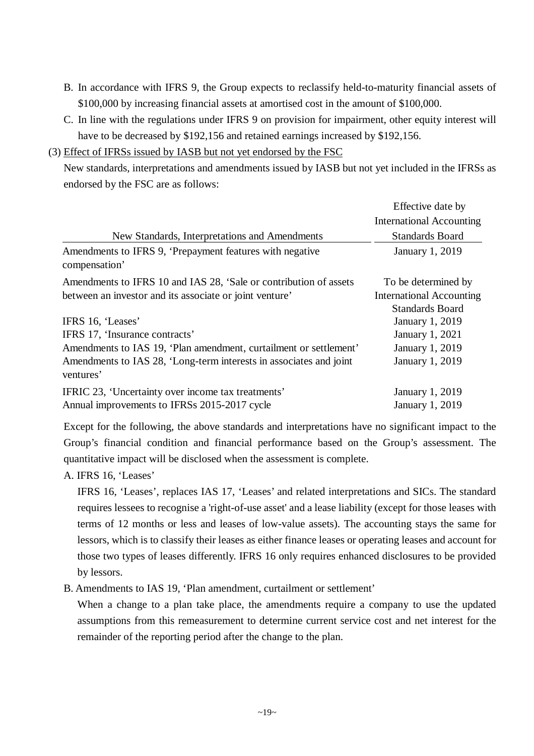- B. In accordance with IFRS 9, the Group expects to reclassify held-to-maturity financial assets of \$100,000 by increasing financial assets at amortised cost in the amount of \$100,000.
- C. In line with the regulations under IFRS 9 on provision for impairment, other equity interest will have to be decreased by \$192,156 and retained earnings increased by \$192,156.
- (3) Effect of IFRSs issued by IASB but not yet endorsed by the FSC
	- New standards, interpretations and amendments issued by IASB but not yet included in the IFRSs as endorsed by the FSC are as follows:

|                                                                                 | Effective date by               |
|---------------------------------------------------------------------------------|---------------------------------|
|                                                                                 | <b>International Accounting</b> |
| New Standards, Interpretations and Amendments                                   | <b>Standards Board</b>          |
| Amendments to IFRS 9, 'Prepayment features with negative<br>compensation'       | January 1, 2019                 |
| Amendments to IFRS 10 and IAS 28, 'Sale or contribution of assets               | To be determined by             |
| between an investor and its associate or joint venture'                         | <b>International Accounting</b> |
|                                                                                 | <b>Standards Board</b>          |
| IFRS 16, 'Leases'                                                               | <b>January 1, 2019</b>          |
| IFRS 17, 'Insurance contracts'                                                  | January 1, 2021                 |
| Amendments to IAS 19, 'Plan amendment, curtailment or settlement'               | January 1, 2019                 |
| Amendments to IAS 28, 'Long-term interests in associates and joint<br>ventures' | January 1, 2019                 |
| IFRIC 23, 'Uncertainty over income tax treatments'                              | <b>January 1, 2019</b>          |
| Annual improvements to IFRSs 2015-2017 cycle                                    | January 1, 2019                 |

Except for the following, the above standards and interpretations have no significant impact to the Group's financial condition and financial performance based on the Group's assessment. The quantitative impact will be disclosed when the assessment is complete.

A. IFRS 16, 'Leases'

IFRS 16, 'Leases', replaces IAS 17, 'Leases' and related interpretations and SICs. The standard requires lessees to recognise a 'right-of-use asset' and a lease liability (except for those leases with terms of 12 months or less and leases of low-value assets). The accounting stays the same for lessors, which is to classify their leases as either finance leases or operating leases and account for those two types of leases differently. IFRS 16 only requires enhanced disclosures to be provided by lessors.

B. Amendments to IAS 19, 'Plan amendment, curtailment or settlement'

When a change to a plan take place, the amendments require a company to use the updated assumptions from this remeasurement to determine current service cost and net interest for the remainder of the reporting period after the change to the plan.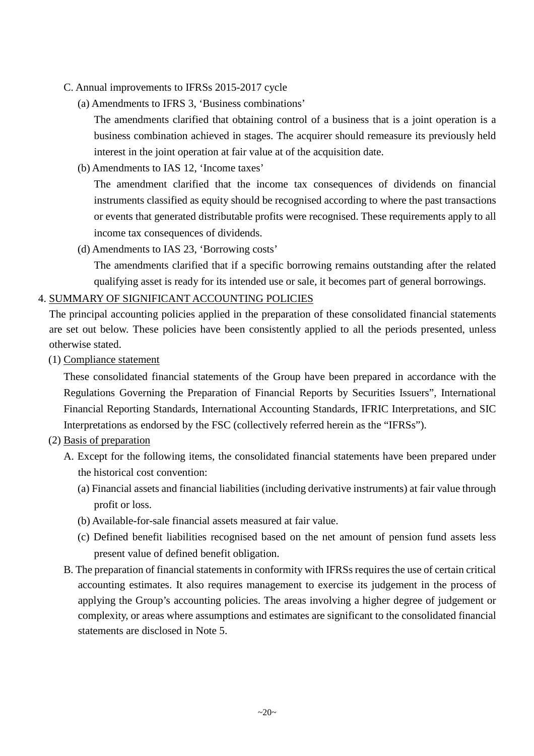# C. Annual improvements to IFRSs 2015-2017 cycle

(a) Amendments to IFRS 3, 'Business combinations'

The amendments clarified that obtaining control of a business that is a joint operation is a business combination achieved in stages. The acquirer should remeasure its previously held interest in the joint operation at fair value at of the acquisition date.

(b) Amendments to IAS 12, 'Income taxes'

The amendment clarified that the income tax consequences of dividends on financial instruments classified as equity should be recognised according to where the past transactions or events that generated distributable profits were recognised. These requirements apply to all income tax consequences of dividends.

(d) Amendments to IAS 23, 'Borrowing costs'

The amendments clarified that if a specific borrowing remains outstanding after the related qualifying asset is ready for its intended use or sale, it becomes part of general borrowings.

# 4. SUMMARY OF SIGNIFICANT ACCOUNTING POLICIES

The principal accounting policies applied in the preparation of these consolidated financial statements are set out below. These policies have been consistently applied to all the periods presented, unless otherwise stated.

(1) Compliance statement

These consolidated financial statements of the Group have been prepared in accordance with the Regulations Governing the Preparation of Financial Reports by Securities Issuers", International Financial Reporting Standards, International Accounting Standards, IFRIC Interpretations, and SIC Interpretations as endorsed by the FSC (collectively referred herein as the "IFRSs").

- (2) Basis of preparation
	- A. Except for the following items, the consolidated financial statements have been prepared under the historical cost convention:
		- (a) Financial assets and financial liabilities (including derivative instruments) at fair value through profit or loss.
		- (b) Available-for-sale financial assets measured at fair value.
		- (c) Defined benefit liabilities recognised based on the net amount of pension fund assets less present value of defined benefit obligation.
	- B. The preparation of financial statements in conformity with IFRSs requires the use of certain critical accounting estimates. It also requires management to exercise its judgement in the process of applying the Group's accounting policies. The areas involving a higher degree of judgement or complexity, or areas where assumptions and estimates are significant to the consolidated financial statements are disclosed in Note 5.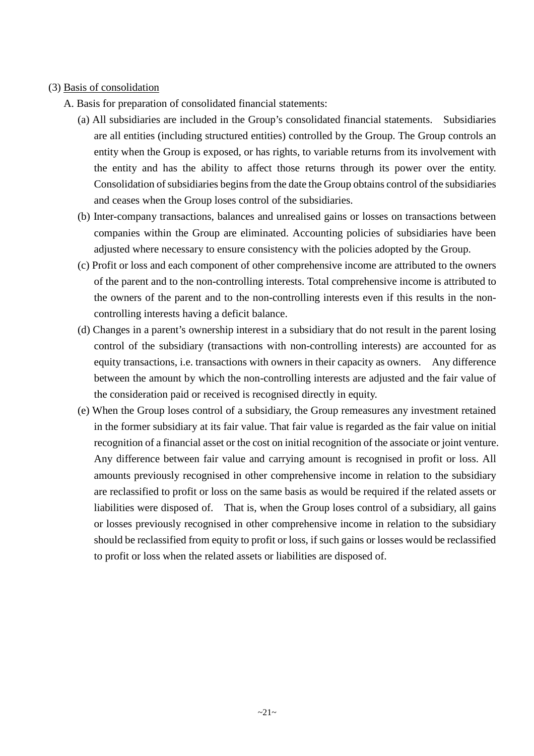## (3) Basis of consolidation

- A. Basis for preparation of consolidated financial statements:
	- (a) All subsidiaries are included in the Group's consolidated financial statements. Subsidiaries are all entities (including structured entities) controlled by the Group. The Group controls an entity when the Group is exposed, or has rights, to variable returns from its involvement with the entity and has the ability to affect those returns through its power over the entity. Consolidation of subsidiaries begins from the date the Group obtains control of the subsidiaries and ceases when the Group loses control of the subsidiaries.
	- (b) Inter-company transactions, balances and unrealised gains or losses on transactions between companies within the Group are eliminated. Accounting policies of subsidiaries have been adjusted where necessary to ensure consistency with the policies adopted by the Group.
	- (c) Profit or loss and each component of other comprehensive income are attributed to the owners of the parent and to the non-controlling interests. Total comprehensive income is attributed to the owners of the parent and to the non-controlling interests even if this results in the noncontrolling interests having a deficit balance.
	- (d) Changes in a parent's ownership interest in a subsidiary that do not result in the parent losing control of the subsidiary (transactions with non-controlling interests) are accounted for as equity transactions, i.e. transactions with owners in their capacity as owners. Any difference between the amount by which the non-controlling interests are adjusted and the fair value of the consideration paid or received is recognised directly in equity.
	- (e) When the Group loses control of a subsidiary, the Group remeasures any investment retained in the former subsidiary at its fair value. That fair value is regarded as the fair value on initial recognition of a financial asset or the cost on initial recognition of the associate or joint venture. Any difference between fair value and carrying amount is recognised in profit or loss. All amounts previously recognised in other comprehensive income in relation to the subsidiary are reclassified to profit or loss on the same basis as would be required if the related assets or liabilities were disposed of. That is, when the Group loses control of a subsidiary, all gains or losses previously recognised in other comprehensive income in relation to the subsidiary should be reclassified from equity to profit or loss, if such gains or losses would be reclassified to profit or loss when the related assets or liabilities are disposed of.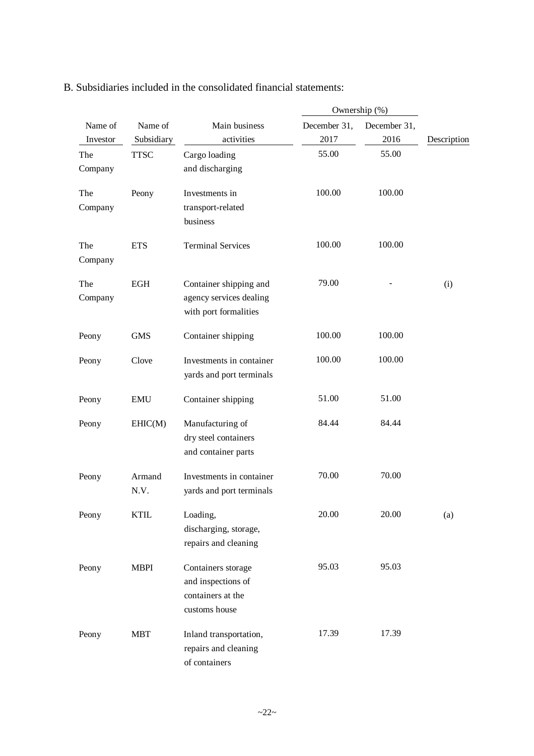|                     |                       |                                                                                |                      | Ownership (%)        |             |
|---------------------|-----------------------|--------------------------------------------------------------------------------|----------------------|----------------------|-------------|
| Name of<br>Investor | Name of<br>Subsidiary | Main business<br>activities                                                    | December 31,<br>2017 | December 31,<br>2016 | Description |
| The<br>Company      | <b>TTSC</b>           | Cargo loading<br>and discharging                                               | 55.00                | 55.00                |             |
| The<br>Company      | Peony                 | Investments in<br>transport-related<br>business                                | 100.00               | 100.00               |             |
| The<br>Company      | <b>ETS</b>            | <b>Terminal Services</b>                                                       | 100.00               | 100.00               |             |
| The<br>Company      | <b>EGH</b>            | Container shipping and<br>agency services dealing<br>with port formalities     | 79.00                |                      | (i)         |
| Peony               | <b>GMS</b>            | Container shipping                                                             | 100.00               | 100.00               |             |
| Peony               | Clove                 | Investments in container<br>yards and port terminals                           | 100.00               | 100.00               |             |
| Peony               | <b>EMU</b>            | Container shipping                                                             | 51.00                | 51.00                |             |
| Peony               | EHIC(M)               | Manufacturing of<br>dry steel containers<br>and container parts                | 84.44                | 84.44                |             |
| Peony               | Armand<br>N.V.        | Investments in container<br>yards and port terminals                           | 70.00                | 70.00                |             |
| Peony               | <b>KTIL</b>           | Loading,<br>discharging, storage,<br>repairs and cleaning                      | 20.00                | 20.00                | (a)         |
| Peony               | <b>MBPI</b>           | Containers storage<br>and inspections of<br>containers at the<br>customs house | 95.03                | 95.03                |             |
| Peony               | <b>MBT</b>            | Inland transportation,<br>repairs and cleaning<br>of containers                | 17.39                | 17.39                |             |

# B. Subsidiaries included in the consolidated financial statements: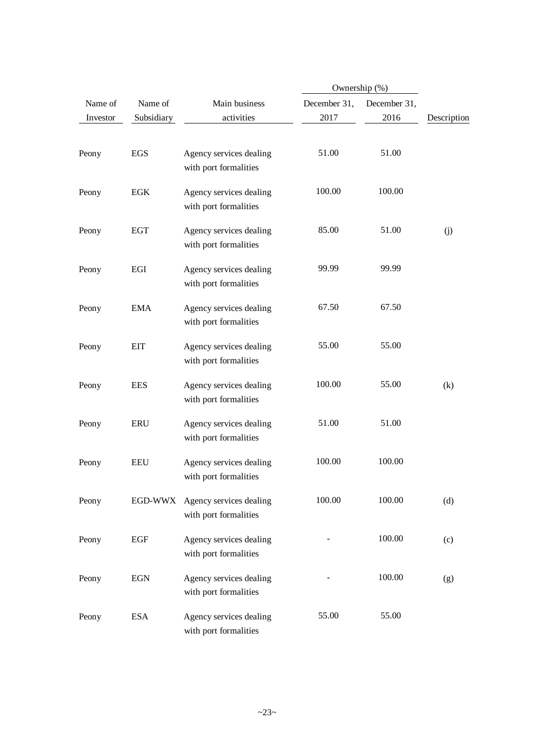|                     |                       |                                                          | Ownership (%)        |                      |             |
|---------------------|-----------------------|----------------------------------------------------------|----------------------|----------------------|-------------|
| Name of<br>Investor | Name of<br>Subsidiary | Main business<br>activities                              | December 31,<br>2017 | December 31,<br>2016 | Description |
| Peony               | <b>EGS</b>            | Agency services dealing<br>with port formalities         | 51.00                | 51.00                |             |
| Peony               | <b>EGK</b>            | Agency services dealing<br>with port formalities         | 100.00               | 100.00               |             |
| Peony               | <b>EGT</b>            | Agency services dealing<br>with port formalities         | 85.00                | 51.00                | (j)         |
| Peony               | EGI                   | Agency services dealing<br>with port formalities         | 99.99                | 99.99                |             |
| Peony               | <b>EMA</b>            | Agency services dealing<br>with port formalities         | 67.50                | 67.50                |             |
| Peony               | EIT                   | Agency services dealing<br>with port formalities         | 55.00                | 55.00                |             |
| Peony               | <b>EES</b>            | Agency services dealing<br>with port formalities         | 100.00               | 55.00                | (k)         |
| Peony               | <b>ERU</b>            | Agency services dealing<br>with port formalities         | 51.00                | 51.00                |             |
| Peony               | <b>EEU</b>            | Agency services dealing<br>with port formalities         | 100.00               | 100.00               |             |
| Peony               |                       | EGD-WWX Agency services dealing<br>with port formalities | 100.00               | 100.00               | (d)         |
| Peony               | EGF                   | Agency services dealing<br>with port formalities         |                      | 100.00               | (c)         |
| Peony               | <b>EGN</b>            | Agency services dealing<br>with port formalities         |                      | 100.00               | (g)         |
| Peony               | <b>ESA</b>            | Agency services dealing<br>with port formalities         | 55.00                | 55.00                |             |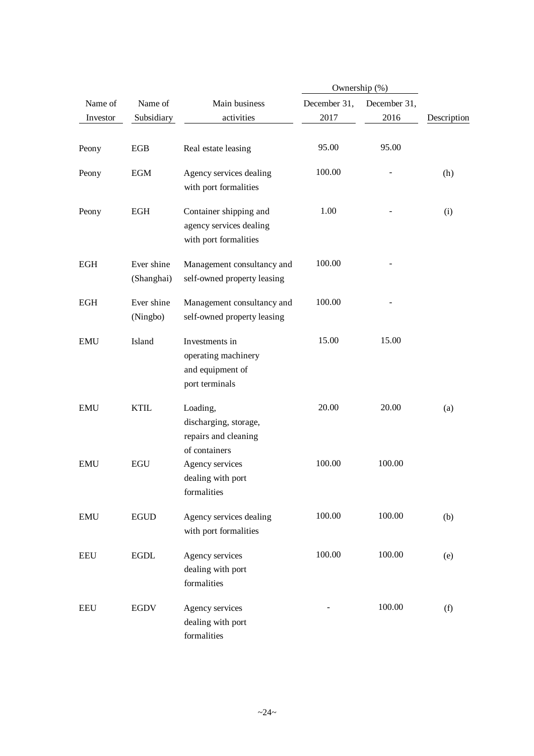|                     |                          |                                                                             | Ownership (%)        |                      |             |
|---------------------|--------------------------|-----------------------------------------------------------------------------|----------------------|----------------------|-------------|
| Name of<br>Investor | Name of<br>Subsidiary    | Main business<br>activities                                                 | December 31,<br>2017 | December 31,<br>2016 | Description |
| Peony               | EGB                      | Real estate leasing                                                         | 95.00                | 95.00                |             |
| Peony               | <b>EGM</b>               | Agency services dealing<br>with port formalities                            | 100.00               |                      | (h)         |
| Peony               | <b>EGH</b>               | Container shipping and<br>agency services dealing<br>with port formalities  | 1.00                 |                      | (i)         |
| <b>EGH</b>          | Ever shine<br>(Shanghai) | Management consultancy and<br>self-owned property leasing                   | 100.00               |                      |             |
| <b>EGH</b>          | Ever shine<br>(Ningbo)   | Management consultancy and<br>self-owned property leasing                   | 100.00               |                      |             |
| <b>EMU</b>          | Island                   | Investments in<br>operating machinery<br>and equipment of<br>port terminals | 15.00                | 15.00                |             |
| <b>EMU</b>          | <b>KTIL</b>              | Loading,<br>discharging, storage,<br>repairs and cleaning<br>of containers  | 20.00                | 20.00                | (a)         |
| <b>EMU</b>          | <b>EGU</b>               | Agency services<br>dealing with port<br>formalities                         | 100.00               | 100.00               |             |
| <b>EMU</b>          | <b>EGUD</b>              | Agency services dealing<br>with port formalities                            | 100.00               | 100.00               | (b)         |
| <b>EEU</b>          | <b>EGDL</b>              | Agency services<br>dealing with port<br>formalities                         | 100.00               | 100.00               | (e)         |
| <b>EEU</b>          | <b>EGDV</b>              | Agency services<br>dealing with port<br>formalities                         |                      | 100.00               | (f)         |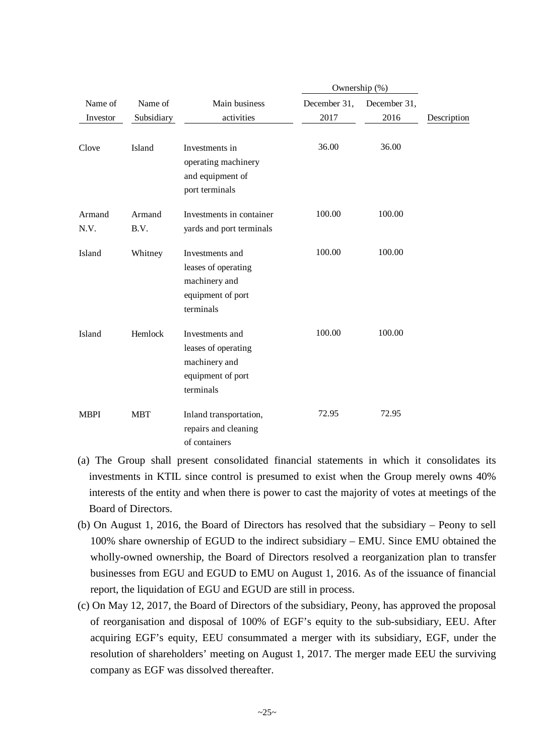|                     |                       |                                                                                           | Ownership (%)        |                      |             |
|---------------------|-----------------------|-------------------------------------------------------------------------------------------|----------------------|----------------------|-------------|
| Name of<br>Investor | Name of<br>Subsidiary | Main business<br>activities                                                               | December 31,<br>2017 | December 31,<br>2016 | Description |
| Clove               | Island                | Investments in<br>operating machinery<br>and equipment of<br>port terminals               | 36.00                | 36.00                |             |
| Armand<br>N.V.      | Armand<br>B.V.        | Investments in container<br>yards and port terminals                                      | 100.00               | 100.00               |             |
| Island              | Whitney               | Investments and<br>leases of operating<br>machinery and<br>equipment of port<br>terminals | 100.00               | 100.00               |             |
| Island              | Hemlock               | Investments and<br>leases of operating<br>machinery and<br>equipment of port<br>terminals | 100.00               | 100.00               |             |
| <b>MBPI</b>         | <b>MBT</b>            | Inland transportation,<br>repairs and cleaning<br>of containers                           | 72.95                | 72.95                |             |

- (a) The Group shall present consolidated financial statements in which it consolidates its investments in KTIL since control is presumed to exist when the Group merely owns 40% interests of the entity and when there is power to cast the majority of votes at meetings of the Board of Directors.
- (b) On August 1, 2016, the Board of Directors has resolved that the subsidiary Peony to sell 100% share ownership of EGUD to the indirect subsidiary – EMU. Since EMU obtained the wholly-owned ownership, the Board of Directors resolved a reorganization plan to transfer businesses from EGU and EGUD to EMU on August 1, 2016. As of the issuance of financial report, the liquidation of EGU and EGUD are still in process.
- (c) On May 12, 2017, the Board of Directors of the subsidiary, Peony, has approved the proposal of reorganisation and disposal of 100% of EGF's equity to the sub-subsidiary, EEU. After acquiring EGF's equity, EEU consummated a merger with its subsidiary, EGF, under the resolution of shareholders' meeting on August 1, 2017. The merger made EEU the surviving company as EGF was dissolved thereafter.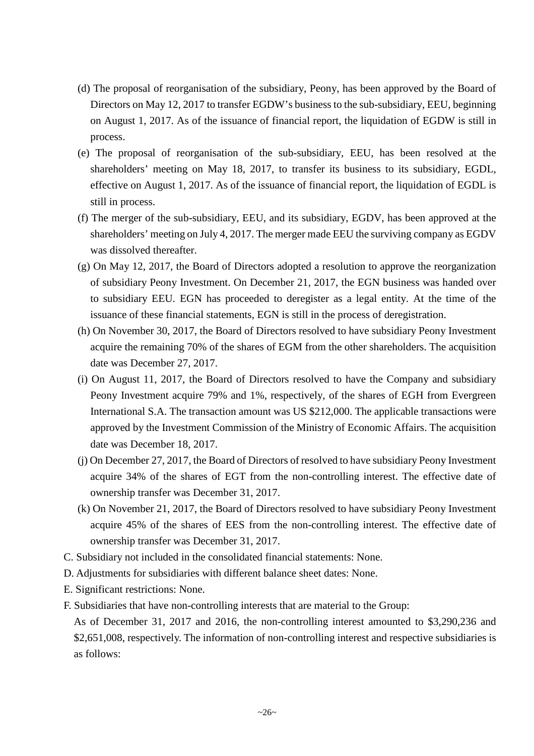- (d) The proposal of reorganisation of the subsidiary, Peony, has been approved by the Board of Directors on May 12, 2017 to transfer EGDW's business to the sub-subsidiary, EEU, beginning on August 1, 2017. As of the issuance of financial report, the liquidation of EGDW is still in process.
- (e) The proposal of reorganisation of the sub-subsidiary, EEU, has been resolved at the shareholders' meeting on May 18, 2017, to transfer its business to its subsidiary, EGDL, effective on August 1, 2017. As of the issuance of financial report, the liquidation of EGDL is still in process.
- (f) The merger of the sub-subsidiary, EEU, and its subsidiary, EGDV, has been approved at the shareholders' meeting on July 4, 2017. The merger made EEU the surviving company as EGDV was dissolved thereafter.
- (g) On May 12, 2017, the Board of Directors adopted a resolution to approve the reorganization of subsidiary Peony Investment. On December 21, 2017, the EGN business was handed over to subsidiary EEU. EGN has proceeded to deregister as a legal entity. At the time of the issuance of these financial statements, EGN is still in the process of deregistration.
- (h) On November 30, 2017, the Board of Directors resolved to have subsidiary Peony Investment acquire the remaining 70% of the shares of EGM from the other shareholders. The acquisition date was December 27, 2017.
- (i) On August 11, 2017, the Board of Directors resolved to have the Company and subsidiary Peony Investment acquire 79% and 1%, respectively, of the shares of EGH from Evergreen International S.A. The transaction amount was US \$212,000. The applicable transactions were approved by the Investment Commission of the Ministry of Economic Affairs. The acquisition date was December 18, 2017.
- (j) On December 27, 2017, the Board of Directors of resolved to have subsidiary Peony Investment acquire 34% of the shares of EGT from the non-controlling interest. The effective date of ownership transfer was December 31, 2017.
- (k) On November 21, 2017, the Board of Directors resolved to have subsidiary Peony Investment acquire 45% of the shares of EES from the non-controlling interest. The effective date of ownership transfer was December 31, 2017.
- C. Subsidiary not included in the consolidated financial statements: None.
- D. Adjustments for subsidiaries with different balance sheet dates: None.
- E. Significant restrictions: None.
- F. Subsidiaries that have non-controlling interests that are material to the Group:

As of December 31, 2017 and 2016, the non-controlling interest amounted to \$3,290,236 and \$2,651,008, respectively. The information of non-controlling interest and respective subsidiaries is as follows: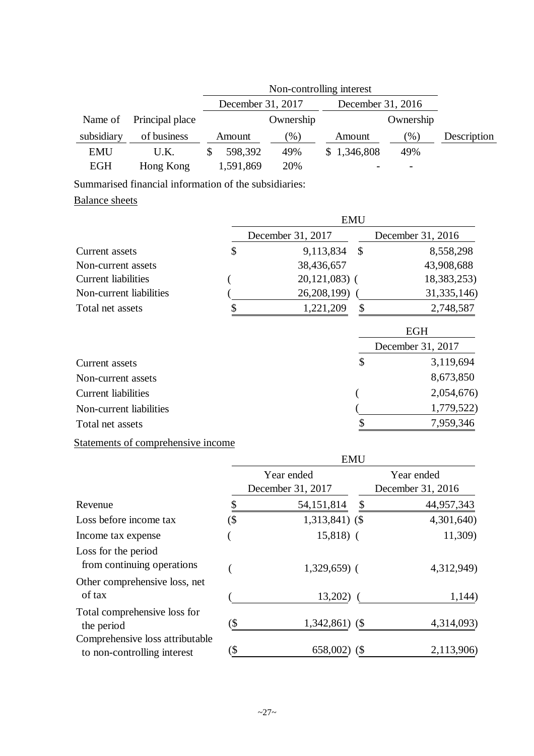|            |                 |                   | Non-controlling interest |                   |                   |             |  |
|------------|-----------------|-------------------|--------------------------|-------------------|-------------------|-------------|--|
|            |                 | December 31, 2017 |                          | December 31, 2016 |                   |             |  |
| Name of    | Principal place |                   | Ownership                |                   | Ownership         |             |  |
| subsidiary | of business     | Amount            | $(\%)$                   | Amount            | $\mathcal{O}_0$ ) | Description |  |
| <b>EMU</b> | U.K.            | 598,392           | 49%                      | \$1,346,808       | 49%               |             |  |
| EGH        | Hong Kong       | 1,591,869         | 20%                      |                   |                   |             |  |

Summarised financial information of the subsidiaries:

Balance sheets

|                            | <b>EMU</b>            |                   |
|----------------------------|-----------------------|-------------------|
|                            | December 31, 2017     | December 31, 2016 |
| Current assets             | \$<br>9,113,834<br>\$ | 8,558,298         |
| Non-current assets         | 38,436,657            | 43,908,688        |
| <b>Current liabilities</b> | $20,121,083$ (        | 18,383,253)       |
| Non-current liabilities    | 26,208,199)           | 31, 335, 146)     |
| Total net assets           | 1,221,209             | 2,748,587         |
|                            |                       | <b>EGH</b>        |
|                            |                       | December 31, 2017 |
| Current assets             |                       | \$<br>3,119,694   |
| Non-current assets         |                       | 8,673,850         |
| <b>Current liabilities</b> |                       | 2,054,676)        |
| Non-current liabilities    |                       | 1,779,522)        |
| Total net assets           |                       | 7,959,346         |

# Statements of comprehensive income

|                                                                | <b>EMU</b> |                                 |  |                                 |
|----------------------------------------------------------------|------------|---------------------------------|--|---------------------------------|
|                                                                |            | Year ended<br>December 31, 2017 |  | Year ended<br>December 31, 2016 |
| Revenue                                                        |            | 54, 151, 814                    |  | 44,957,343                      |
| Loss before income tax                                         | (\$        | $1,313,841$ (\$)                |  | 4,301,640)                      |
| Income tax expense                                             |            | $15,818$ (                      |  | 11,309)                         |
| Loss for the period<br>from continuing operations              |            | $1,329,659$ (                   |  | 4,312,949)                      |
| Other comprehensive loss, net<br>of tax                        |            | 13,202)                         |  | 1,144)                          |
| Total comprehensive loss for<br>the period                     | `S         | $1,342,861$ (\$)                |  | 4,314,093)                      |
| Comprehensive loss attributable<br>to non-controlling interest |            | 658,002)                        |  | 2,113,906)                      |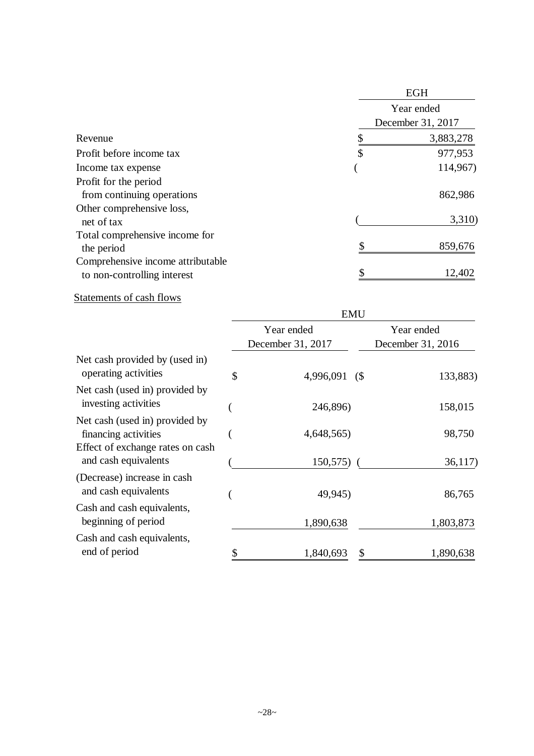|                                   | <b>EGH</b> |                   |
|-----------------------------------|------------|-------------------|
|                                   | Year ended |                   |
|                                   |            | December 31, 2017 |
| Revenue                           |            | 3,883,278         |
| Profit before income tax          | \$         | 977,953           |
| Income tax expense                |            | 114,967)          |
| Profit for the period             |            |                   |
| from continuing operations        |            | 862,986           |
| Other comprehensive loss,         |            |                   |
| net of tax                        |            | 3,310)            |
| Total comprehensive income for    |            |                   |
| the period                        | S          | 859,676           |
| Comprehensive income attributable |            |                   |
| to non-controlling interest       |            | 12,402            |

# Statements of cash flows

|                                                                                            | <b>EMU</b> |                   |  |                   |
|--------------------------------------------------------------------------------------------|------------|-------------------|--|-------------------|
|                                                                                            |            | Year ended        |  | Year ended        |
|                                                                                            |            | December 31, 2017 |  | December 31, 2016 |
| Net cash provided by (used in)<br>operating activities                                     | \$         | 4,996,091 (\$     |  | 133,883)          |
| Net cash (used in) provided by<br>investing activities                                     |            | 246,896)          |  | 158,015           |
| Net cash (used in) provided by<br>financing activities<br>Effect of exchange rates on cash |            | 4,648,565)        |  | 98,750            |
| and cash equivalents                                                                       |            | 150,575)          |  | 36,117)           |
| (Decrease) increase in cash<br>and cash equivalents                                        |            | 49,945)           |  | 86,765            |
| Cash and cash equivalents,<br>beginning of period                                          |            | 1,890,638         |  | 1,803,873         |
| Cash and cash equivalents,                                                                 |            |                   |  |                   |
| end of period                                                                              |            | 1,840,693         |  | 1,890,638         |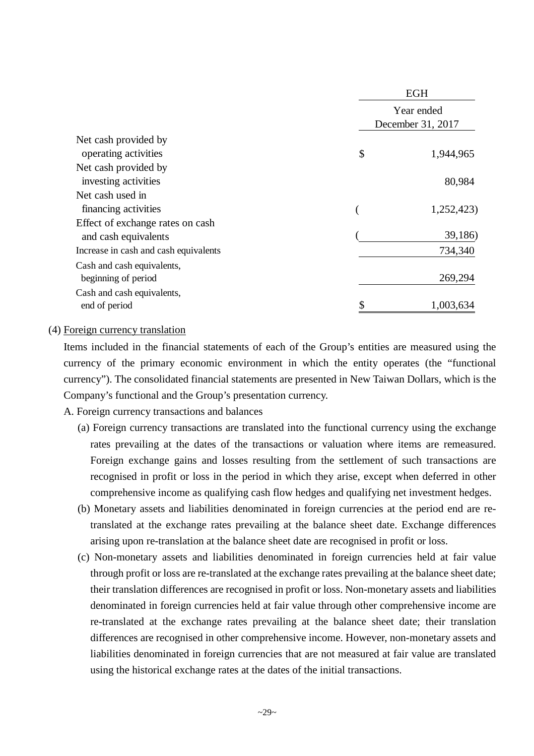|                                       | EGH                             |
|---------------------------------------|---------------------------------|
|                                       | Year ended<br>December 31, 2017 |
| Net cash provided by                  |                                 |
| operating activities                  | \$<br>1,944,965                 |
| Net cash provided by                  |                                 |
| investing activities                  | 80,984                          |
| Net cash used in                      |                                 |
| financing activities                  | 1,252,423)                      |
| Effect of exchange rates on cash      |                                 |
| and cash equivalents                  | 39,186)                         |
| Increase in cash and cash equivalents | 734,340                         |
| Cash and cash equivalents,            |                                 |
| beginning of period                   | 269,294                         |
| Cash and cash equivalents,            |                                 |
| end of period                         | 1,003,634                       |
|                                       |                                 |

EGH

### (4) Foreign currency translation

Items included in the financial statements of each of the Group's entities are measured using the currency of the primary economic environment in which the entity operates (the "functional currency"). The consolidated financial statements are presented in New Taiwan Dollars, which is the Company's functional and the Group's presentation currency.

A. Foreign currency transactions and balances

- (a) Foreign currency transactions are translated into the functional currency using the exchange rates prevailing at the dates of the transactions or valuation where items are remeasured. Foreign exchange gains and losses resulting from the settlement of such transactions are recognised in profit or loss in the period in which they arise, except when deferred in other comprehensive income as qualifying cash flow hedges and qualifying net investment hedges.
- (b) Monetary assets and liabilities denominated in foreign currencies at the period end are retranslated at the exchange rates prevailing at the balance sheet date. Exchange differences arising upon re-translation at the balance sheet date are recognised in profit or loss.
- (c) Non-monetary assets and liabilities denominated in foreign currencies held at fair value through profit or loss are re-translated at the exchange rates prevailing at the balance sheet date; their translation differences are recognised in profit or loss. Non-monetary assets and liabilities denominated in foreign currencies held at fair value through other comprehensive income are re-translated at the exchange rates prevailing at the balance sheet date; their translation differences are recognised in other comprehensive income. However, non-monetary assets and liabilities denominated in foreign currencies that are not measured at fair value are translated using the historical exchange rates at the dates of the initial transactions.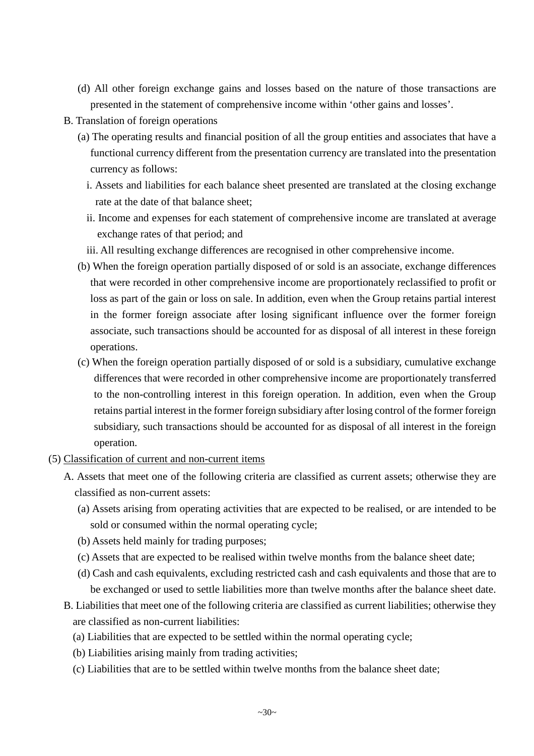- (d) All other foreign exchange gains and losses based on the nature of those transactions are presented in the statement of comprehensive income within 'other gains and losses'.
- B. Translation of foreign operations
	- (a) The operating results and financial position of all the group entities and associates that have a functional currency different from the presentation currency are translated into the presentation currency as follows:
		- i. Assets and liabilities for each balance sheet presented are translated at the closing exchange rate at the date of that balance sheet;
		- ii. Income and expenses for each statement of comprehensive income are translated at average exchange rates of that period; and
		- iii. All resulting exchange differences are recognised in other comprehensive income.
	- (b) When the foreign operation partially disposed of or sold is an associate, exchange differences that were recorded in other comprehensive income are proportionately reclassified to profit or loss as part of the gain or loss on sale. In addition, even when the Group retains partial interest in the former foreign associate after losing significant influence over the former foreign associate, such transactions should be accounted for as disposal of all interest in these foreign operations.
	- (c) When the foreign operation partially disposed of or sold is a subsidiary, cumulative exchange differences that were recorded in other comprehensive income are proportionately transferred to the non-controlling interest in this foreign operation. In addition, even when the Group retains partial interest in the former foreign subsidiary after losing control of the former foreign subsidiary, such transactions should be accounted for as disposal of all interest in the foreign operation.
- (5) Classification of current and non-current items
	- A. Assets that meet one of the following criteria are classified as current assets; otherwise they are classified as non-current assets:
		- (a) Assets arising from operating activities that are expected to be realised, or are intended to be sold or consumed within the normal operating cycle;
		- (b) Assets held mainly for trading purposes;
		- (c) Assets that are expected to be realised within twelve months from the balance sheet date;
		- (d) Cash and cash equivalents, excluding restricted cash and cash equivalents and those that are to be exchanged or used to settle liabilities more than twelve months after the balance sheet date.
	- B. Liabilities that meet one of the following criteria are classified as current liabilities; otherwise they are classified as non-current liabilities:
		- (a) Liabilities that are expected to be settled within the normal operating cycle;
		- (b) Liabilities arising mainly from trading activities;
		- (c) Liabilities that are to be settled within twelve months from the balance sheet date;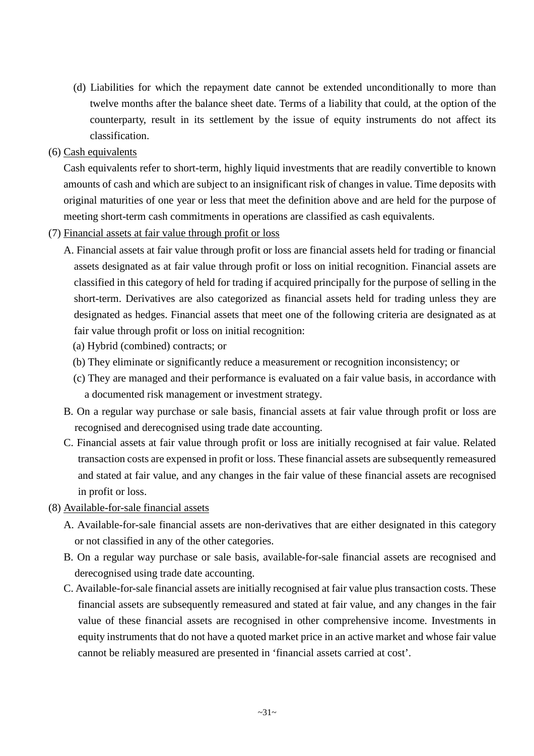- (d) Liabilities for which the repayment date cannot be extended unconditionally to more than twelve months after the balance sheet date. Terms of a liability that could, at the option of the counterparty, result in its settlement by the issue of equity instruments do not affect its classification.
- (6) Cash equivalents

Cash equivalents refer to short-term, highly liquid investments that are readily convertible to known amounts of cash and which are subject to an insignificant risk of changes in value. Time deposits with original maturities of one year or less that meet the definition above and are held for the purpose of meeting short-term cash commitments in operations are classified as cash equivalents.

- (7) Financial assets at fair value through profit or loss
	- A. Financial assets at fair value through profit or loss are financial assets held for trading or financial assets designated as at fair value through profit or loss on initial recognition. Financial assets are classified in this category of held for trading if acquired principally for the purpose of selling in the short-term. Derivatives are also categorized as financial assets held for trading unless they are designated as hedges. Financial assets that meet one of the following criteria are designated as at fair value through profit or loss on initial recognition:
		- (a) Hybrid (combined) contracts; or
		- (b) They eliminate or significantly reduce a measurement or recognition inconsistency; or
		- (c) They are managed and their performance is evaluated on a fair value basis, in accordance with a documented risk management or investment strategy.
	- B. On a regular way purchase or sale basis, financial assets at fair value through profit or loss are recognised and derecognised using trade date accounting.
	- C. Financial assets at fair value through profit or loss are initially recognised at fair value. Related transaction costs are expensed in profit or loss. These financial assets are subsequently remeasured and stated at fair value, and any changes in the fair value of these financial assets are recognised in profit or loss.
- (8) Available-for-sale financial assets
	- A. Available-for-sale financial assets are non-derivatives that are either designated in this category or not classified in any of the other categories.
	- B. On a regular way purchase or sale basis, available-for-sale financial assets are recognised and derecognised using trade date accounting.
	- C. Available-for-sale financial assets are initially recognised at fair value plus transaction costs. These financial assets are subsequently remeasured and stated at fair value, and any changes in the fair value of these financial assets are recognised in other comprehensive income. Investments in equity instruments that do not have a quoted market price in an active market and whose fair value cannot be reliably measured are presented in 'financial assets carried at cost'.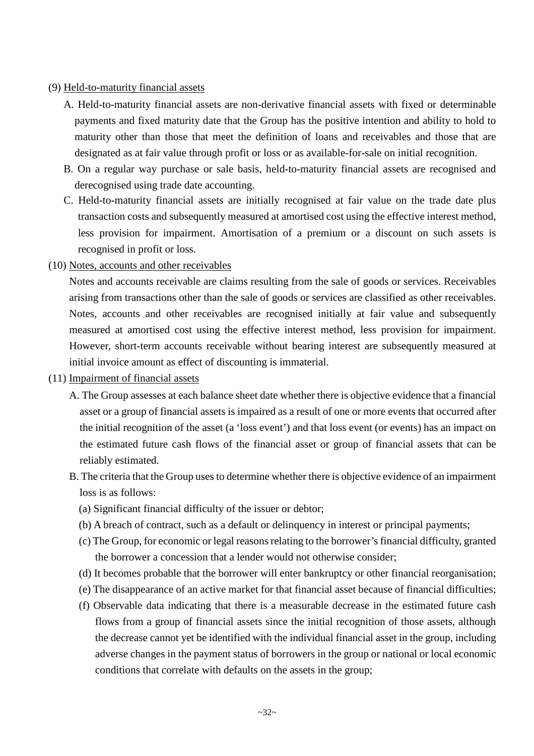## (9) Held-to-maturity financial assets

- A. Held-to-maturity financial assets are non-derivative financial assets with fixed or determinable payments and fixed maturity date that the Group has the positive intention and ability to hold to maturity other than those that meet the definition of loans and receivables and those that are designated as at fair value through profit or loss or as available-for-sale on initial recognition.
- B. On a regular way purchase or sale basis, held-to-maturity financial assets are recognised and derecognised using trade date accounting.
- C. Held-to-maturity financial assets are initially recognised at fair value on the trade date plus transaction costs and subsequently measured at amortised cost using the effective interest method, less provision for impairment. Amortisation of a premium or a discount on such assets is recognised in profit or loss.
- (10) Notes, accounts and other receivables

Notes and accounts receivable are claims resulting from the sale of goods or services. Receivables arising from transactions other than the sale of goods or services are classified as other receivables. Notes, accounts and other receivables are recognised initially at fair value and subsequently measured at amortised cost using the effective interest method, less provision for impairment. However, short-term accounts receivable without bearing interest are subsequently measured at initial invoice amount as effect of discounting is immaterial.

### (11) Impairment of financial assets

- A. The Group assesses at each balance sheet date whether there is objective evidence that a financial asset or a group of financial assets is impaired as a result of one or more events that occurred after the initial recognition of the asset (a 'loss event') and that loss event (or events) has an impact on the estimated future cash flows of the financial asset or group of financial assets that can be reliably estimated.
- B. The criteria that the Group uses to determine whether there is objective evidence of an impairment loss is as follows:
	- (a) Significant financial difficulty of the issuer or debtor;
	- (b) A breach of contract, such as a default or delinquency in interest or principal payments;
	- (c) The Group, for economic or legal reasons relating to the borrower's financial difficulty, granted the borrower a concession that a lender would not otherwise consider;
	- (d) It becomes probable that the borrower will enter bankruptcy or other financial reorganisation;
	- (e) The disappearance of an active market for that financial asset because of financial difficulties;
	- (f) Observable data indicating that there is a measurable decrease in the estimated future cash flows from a group of financial assets since the initial recognition of those assets, although the decrease cannot yet be identified with the individual financial asset in the group, including adverse changes in the payment status of borrowers in the group or national or local economic conditions that correlate with defaults on the assets in the group;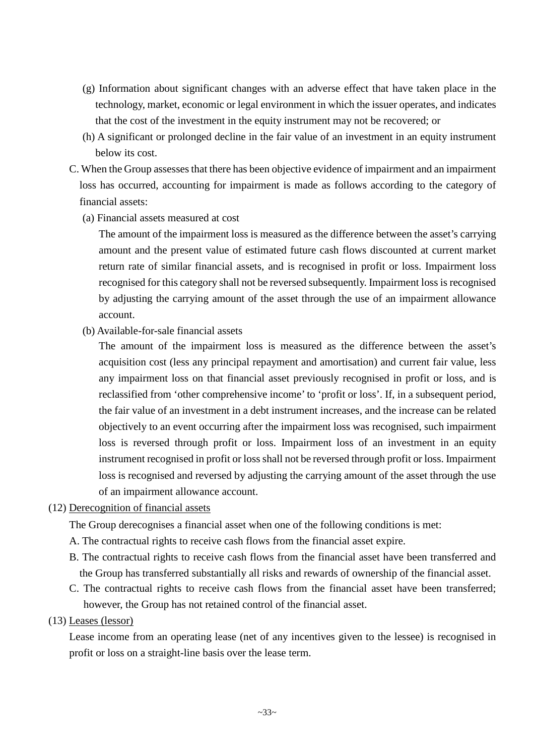- (g) Information about significant changes with an adverse effect that have taken place in the technology, market, economic or legal environment in which the issuer operates, and indicates that the cost of the investment in the equity instrument may not be recovered; or
- (h) A significant or prolonged decline in the fair value of an investment in an equity instrument below its cost.
- C. When the Group assesses that there has been objective evidence of impairment and an impairment loss has occurred, accounting for impairment is made as follows according to the category of financial assets:
	- (a) Financial assets measured at cost

The amount of the impairment loss is measured as the difference between the asset's carrying amount and the present value of estimated future cash flows discounted at current market return rate of similar financial assets, and is recognised in profit or loss. Impairment loss recognised for this category shall not be reversed subsequently. Impairment loss is recognised by adjusting the carrying amount of the asset through the use of an impairment allowance account.

(b) Available-for-sale financial assets

The amount of the impairment loss is measured as the difference between the asset's acquisition cost (less any principal repayment and amortisation) and current fair value, less any impairment loss on that financial asset previously recognised in profit or loss, and is reclassified from 'other comprehensive income' to 'profit or loss'. If, in a subsequent period, the fair value of an investment in a debt instrument increases, and the increase can be related objectively to an event occurring after the impairment loss was recognised, such impairment loss is reversed through profit or loss. Impairment loss of an investment in an equity instrument recognised in profit or loss shall not be reversed through profit or loss. Impairment loss is recognised and reversed by adjusting the carrying amount of the asset through the use of an impairment allowance account.

# (12) Derecognition of financial assets

The Group derecognises a financial asset when one of the following conditions is met:

- A. The contractual rights to receive cash flows from the financial asset expire.
- B. The contractual rights to receive cash flows from the financial asset have been transferred and the Group has transferred substantially all risks and rewards of ownership of the financial asset.
- C. The contractual rights to receive cash flows from the financial asset have been transferred; however, the Group has not retained control of the financial asset.

# (13) Leases (lessor)

Lease income from an operating lease (net of any incentives given to the lessee) is recognised in profit or loss on a straight-line basis over the lease term.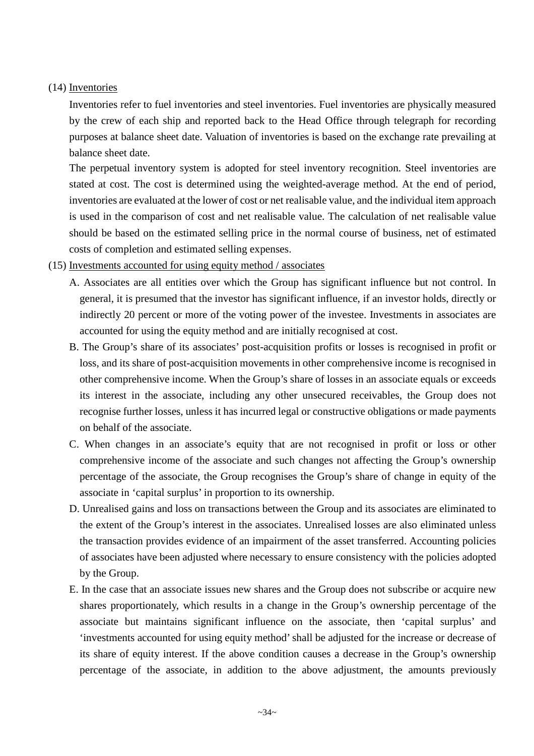# (14) Inventories

Inventories refer to fuel inventories and steel inventories. Fuel inventories are physically measured by the crew of each ship and reported back to the Head Office through telegraph for recording purposes at balance sheet date. Valuation of inventories is based on the exchange rate prevailing at balance sheet date.

The perpetual inventory system is adopted for steel inventory recognition. Steel inventories are stated at cost. The cost is determined using the weighted-average method. At the end of period, inventories are evaluated at the lower of cost or net realisable value, and the individual item approach is used in the comparison of cost and net realisable value. The calculation of net realisable value should be based on the estimated selling price in the normal course of business, net of estimated costs of completion and estimated selling expenses.

# (15) Investments accounted for using equity method / associates

- A. Associates are all entities over which the Group has significant influence but not control. In general, it is presumed that the investor has significant influence, if an investor holds, directly or indirectly 20 percent or more of the voting power of the investee. Investments in associates are accounted for using the equity method and are initially recognised at cost.
- B. The Group's share of its associates' post-acquisition profits or losses is recognised in profit or loss, and its share of post-acquisition movements in other comprehensive income is recognised in other comprehensive income. When the Group's share of losses in an associate equals or exceeds its interest in the associate, including any other unsecured receivables, the Group does not recognise further losses, unless it has incurred legal or constructive obligations or made payments on behalf of the associate.
- C. When changes in an associate's equity that are not recognised in profit or loss or other comprehensive income of the associate and such changes not affecting the Group's ownership percentage of the associate, the Group recognises the Group's share of change in equity of the associate in 'capital surplus' in proportion to its ownership.
- D. Unrealised gains and loss on transactions between the Group and its associates are eliminated to the extent of the Group's interest in the associates. Unrealised losses are also eliminated unless the transaction provides evidence of an impairment of the asset transferred. Accounting policies of associates have been adjusted where necessary to ensure consistency with the policies adopted by the Group.
- E. In the case that an associate issues new shares and the Group does not subscribe or acquire new shares proportionately, which results in a change in the Group's ownership percentage of the associate but maintains significant influence on the associate, then 'capital surplus' and 'investments accounted for using equity method' shall be adjusted for the increase or decrease of its share of equity interest. If the above condition causes a decrease in the Group's ownership percentage of the associate, in addition to the above adjustment, the amounts previously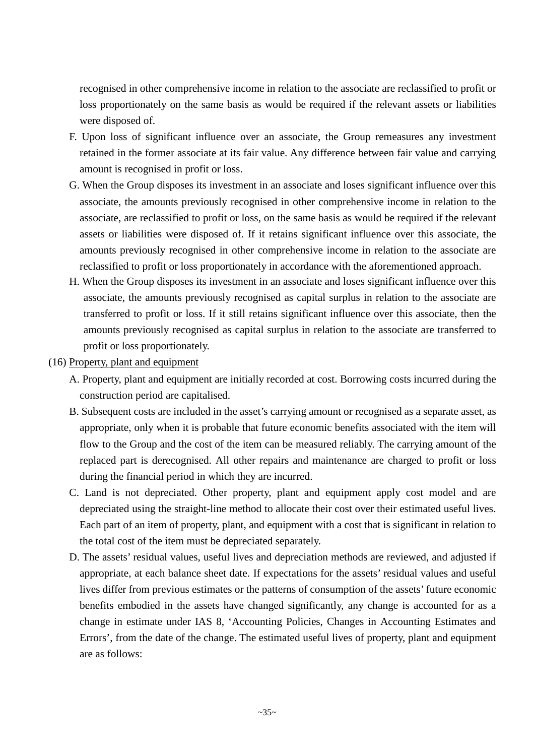recognised in other comprehensive income in relation to the associate are reclassified to profit or loss proportionately on the same basis as would be required if the relevant assets or liabilities were disposed of.

- F. Upon loss of significant influence over an associate, the Group remeasures any investment retained in the former associate at its fair value. Any difference between fair value and carrying amount is recognised in profit or loss.
- G. When the Group disposes its investment in an associate and loses significant influence over this associate, the amounts previously recognised in other comprehensive income in relation to the associate, are reclassified to profit or loss, on the same basis as would be required if the relevant assets or liabilities were disposed of. If it retains significant influence over this associate, the amounts previously recognised in other comprehensive income in relation to the associate are reclassified to profit or loss proportionately in accordance with the aforementioned approach.
- H. When the Group disposes its investment in an associate and loses significant influence over this associate, the amounts previously recognised as capital surplus in relation to the associate are transferred to profit or loss. If it still retains significant influence over this associate, then the amounts previously recognised as capital surplus in relation to the associate are transferred to profit or loss proportionately.
- (16) Property, plant and equipment
	- A. Property, plant and equipment are initially recorded at cost. Borrowing costs incurred during the construction period are capitalised.
	- B. Subsequent costs are included in the asset's carrying amount or recognised as a separate asset, as appropriate, only when it is probable that future economic benefits associated with the item will flow to the Group and the cost of the item can be measured reliably. The carrying amount of the replaced part is derecognised. All other repairs and maintenance are charged to profit or loss during the financial period in which they are incurred.
	- C. Land is not depreciated. Other property, plant and equipment apply cost model and are depreciated using the straight-line method to allocate their cost over their estimated useful lives. Each part of an item of property, plant, and equipment with a cost that is significant in relation to the total cost of the item must be depreciated separately.
	- D. The assets' residual values, useful lives and depreciation methods are reviewed, and adjusted if appropriate, at each balance sheet date. If expectations for the assets' residual values and useful lives differ from previous estimates or the patterns of consumption of the assets' future economic benefits embodied in the assets have changed significantly, any change is accounted for as a change in estimate under IAS 8, 'Accounting Policies, Changes in Accounting Estimates and Errors', from the date of the change. The estimated useful lives of property, plant and equipment are as follows: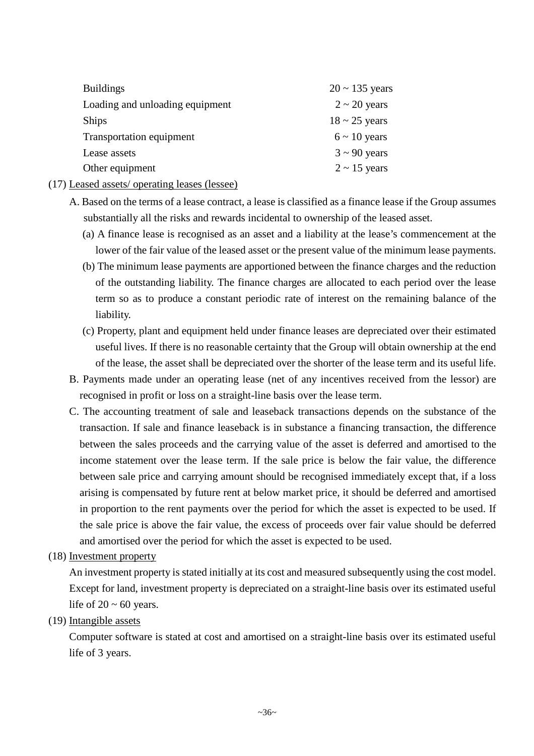| <b>Buildings</b>                | $20 \sim 135$ years |
|---------------------------------|---------------------|
| Loading and unloading equipment | $2 \sim 20$ years   |
| <b>Ships</b>                    | $18 \sim 25$ years  |
| Transportation equipment        | $6 \sim 10$ years   |
| Lease assets                    | $3 \sim 90$ years   |
| Other equipment                 | $2 \sim 15$ years   |

(17) Leased assets/ operating leases (lessee)

- A. Based on the terms of a lease contract, a lease is classified as a finance lease if the Group assumes substantially all the risks and rewards incidental to ownership of the leased asset.
	- (a) A finance lease is recognised as an asset and a liability at the lease's commencement at the lower of the fair value of the leased asset or the present value of the minimum lease payments.
	- (b) The minimum lease payments are apportioned between the finance charges and the reduction of the outstanding liability. The finance charges are allocated to each period over the lease term so as to produce a constant periodic rate of interest on the remaining balance of the liability.
	- (c) Property, plant and equipment held under finance leases are depreciated over their estimated useful lives. If there is no reasonable certainty that the Group will obtain ownership at the end of the lease, the asset shall be depreciated over the shorter of the lease term and its useful life.
- B. Payments made under an operating lease (net of any incentives received from the lessor) are recognised in profit or loss on a straight-line basis over the lease term.
- C. The accounting treatment of sale and leaseback transactions depends on the substance of the transaction. If sale and finance leaseback is in substance a financing transaction, the difference between the sales proceeds and the carrying value of the asset is deferred and amortised to the income statement over the lease term. If the sale price is below the fair value, the difference between sale price and carrying amount should be recognised immediately except that, if a loss arising is compensated by future rent at below market price, it should be deferred and amortised in proportion to the rent payments over the period for which the asset is expected to be used. If the sale price is above the fair value, the excess of proceeds over fair value should be deferred and amortised over the period for which the asset is expected to be used.
- (18) Investment property

An investment property is stated initially at its cost and measured subsequently using the cost model. Except for land, investment property is depreciated on a straight-line basis over its estimated useful life of  $20 \sim 60$  years.

(19) Intangible assets

Computer software is stated at cost and amortised on a straight-line basis over its estimated useful life of 3 years.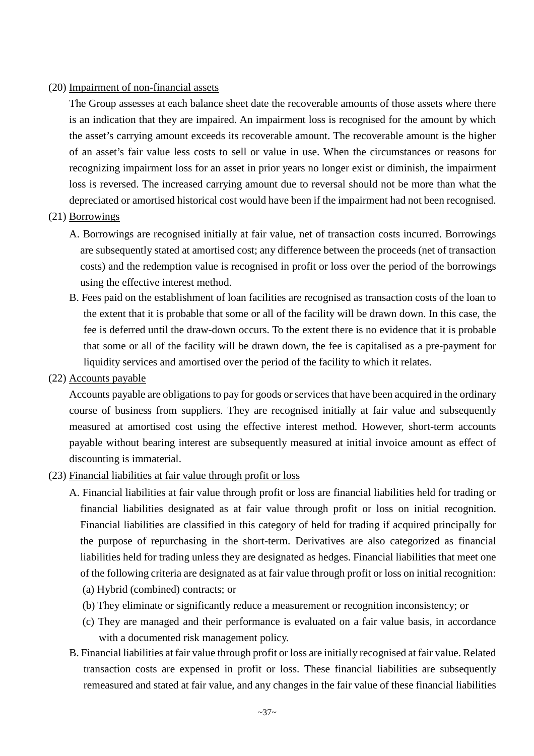### (20) Impairment of non-financial assets

The Group assesses at each balance sheet date the recoverable amounts of those assets where there is an indication that they are impaired. An impairment loss is recognised for the amount by which the asset's carrying amount exceeds its recoverable amount. The recoverable amount is the higher of an asset's fair value less costs to sell or value in use. When the circumstances or reasons for recognizing impairment loss for an asset in prior years no longer exist or diminish, the impairment loss is reversed. The increased carrying amount due to reversal should not be more than what the depreciated or amortised historical cost would have been if the impairment had not been recognised.

### (21) Borrowings

- A. Borrowings are recognised initially at fair value, net of transaction costs incurred. Borrowings are subsequently stated at amortised cost; any difference between the proceeds (net of transaction costs) and the redemption value is recognised in profit or loss over the period of the borrowings using the effective interest method.
- B. Fees paid on the establishment of loan facilities are recognised as transaction costs of the loan to the extent that it is probable that some or all of the facility will be drawn down. In this case, the fee is deferred until the draw-down occurs. To the extent there is no evidence that it is probable that some or all of the facility will be drawn down, the fee is capitalised as a pre-payment for liquidity services and amortised over the period of the facility to which it relates.
- (22) Accounts payable

Accounts payable are obligations to pay for goods or services that have been acquired in the ordinary course of business from suppliers. They are recognised initially at fair value and subsequently measured at amortised cost using the effective interest method. However, short-term accounts payable without bearing interest are subsequently measured at initial invoice amount as effect of discounting is immaterial.

- (23) Financial liabilities at fair value through profit or loss
	- A. Financial liabilities at fair value through profit or loss are financial liabilities held for trading or financial liabilities designated as at fair value through profit or loss on initial recognition. Financial liabilities are classified in this category of held for trading if acquired principally for the purpose of repurchasing in the short-term. Derivatives are also categorized as financial liabilities held for trading unless they are designated as hedges. Financial liabilities that meet one of the following criteria are designated as at fair value through profit or loss on initial recognition:
		- (a) Hybrid (combined) contracts; or
		- (b) They eliminate or significantly reduce a measurement or recognition inconsistency; or
		- (c) They are managed and their performance is evaluated on a fair value basis, in accordance with a documented risk management policy.
	- B. Financial liabilities at fair value through profit or loss are initially recognised at fair value. Related transaction costs are expensed in profit or loss. These financial liabilities are subsequently remeasured and stated at fair value, and any changes in the fair value of these financial liabilities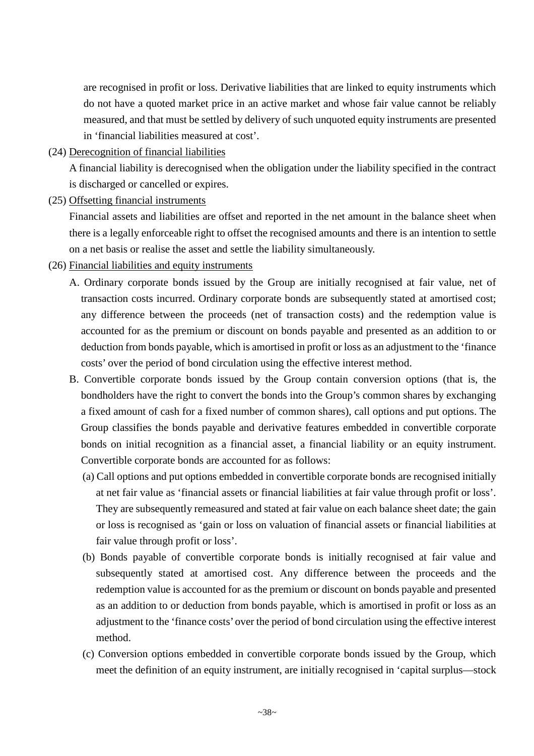are recognised in profit or loss. Derivative liabilities that are linked to equity instruments which do not have a quoted market price in an active market and whose fair value cannot be reliably measured, and that must be settled by delivery of such unquoted equity instruments are presented in 'financial liabilities measured at cost'.

(24) Derecognition of financial liabilities

A financial liability is derecognised when the obligation under the liability specified in the contract is discharged or cancelled or expires.

(25) Offsetting financial instruments

Financial assets and liabilities are offset and reported in the net amount in the balance sheet when there is a legally enforceable right to offset the recognised amounts and there is an intention to settle on a net basis or realise the asset and settle the liability simultaneously.

- (26) Financial liabilities and equity instruments
	- A. Ordinary corporate bonds issued by the Group are initially recognised at fair value, net of transaction costs incurred. Ordinary corporate bonds are subsequently stated at amortised cost; any difference between the proceeds (net of transaction costs) and the redemption value is accounted for as the premium or discount on bonds payable and presented as an addition to or deduction from bonds payable, which is amortised in profit or loss as an adjustment to the 'finance costs' over the period of bond circulation using the effective interest method.
	- B. Convertible corporate bonds issued by the Group contain conversion options (that is, the bondholders have the right to convert the bonds into the Group's common shares by exchanging a fixed amount of cash for a fixed number of common shares), call options and put options. The Group classifies the bonds payable and derivative features embedded in convertible corporate bonds on initial recognition as a financial asset, a financial liability or an equity instrument. Convertible corporate bonds are accounted for as follows:
		- (a) Call options and put options embedded in convertible corporate bonds are recognised initially at net fair value as 'financial assets or financial liabilities at fair value through profit or loss'. They are subsequently remeasured and stated at fair value on each balance sheet date; the gain or loss is recognised as 'gain or loss on valuation of financial assets or financial liabilities at fair value through profit or loss'.
		- (b) Bonds payable of convertible corporate bonds is initially recognised at fair value and subsequently stated at amortised cost. Any difference between the proceeds and the redemption value is accounted for as the premium or discount on bonds payable and presented as an addition to or deduction from bonds payable, which is amortised in profit or loss as an adjustment to the 'finance costs' over the period of bond circulation using the effective interest method.
		- (c) Conversion options embedded in convertible corporate bonds issued by the Group, which meet the definition of an equity instrument, are initially recognised in 'capital surplus—stock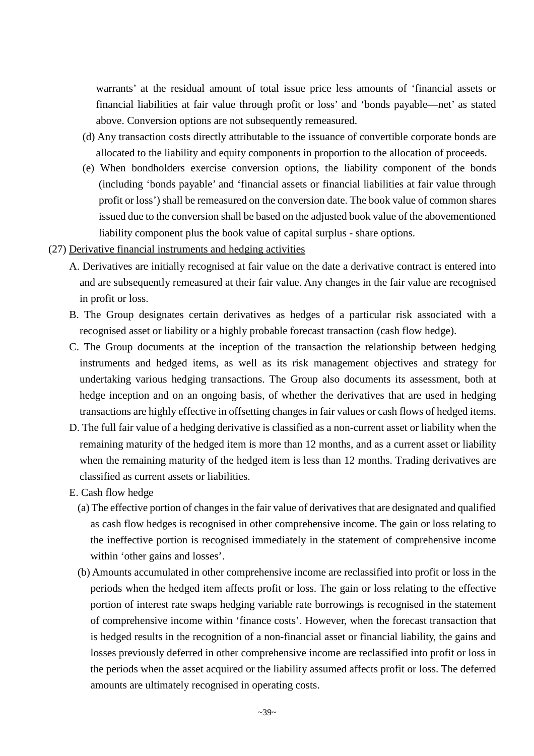warrants' at the residual amount of total issue price less amounts of 'financial assets or financial liabilities at fair value through profit or loss' and 'bonds payable—net' as stated above. Conversion options are not subsequently remeasured.

- (d) Any transaction costs directly attributable to the issuance of convertible corporate bonds are allocated to the liability and equity components in proportion to the allocation of proceeds.
- (e) When bondholders exercise conversion options, the liability component of the bonds (including 'bonds payable' and 'financial assets or financial liabilities at fair value through profit or loss') shall be remeasured on the conversion date. The book value of common shares issued due to the conversion shall be based on the adjusted book value of the abovementioned liability component plus the book value of capital surplus - share options.

### (27) Derivative financial instruments and hedging activities

- A. Derivatives are initially recognised at fair value on the date a derivative contract is entered into and are subsequently remeasured at their fair value. Any changes in the fair value are recognised in profit or loss.
- B. The Group designates certain derivatives as hedges of a particular risk associated with a recognised asset or liability or a highly probable forecast transaction (cash flow hedge).
- C. The Group documents at the inception of the transaction the relationship between hedging instruments and hedged items, as well as its risk management objectives and strategy for undertaking various hedging transactions. The Group also documents its assessment, both at hedge inception and on an ongoing basis, of whether the derivatives that are used in hedging transactions are highly effective in offsetting changes in fair values or cash flows of hedged items.
- D. The full fair value of a hedging derivative is classified as a non-current asset or liability when the remaining maturity of the hedged item is more than 12 months, and as a current asset or liability when the remaining maturity of the hedged item is less than 12 months. Trading derivatives are classified as current assets or liabilities.
- E. Cash flow hedge
	- (a) The effective portion of changes in the fair value of derivatives that are designated and qualified as cash flow hedges is recognised in other comprehensive income. The gain or loss relating to the ineffective portion is recognised immediately in the statement of comprehensive income within 'other gains and losses'.
	- (b) Amounts accumulated in other comprehensive income are reclassified into profit or loss in the periods when the hedged item affects profit or loss. The gain or loss relating to the effective portion of interest rate swaps hedging variable rate borrowings is recognised in the statement of comprehensive income within 'finance costs'. However, when the forecast transaction that is hedged results in the recognition of a non-financial asset or financial liability, the gains and losses previously deferred in other comprehensive income are reclassified into profit or loss in the periods when the asset acquired or the liability assumed affects profit or loss. The deferred amounts are ultimately recognised in operating costs.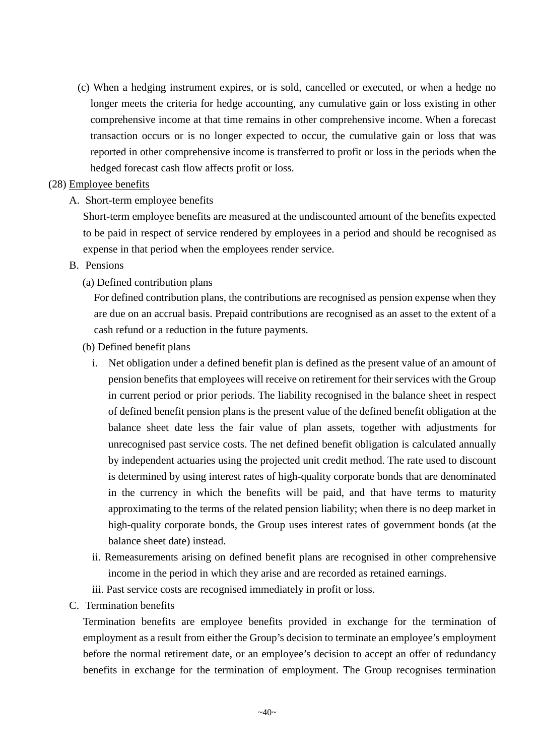(c) When a hedging instrument expires, or is sold, cancelled or executed, or when a hedge no longer meets the criteria for hedge accounting, any cumulative gain or loss existing in other comprehensive income at that time remains in other comprehensive income. When a forecast transaction occurs or is no longer expected to occur, the cumulative gain or loss that was reported in other comprehensive income is transferred to profit or loss in the periods when the hedged forecast cash flow affects profit or loss.

## (28) Employee benefits

# A. Short-term employee benefits

Short-term employee benefits are measured at the undiscounted amount of the benefits expected to be paid in respect of service rendered by employees in a period and should be recognised as expense in that period when the employees render service.

## B. Pensions

(a) Defined contribution plans

For defined contribution plans, the contributions are recognised as pension expense when they are due on an accrual basis. Prepaid contributions are recognised as an asset to the extent of a cash refund or a reduction in the future payments.

- (b) Defined benefit plans
	- i. Net obligation under a defined benefit plan is defined as the present value of an amount of pension benefits that employees will receive on retirement for their services with the Group in current period or prior periods. The liability recognised in the balance sheet in respect of defined benefit pension plans is the present value of the defined benefit obligation at the balance sheet date less the fair value of plan assets, together with adjustments for unrecognised past service costs. The net defined benefit obligation is calculated annually by independent actuaries using the projected unit credit method. The rate used to discount is determined by using interest rates of high-quality corporate bonds that are denominated in the currency in which the benefits will be paid, and that have terms to maturity approximating to the terms of the related pension liability; when there is no deep market in high-quality corporate bonds, the Group uses interest rates of government bonds (at the balance sheet date) instead.
	- ii. Remeasurements arising on defined benefit plans are recognised in other comprehensive income in the period in which they arise and are recorded as retained earnings.
	- iii. Past service costs are recognised immediately in profit or loss.
- C. Termination benefits

Termination benefits are employee benefits provided in exchange for the termination of employment as a result from either the Group's decision to terminate an employee's employment before the normal retirement date, or an employee's decision to accept an offer of redundancy benefits in exchange for the termination of employment. The Group recognises termination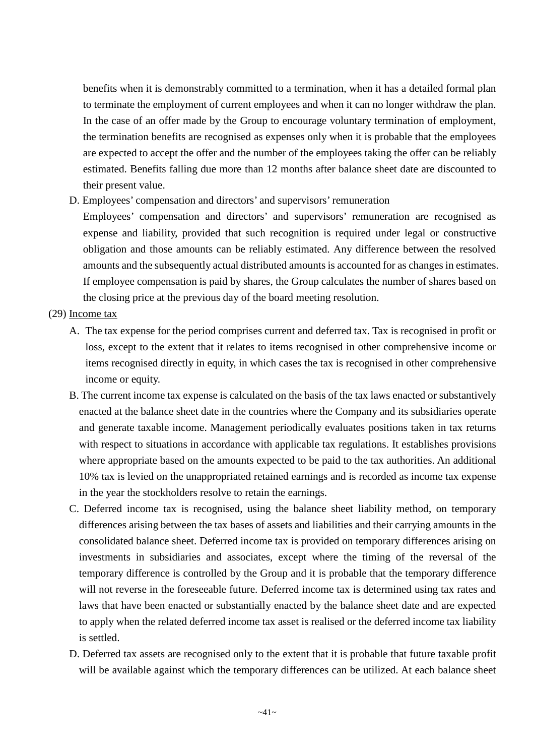benefits when it is demonstrably committed to a termination, when it has a detailed formal plan to terminate the employment of current employees and when it can no longer withdraw the plan. In the case of an offer made by the Group to encourage voluntary termination of employment, the termination benefits are recognised as expenses only when it is probable that the employees are expected to accept the offer and the number of the employees taking the offer can be reliably estimated. Benefits falling due more than 12 months after balance sheet date are discounted to their present value.

- D. Employees' compensation and directors' and supervisors' remuneration
	- Employees' compensation and directors' and supervisors' remuneration are recognised as expense and liability, provided that such recognition is required under legal or constructive obligation and those amounts can be reliably estimated. Any difference between the resolved amounts and the subsequently actual distributed amounts is accounted for as changes in estimates. If employee compensation is paid by shares, the Group calculates the number of shares based on the closing price at the previous day of the board meeting resolution.
- (29) Income tax
	- A. The tax expense for the period comprises current and deferred tax. Tax is recognised in profit or loss, except to the extent that it relates to items recognised in other comprehensive income or items recognised directly in equity, in which cases the tax is recognised in other comprehensive income or equity.
	- B. The current income tax expense is calculated on the basis of the tax laws enacted or substantively enacted at the balance sheet date in the countries where the Company and its subsidiaries operate and generate taxable income. Management periodically evaluates positions taken in tax returns with respect to situations in accordance with applicable tax regulations. It establishes provisions where appropriate based on the amounts expected to be paid to the tax authorities. An additional 10% tax is levied on the unappropriated retained earnings and is recorded as income tax expense in the year the stockholders resolve to retain the earnings.
	- C. Deferred income tax is recognised, using the balance sheet liability method, on temporary differences arising between the tax bases of assets and liabilities and their carrying amounts in the consolidated balance sheet. Deferred income tax is provided on temporary differences arising on investments in subsidiaries and associates, except where the timing of the reversal of the temporary difference is controlled by the Group and it is probable that the temporary difference will not reverse in the foreseeable future. Deferred income tax is determined using tax rates and laws that have been enacted or substantially enacted by the balance sheet date and are expected to apply when the related deferred income tax asset is realised or the deferred income tax liability is settled.
	- D. Deferred tax assets are recognised only to the extent that it is probable that future taxable profit will be available against which the temporary differences can be utilized. At each balance sheet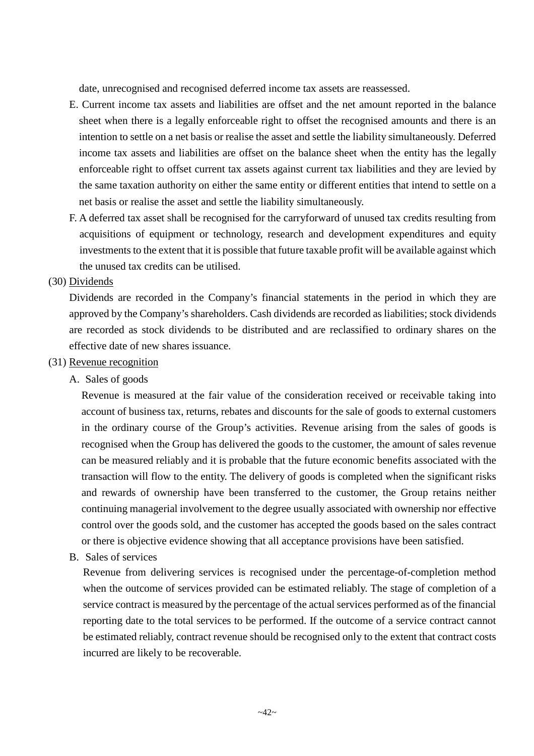date, unrecognised and recognised deferred income tax assets are reassessed.

- E. Current income tax assets and liabilities are offset and the net amount reported in the balance sheet when there is a legally enforceable right to offset the recognised amounts and there is an intention to settle on a net basis or realise the asset and settle the liability simultaneously. Deferred income tax assets and liabilities are offset on the balance sheet when the entity has the legally enforceable right to offset current tax assets against current tax liabilities and they are levied by the same taxation authority on either the same entity or different entities that intend to settle on a net basis or realise the asset and settle the liability simultaneously.
- F. A deferred tax asset shall be recognised for the carryforward of unused tax credits resulting from acquisitions of equipment or technology, research and development expenditures and equity investments to the extent that it is possible that future taxable profit will be available against which the unused tax credits can be utilised.

### (30) Dividends

Dividends are recorded in the Company's financial statements in the period in which they are approved by the Company's shareholders. Cash dividends are recorded as liabilities; stock dividends are recorded as stock dividends to be distributed and are reclassified to ordinary shares on the effective date of new shares issuance.

### (31) Revenue recognition

A. Sales of goods

Revenue is measured at the fair value of the consideration received or receivable taking into account of business tax, returns, rebates and discounts for the sale of goods to external customers in the ordinary course of the Group's activities. Revenue arising from the sales of goods is recognised when the Group has delivered the goods to the customer, the amount of sales revenue can be measured reliably and it is probable that the future economic benefits associated with the transaction will flow to the entity. The delivery of goods is completed when the significant risks and rewards of ownership have been transferred to the customer, the Group retains neither continuing managerial involvement to the degree usually associated with ownership nor effective control over the goods sold, and the customer has accepted the goods based on the sales contract or there is objective evidence showing that all acceptance provisions have been satisfied.

B. Sales of services

Revenue from delivering services is recognised under the percentage-of-completion method when the outcome of services provided can be estimated reliably. The stage of completion of a service contract is measured by the percentage of the actual services performed as of the financial reporting date to the total services to be performed. If the outcome of a service contract cannot be estimated reliably, contract revenue should be recognised only to the extent that contract costs incurred are likely to be recoverable.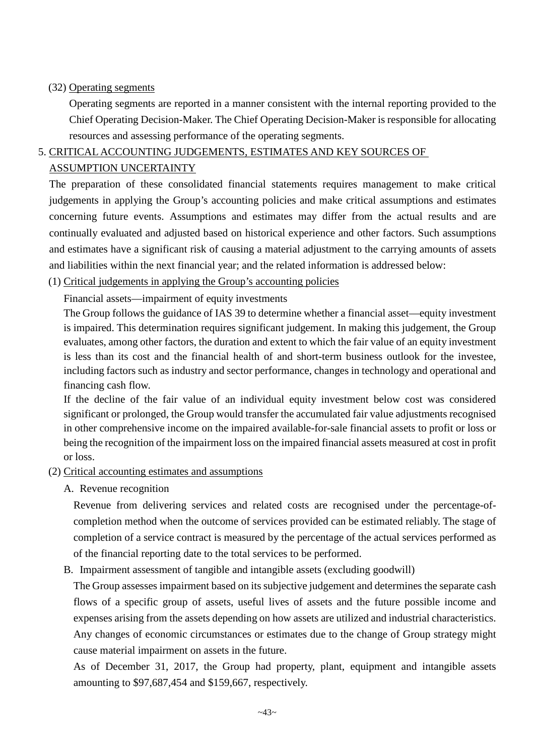# (32) Operating segments

Operating segments are reported in a manner consistent with the internal reporting provided to the Chief Operating Decision-Maker. The Chief Operating Decision-Maker is responsible for allocating resources and assessing performance of the operating segments.

# 5. CRITICAL ACCOUNTING JUDGEMENTS, ESTIMATES AND KEY SOURCES OF

# ASSUMPTION UNCERTAINTY

The preparation of these consolidated financial statements requires management to make critical judgements in applying the Group's accounting policies and make critical assumptions and estimates concerning future events. Assumptions and estimates may differ from the actual results and are continually evaluated and adjusted based on historical experience and other factors. Such assumptions and estimates have a significant risk of causing a material adjustment to the carrying amounts of assets and liabilities within the next financial year; and the related information is addressed below:

# (1) Critical judgements in applying the Group's accounting policies

Financial assets—impairment of equity investments

The Group follows the guidance of IAS 39 to determine whether a financial asset—equity investment is impaired. This determination requires significant judgement. In making this judgement, the Group evaluates, among other factors, the duration and extent to which the fair value of an equity investment is less than its cost and the financial health of and short-term business outlook for the investee, including factors such as industry and sector performance, changes in technology and operational and financing cash flow.

If the decline of the fair value of an individual equity investment below cost was considered significant or prolonged, the Group would transfer the accumulated fair value adjustments recognised in other comprehensive income on the impaired available-for-sale financial assets to profit or loss or being the recognition of the impairment loss on the impaired financial assets measured at cost in profit or loss.

# (2) Critical accounting estimates and assumptions

A. Revenue recognition

Revenue from delivering services and related costs are recognised under the percentage-ofcompletion method when the outcome of services provided can be estimated reliably. The stage of completion of a service contract is measured by the percentage of the actual services performed as of the financial reporting date to the total services to be performed.

B. Impairment assessment of tangible and intangible assets (excluding goodwill)

The Group assesses impairment based on its subjective judgement and determines the separate cash flows of a specific group of assets, useful lives of assets and the future possible income and expenses arising from the assets depending on how assets are utilized and industrial characteristics. Any changes of economic circumstances or estimates due to the change of Group strategy might cause material impairment on assets in the future.

As of December 31, 2017, the Group had property, plant, equipment and intangible assets amounting to \$97,687,454 and \$159,667, respectively.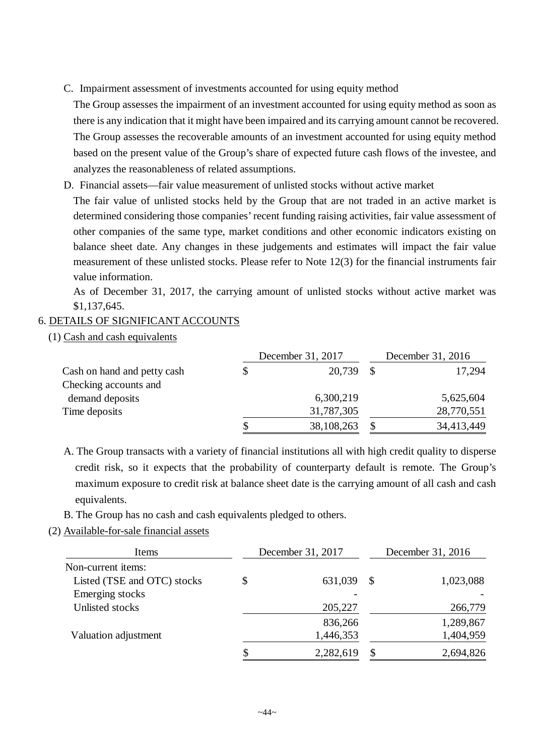C. Impairment assessment of investments accounted for using equity method

The Group assesses the impairment of an investment accounted for using equity method as soon as there is any indication that it might have been impaired and its carrying amount cannot be recovered. The Group assesses the recoverable amounts of an investment accounted for using equity method based on the present value of the Group's share of expected future cash flows of the investee, and analyzes the reasonableness of related assumptions.

D. Financial assets—fair value measurement of unlisted stocks without active market

The fair value of unlisted stocks held by the Group that are not traded in an active market is determined considering those companies' recent funding raising activities, fair value assessment of other companies of the same type, market conditions and other economic indicators existing on balance sheet date. Any changes in these judgements and estimates will impact the fair value measurement of these unlisted stocks. Please refer to Note 12(3) for the financial instruments fair value information.

As of December 31, 2017, the carrying amount of unlisted stocks without active market was \$1,137,645.

# 6. DETAILS OF SIGNIFICANT ACCOUNTS

(1) Cash and cash equivalents

|                             |     | December 31, 2017 | December 31, 2016 |            |  |
|-----------------------------|-----|-------------------|-------------------|------------|--|
| Cash on hand and petty cash | SS. | 20,739            | -S                | 17,294     |  |
| Checking accounts and       |     |                   |                   |            |  |
| demand deposits             |     | 6,300,219         |                   | 5,625,604  |  |
| Time deposits               |     | 31,787,305        |                   | 28,770,551 |  |
|                             |     | 38, 108, 263      |                   | 34,413,449 |  |

A. The Group transacts with a variety of financial institutions all with high credit quality to disperse credit risk, so it expects that the probability of counterparty default is remote. The Group's maximum exposure to credit risk at balance sheet date is the carrying amount of all cash and cash equivalents.

- B. The Group has no cash and cash equivalents pledged to others.
- (2) Available-for-sale financial assets

| Items                       | December 31, 2017 |           |               | December 31, 2016 |  |  |
|-----------------------------|-------------------|-----------|---------------|-------------------|--|--|
| Non-current items:          |                   |           |               |                   |  |  |
| Listed (TSE and OTC) stocks |                   | 631,039   | $\mathcal{S}$ | 1,023,088         |  |  |
| Emerging stocks             |                   |           |               |                   |  |  |
| Unlisted stocks             |                   | 205,227   |               | 266,779           |  |  |
|                             |                   | 836,266   |               | 1,289,867         |  |  |
| Valuation adjustment        |                   | 1,446,353 |               | 1,404,959         |  |  |
|                             | \$                | 2,282,619 | \$            | 2,694,826         |  |  |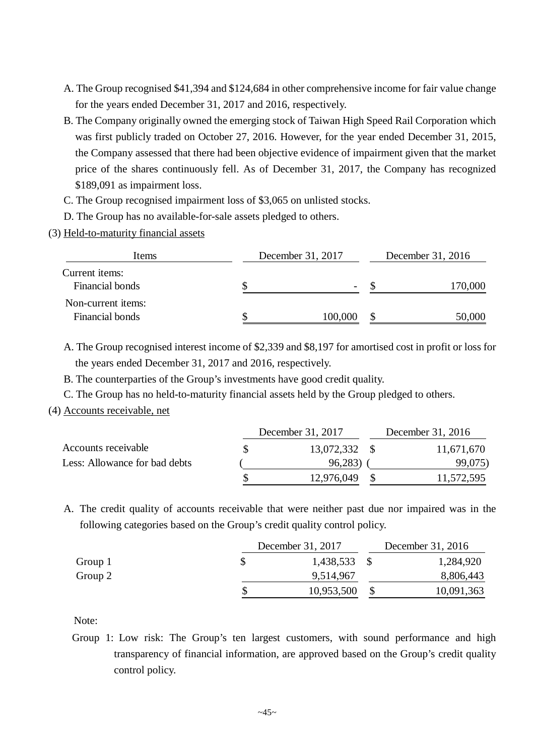- A. The Group recognised \$41,394 and \$124,684 in other comprehensive income for fair value change for the years ended December 31, 2017 and 2016, respectively.
- B. The Company originally owned the emerging stock of Taiwan High Speed Rail Corporation which was first publicly traded on October 27, 2016. However, for the year ended December 31, 2015, the Company assessed that there had been objective evidence of impairment given that the market price of the shares continuously fell. As of December 31, 2017, the Company has recognized \$189,091 as impairment loss.
- C. The Group recognised impairment loss of \$3,065 on unlisted stocks.
- D. The Group has no available-for-sale assets pledged to others.
- (3) Held-to-maturity financial assets

| Items                                 | December 31, 2017        | December 31, 2016 |         |  |
|---------------------------------------|--------------------------|-------------------|---------|--|
| Current items:<br>Financial bonds     | $\overline{\phantom{a}}$ |                   | 170,000 |  |
| Non-current items:<br>Financial bonds | 100,000                  |                   | 50,000  |  |

A. The Group recognised interest income of \$2,339 and \$8,197 for amortised cost in profit or loss for the years ended December 31, 2017 and 2016, respectively.

B. The counterparties of the Group's investments have good credit quality.

C. The Group has no held-to-maturity financial assets held by the Group pledged to others.

(4) Accounts receivable, net

|                               | December 31, 2017 | December 31, 2016 |
|-------------------------------|-------------------|-------------------|
| Accounts receivable           | 13,072,332 \$     | 11,671,670        |
| Less: Allowance for bad debts | 96,283)           | 99,075)           |
|                               | 12,976,049        | 11,572,595        |

A. The credit quality of accounts receivable that were neither past due nor impaired was in the following categories based on the Group's credit quality control policy.

|         | December 31, 2017 | December 31, 2016 |
|---------|-------------------|-------------------|
| Group 1 | 1,438,533         | 1,284,920         |
| Group 2 | 9,514,967         | 8,806,443         |
|         | 10,953,500        | 10,091,363        |

Note:

Group 1: Low risk: The Group's ten largest customers, with sound performance and high transparency of financial information, are approved based on the Group's credit quality control policy.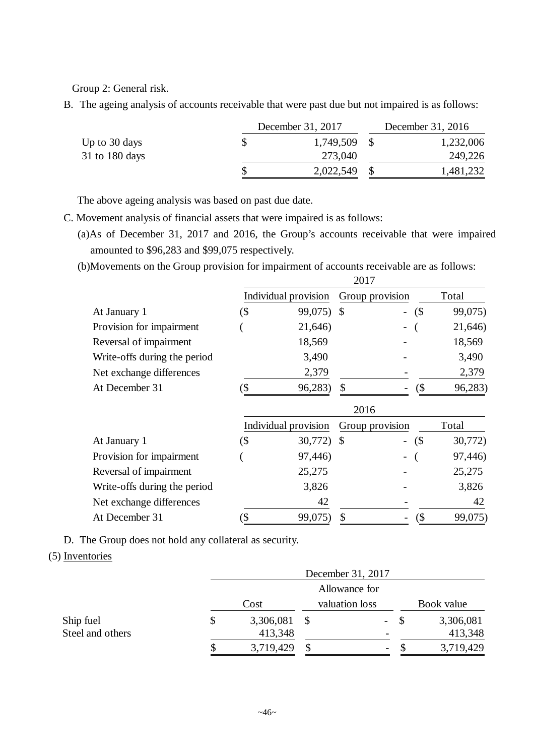Group 2: General risk.

B. The ageing analysis of accounts receivable that were past due but not impaired is as follows:

|                | December 31, 2017 | December 31, 2016 |
|----------------|-------------------|-------------------|
| Up to 30 days  | 1,749,509         | 1,232,006         |
| 31 to 180 days | 273,040           | 249,226           |
|                | 2,022,549         | 1,481,232         |

The above ageing analysis was based on past due date.

- C. Movement analysis of financial assets that were impaired is as follows:
	- (a)As of December 31, 2017 and 2016, the Group's accounts receivable that were impaired amounted to \$96,283 and \$99,075 respectively.
	- (b)Movements on the Group provision for impairment of accounts receivable are as follows:

|                              | 2017 |                      |    |                 |               |         |  |
|------------------------------|------|----------------------|----|-----------------|---------------|---------|--|
|                              |      | Individual provision |    | Group provision |               | Total   |  |
| At January 1                 | (\$  | 99,075) \$           |    | $-$ (\$)        |               | 99,075) |  |
| Provision for impairment     |      | 21,646)              |    |                 |               | 21,646) |  |
| Reversal of impairment       |      | 18,569               |    |                 |               | 18,569  |  |
| Write-offs during the period |      | 3,490                |    |                 |               | 3,490   |  |
| Net exchange differences     |      | 2,379                |    |                 |               | 2,379   |  |
| At December 31               | \$   | 96,283)              | \$ |                 | $($ \$        | 96,283) |  |
|                              | 2016 |                      |    |                 |               |         |  |
|                              |      | Individual provision |    | Group provision |               | Total   |  |
| At January 1                 | (\$  | 30,772) \$           |    |                 | $\mathcal{S}$ | 30,772) |  |
| Provision for impairment     |      | 97,446)              |    |                 |               | 97,446) |  |
| Reversal of impairment       |      | 25,275               |    |                 |               | 25,275  |  |
| Write-offs during the period |      | 3,826                |    |                 |               | 3,826   |  |
| Net exchange differences     |      | 42                   |    |                 |               | 42      |  |
| At December 31               | \$   | 99,075)              | \$ |                 | $($ \$        | 99,075) |  |

D. The Group does not hold any collateral as security.

# (5) Inventories

|                  | December 31, 2017 |               |  |                          |  |            |  |
|------------------|-------------------|---------------|--|--------------------------|--|------------|--|
|                  |                   | Allowance for |  |                          |  |            |  |
|                  |                   | Cost          |  | valuation loss           |  | Book value |  |
| Ship fuel        |                   | 3,306,081     |  | $\overline{\phantom{a}}$ |  | 3,306,081  |  |
| Steel and others |                   | 413,348       |  | $\overline{\phantom{a}}$ |  | 413,348    |  |
|                  |                   | 3,719,429     |  | -                        |  | 3,719,429  |  |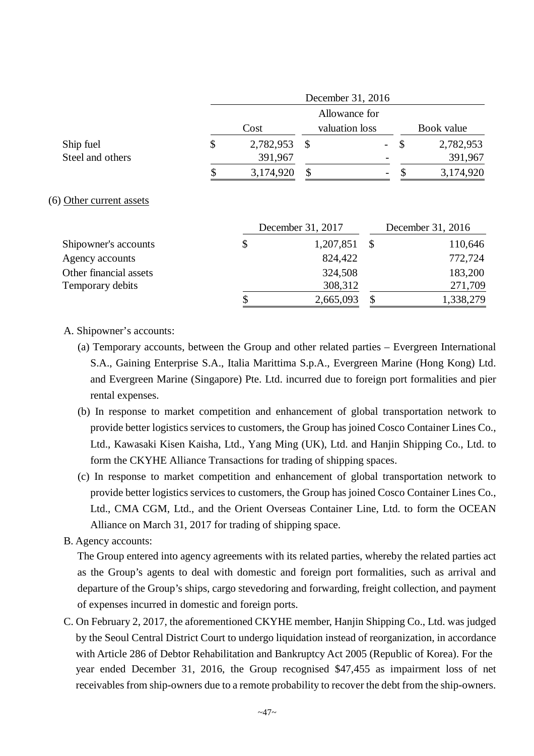|                               | December 31, 2016 |                      |                                 |            |    |                      |  |
|-------------------------------|-------------------|----------------------|---------------------------------|------------|----|----------------------|--|
|                               | Cost              |                      | Allowance for<br>valuation loss | Book value |    |                      |  |
| Ship fuel<br>Steel and others | \$                | 2,782,953<br>391,967 | $\mathcal{S}$                   |            | \$ | 2,782,953<br>391,967 |  |
|                               |                   | 3,174,920            | \$                              |            |    | 3,174,920            |  |
| (6) Other current assets      |                   |                      |                                 |            |    |                      |  |
|                               |                   |                      | December 31, 2017               |            |    | December 31, 2016    |  |
| Shipowner's accounts          |                   | \$                   | 1,207,851                       | \$         |    | 110,646              |  |
| Agency accounts               |                   |                      | 824,422                         |            |    | 772,724              |  |
| Other financial assets        |                   |                      | 324,508                         |            |    | 183,200              |  |
| Temporary debits              |                   |                      | 308,312                         |            |    | 271,709              |  |
|                               |                   | \$                   | 2,665,093                       |            |    | 1,338,279            |  |

- A. Shipowner's accounts:
	- (a) Temporary accounts, between the Group and other related parties Evergreen International S.A., Gaining Enterprise S.A., Italia Marittima S.p.A., Evergreen Marine (Hong Kong) Ltd. and Evergreen Marine (Singapore) Pte. Ltd. incurred due to foreign port formalities and pier rental expenses.
	- (b) In response to market competition and enhancement of global transportation network to provide better logistics services to customers, the Group has joined Cosco Container Lines Co., Ltd., Kawasaki Kisen Kaisha, Ltd., Yang Ming (UK), Ltd. and Hanjin Shipping Co., Ltd. to form the CKYHE Alliance Transactions for trading of shipping spaces.
	- (c) In response to market competition and enhancement of global transportation network to provide better logistics services to customers, the Group has joined Cosco Container Lines Co., Ltd., CMA CGM, Ltd., and the Orient Overseas Container Line, Ltd. to form the OCEAN Alliance on March 31, 2017 for trading of shipping space.
- B. Agency accounts:

The Group entered into agency agreements with its related parties, whereby the related parties act as the Group's agents to deal with domestic and foreign port formalities, such as arrival and departure of the Group's ships, cargo stevedoring and forwarding, freight collection, and payment of expenses incurred in domestic and foreign ports.

C. On February 2, 2017, the aforementioned CKYHE member, Hanjin Shipping Co., Ltd. was judged by the Seoul Central District Court to undergo liquidation instead of reorganization, in accordance with Article 286 of Debtor Rehabilitation and Bankruptcy Act 2005 (Republic of Korea). For the year ended December 31, 2016, the Group recognised \$47,455 as impairment loss of net receivables from ship-owners due to a remote probability to recover the debt from the ship-owners.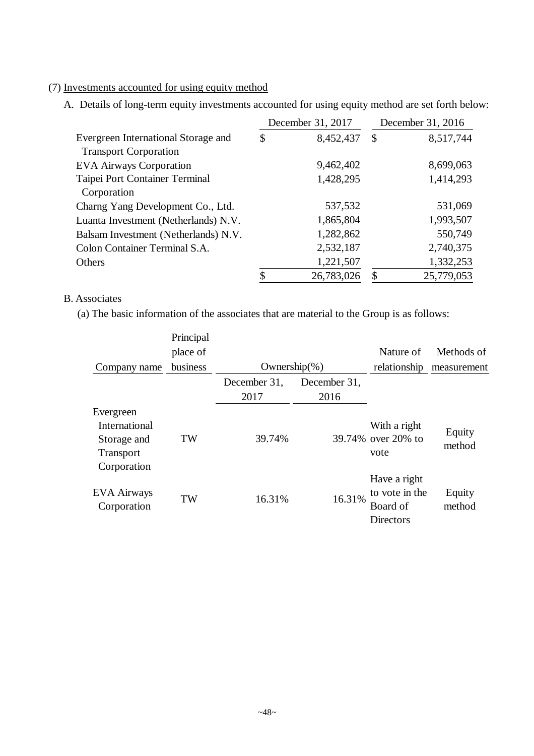# (7) Investments accounted for using equity method

A. Details of long-term equity investments accounted for using equity method are set forth below:

|                                      | December 31, 2017 |            | December 31, 2016 |
|--------------------------------------|-------------------|------------|-------------------|
| Evergreen International Storage and  | \$                | 8,452,437  | \$<br>8,517,744   |
| <b>Transport Corporation</b>         |                   |            |                   |
| <b>EVA Airways Corporation</b>       |                   | 9,462,402  | 8,699,063         |
| Taipei Port Container Terminal       |                   | 1,428,295  | 1,414,293         |
| Corporation                          |                   |            |                   |
| Charng Yang Development Co., Ltd.    |                   | 537,532    | 531,069           |
| Luanta Investment (Netherlands) N.V. |                   | 1,865,804  | 1,993,507         |
| Balsam Investment (Netherlands) N.V. |                   | 1,282,862  | 550,749           |
| Colon Container Terminal S.A.        |                   | 2,532,187  | 2,740,375         |
| Others                               |                   | 1,221,507  | 1,332,253         |
|                                      | \$                | 26,783,026 | \$<br>25,779,053  |

## B. Associates

(a) The basic information of the associates that are material to the Group is as follows:

|                                                                                     | Principal |              |                                  |                                                         |                  |
|-------------------------------------------------------------------------------------|-----------|--------------|----------------------------------|---------------------------------------------------------|------------------|
|                                                                                     | place of  |              |                                  | Nature of                                               | Methods of       |
| Company name                                                                        | business  |              | Ownership $(\%)$<br>relationship |                                                         | measurement      |
|                                                                                     |           | December 31, | December 31,                     |                                                         |                  |
|                                                                                     |           | 2017         | 2016                             |                                                         |                  |
| Evergreen<br><b>International</b><br>Storage and<br><b>Transport</b><br>Corporation | TW        | 39.74%       |                                  | With a right<br>39.74% over 20% to<br>vote              | Equity<br>method |
| <b>EVA Airways</b><br>Corporation                                                   | TW        | 16.31%       | 16.31%                           | Have a right<br>to vote in the<br>Board of<br>Directors | Equity<br>method |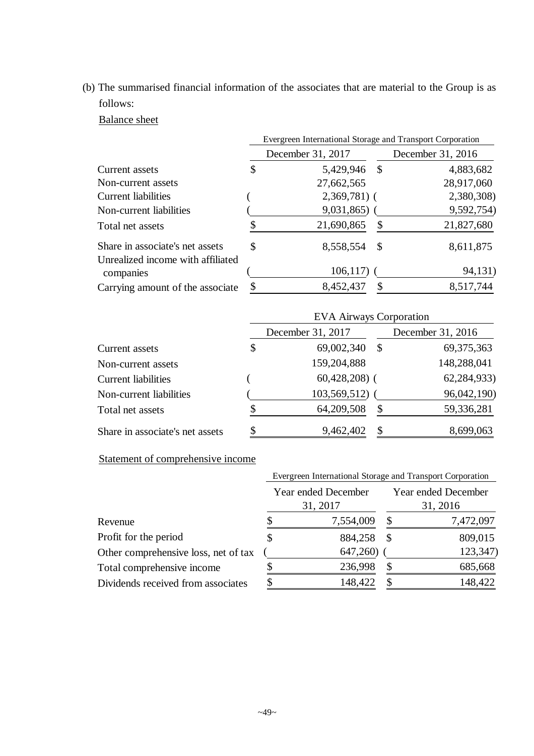(b) The summarised financial information of the associates that are material to the Group is as follows:

Balance sheet

|                                                                      |    | Evergreen International Storage and Transport Corporation |    |                   |  |  |  |  |
|----------------------------------------------------------------------|----|-----------------------------------------------------------|----|-------------------|--|--|--|--|
|                                                                      |    | December 31, 2017                                         |    | December 31, 2016 |  |  |  |  |
| Current assets                                                       | \$ | 5,429,946 \$                                              |    | 4,883,682         |  |  |  |  |
| Non-current assets                                                   |    | 27,662,565                                                |    | 28,917,060        |  |  |  |  |
| <b>Current liabilities</b>                                           |    | $2,369,781$ (                                             |    | 2,380,308)        |  |  |  |  |
| Non-current liabilities                                              |    | 9,031,865)                                                |    | 9,592,754)        |  |  |  |  |
| Total net assets                                                     |    | 21,690,865                                                |    | 21,827,680        |  |  |  |  |
| Share in associate's net assets<br>Unrealized income with affiliated | \$ | 8,558,554                                                 | -S | 8,611,875         |  |  |  |  |
| companies                                                            |    | 106, 117)                                                 |    | 94,131)           |  |  |  |  |
| Carrying amount of the associate                                     |    | 8,452,437                                                 |    | 8,517,744         |  |  |  |  |

|                                 | <b>EVA Airways Corporation</b> |                   |               |                   |  |  |  |
|---------------------------------|--------------------------------|-------------------|---------------|-------------------|--|--|--|
|                                 |                                | December 31, 2017 |               | December 31, 2016 |  |  |  |
| Current assets                  | \$                             | 69,002,340        | <sup>\$</sup> | 69, 375, 363      |  |  |  |
| Non-current assets              |                                | 159,204,888       |               | 148,288,041       |  |  |  |
| <b>Current liabilities</b>      |                                | $60,428,208$ (    |               | 62,284,933)       |  |  |  |
| Non-current liabilities         |                                | 103,569,512)      |               | 96,042,190)       |  |  |  |
| Total net assets                |                                | 64,209,508        |               | 59,336,281        |  |  |  |
| Share in associate's net assets |                                | 9,462,402         | <sup>\$</sup> | 8,699,063         |  |  |  |

Statement of comprehensive income

|                                      |                                 | Evergreen International Storage and Transport Corporation |               |                                 |  |  |
|--------------------------------------|---------------------------------|-----------------------------------------------------------|---------------|---------------------------------|--|--|
|                                      | Year ended December<br>31, 2017 |                                                           |               | Year ended December<br>31, 2016 |  |  |
| Revenue                              |                                 | 7,554,009                                                 | \$            | 7,472,097                       |  |  |
| Profit for the period                |                                 | 884,258                                                   | - S           | 809,015                         |  |  |
| Other comprehensive loss, net of tax |                                 | 647,260)                                                  |               | 123,347                         |  |  |
| Total comprehensive income           |                                 | 236,998                                                   | $\mathcal{S}$ | 685,668                         |  |  |
| Dividends received from associates   | \$                              | 148,422                                                   |               | 148,422                         |  |  |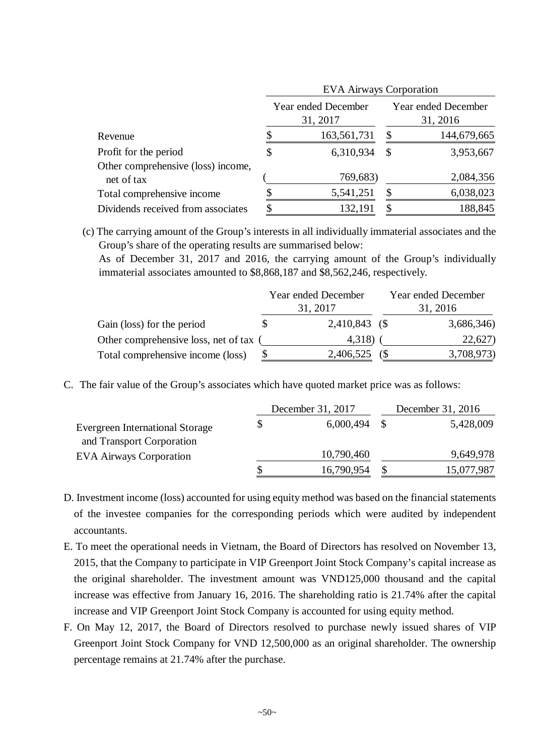|                                                  | <b>EVA Airways Corporation</b>  |             |                           |                                 |  |  |
|--------------------------------------------------|---------------------------------|-------------|---------------------------|---------------------------------|--|--|
| Revenue                                          | Year ended December<br>31, 2017 |             |                           | Year ended December<br>31, 2016 |  |  |
|                                                  |                                 | 163,561,731 | $\boldsymbol{\mathsf{S}}$ | 144,679,665                     |  |  |
| Profit for the period                            | \$                              | 6,310,934   | -S                        | 3,953,667                       |  |  |
| Other comprehensive (loss) income,<br>net of tax |                                 | 769,683)    |                           | 2,084,356                       |  |  |
| Total comprehensive income                       |                                 | 5,541,251   |                           | 6,038,023                       |  |  |
| Dividends received from associates               | \$                              | 132,191     | \$                        | 188,845                         |  |  |

(c) The carrying amount of the Group's interests in all individually immaterial associates and the Group's share of the operating results are summarised below:

As of December 31, 2017 and 2016, the carrying amount of the Group's individually immaterial associates amounted to \$8,868,187 and \$8,562,246, respectively.

|                                        | Year ended December<br>31, 2017 | Year ended December<br>31, 2016 |            |
|----------------------------------------|---------------------------------|---------------------------------|------------|
| Gain (loss) for the period             | 2,410,843 (\$)                  |                                 | 3,686,346) |
| Other comprehensive loss, net of tax ( | 4,318)                          |                                 | 22,627)    |
| Total comprehensive income (loss)      | 2,406,525                       |                                 | 3,708,973) |

C. The fair value of the Group's associates which have quoted market price was as follows:

|                                        |   | December 31, 2017 | December 31, 2016 |            |  |
|----------------------------------------|---|-------------------|-------------------|------------|--|
| <b>Evergreen International Storage</b> | S | 6,000,494         |                   | 5,428,009  |  |
| and Transport Corporation              |   |                   |                   |            |  |
| <b>EVA Airways Corporation</b>         |   | 10,790,460        |                   | 9,649,978  |  |
|                                        |   | 16,790,954        |                   | 15,077,987 |  |

- D. Investment income (loss) accounted for using equity method was based on the financial statements of the investee companies for the corresponding periods which were audited by independent accountants.
- E. To meet the operational needs in Vietnam, the Board of Directors has resolved on November 13, 2015, that the Company to participate in VIP Greenport Joint Stock Company's capital increase as the original shareholder. The investment amount was VND125,000 thousand and the capital increase was effective from January 16, 2016. The shareholding ratio is 21.74% after the capital increase and VIP Greenport Joint Stock Company is accounted for using equity method.
- F. On May 12, 2017, the Board of Directors resolved to purchase newly issued shares of VIP Greenport Joint Stock Company for VND 12,500,000 as an original shareholder. The ownership percentage remains at 21.74% after the purchase.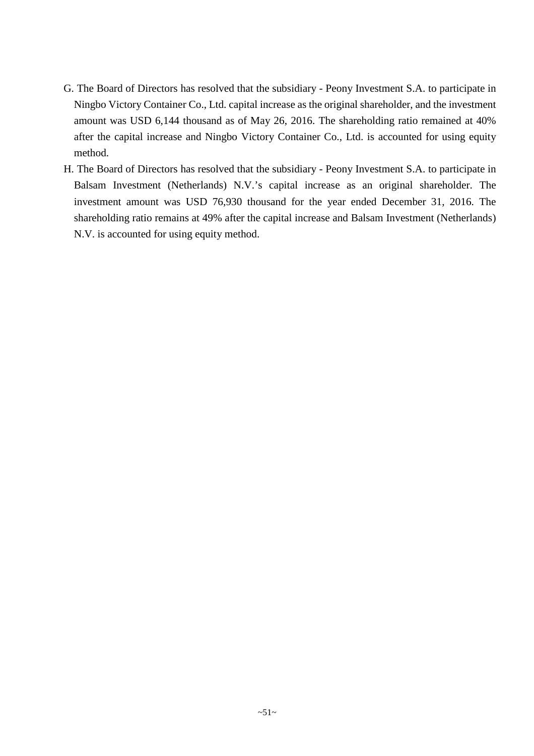- G. The Board of Directors has resolved that the subsidiary Peony Investment S.A. to participate in Ningbo Victory Container Co., Ltd. capital increase as the original shareholder, and the investment amount was USD 6,144 thousand as of May 26, 2016. The shareholding ratio remained at 40% after the capital increase and Ningbo Victory Container Co., Ltd. is accounted for using equity method.
- H. The Board of Directors has resolved that the subsidiary Peony Investment S.A. to participate in Balsam Investment (Netherlands) N.V.'s capital increase as an original shareholder. The investment amount was USD 76,930 thousand for the year ended December 31, 2016. The shareholding ratio remains at 49% after the capital increase and Balsam Investment (Netherlands) N.V. is accounted for using equity method.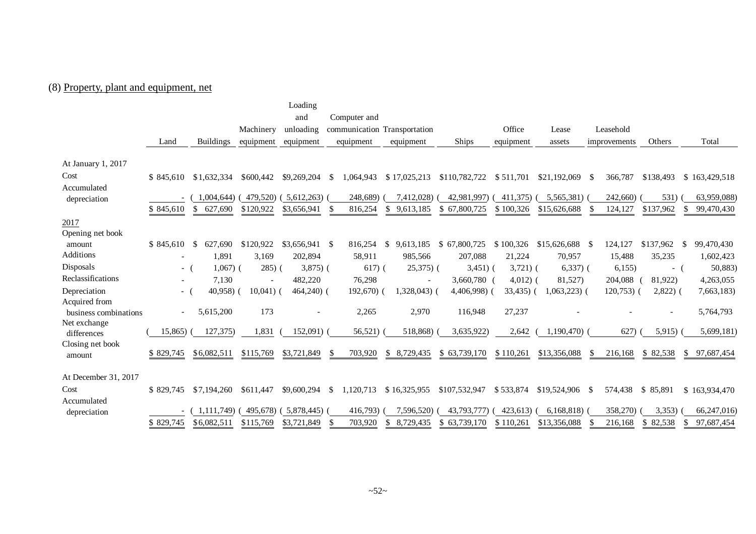# (8) Property, plant and equipment, net

|                             |           |                         |              | Loading         |                            |                              |               |            |                    |                 |            |                             |
|-----------------------------|-----------|-------------------------|--------------|-----------------|----------------------------|------------------------------|---------------|------------|--------------------|-----------------|------------|-----------------------------|
|                             |           |                         |              | and             | Computer and               |                              |               |            |                    |                 |            |                             |
|                             |           |                         | Machinery    | unloading       |                            | communication Transportation |               | Office     | Lease              | Leasehold       |            |                             |
|                             | Land      | <b>Buildings</b>        | equipment    | equipment       | equipment                  | equipment                    | <b>Ships</b>  | equipment  | assets             | improvements    | Others     | Total                       |
|                             |           |                         |              |                 |                            |                              |               |            |                    |                 |            |                             |
| At January 1, 2017          |           |                         |              |                 |                            |                              |               |            |                    |                 |            |                             |
| Cost                        | \$845,610 | \$1,632,334             | \$600,442    | \$9,269,204     | 1.064.943<br>\$            | \$17,025,213                 | \$110,782,722 | \$511,701  | \$21,192,069       | 366,787<br>- \$ | \$138,493  | \$163,429,518               |
| Accumulated                 |           |                         |              |                 |                            |                              |               |            |                    |                 |            |                             |
| depreciation                |           | 1,004,644               | 479,520)     | 5,612,263)      | 248,689)                   | 7,412,028)                   | 42,981,997)   | 411,375)   | 5,565,381)         | 242,660)        | 531)       | 63,959,088)                 |
|                             | \$845,610 | 627,690<br><sup>S</sup> | \$120,922    | \$3,656,941     | <sup>\$</sup><br>816,254   | $\mathbb{S}$<br>9,613,185    | \$67,800,725  | \$100,326  | \$15,626,688       | 124,127         | \$137,962  | 99,470,430<br>\$            |
| 2017                        |           |                         |              |                 |                            |                              |               |            |                    |                 |            |                             |
| Opening net book            |           |                         |              |                 |                            |                              |               |            |                    |                 |            |                             |
| amount                      | \$845,610 | -S<br>627.690           | \$120.922    | $$3,656,941$ \$ | 816,254                    | 9.613.185<br><sup>\$</sup>   | \$67,800,725  | \$100.326  | $$15,626,688$ \;   | 124,127         | \$137,962  | 99,470,430<br>- \$          |
| Additions                   |           | 1,891                   | 3,169        | 202,894         | 58,911                     | 985,566                      | 207,088       | 21,224     | 70,957             | 15,488          | 35,235     | 1,602,423                   |
| Disposals                   | $-$ (     | $1,067$ ) (             | $285)$ (     | $3,875$ (       |                            | $617)$ (<br>$25,375$ (       | $3,451)$ (    | $3,721)$ ( | $6,337)$ (         | 6,155           | $-$ (      | 50,883)                     |
| Reclassifications           |           | 7,130                   |              | 482,220         | 76,298                     |                              | 3,660,780 (   | $4,012)$ ( | 81,527)            | 204,088         | 81,922)    | 4,263,055                   |
| Depreciation                | $-$ (     | $40,958$ (              | $10,041$ ) ( | $464,240$ (     | $192,670$ )                | 1,328,043) (                 | 4,406,998) (  | $33,435$ ( | $1,063,223$ (      | 120,753         | $2,822)$ ( | 7,663,183)                  |
| Acquired from               |           |                         |              |                 |                            |                              |               |            |                    |                 |            |                             |
| business combinations       |           | 5,615,200               | 173          |                 | 2,265                      | 2,970                        | 116,948       | 27,237     |                    |                 |            | 5,764,793                   |
| Net exchange<br>differences | 15,865)   | 127,375)                | 1,831        | 152,091)        |                            | 56,521<br>518,868)           | 3,635,922)    | 2,642      | 1,190,470)         | 627             | 5,915      | 5,699,181)                  |
| Closing net book            |           |                         |              |                 |                            |                              |               |            |                    |                 |            |                             |
| amount                      | \$829,745 | \$6,082,511             | \$115,769    | \$3,721,849     | 703,920<br>-S              | 8,729,435<br>S.              | \$63,739,170  | \$110,261  | \$13,356,088       | 216,168<br>-S   | \$82,538   | 97,687,454<br><sup>S</sup>  |
|                             |           |                         |              |                 |                            |                              |               |            |                    |                 |            |                             |
| At December 31, 2017        |           |                         |              |                 |                            |                              |               |            |                    |                 |            |                             |
| Cost                        | \$829,745 | \$7,194,260             | \$611,447    | \$9,600,294     | 1,120,713<br><sup>\$</sup> | \$16,325,955                 | \$107,532,947 | \$533,874  | $$19,524,906$ \ \$ | 574,438         | \$85,891   | \$163,934,470               |
| Accumulated                 |           |                         |              |                 |                            |                              |               |            |                    |                 |            |                             |
| depreciation                |           | 1,111,749)              | 495,678)     | 5,878,445)      | 416,793)                   | 7,596,520)                   | 43,793,777)   | 423,613)   | 6,168,818          | 358,270)        | 3,353)     | 66,247,016)                 |
|                             | \$829,745 | \$6,082,511             | \$115,769    | \$3,721,849     | 703,920<br>-S              | 8,729,435<br>$\mathbb{S}$    | \$63,739,170  | \$110.261  | \$13,356,088       | 216,168         | \$ 82,538  | 97,687,454<br><sup>\$</sup> |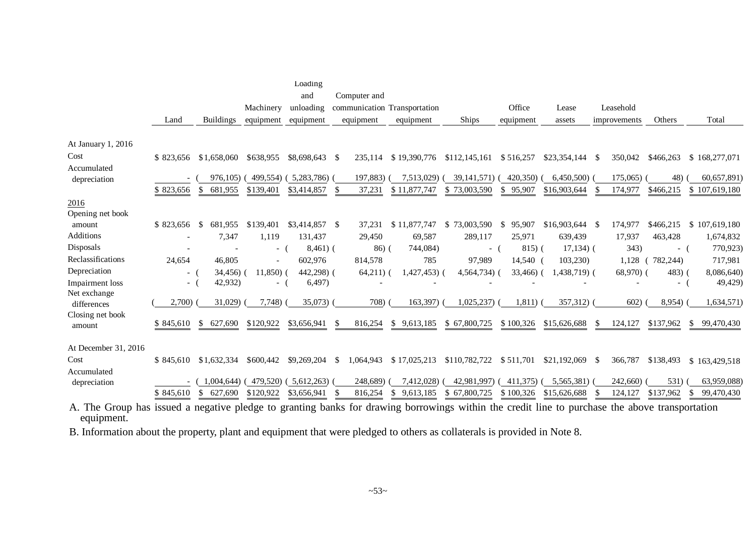|                           |                          |                         |                           | Loading           |                              |                            |                                                |               |                   |                 |                          |                  |
|---------------------------|--------------------------|-------------------------|---------------------------|-------------------|------------------------------|----------------------------|------------------------------------------------|---------------|-------------------|-----------------|--------------------------|------------------|
|                           |                          |                         |                           | and               | Computer and                 |                            |                                                |               |                   |                 |                          |                  |
|                           |                          |                         | Machinery                 | unloading         | communication Transportation |                            |                                                | Office        | Lease             | Leasehold       |                          |                  |
|                           | Land                     | <b>Buildings</b>        | equipment                 | equipment         | equipment                    | equipment                  | <b>Ships</b>                                   | equipment     | assets            | improvements    | Others                   | Total            |
|                           |                          |                         |                           |                   |                              |                            |                                                |               |                   |                 |                          |                  |
| At January 1, 2016        |                          |                         |                           |                   |                              |                            |                                                |               |                   |                 |                          |                  |
| Cost                      | \$823,656                | \$1,658,060             | \$638,955                 |                   | 235,114                      | \$19,390,776               | \$112,145,161                                  | \$516,257     | \$23,354,144      | 350,042<br>- \$ | \$466,263                | \$168,277,071    |
| Accumulated               |                          |                         |                           |                   |                              |                            |                                                |               |                   |                 |                          |                  |
| depreciation              |                          | 976,105                 | 499,554)                  | 5,283,786         | 197,883)                     | 7,513,029)                 | 39, 141, 571)                                  | 420,350)      | 6,450,500)        | 175,065)        | 48)                      | 60,657,891)      |
|                           | \$823,656                | 681,955                 | \$139,401                 | \$3,414,857       | 37,231                       | \$11,877,747               | \$73,003,590                                   | 95,907<br>S.  | \$16,903,644      | 174,977         | \$466,215                | \$107,619,180    |
| 2016                      |                          |                         |                           |                   |                              |                            |                                                |               |                   |                 |                          |                  |
| Opening net book          |                          |                         |                           |                   |                              |                            |                                                |               |                   |                 |                          |                  |
| amount                    | \$823,656                | 681,955<br><sup>S</sup> | \$139,401                 | $$3,414,857$ \ \$ | 37,231                       | \$11,877,747               | \$73,003,590                                   | 95,907<br>\$  | $$16,903,644$ \\$ | 174,977         | \$466,215                | \$107,619,180    |
| <b>Additions</b>          |                          | 7,347                   | 1,119                     | 131,437           | 29,450                       | 69,587                     | 289,117                                        | 25,971        | 639,439           | 17,937          | 463,428                  | 1,674,832        |
| Disposals                 |                          |                         | $-$ (                     | $8,461)$ (        | $86)$ (                      | 744,084)                   | - (                                            | $815)$ (      | $17,134$ ) (      | 343)            | $-$ (                    | 770,923)         |
| Reclassifications         | 24,654                   | 46,805                  | $\overline{\phantom{a}}$  | 602,976           | 814,578                      | 785                        | 97,989                                         | $14,540$ (    | 103,230)          | 1,128           | 782,244)                 | 717,981          |
| Depreciation              | $-$ (                    | $34,456$ )              | $11,850$ (                | 442,298) (        | $64,211)$ (                  | 1,427,453) (               | 4,564,734)                                     | $33,466$ )    | 1,438,719) (      | 68,970)         | 483) (                   | 8,086,640)       |
| Impairment loss           | $ \sqrt{ }$              | 42,932)                 | $\sim$                    | 6,497)            |                              |                            |                                                |               |                   |                 | $\overline{\phantom{a}}$ | 49,429)          |
| Net exchange              |                          |                         |                           |                   |                              |                            |                                                |               |                   |                 |                          |                  |
| differences               | 2,700)                   | 31,029)                 | 7,748)                    | 35,073)           | 708)                         | 163,397)                   | 1,025,237)                                     | 1,811)        | 357,312)          | 602)            | 8,954)                   | 1,634,571)       |
| Closing net book          |                          |                         |                           |                   |                              |                            |                                                |               |                   |                 |                          |                  |
| amount                    | \$845,610                | 627,690                 | \$120,922                 | \$3,656,941       | 816,254                      | <sup>\$</sup><br>9,613,185 | 67,800,725<br>\$                               | 100,326<br>S. | \$15,626,688      | 124,127<br>\$.  | \$137,962                | 99,470,430<br>S. |
| At December 31, 2016      |                          |                         |                           |                   |                              |                            |                                                |               |                   |                 |                          |                  |
| Cost                      | \$845,610                | \$1,632,334             | \$600,442                 | \$9,269,204       | -S<br>1,064,943              | \$17,025,213               | \$110,782,722                                  | \$511,701     | \$21,192,069      | 366,787<br>- \$ | \$138,493                | \$163,429,518    |
| Accumulated               |                          |                         |                           |                   |                              |                            |                                                |               |                   |                 |                          |                  |
| depreciation              | $\overline{\phantom{a}}$ | 1,004,644)              | 479,520)                  | 5,612,263)        | 248,689)                     | 7,412,028)                 | 42,981,997)                                    | 411,375)      | 5,565,381)        | 242,660)        | 531)                     | 63,959,088)      |
|                           | \$845,610                | 627,690                 | \$120,922                 | \$3,656,941       | 816,254                      | 9,613,185<br><sup>\$</sup> | 67,800,725<br>\$                               | \$100,326     | \$15,626,688      | 124,127         | \$137,962                | \$<br>99,470,430 |
| $\lambda$ $\pi$<br>$\sim$ | $\blacksquare$           |                         | $\mathbf{1}$ $\mathbf{1}$ | $\sim$ 1 $\sim$ 1 | $\mathcal{C}$ 1              | $\blacksquare$             | $\mathbf{r}$ and $\mathbf{r}$ and $\mathbf{r}$ | 11.11         |                   | $\mathbf{1}$    |                          | $\cdots$         |

A. The Group has issued a negative pledge to granting banks for drawing borrowings within the credit line to purchase the above transportation equipment.

B. Information about the property, plant and equipment that were pledged to others as collaterals is provided in Note 8.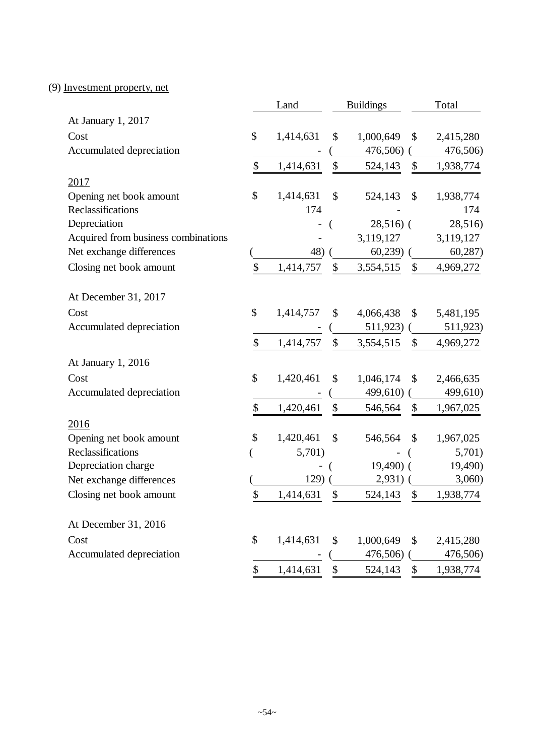# (9) Investment property, net

|                                     | Land            |                           | <b>Buildings</b> | Total           |
|-------------------------------------|-----------------|---------------------------|------------------|-----------------|
| At January 1, 2017                  |                 |                           |                  |                 |
| Cost                                | \$<br>1,414,631 | \$                        | 1,000,649        | \$<br>2,415,280 |
| Accumulated depreciation            |                 |                           | 476,506)         | 476,506)        |
|                                     | \$<br>1,414,631 | \$                        | 524,143          | \$<br>1,938,774 |
| 2017                                |                 |                           |                  |                 |
| Opening net book amount             | \$<br>1,414,631 | \$                        | 524,143          | \$<br>1,938,774 |
| Reclassifications                   | 174             |                           |                  | 174             |
| Depreciation                        |                 |                           | $28,516$ (       | 28,516)         |
| Acquired from business combinations |                 |                           | 3,119,127        | 3,119,127       |
| Net exchange differences            | 48)             |                           | 60,239           | 60,287          |
| Closing net book amount             | \$<br>1,414,757 | \$                        | 3,554,515        | \$<br>4,969,272 |
| At December 31, 2017                |                 |                           |                  |                 |
| Cost                                | \$<br>1,414,757 | \$                        | 4,066,438        | \$<br>5,481,195 |
| Accumulated depreciation            |                 |                           | 511,923)         | 511,923)        |
|                                     | \$<br>1,414,757 | \$                        | 3,554,515        | \$<br>4,969,272 |
| At January 1, 2016                  |                 |                           |                  |                 |
| Cost                                | \$<br>1,420,461 | \$                        | 1,046,174        | \$<br>2,466,635 |
| Accumulated depreciation            |                 |                           | 499,610)         | 499,610)        |
|                                     | \$<br>1,420,461 | \$                        | 546,564          | \$<br>1,967,025 |
| 2016                                |                 |                           |                  |                 |
| Opening net book amount             | \$<br>1,420,461 | $\boldsymbol{\mathsf{S}}$ | 546,564          | \$<br>1,967,025 |
| Reclassifications                   | 5,701)          |                           |                  | 5,701)          |
| Depreciation charge                 |                 |                           | $19,490$ (       | 19,490)         |
| Net exchange differences            | 129)            |                           | 2,931)           | 3,060           |
| Closing net book amount             | \$<br>1,414,631 | \$                        | 524,143          | \$<br>1,938,774 |
| At December 31, 2016                |                 |                           |                  |                 |
| Cost                                | \$<br>1,414,631 | \$                        | 1,000,649        | \$<br>2,415,280 |
| Accumulated depreciation            |                 |                           | 476,506)         | 476,506)        |
|                                     | \$<br>1,414,631 | \$                        | 524,143          | \$<br>1,938,774 |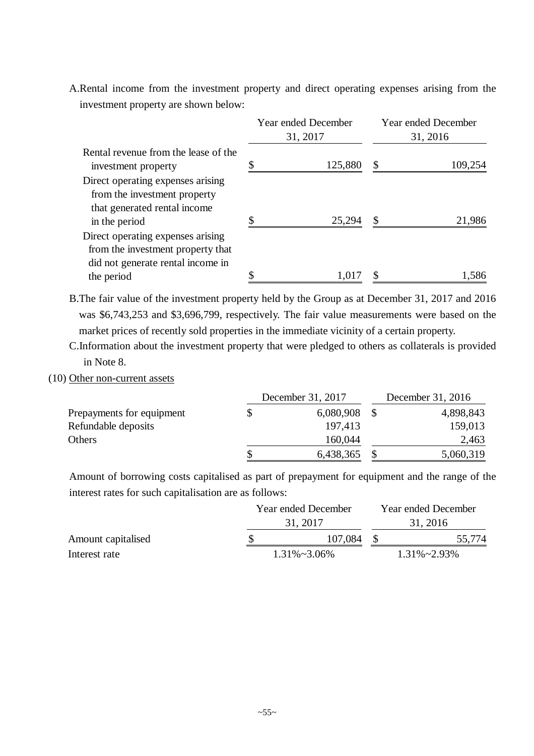A.Rental income from the investment property and direct operating expenses arising from the investment property are shown below:

|                                                                                                             | Year ended December | Year ended December |         |  |
|-------------------------------------------------------------------------------------------------------------|---------------------|---------------------|---------|--|
|                                                                                                             | 31, 2017            | 31, 2016            |         |  |
| Rental revenue from the lease of the<br>investment property                                                 | 125,880             | \$                  | 109,254 |  |
| Direct operating expenses arising<br>from the investment property<br>that generated rental income           |                     |                     |         |  |
| in the period                                                                                               | 25,294              | \$                  | 21,986  |  |
| Direct operating expenses arising<br>from the investment property that<br>did not generate rental income in |                     |                     |         |  |
| the period                                                                                                  | 1,017               |                     | 1,586   |  |

B.The fair value of the investment property held by the Group as at December 31, 2017 and 2016 was \$6,743,253 and \$3,696,799, respectively. The fair value measurements were based on the market prices of recently sold properties in the immediate vicinity of a certain property.

C.Information about the investment property that were pledged to others as collaterals is provided in Note 8.

(10) Other non-current assets

|                           |   | December 31, 2017 | December 31, 2016 |           |  |
|---------------------------|---|-------------------|-------------------|-----------|--|
| Prepayments for equipment | S | 6,080,908         |                   | 4,898,843 |  |
| Refundable deposits       |   | 197,413           |                   | 159,013   |  |
| Others                    |   | 160,044           |                   | 2,463     |  |
|                           |   | 6,438,365         |                   | 5,060,319 |  |

Amount of borrowing costs capitalised as part of prepayment for equipment and the range of the interest rates for such capitalisation are as follows:

|                    | Year ended December  | Year ended December |                      |  |
|--------------------|----------------------|---------------------|----------------------|--|
|                    | 31, 2017             |                     | 31, 2016             |  |
| Amount capitalised | 107,084              |                     | 55,774               |  |
| Interest rate      | $1.31\% \sim 3.06\%$ |                     | $1.31\% \sim 2.93\%$ |  |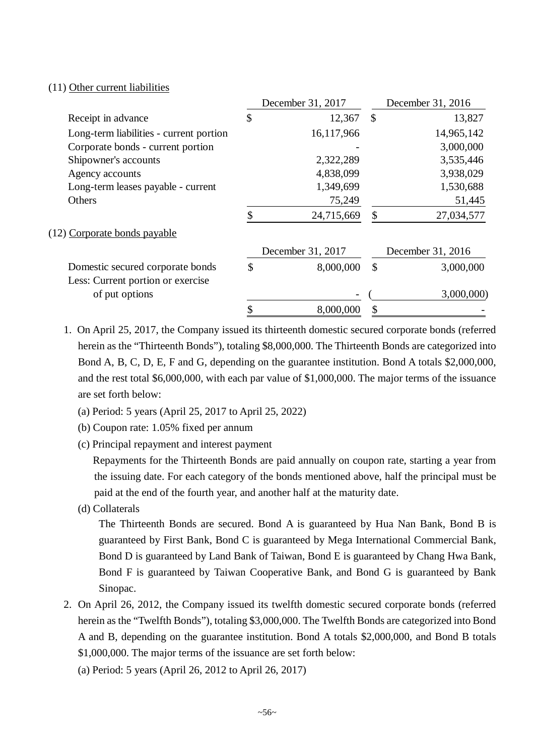## (11) Other current liabilities

|                                         | December 31, 2017 |               | December 31, 2016 |
|-----------------------------------------|-------------------|---------------|-------------------|
| Receipt in advance                      | \$<br>12,367      | \$            | 13,827            |
| Long-term liabilities - current portion | 16,117,966        |               | 14,965,142        |
| Corporate bonds - current portion       |                   |               | 3,000,000         |
| Shipowner's accounts                    | 2,322,289         |               | 3,535,446         |
| Agency accounts                         | 4,838,099         |               | 3,938,029         |
| Long-term leases payable - current      | 1,349,699         |               | 1,530,688         |
| Others                                  | 75,249            |               | 51,445            |
|                                         | 24,715,669        | \$            | 27,034,577        |
| (12) Corporate bonds payable            |                   |               |                   |
|                                         | December 31, 2017 |               | December 31, 2016 |
| Domestic secured corporate bonds        | \$<br>8,000,000   | $\mathcal{S}$ | 3,000,000         |
| Less: Current portion or exercise       |                   |               |                   |
| of put options                          |                   |               | 3,000,000)        |
|                                         | \$<br>8,000,000   | \$            |                   |

1.. On April 25, 2017, the Company issued its thirteenth domestic secured corporate bonds (referred herein as the "Thirteenth Bonds"), totaling \$8,000,000. The Thirteenth Bonds are categorized into Bond A, B, C, D, E, F and G, depending on the guarantee institution. Bond A totals \$2,000,000, and the rest total \$6,000,000, with each par value of \$1,000,000. The major terms of the issuance are set forth below:

- (a) Period: 5 years (April 25, 2017 to April 25, 2022)
- (b) Coupon rate: 1.05% fixed per annum
- (c) Principal repayment and interest payment

Repayments for the Thirteenth Bonds are paid annually on coupon rate, starting a year from the issuing date. For each category of the bonds mentioned above, half the principal must be paid at the end of the fourth year, and another half at the maturity date.

(d) Collaterals

The Thirteenth Bonds are secured. Bond A is guaranteed by Hua Nan Bank, Bond B is guaranteed by First Bank, Bond C is guaranteed by Mega International Commercial Bank, Bond D is guaranteed by Land Bank of Taiwan, Bond E is guaranteed by Chang Hwa Bank, Bond F is guaranteed by Taiwan Cooperative Bank, and Bond G is guaranteed by Bank Sinopac.

2.. On April 26, 2012, the Company issued its twelfth domestic secured corporate bonds (referred herein as the "Twelfth Bonds"), totaling \$3,000,000. The Twelfth Bonds are categorized into Bond A and B, depending on the guarantee institution. Bond A totals \$2,000,000, and Bond B totals \$1,000,000. The major terms of the issuance are set forth below:

(a) Period: 5 years (April 26, 2012 to April 26, 2017)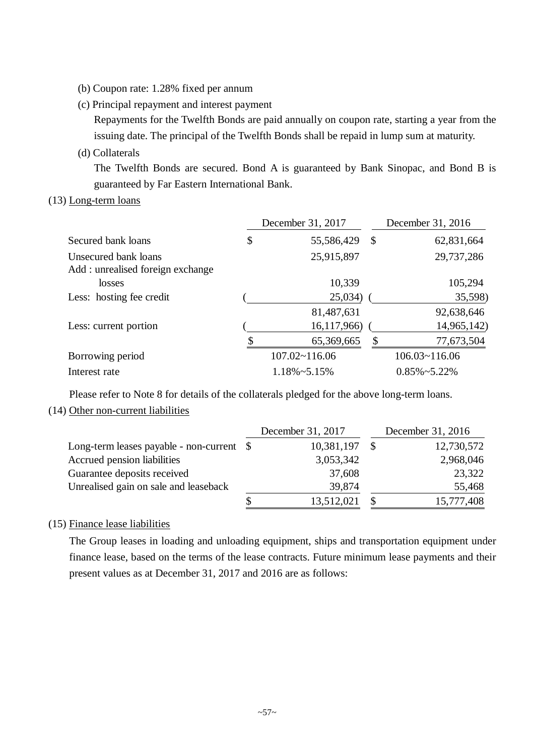- (b) Coupon rate: 1.28% fixed per annum
- (c) Principal repayment and interest payment

Repayments for the Twelfth Bonds are paid annually on coupon rate, starting a year from the issuing date. The principal of the Twelfth Bonds shall be repaid in lump sum at maturity.

(d) Collaterals

The Twelfth Bonds are secured. Bond A is guaranteed by Bank Sinopac, and Bond B is guaranteed by Far Eastern International Bank.

## (13) Long-term loans

|                                                          | December 31, 2017 |                                              |    | December 31, 2016 |  |
|----------------------------------------------------------|-------------------|----------------------------------------------|----|-------------------|--|
| Secured bank loans                                       | \$                | 55,586,429                                   | \$ | 62,831,664        |  |
| Unsecured bank loans<br>Add: unrealised foreign exchange |                   | 25,915,897                                   |    | 29,737,286        |  |
| losses                                                   |                   | 10,339                                       |    | 105,294           |  |
| Less: hosting fee credit                                 |                   | 25,034)                                      |    | 35,598)           |  |
|                                                          |                   | 81,487,631                                   |    | 92,638,646        |  |
| Less: current portion                                    |                   | 16,117,966)                                  |    | 14,965,142)       |  |
|                                                          |                   | 65,369,665                                   | \$ | 77,673,504        |  |
| Borrowing period                                         |                   | $107.02 - 116.06$                            |    | $106.03 - 116.06$ |  |
| Interest rate                                            |                   | $0.85\% \sim 5.22\%$<br>$1.18\% \sim 5.15\%$ |    |                   |  |

Please refer to Note 8 for details of the collaterals pledged for the above long-term loans.

(14) Other non-current liabilities

|                                             | December 31, 2017 | December 31, 2016 |
|---------------------------------------------|-------------------|-------------------|
| Long-term leases payable - non-current $\$$ | 10,381,197        | 12,730,572        |
| Accrued pension liabilities                 | 3,053,342         | 2,968,046         |
| Guarantee deposits received                 | 37,608            | 23,322            |
| Unrealised gain on sale and leaseback       | 39,874            | 55,468            |
|                                             | \$<br>13,512,021  | 15,777,408        |

# (15) Finance lease liabilities

The Group leases in loading and unloading equipment, ships and transportation equipment under finance lease, based on the terms of the lease contracts. Future minimum lease payments and their present values as at December 31, 2017 and 2016 are as follows: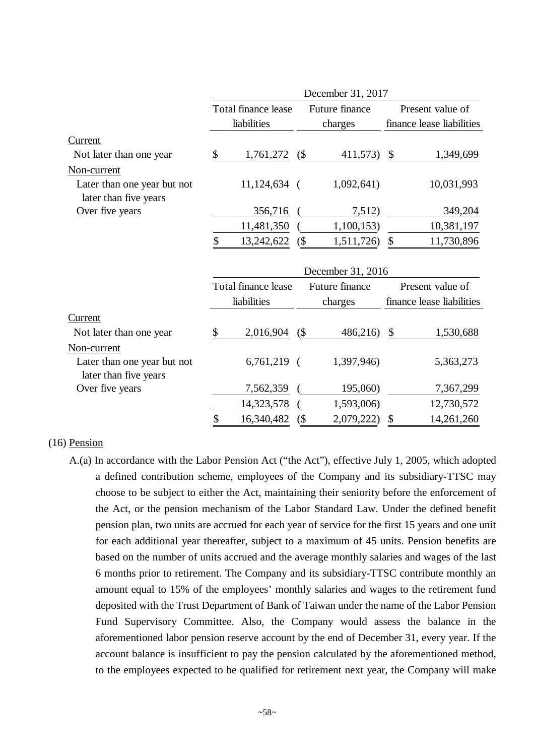|                                                      |                     |        | December 31, 2017 |                           |
|------------------------------------------------------|---------------------|--------|-------------------|---------------------------|
|                                                      | Total finance lease |        | Future finance    | Present value of          |
|                                                      | liabilities         |        | charges           | finance lease liabilities |
| Current                                              |                     |        |                   |                           |
| Not later than one year                              | \$<br>1,761,272     | (      | 411,573)          | \$<br>1,349,699           |
| Non-current                                          |                     |        |                   |                           |
| Later than one year but not<br>later than five years | 11,124,634          | (      | 1,092,641         | 10,031,993                |
| Over five years                                      | 356,716             |        | 7,512)            | 349,204                   |
|                                                      | 11,481,350          |        | 1,100,153)        | 10,381,197                |
|                                                      | \$<br>13,242,622    | (      | 1,511,726)        | \$<br>11,730,896          |
|                                                      |                     |        | December 31, 2016 |                           |
|                                                      | Total finance lease |        | Future finance    | Present value of          |
|                                                      | liabilities         |        | charges           | finance lease liabilities |
| Current                                              |                     |        |                   |                           |
| Not later than one year                              | \$<br>2,016,904     | (      | 486,216)          | \$<br>1,530,688           |
| Non-current                                          |                     |        |                   |                           |
| Later than one year but not<br>later than five years | $6,761,219$ (       |        | 1,397,946)        | 5,363,273                 |
| Over five years                                      | 7,562,359           |        | 195,060)          | 7,367,299                 |
|                                                      | 14,323,578          |        | 1,593,006)        | 12,730,572                |
|                                                      | \$<br>16,340,482    | $($ \$ | 2,079,222)        | \$<br>14,261,260          |

### (16) Pension

A.(a) In accordance with the Labor Pension Act ("the Act"), effective July 1, 2005, which adopted a defined contribution scheme, employees of the Company and its subsidiary-TTSC may choose to be subject to either the Act, maintaining their seniority before the enforcement of the Act, or the pension mechanism of the Labor Standard Law. Under the defined benefit pension plan, two units are accrued for each year of service for the first 15 years and one unit for each additional year thereafter, subject to a maximum of 45 units. Pension benefits are based on the number of units accrued and the average monthly salaries and wages of the last 6 months prior to retirement. The Company and its subsidiary-TTSC contribute monthly an amount equal to 15% of the employees' monthly salaries and wages to the retirement fund deposited with the Trust Department of Bank of Taiwan under the name of the Labor Pension Fund Supervisory Committee. Also, the Company would assess the balance in the aforementioned labor pension reserve account by the end of December 31, every year. If the account balance is insufficient to pay the pension calculated by the aforementioned method, to the employees expected to be qualified for retirement next year, the Company will make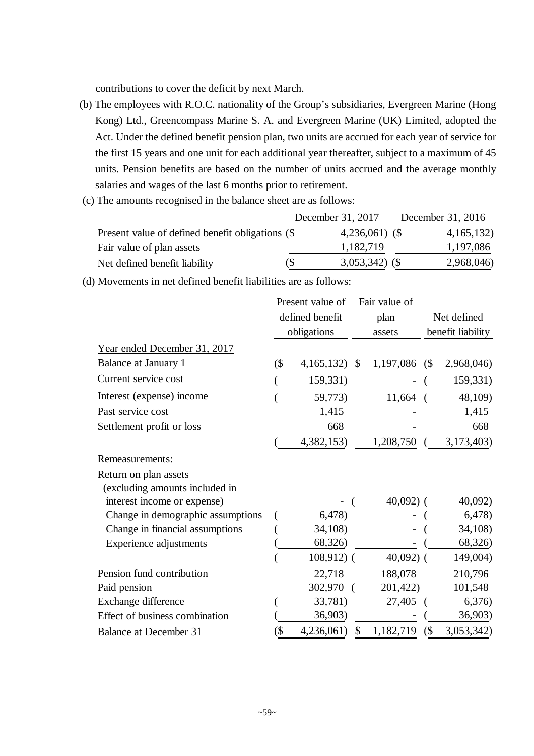contributions to cover the deficit by next March.

- (b) The employees with R.O.C. nationality of the Group's subsidiaries, Evergreen Marine (Hong Kong) Ltd., Greencompass Marine S. A. and Evergreen Marine (UK) Limited, adopted the Act. Under the defined benefit pension plan, two units are accrued for each year of service for the first 15 years and one unit for each additional year thereafter, subject to a maximum of 45 units. Pension benefits are based on the number of units accrued and the average monthly salaries and wages of the last 6 months prior to retirement.
- (c) The amounts recognised in the balance sheet are as follows:

|                                                  | December 31, 2017 |                  | December 31, 2016 |            |  |
|--------------------------------------------------|-------------------|------------------|-------------------|------------|--|
| Present value of defined benefit obligations (\$ |                   | $4,236,061$ (\$  |                   | 4,165,132) |  |
| Fair value of plan assets                        |                   | 1,182,719        |                   | 1,197,086  |  |
| Net defined benefit liability                    | (\$               | $3,053,342)$ (\$ |                   | 2,968,046) |  |

(d) Movements in net defined benefit liabilities are as follows:

|                                   | Present value of<br>defined benefit<br>obligations |            | Fair value of<br>plan<br>assets |                  | Net defined<br>benefit liability |            |
|-----------------------------------|----------------------------------------------------|------------|---------------------------------|------------------|----------------------------------|------------|
| Year ended December 31, 2017      |                                                    |            |                                 |                  |                                  |            |
| Balance at January 1              | $($ \$                                             | 4,165,132) | $\mathbb{S}$                    | $1,197,086$ (\$) |                                  | 2,968,046) |
| Current service cost              |                                                    | 159,331)   |                                 |                  |                                  | 159,331)   |
| Interest (expense) income         |                                                    | 59,773)    |                                 | $11,664$ (       |                                  | 48,109)    |
| Past service cost                 |                                                    | 1,415      |                                 |                  |                                  | 1,415      |
| Settlement profit or loss         |                                                    | 668        |                                 |                  |                                  | 668        |
|                                   |                                                    | 4,382,153) |                                 | 1,208,750        |                                  | 3,173,403) |
| Remeasurements:                   |                                                    |            |                                 |                  |                                  |            |
| Return on plan assets             |                                                    |            |                                 |                  |                                  |            |
| (excluding amounts included in    |                                                    |            |                                 |                  |                                  |            |
| interest income or expense)       |                                                    |            |                                 | $40,092$ ) (     |                                  | 40,092)    |
| Change in demographic assumptions |                                                    | 6,478      |                                 |                  |                                  | 6,478)     |
| Change in financial assumptions   |                                                    | 34,108     |                                 |                  |                                  | 34,108     |
| Experience adjustments            |                                                    | 68,326)    |                                 |                  |                                  | 68,326)    |
|                                   |                                                    | 108,912)   |                                 | 40,092)          |                                  | 149,004)   |
| Pension fund contribution         |                                                    | 22,718     |                                 | 188,078          |                                  | 210,796    |
| Paid pension                      |                                                    | 302,970    | $\left($                        | 201,422)         |                                  | 101,548    |
| Exchange difference               |                                                    | 33,781)    |                                 | 27,405           |                                  | 6,376)     |
| Effect of business combination    |                                                    | 36,903)    |                                 |                  |                                  | 36,903)    |
| Balance at December 31            | $(\$\,$                                            | 4,236,061) | \$                              | 1,182,719        | $($ \$                           | 3,053,342) |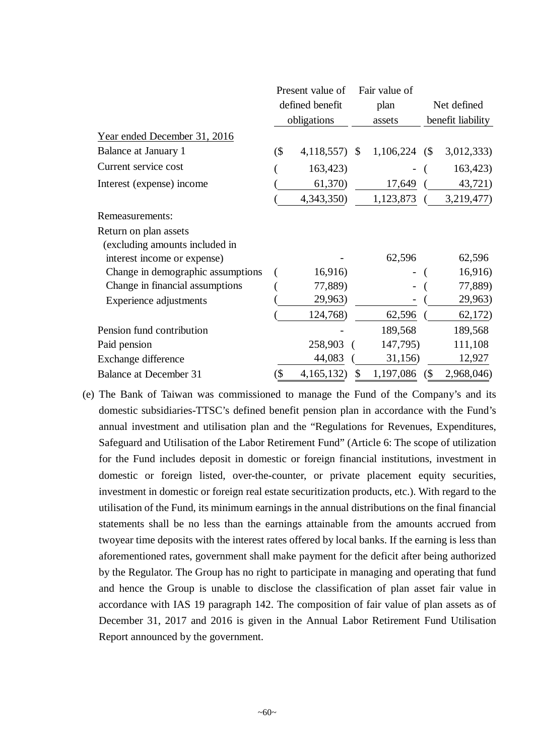|                                   | Present value of |                 |               | Fair value of    |   |                   |  |
|-----------------------------------|------------------|-----------------|---------------|------------------|---|-------------------|--|
|                                   |                  | defined benefit |               | plan<br>assets   |   | Net defined       |  |
|                                   |                  | obligations     |               |                  |   | benefit liability |  |
| Year ended December 31, 2016      |                  |                 |               |                  |   |                   |  |
| Balance at January 1              | $($ \$           | 4,118,557       | $\mathcal{S}$ | $1,106,224$ (\$) |   | 3,012,333)        |  |
| Current service cost              |                  | 163,423)        |               |                  |   | 163,423)          |  |
| Interest (expense) income         |                  | 61,370)         |               | 17,649           |   | 43,721)           |  |
|                                   |                  | 4,343,350)      |               | 1,123,873        |   | 3,219,477)        |  |
| Remeasurements:                   |                  |                 |               |                  |   |                   |  |
| Return on plan assets             |                  |                 |               |                  |   |                   |  |
| (excluding amounts included in    |                  |                 |               |                  |   |                   |  |
| interest income or expense)       |                  |                 |               | 62,596           |   | 62,596            |  |
| Change in demographic assumptions |                  | 16,916          |               |                  |   | 16,916)           |  |
| Change in financial assumptions   |                  | 77,889)         |               |                  |   | 77,889)           |  |
| Experience adjustments            |                  | 29,963)         |               |                  |   | 29,963)           |  |
|                                   |                  | 124,768)        |               | 62,596           |   | 62,172)           |  |
| Pension fund contribution         |                  |                 |               | 189,568          |   | 189,568           |  |
| Paid pension                      |                  | 258,903         |               | 147,795)         |   | 111,108           |  |
| Exchange difference               |                  | 44,083          |               | 31,156)          |   | 12,927            |  |
| <b>Balance at December 31</b>     | $($ \$           | 4,165,132)      | \$            | 1,197,086        | ( | 2,968,046)        |  |

(e) The Bank of Taiwan was commissioned to manage the Fund of the Company's and its domestic subsidiaries-TTSC's defined benefit pension plan in accordance with the Fund's annual investment and utilisation plan and the "Regulations for Revenues, Expenditures, Safeguard and Utilisation of the Labor Retirement Fund" (Article 6: The scope of utilization for the Fund includes deposit in domestic or foreign financial institutions, investment in domestic or foreign listed, over-the-counter, or private placement equity securities, investment in domestic or foreign real estate securitization products, etc.). With regard to the utilisation of the Fund, its minimum earnings in the annual distributions on the final financial statements shall be no less than the earnings attainable from the amounts accrued from twoyear time deposits with the interest rates offered by local banks. If the earning is less than aforementioned rates, government shall make payment for the deficit after being authorized by the Regulator. The Group has no right to participate in managing and operating that fund and hence the Group is unable to disclose the classification of plan asset fair value in accordance with IAS 19 paragraph 142. The composition of fair value of plan assets as of December 31, 2017 and 2016 is given in the Annual Labor Retirement Fund Utilisation Report announced by the government.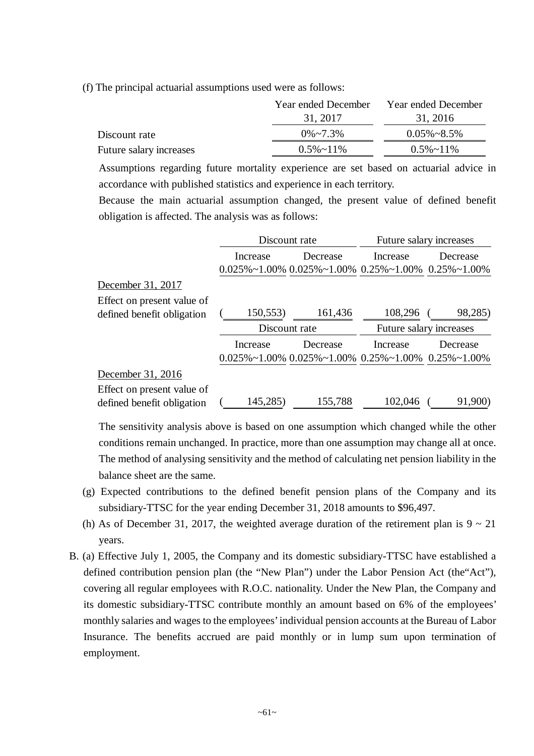(f) The principal actuarial assumptions used were as follows:

|                         | Year ended December | Year ended December |
|-------------------------|---------------------|---------------------|
|                         | 31, 2017            | 31, 2016            |
| Discount rate           | $0\% \sim 7.3\%$    | $0.05\% \sim 8.5\%$ |
| Future salary increases | $0.5\% \sim 11\%$   | $0.5\% \sim 11\%$   |

Assumptions regarding future mortality experience are set based on actuarial advice in accordance with published statistics and experience in each territory.

Because the main actuarial assumption changed, the present value of defined benefit obligation is affected. The analysis was as follows:

|                            |          | Discount rate                                                                         | Future salary increases |                         |  |  |
|----------------------------|----------|---------------------------------------------------------------------------------------|-------------------------|-------------------------|--|--|
|                            | Increase | Decrease                                                                              | Increase                | Decrease                |  |  |
|                            |          | $0.025\% \sim 1.00\%$ $0.025\% \sim 1.00\%$ $0.25\% \sim 1.00\%$ $0.25\% \sim 1.00\%$ |                         |                         |  |  |
| December 31, 2017          |          |                                                                                       |                         |                         |  |  |
| Effect on present value of |          |                                                                                       |                         |                         |  |  |
| defined benefit obligation | 150,553) | 161,436                                                                               | 108,296                 | 98,285)                 |  |  |
|                            |          | Discount rate                                                                         |                         | Future salary increases |  |  |
|                            | Increase | Decrease                                                                              | Increase                | Decrease                |  |  |
|                            |          | $0.025\% \sim 1.00\%$ $0.025\% \sim 1.00\%$ $0.25\% \sim 1.00\%$ $0.25\% \sim 1.00\%$ |                         |                         |  |  |
| December 31, 2016          |          |                                                                                       |                         |                         |  |  |
| Effect on present value of |          |                                                                                       |                         |                         |  |  |
| defined benefit obligation | 145,285) | 155,788                                                                               | 102,046                 | 91,900)                 |  |  |

The sensitivity analysis above is based on one assumption which changed while the other conditions remain unchanged. In practice, more than one assumption may change all at once. The method of analysing sensitivity and the method of calculating net pension liability in the balance sheet are the same.

- (g) Expected contributions to the defined benefit pension plans of the Company and its subsidiary-TTSC for the year ending December 31, 2018 amounts to \$96,497.
- (h) As of December 31, 2017, the weighted average duration of the retirement plan is  $9 \sim 21$ years.
- B. (a) Effective July 1, 2005, the Company and its domestic subsidiary-TTSC have established a defined contribution pension plan (the "New Plan") under the Labor Pension Act (the"Act"), covering all regular employees with R.O.C. nationality. Under the New Plan, the Company and its domestic subsidiary-TTSC contribute monthly an amount based on 6% of the employees' monthly salaries and wages to the employees' individual pension accounts at the Bureau of Labor Insurance. The benefits accrued are paid monthly or in lump sum upon termination of employment.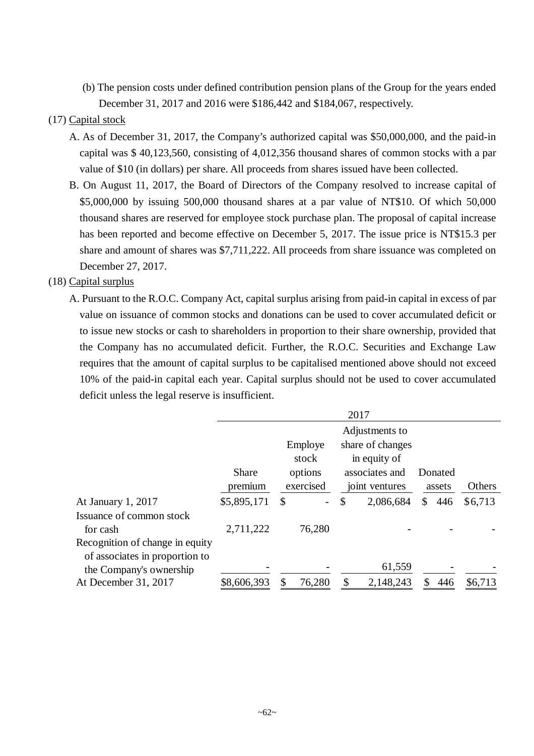(b) The pension costs under defined contribution pension plans of the Group for the years ended December 31, 2017 and 2016 were \$186,442 and \$184,067, respectively.

### (17) Capital stock

- A. As of December 31, 2017, the Company's authorized capital was \$50,000,000, and the paid-in capital was \$ 40,123,560, consisting of 4,012,356 thousand shares of common stocks with a par value of \$10 (in dollars) per share. All proceeds from shares issued have been collected.
- B. On August 11, 2017, the Board of Directors of the Company resolved to increase capital of \$5,000,000 by issuing 500,000 thousand shares at a par value of NT\$10. Of which 50,000 thousand shares are reserved for employee stock purchase plan. The proposal of capital increase has been reported and become effective on December 5, 2017. The issue price is NT\$15.3 per share and amount of shares was \$7,711,222. All proceeds from share issuance was completed on December 27, 2017.

(18) Capital surplus

A. Pursuant to the R.O.C. Company Act, capital surplus arising from paid-in capital in excess of par value on issuance of common stocks and donations can be used to cover accumulated deficit or to issue new stocks or cash to shareholders in proportion to their share ownership, provided that the Company has no accumulated deficit. Further, the R.O.C. Securities and Exchange Law requires that the amount of capital surplus to be capitalised mentioned above should not exceed 10% of the paid-in capital each year. Capital surplus should not be used to cover accumulated deficit unless the legal reserve is insufficient.

|                                 |                         |               |                          |    | 2017             |    |        |         |
|---------------------------------|-------------------------|---------------|--------------------------|----|------------------|----|--------|---------|
|                                 |                         |               |                          |    | Adjustments to   |    |        |         |
|                                 |                         |               | Employe                  |    | share of changes |    |        |         |
|                                 |                         |               | stock                    |    | in equity of     |    |        |         |
|                                 | <b>Share</b><br>options |               | associates and           |    | Donated          |    |        |         |
|                                 | premium                 |               | exercised                |    | joint ventures   |    | assets | Others  |
| At January 1, 2017              | \$5,895,171             | $\mathcal{S}$ | $\overline{\phantom{0}}$ | \$ | 2,086,684        | \$ | 446    | \$6,713 |
| Issuance of common stock        |                         |               |                          |    |                  |    |        |         |
| for cash                        | 2,711,222               |               | 76,280                   |    |                  |    |        |         |
| Recognition of change in equity |                         |               |                          |    |                  |    |        |         |
| of associates in proportion to  |                         |               |                          |    |                  |    |        |         |
| the Company's ownership         |                         |               |                          |    | 61,559           |    |        |         |
| At December 31, 2017            | \$8,606,393             |               | 76,280                   |    | 2,148,243        |    | 446    | \$6,713 |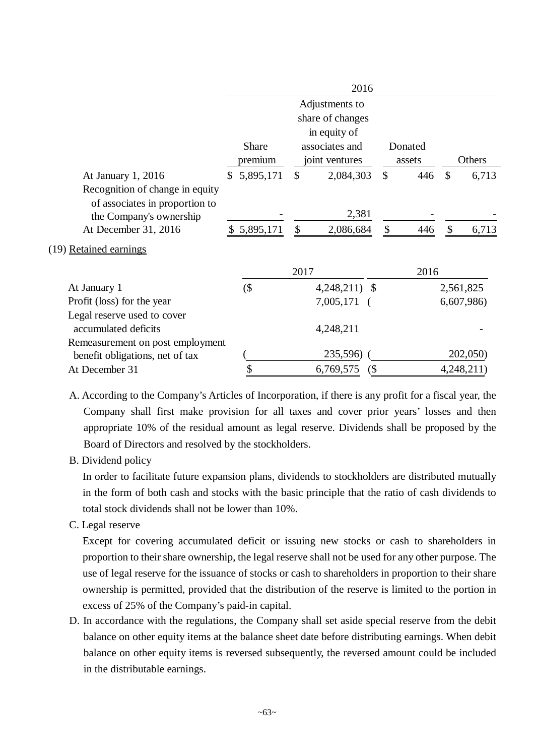|                                                                   |                | 2016                       |                      |                        |  |  |  |  |
|-------------------------------------------------------------------|----------------|----------------------------|----------------------|------------------------|--|--|--|--|
|                                                                   | Adjustments to |                            |                      |                        |  |  |  |  |
|                                                                   |                | share of changes           |                      |                        |  |  |  |  |
|                                                                   |                | in equity of               |                      |                        |  |  |  |  |
|                                                                   | Share          | associates and             | Donated              |                        |  |  |  |  |
|                                                                   | premium        | joint ventures             | assets               | Others                 |  |  |  |  |
| At January 1, 2016                                                | \$5,895,171    | $\mathcal{S}$<br>2,084,303 | $\mathcal{S}$<br>446 | $\mathcal{S}$<br>6,713 |  |  |  |  |
| Recognition of change in equity<br>of associates in proportion to |                |                            |                      |                        |  |  |  |  |
| the Company's ownership                                           |                | 2,381                      |                      |                        |  |  |  |  |
| At December 31, 2016                                              | 5,895,171      | 2,086,684<br>\$            | \$<br>446            | $\mathcal{S}$<br>6,713 |  |  |  |  |
| (19) Retained earnings                                            |                |                            |                      |                        |  |  |  |  |
|                                                                   |                | 2017                       | 2016                 |                        |  |  |  |  |
| At January 1                                                      | $($ \$         | $4,248,211$ \$             |                      | 2,561,825              |  |  |  |  |
| Profit (loss) for the year                                        |                | 7,005,171                  |                      | 6,607,986)             |  |  |  |  |
| Legal reserve used to cover                                       |                |                            |                      |                        |  |  |  |  |
| accumulated deficits                                              |                | 4,248,211                  |                      |                        |  |  |  |  |
| Remeasurement on post employment                                  |                |                            |                      |                        |  |  |  |  |
| benefit obligations, net of tax                                   |                | 235,596)                   |                      | 202,050)               |  |  |  |  |
| At December 31                                                    | \$             | 6,769,575<br>$($ \$        |                      | 4,248,211)             |  |  |  |  |

- A. According to the Company's Articles of Incorporation, if there is any profit for a fiscal year, the Company shall first make provision for all taxes and cover prior years' losses and then appropriate 10% of the residual amount as legal reserve. Dividends shall be proposed by the Board of Directors and resolved by the stockholders.
- B. Dividend policy

In order to facilitate future expansion plans, dividends to stockholders are distributed mutually in the form of both cash and stocks with the basic principle that the ratio of cash dividends to total stock dividends shall not be lower than 10%.

C. Legal reserve

Except for covering accumulated deficit or issuing new stocks or cash to shareholders in proportion to their share ownership, the legal reserve shall not be used for any other purpose. The use of legal reserve for the issuance of stocks or cash to shareholders in proportion to their share ownership is permitted, provided that the distribution of the reserve is limited to the portion in excess of 25% of the Company's paid-in capital.

D. In accordance with the regulations, the Company shall set aside special reserve from the debit balance on other equity items at the balance sheet date before distributing earnings. When debit balance on other equity items is reversed subsequently, the reversed amount could be included in the distributable earnings.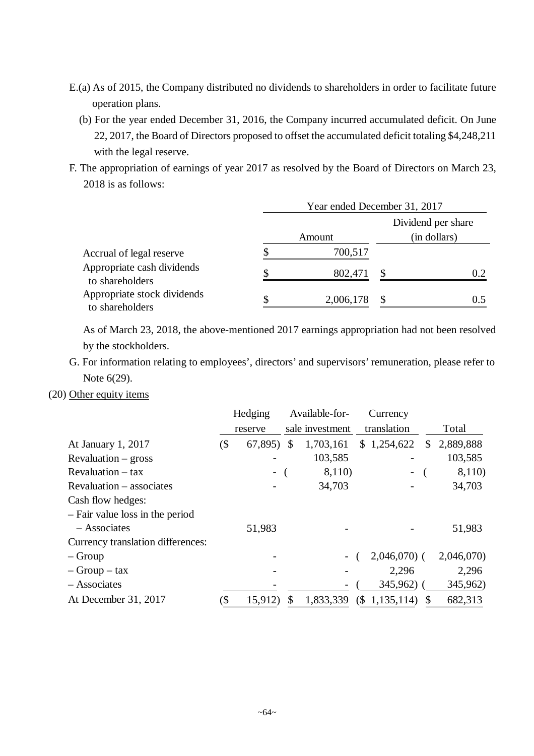- E.(a) As of 2015, the Company distributed no dividends to shareholders in order to facilitate future operation plans.
	- .(b) For the year ended December 31, 2016, the Company incurred accumulated deficit. On June 22, 2017, the Board of Directors proposed to offset the accumulated deficit totaling \$4,248,211 with the legal reserve.
- F. The appropriation of earnings of year 2017 as resolved by the Board of Directors on March 23, 2018 is as follows:

|                                                | Year ended December 31, 2017 |  |                    |  |  |  |  |
|------------------------------------------------|------------------------------|--|--------------------|--|--|--|--|
|                                                |                              |  | Dividend per share |  |  |  |  |
|                                                | Amount                       |  | (in dollars)       |  |  |  |  |
| Accrual of legal reserve                       | 700,517                      |  |                    |  |  |  |  |
| Appropriate cash dividends<br>to shareholders  | 802,471                      |  | 0.2                |  |  |  |  |
| Appropriate stock dividends<br>to shareholders | 2,006,178                    |  | 0.5                |  |  |  |  |

As of March 23, 2018, the above-mentioned 2017 earnings appropriation had not been resolved by the stockholders.

- G. For information relating to employees', directors' and supervisors' remuneration, please refer to Note 6(29).
- (20) Other equity items

|                                   |     | Hedging | Available-for- |                 |                           | Currency      |    |            |
|-----------------------------------|-----|---------|----------------|-----------------|---------------------------|---------------|----|------------|
|                                   |     | reserve |                | sale investment |                           | translation   |    | Total      |
| At January 1, 2017                | (\$ | 67,895) | <sup>\$</sup>  | 1,703,161       | S.                        | 1,254,622     | \$ | 2,889,888  |
| $Revaluation - gross$             |     |         |                | 103,585         |                           |               |    | 103,585    |
| $Revaluation - tax$               |     | -       |                | 8,110)          |                           |               |    | 8,110)     |
| Revaluation – associates          |     |         |                | 34,703          |                           |               |    | 34,703     |
| Cash flow hedges:                 |     |         |                |                 |                           |               |    |            |
| - Fair value loss in the period   |     |         |                |                 |                           |               |    |            |
| $-$ Associates                    |     | 51,983  |                |                 |                           |               |    | 51,983     |
| Currency translation differences: |     |         |                |                 |                           |               |    |            |
| $-$ Group                         |     |         |                |                 |                           | $2,046,070$ ( |    | 2,046,070) |
| $-$ Group $-$ tax                 |     |         |                |                 |                           | 2,296         |    | 2,296      |
| - Associates                      |     |         |                |                 |                           | 345,962)      |    | 345,962)   |
| At December 31, 2017              | 3   | 15,912) | \$             | 1,833,339       | $\left( \text{\$}\right)$ | 1,135,114     | S  | 682,313    |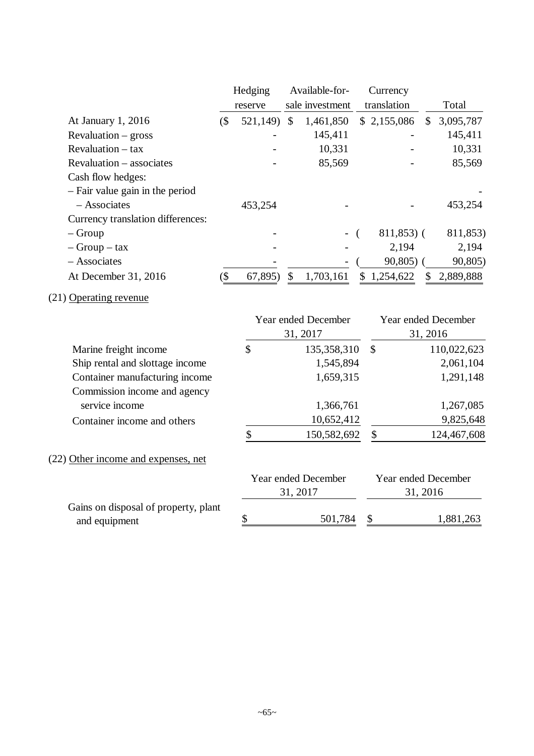|                                                                |        | Hedging  |              | Available-for-      |              | Currency      |              |                     |
|----------------------------------------------------------------|--------|----------|--------------|---------------------|--------------|---------------|--------------|---------------------|
|                                                                |        | reserve  |              | sale investment     |              | translation   |              | Total               |
| At January 1, 2016                                             | $($ \$ | 521,149) | $\mathbb{S}$ | 1,461,850           |              | \$2,155,086   | $\mathbb{S}$ | 3,095,787           |
| $Revaluation - gross$                                          |        |          |              | 145,411             |              |               |              | 145,411             |
| Revaluation – tax                                              |        |          |              | 10,331              |              |               |              | 10,331              |
| Revaluation – associates                                       |        |          |              | 85,569              |              |               |              | 85,569              |
| Cash flow hedges:                                              |        |          |              |                     |              |               |              |                     |
| - Fair value gain in the period                                |        |          |              |                     |              |               |              |                     |
| - Associates                                                   |        | 453,254  |              |                     |              |               |              | 453,254             |
| Currency translation differences:                              |        |          |              |                     |              |               |              |                     |
| $-$ Group                                                      |        |          |              |                     |              | $811,853$ (   |              | 811,853)            |
| $-$ Group $-$ tax                                              |        |          |              |                     |              | 2,194         |              | 2,194               |
| - Associates                                                   |        |          |              |                     |              | 90,805)       |              | 90,805)             |
| At December 31, 2016                                           | (\$    | 67,895   | \$           | 1,703,161           | $\mathbb{S}$ | 1,254,622     | \$           | 2,889,888           |
| (21) Operating revenue                                         |        |          |              |                     |              |               |              |                     |
|                                                                |        |          |              | Year ended December |              |               |              | Year ended December |
|                                                                |        |          |              | 31, 2017            |              |               | 31, 2016     |                     |
| Marine freight income                                          |        | \$       |              | 135,358,310         |              | $\mathcal{S}$ |              | 110,022,623         |
| Ship rental and slottage income                                |        |          |              | 1,545,894           |              |               |              | 2,061,104           |
| Container manufacturing income<br>Commission income and agency |        |          |              | 1,659,315           |              |               |              | 1,291,148           |

service income 1,366,761 1,267,085 Container income and others 10,652,412 9,825,648<br>  $\frac{$ \times 150,582,692}{$ \times 150,582,692}$  9,825,648

# (22) Other income and expenses, net

|                                                       | Year ended December<br>31, 2017 | Year ended December<br>31, 2016 |
|-------------------------------------------------------|---------------------------------|---------------------------------|
| Gains on disposal of property, plant<br>and equipment | 501,784                         | 1,881,263                       |

150,582,692 \$ 124,467,608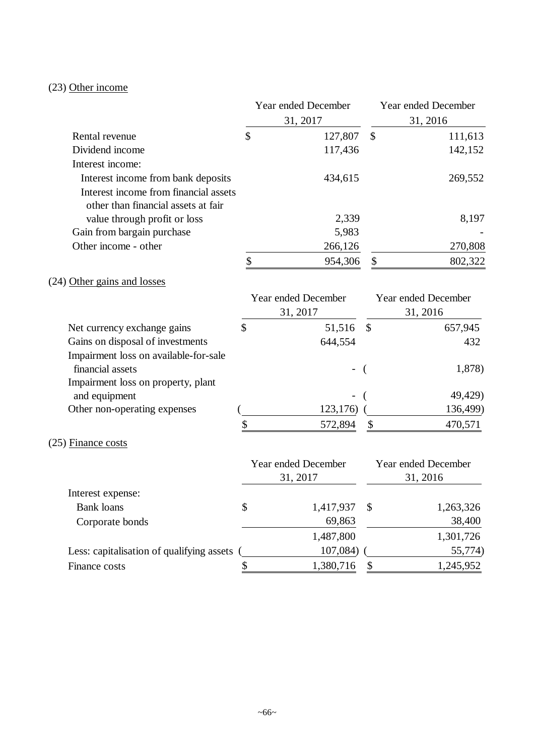# (23) Other income

|                                           |               | Year ended December |                          | Year ended December |  |  |  |
|-------------------------------------------|---------------|---------------------|--------------------------|---------------------|--|--|--|
|                                           |               | 31, 2017            |                          | 31, 2016            |  |  |  |
| Rental revenue                            | \$            | 127,807             | $\mathcal{S}$            | 111,613             |  |  |  |
| Dividend income                           |               | 117,436             |                          | 142,152             |  |  |  |
| Interest income:                          |               |                     |                          |                     |  |  |  |
| Interest income from bank deposits        |               | 434,615             |                          | 269,552             |  |  |  |
| Interest income from financial assets     |               |                     |                          |                     |  |  |  |
| other than financial assets at fair       |               |                     |                          |                     |  |  |  |
| value through profit or loss              |               | 2,339               |                          | 8,197               |  |  |  |
| Gain from bargain purchase                |               | 5,983               |                          |                     |  |  |  |
| Other income - other                      |               | 266,126             |                          | 270,808             |  |  |  |
|                                           | \$            | 954,306             | \$                       | 802,322             |  |  |  |
| (24) Other gains and losses               |               |                     |                          |                     |  |  |  |
|                                           |               | Year ended December |                          | Year ended December |  |  |  |
|                                           |               | 31, 2017            |                          | 31, 2016            |  |  |  |
| Net currency exchange gains               | $\mathcal{S}$ | 51,516              | $\mathcal{S}$            | 657,945             |  |  |  |
| Gains on disposal of investments          |               | 644,554             |                          | 432                 |  |  |  |
| Impairment loss on available-for-sale     |               |                     |                          |                     |  |  |  |
| financial assets                          |               |                     | $\overline{\mathcal{L}}$ | 1,878)              |  |  |  |
| Impairment loss on property, plant        |               |                     |                          |                     |  |  |  |
| and equipment                             |               |                     |                          | 49,429)             |  |  |  |
| Other non-operating expenses              |               | 123,176)            |                          | 136,499)            |  |  |  |
|                                           | \$            | 572,894             | \$                       | 470,571             |  |  |  |
| (25) Finance costs                        |               |                     |                          |                     |  |  |  |
|                                           |               | Year ended December |                          | Year ended December |  |  |  |
|                                           |               | 31, 2017            |                          | 31, 2016            |  |  |  |
| Interest expense:                         |               |                     |                          |                     |  |  |  |
| <b>Bank</b> loans                         | \$            | 1,417,937           | \$                       | 1,263,326           |  |  |  |
| Corporate bonds                           |               | 69,863              |                          | 38,400              |  |  |  |
|                                           |               | 1,487,800           |                          | 1,301,726           |  |  |  |
| Less: capitalisation of qualifying assets |               | 107,084)            |                          | 55,774)             |  |  |  |
| Finance costs                             |               | 1,380,716           |                          | 1,245,952           |  |  |  |
|                                           |               |                     |                          |                     |  |  |  |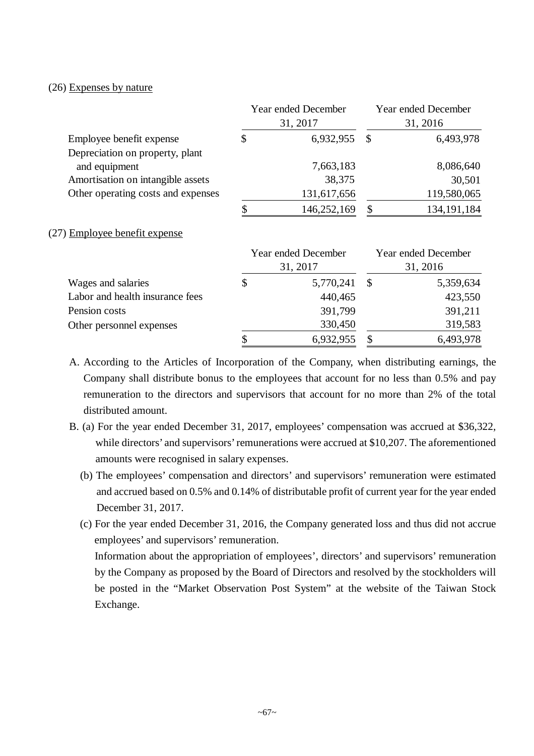## (26) Expenses by nature

|                                                  | Year ended December<br>31, 2017 | Year ended December<br>31, 2016 |               |  |  |
|--------------------------------------------------|---------------------------------|---------------------------------|---------------|--|--|
| Employee benefit expense                         | \$<br>6,932,955                 | - S                             | 6,493,978     |  |  |
| Depreciation on property, plant<br>and equipment | 7,663,183                       |                                 | 8,086,640     |  |  |
| Amortisation on intangible assets                | 38,375                          |                                 | 30,501        |  |  |
| Other operating costs and expenses               | 131,617,656                     |                                 | 119,580,065   |  |  |
|                                                  | \$<br>146,252,169               | \$                              | 134, 191, 184 |  |  |

### (27) Employee benefit expense

|                                 | Year ended December<br>31, 2017 | Year ended December<br>31, 2016 |           |  |
|---------------------------------|---------------------------------|---------------------------------|-----------|--|
| Wages and salaries              | \$<br>5,770,241                 | -S                              | 5,359,634 |  |
| Labor and health insurance fees | 440,465                         |                                 | 423,550   |  |
| Pension costs                   | 391,799                         |                                 | 391,211   |  |
| Other personnel expenses        | 330,450                         |                                 | 319,583   |  |
|                                 | 6,932,955                       |                                 | 6,493,978 |  |

A. According to the Articles of Incorporation of the Company, when distributing earnings, the Company shall distribute bonus to the employees that account for no less than 0.5% and pay remuneration to the directors and supervisors that account for no more than 2% of the total distributed amount.

- B. (a) For the year ended December 31, 2017, employees' compensation was accrued at \$36,322, while directors' and supervisors' remunerations were accrued at \$10,207. The aforementioned amounts were recognised in salary expenses.
	- (b) The employees' compensation and directors' and supervisors' remuneration were estimated and accrued based on 0.5% and 0.14% of distributable profit of current year for the year ended December 31, 2017.
	- (c) For the year ended December 31, 2016, the Company generated loss and thus did not accrue employees' and supervisors' remuneration.

Information about the appropriation of employees', directors' and supervisors' remuneration by the Company as proposed by the Board of Directors and resolved by the stockholders will be posted in the "Market Observation Post System" at the website of the Taiwan Stock Exchange.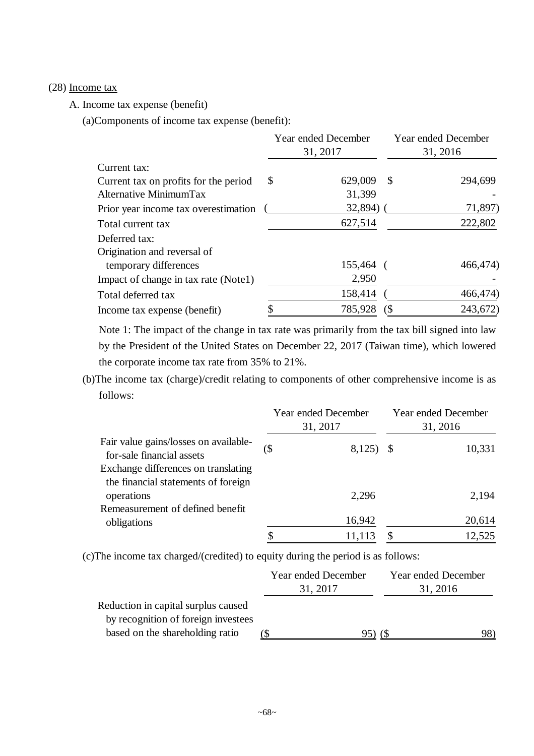#### (28) Income tax

A. Income tax expense (benefit)

(a)Components of income tax expense (benefit):

|                                       | Year ended December<br>31, 2017 | Year ended December<br>31, 2016      |  |  |  |
|---------------------------------------|---------------------------------|--------------------------------------|--|--|--|
| Current tax:                          |                                 |                                      |  |  |  |
| Current tax on profits for the period | \$<br>629,009                   | $\boldsymbol{\mathsf{S}}$<br>294,699 |  |  |  |
| Alternative MinimumTax                | 31,399                          |                                      |  |  |  |
| Prior year income tax overestimation  | 32,894)                         | 71,897)                              |  |  |  |
| Total current tax                     | 627,514                         | 222,802                              |  |  |  |
| Deferred tax:                         |                                 |                                      |  |  |  |
| Origination and reversal of           |                                 |                                      |  |  |  |
| temporary differences                 | 155,464 (                       | 466,474)                             |  |  |  |
| Impact of change in tax rate (Note1)  | 2,950                           |                                      |  |  |  |
| Total deferred tax                    | 158,414                         | 466,474)                             |  |  |  |
| Income tax expense (benefit)          | 785,928                         | (\$<br>243,672)                      |  |  |  |

Note 1: The impact of the change in tax rate was primarily from the tax bill signed into law by the President of the United States on December 22, 2017 (Taiwan time), which lowered the corporate income tax rate from 35% to 21%.

(b)The income tax (charge)/credit relating to components of other comprehensive income is as follows:

|                                                                            |     | Year ended December<br>31, 2017 | Year ended December<br>31, 2016 |        |  |  |
|----------------------------------------------------------------------------|-----|---------------------------------|---------------------------------|--------|--|--|
|                                                                            |     |                                 |                                 |        |  |  |
| Fair value gains/losses on available-<br>for-sale financial assets         | (\$ | $8,125$ \$                      |                                 | 10,331 |  |  |
| Exchange differences on translating<br>the financial statements of foreign |     |                                 |                                 |        |  |  |
| operations                                                                 |     | 2,296                           |                                 | 2,194  |  |  |
| Remeasurement of defined benefit                                           |     |                                 |                                 |        |  |  |
| obligations                                                                |     | 16,942                          |                                 | 20,614 |  |  |
|                                                                            | \$  | 11,113                          |                                 | 12,525 |  |  |

(c)The income tax charged/(credited) to equity during the period is as follows:

|                                     | Year ended December<br>31, 2017 | Year ended December<br>31, 2016 |
|-------------------------------------|---------------------------------|---------------------------------|
|                                     |                                 |                                 |
| Reduction in capital surplus caused |                                 |                                 |
| by recognition of foreign investees |                                 |                                 |
| based on the shareholding ratio     |                                 | 98)                             |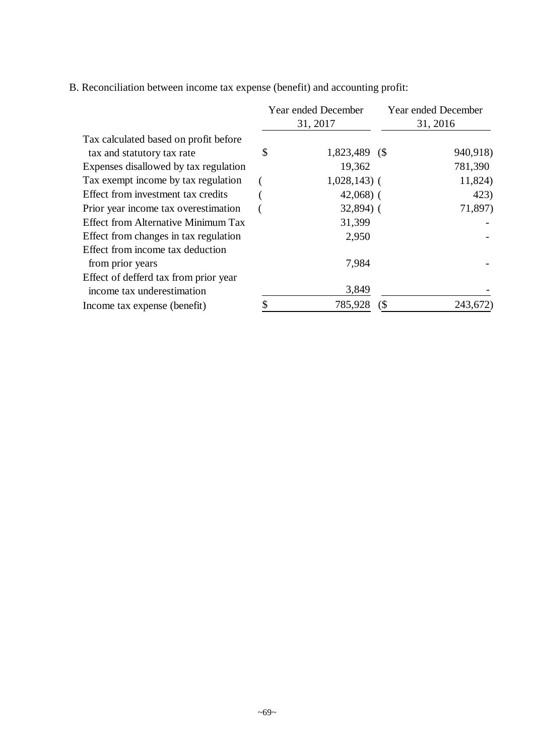|                                            | Year ended December | Year ended December |  |  |  |
|--------------------------------------------|---------------------|---------------------|--|--|--|
|                                            | 31, 2017            | 31, 2016            |  |  |  |
| Tax calculated based on profit before      |                     |                     |  |  |  |
| tax and statutory tax rate                 | \$<br>1,823,489 (\$ | 940,918)            |  |  |  |
| Expenses disallowed by tax regulation      | 19,362              | 781,390             |  |  |  |
| Tax exempt income by tax regulation        | $1,028,143$ (       | 11,824)             |  |  |  |
| Effect from investment tax credits         | $42,068$ ) (        | 423)                |  |  |  |
| Prior year income tax overestimation       | $32,894$ (          | 71,897)             |  |  |  |
| <b>Effect from Alternative Minimum Tax</b> | 31,399              |                     |  |  |  |
| Effect from changes in tax regulation      | 2,950               |                     |  |  |  |
| Effect from income tax deduction           |                     |                     |  |  |  |
| from prior years                           | 7,984               |                     |  |  |  |
| Effect of defferd tax from prior year      |                     |                     |  |  |  |
| income tax underestimation                 | 3,849               |                     |  |  |  |
| Income tax expense (benefit)               | 785,928             | (\$<br>243,672      |  |  |  |

B. Reconciliation between income tax expense (benefit) and accounting profit: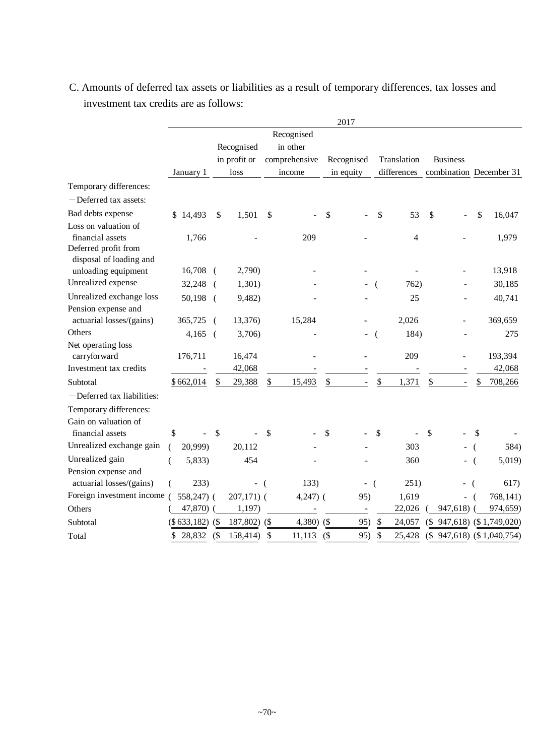C. Amounts of deferred tax assets or liabilities as a result of temporary differences, tax losses and investment tax credits are as follows:

|                                                                     |             |               |                          |     |               |        | 2017                     |                |                |                         |                                 |          |          |
|---------------------------------------------------------------------|-------------|---------------|--------------------------|-----|---------------|--------|--------------------------|----------------|----------------|-------------------------|---------------------------------|----------|----------|
|                                                                     |             |               |                          |     | Recognised    |        |                          |                |                |                         |                                 |          |          |
|                                                                     |             |               | Recognised               |     | in other      |        |                          |                |                |                         |                                 |          |          |
|                                                                     |             |               | in profit or             |     | comprehensive |        | Recognised               |                | Translation    |                         | <b>Business</b>                 |          |          |
|                                                                     | January 1   |               | loss                     |     | income        |        | in equity                |                | differences    | combination December 31 |                                 |          |          |
| Temporary differences:                                              |             |               |                          |     |               |        |                          |                |                |                         |                                 |          |          |
| -Deferred tax assets:                                               |             |               |                          |     |               |        |                          |                |                |                         |                                 |          |          |
| Bad debts expense<br>Loss on valuation of                           | \$14,493    | \$            | 1,501                    | \$  |               | \$     |                          | \$             | 53             | \$                      |                                 | \$       | 16,047   |
| financial assets<br>Deferred profit from<br>disposal of loading and | 1,766       |               |                          |     | 209           |        |                          |                | $\overline{4}$ |                         |                                 |          | 1,979    |
| unloading equipment                                                 | 16,708      | - (           | 2,790)                   |     |               |        |                          |                |                |                         |                                 |          | 13,918   |
| Unrealized expense                                                  | 32,248      | $\left($      | 1,301)                   |     |               |        |                          | (              | 762)           |                         |                                 |          | 30,185   |
| Unrealized exchange loss                                            | 50,198      | $\sqrt{ }$    | 9,482)                   |     |               |        |                          |                | 25             |                         | ä,                              |          | 40,741   |
| Pension expense and<br>actuarial losses/(gains)                     | 365,725     | - (           | 13,376)                  |     | 15,284        |        |                          |                | 2,026          |                         |                                 |          | 369,659  |
| Others                                                              | 4,165       | - (           | 3,706)                   |     |               |        | $\overline{a}$           | (              | 184)           |                         |                                 |          | 275      |
| Net operating loss<br>carryforward                                  | 176,711     |               | 16,474                   |     |               |        |                          |                | 209            |                         |                                 |          | 193,394  |
| Investment tax credits                                              |             |               | 42,068                   |     |               |        |                          |                |                |                         |                                 |          | 42,068   |
| Subtotal                                                            | \$662,014   | \$            | 29,388                   | \$  | 15,493        | \$     | $\overline{\phantom{a}}$ | \$             | 1,371          | \$                      | $\blacksquare$                  | \$       | 708,266  |
| -Deferred tax liabilities:                                          |             |               |                          |     |               |        |                          |                |                |                         |                                 |          |          |
| Temporary differences:                                              |             |               |                          |     |               |        |                          |                |                |                         |                                 |          |          |
| Gain on valuation of                                                |             |               |                          |     |               |        |                          |                |                |                         |                                 |          |          |
| financial assets                                                    | \$          | $\mathsf{\$}$ |                          | \$  |               | \$     |                          | \$             |                | \$                      |                                 | \$       |          |
| Unrealized exchange gain                                            | 20,999)     |               | 20,112                   |     |               |        |                          |                | 303            |                         | $\blacksquare$                  | $\left($ | 584)     |
| Unrealized gain                                                     | 5,833)<br>€ |               | 454                      |     |               |        |                          |                | 360            |                         | ÷.                              |          | 5,019)   |
| Pension expense and                                                 |             |               |                          |     |               |        |                          |                |                |                         |                                 |          |          |
| actuarial losses/(gains)                                            | 233)        |               | $\overline{\phantom{0}}$ | - ( | 133)          |        | $\blacksquare$           | $\overline{ }$ | 251)           |                         | $\overline{\phantom{0}}$        |          | 617)     |
| Foreign investment income (                                         | 558,247) (  |               | 207,171) (               |     | $4,247$ ) (   |        | 95)                      |                | 1,619          |                         | $\overline{\phantom{0}}$        | - (      | 768,141) |
| Others                                                              | 47,870)     |               | 1,197)                   |     |               |        |                          |                | 22,026         |                         | 947,618)                        |          | 974,659) |
| Subtotal                                                            | (\$633,182) | (             | 187,802) (\$             |     | 4,380)        | $($ \$ | 95)                      | \$             | 24,057         |                         | $(\$$ 947,618) $(\$$ 1,749,020) |          |          |
| Total                                                               | \$28,832    | $($ \$        | 158,414)                 | \$  | 11,113        | $($ \$ | 95)                      | \$             | 25,428         |                         | $(\$$ 947,618) $(\$$ 1,040,754) |          |          |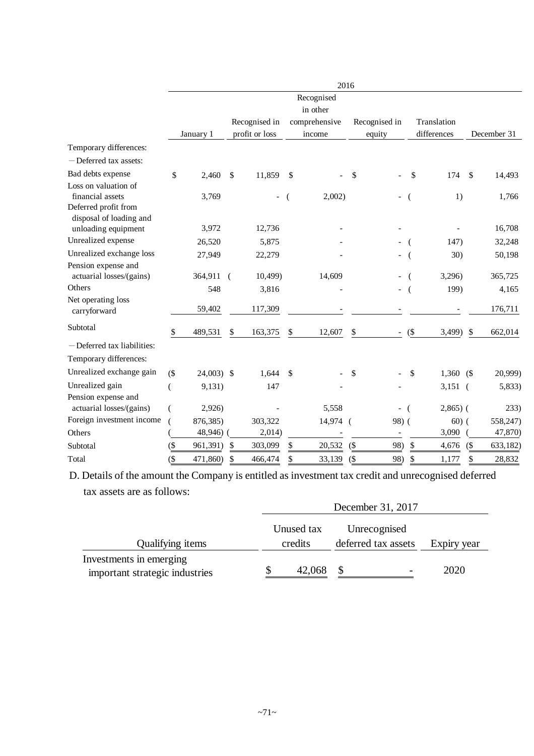|                                          |          |               |          |                                 |                         |                        | 2016   |                         |                            |             |               |          |
|------------------------------------------|----------|---------------|----------|---------------------------------|-------------------------|------------------------|--------|-------------------------|----------------------------|-------------|---------------|----------|
|                                          |          |               |          |                                 |                         | Recognised<br>in other |        |                         |                            |             |               |          |
|                                          |          | January 1     |          | Recognised in<br>profit or loss | comprehensive<br>income |                        |        | Recognised in<br>equity | Translation<br>differences |             | December 31   |          |
|                                          |          |               |          |                                 |                         |                        |        |                         |                            |             |               |          |
| Temporary differences:                   |          |               |          |                                 |                         |                        |        |                         |                            |             |               |          |
| -Deferred tax assets:                    |          |               |          |                                 |                         |                        |        |                         |                            |             |               |          |
| Bad debts expense                        | \$       | 2,460         | \$       | 11,859                          | $\mathcal{S}$           |                        | \$     |                         | \$                         | 174         | $\mathcal{S}$ | 14,493   |
| Loss on valuation of                     |          |               |          |                                 |                         |                        |        |                         |                            |             |               |          |
| financial assets<br>Deferred profit from |          | 3,769         |          | $\overline{\phantom{a}}$        |                         | 2,002                  |        |                         | €                          | 1)          |               | 1,766    |
| disposal of loading and                  |          |               |          |                                 |                         |                        |        |                         |                            |             |               |          |
| unloading equipment                      |          | 3,972         |          | 12,736                          |                         |                        |        |                         |                            |             |               | 16,708   |
| Unrealized expense                       |          | 26,520        |          | 5,875                           |                         |                        |        |                         |                            | 147)        |               | 32,248   |
| Unrealized exchange loss                 |          | 27,949        |          | 22,279                          |                         |                        |        |                         |                            | 30)         |               | 50,198   |
| Pension expense and                      |          |               |          |                                 |                         |                        |        |                         |                            |             |               |          |
| actuarial losses/(gains)                 |          | 364,911       | $\left($ | 10,499)                         |                         | 14,609                 |        |                         |                            | 3,296       |               | 365,725  |
| Others                                   |          | 548           |          | 3,816                           |                         |                        |        |                         | (                          | 199)        |               | 4,165    |
| Net operating loss                       |          |               |          |                                 |                         |                        |        |                         |                            |             |               |          |
| carryforward                             |          | 59,402        |          | 117,309                         |                         |                        |        |                         |                            |             |               | 176,711  |
| Subtotal                                 | \$       | 489,531       |          | 163,375                         | \$                      | 12,607                 | \$     |                         | $($ \$                     | 3,499)      | \$            | 662,014  |
| -Deferred tax liabilities:               |          |               |          |                                 |                         |                        |        |                         |                            |             |               |          |
| Temporary differences:                   |          |               |          |                                 |                         |                        |        |                         |                            |             |               |          |
| Unrealized exchange gain                 | $($ \$   | $24,003$ ) \$ |          | 1,644                           | -\$                     |                        | \$     |                         | \$                         | $1,360$ $($ |               | 20,999)  |
| Unrealized gain                          | $\left($ | 9,131)        |          | 147                             |                         |                        |        |                         |                            | $3,151$ (   |               | 5,833)   |
| Pension expense and                      |          |               |          |                                 |                         |                        |        |                         |                            |             |               |          |
| actuarial losses/(gains)                 | (        | 2,926         |          |                                 |                         | 5,558                  |        | - (                     |                            | $2,865$ ) ( |               | 233)     |
| Foreign investment income                |          | 876,385)      |          | 303,322                         |                         | 14,974 (               |        | 98) (                   |                            | $60)$ (     |               | 558,247) |
| Others                                   |          | 48,946)       |          | 2,014)                          |                         |                        |        |                         |                            | 3,090       |               | 47,870)  |
| Subtotal                                 | (\$      | 961,391)      | \$       | 303,099                         | \$                      | 20,532                 | $($ \$ | 98)                     | \$                         | 4,676       | (S            | 633,182) |
| Total                                    | $($ \$   | 471,860)      | \$       | 466,474                         | \$                      | 33,139                 | (      | 98)                     | \$                         | 1,177       | \$            | 28,832   |

D. Details of the amount the Company is entitled as investment tax credit and unrecognised deferred tax assets are as follows:

|                                                           | December 31, 2017     |        |                                     |                          |             |
|-----------------------------------------------------------|-----------------------|--------|-------------------------------------|--------------------------|-------------|
| Qualifying items                                          | Unused tax<br>credits |        | Unrecognised<br>deferred tax assets |                          | Expiry year |
| Investments in emerging<br>important strategic industries | ٦.                    | 42,068 |                                     | $\overline{\phantom{0}}$ | 2020        |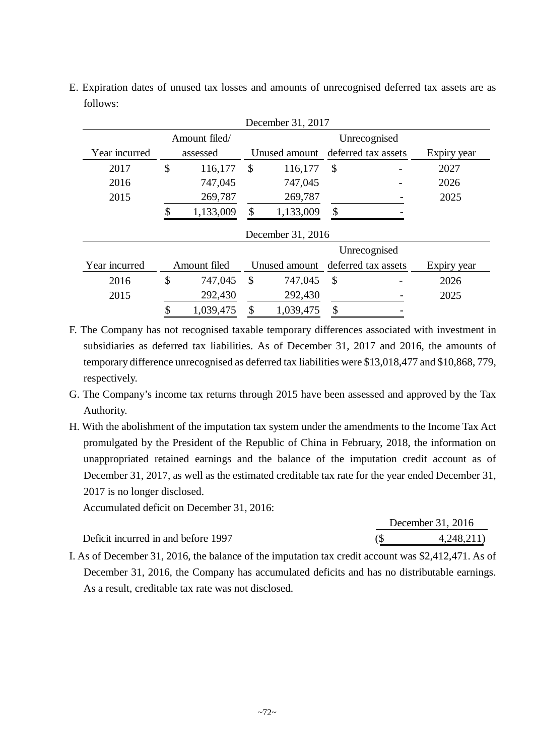| December 31, 2017 |           |                               |           |    |                                    |                                                                                        |  |  |
|-------------------|-----------|-------------------------------|-----------|----|------------------------------------|----------------------------------------------------------------------------------------|--|--|
|                   |           | Unrecognised                  |           |    |                                    |                                                                                        |  |  |
|                   | assessed  |                               |           |    |                                    | Expiry year                                                                            |  |  |
| \$                | 116,177   | \$                            | 116,177   |    |                                    | 2027                                                                                   |  |  |
|                   | 747,045   |                               | 747,045   |    |                                    | 2026                                                                                   |  |  |
|                   | 269,787   |                               | 269,787   |    |                                    | 2025                                                                                   |  |  |
| S                 | 1,133,009 | \$                            | 1,133,009 | \$ |                                    |                                                                                        |  |  |
|                   |           |                               |           |    |                                    |                                                                                        |  |  |
|                   |           |                               |           |    |                                    |                                                                                        |  |  |
|                   |           |                               |           |    |                                    | Expiry year                                                                            |  |  |
| \$                | 747,045   | \$                            | 747,045   | \$ |                                    | 2026                                                                                   |  |  |
|                   | 292,430   |                               | 292,430   |    |                                    | 2025                                                                                   |  |  |
| \$                | 1,039,475 |                               | 1,039,475 | \$ |                                    |                                                                                        |  |  |
|                   |           | Amount filed/<br>Amount filed |           |    | $\mathcal{S}$<br>December 31, 2016 | Unused amount deferred tax assets<br>Unrecognised<br>Unused amount deferred tax assets |  |  |

E. Expiration dates of unused tax losses and amounts of unrecognised deferred tax assets are as follows:

- F. The Company has not recognised taxable temporary differences associated with investment in subsidiaries as deferred tax liabilities. As of December 31, 2017 and 2016, the amounts of temporary difference unrecognised as deferred tax liabilities were \$13,018,477 and \$10,868, 779, respectively.
- G. The Company's income tax returns through 2015 have been assessed and approved by the Tax Authority.
- H. With the abolishment of the imputation tax system under the amendments to the Income Tax Act promulgated by the President of the Republic of China in February, 2018, the information on unappropriated retained earnings and the balance of the imputation credit account as of December 31, 2017, as well as the estimated creditable tax rate for the year ended December 31, 2017 is no longer disclosed.

Accumulated deficit on December 31, 2016:

|                                     | December 31, 2016 |
|-------------------------------------|-------------------|
| Deficit incurred in and before 1997 | 4,248,211         |

I. As of December 31, 2016, the balance of the imputation tax credit account was \$2,412,471. As of December 31, 2016, the Company has accumulated deficits and has no distributable earnings. As a result, creditable tax rate was not disclosed.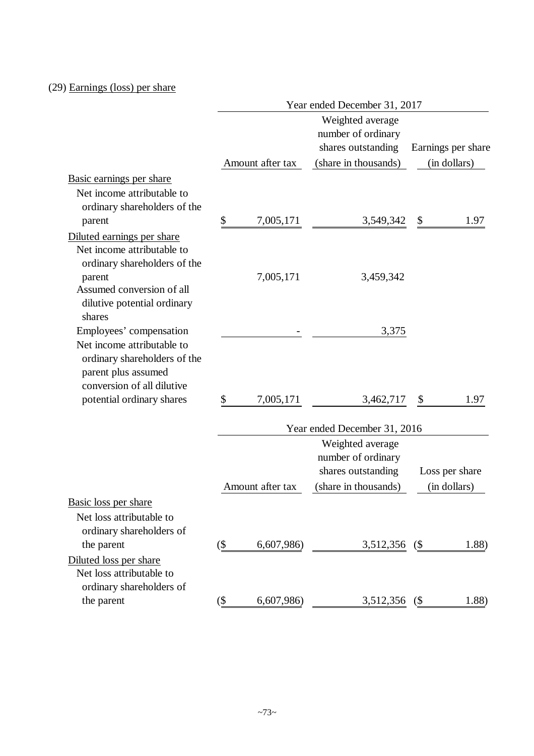# (29) Earnings (loss) per share

|                                        |                  | Year ended December 31, 2017 |                              |                    |  |  |  |  |
|----------------------------------------|------------------|------------------------------|------------------------------|--------------------|--|--|--|--|
|                                        | Weighted average |                              |                              |                    |  |  |  |  |
|                                        |                  |                              | number of ordinary           |                    |  |  |  |  |
|                                        |                  |                              | shares outstanding           | Earnings per share |  |  |  |  |
|                                        |                  | Amount after tax             | (share in thousands)         | (in dollars)       |  |  |  |  |
| Basic earnings per share               |                  |                              |                              |                    |  |  |  |  |
| Net income attributable to             |                  |                              |                              |                    |  |  |  |  |
| ordinary shareholders of the           |                  |                              |                              |                    |  |  |  |  |
| parent                                 | \$               | 7,005,171                    | 3,549,342                    | 1.97<br>\$         |  |  |  |  |
| Diluted earnings per share             |                  |                              |                              |                    |  |  |  |  |
| Net income attributable to             |                  |                              |                              |                    |  |  |  |  |
| ordinary shareholders of the<br>parent |                  | 7,005,171                    | 3,459,342                    |                    |  |  |  |  |
| Assumed conversion of all              |                  |                              |                              |                    |  |  |  |  |
| dilutive potential ordinary            |                  |                              |                              |                    |  |  |  |  |
| shares                                 |                  |                              |                              |                    |  |  |  |  |
| Employees' compensation                |                  |                              | 3,375                        |                    |  |  |  |  |
| Net income attributable to             |                  |                              |                              |                    |  |  |  |  |
| ordinary shareholders of the           |                  |                              |                              |                    |  |  |  |  |
| parent plus assumed                    |                  |                              |                              |                    |  |  |  |  |
| conversion of all dilutive             |                  |                              |                              |                    |  |  |  |  |
| potential ordinary shares              | \$               | 7,005,171                    | 3,462,717                    | \$<br>1.97         |  |  |  |  |
|                                        |                  |                              | Year ended December 31, 2016 |                    |  |  |  |  |
|                                        |                  |                              | Weighted average             |                    |  |  |  |  |
|                                        |                  |                              | number of ordinary           |                    |  |  |  |  |
|                                        |                  |                              | shares outstanding           | Loss per share     |  |  |  |  |
|                                        |                  | Amount after tax             | (share in thousands)         | (in dollars)       |  |  |  |  |
| Basic loss per share                   |                  |                              |                              |                    |  |  |  |  |
| Net loss attributable to               |                  |                              |                              |                    |  |  |  |  |
| ordinary shareholders of               |                  |                              |                              |                    |  |  |  |  |
| the parent                             | $($ \$           | 6,607,986)                   | 3,512,356                    | (<br>1.88)         |  |  |  |  |
| Diluted loss per share                 |                  |                              |                              |                    |  |  |  |  |
| Net loss attributable to               |                  |                              |                              |                    |  |  |  |  |
| ordinary shareholders of               |                  |                              |                              |                    |  |  |  |  |
| the parent                             | $($ \$           | 6,607,986)                   | 3,512,356                    | 1.88)<br>(         |  |  |  |  |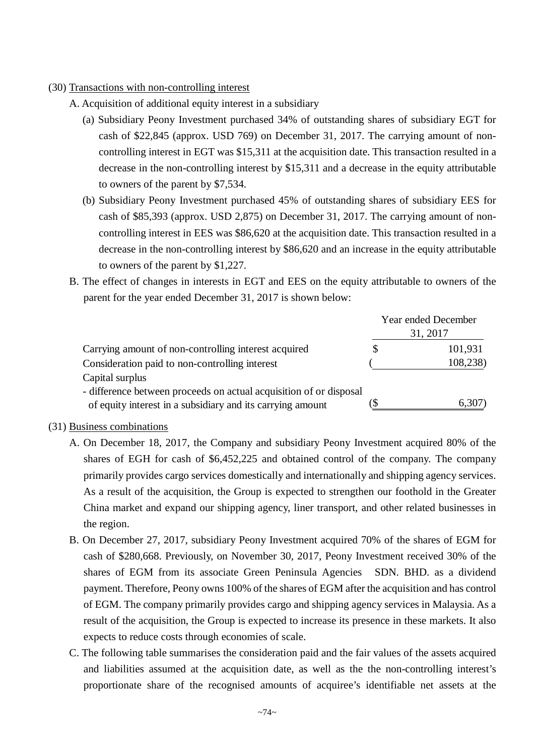- (30) Transactions with non-controlling interest
	- A. Acquisition of additional equity interest in a subsidiary
		- (a) Subsidiary Peony Investment purchased 34% of outstanding shares of subsidiary EGT for cash of \$22,845 (approx. USD 769) on December 31, 2017. The carrying amount of noncontrolling interest in EGT was \$15,311 at the acquisition date. This transaction resulted in a decrease in the non-controlling interest by \$15,311 and a decrease in the equity attributable to owners of the parent by \$7,534.
		- (b) Subsidiary Peony Investment purchased 45% of outstanding shares of subsidiary EES for cash of \$85,393 (approx. USD 2,875) on December 31, 2017. The carrying amount of noncontrolling interest in EES was \$86,620 at the acquisition date. This transaction resulted in a decrease in the non-controlling interest by \$86,620 and an increase in the equity attributable to owners of the parent by \$1,227.
	- B. The effect of changes in interests in EGT and EES on the equity attributable to owners of the parent for the year ended December 31, 2017 is shown below:

|                                                                                                                                  | Year ended December<br>31, 2017 |          |  |  |
|----------------------------------------------------------------------------------------------------------------------------------|---------------------------------|----------|--|--|
| Carrying amount of non-controlling interest acquired                                                                             | S                               | 101,931  |  |  |
| Consideration paid to non-controlling interest                                                                                   |                                 | 108,238) |  |  |
| Capital surplus                                                                                                                  |                                 |          |  |  |
| - difference between proceeds on actual acquisition of or disposal<br>of equity interest in a subsidiary and its carrying amount |                                 | 6,307    |  |  |

### (31) Business combinations

- A. On December 18, 2017, the Company and subsidiary Peony Investment acquired 80% of the shares of EGH for cash of \$6,452,225 and obtained control of the company. The company primarily provides cargo services domestically and internationally and shipping agency services. As a result of the acquisition, the Group is expected to strengthen our foothold in the Greater China market and expand our shipping agency, liner transport, and other related businesses in the region.
- B. On December 27, 2017, subsidiary Peony Investment acquired 70% of the shares of EGM for cash of \$280,668. Previously, on November 30, 2017, Peony Investment received 30% of the shares of EGM from its associate Green Peninsula Agencies SDN. BHD. as a dividend payment. Therefore, Peony owns 100% of the shares of EGM after the acquisition and has control of EGM. The company primarily provides cargo and shipping agency services in Malaysia. As a result of the acquisition, the Group is expected to increase its presence in these markets. It also expects to reduce costs through economies of scale.
- C. The following table summarises the consideration paid and the fair values of the assets acquired and liabilities assumed at the acquisition date, as well as the the non-controlling interest's proportionate share of the recognised amounts of acquiree's identifiable net assets at the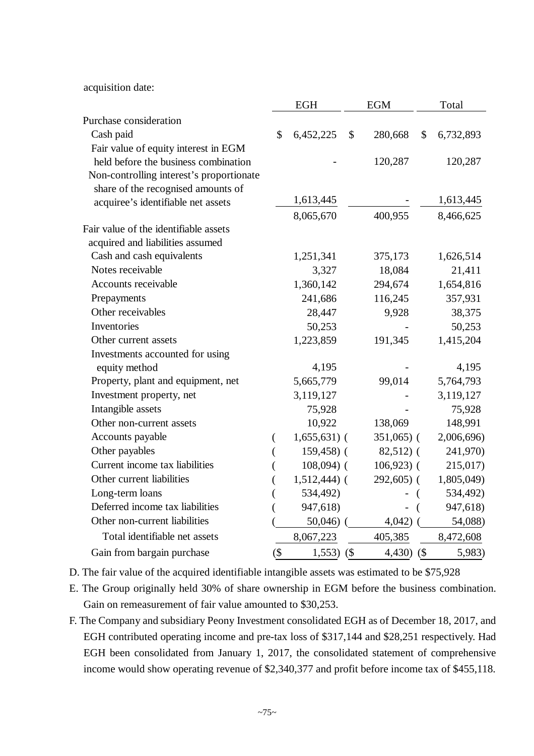acquisition date:

|                                          |        | <b>EGH</b>      |    | <b>EGM</b>  |    | Total      |
|------------------------------------------|--------|-----------------|----|-------------|----|------------|
| Purchase consideration                   |        |                 |    |             |    |            |
| Cash paid                                | \$     | 6,452,225       | \$ | 280,668     | \$ | 6,732,893  |
| Fair value of equity interest in EGM     |        |                 |    |             |    |            |
| held before the business combination     |        |                 |    | 120,287     |    | 120,287    |
| Non-controlling interest's proportionate |        |                 |    |             |    |            |
| share of the recognised amounts of       |        |                 |    |             |    |            |
| acquiree's identifiable net assets       |        | 1,613,445       |    |             |    | 1,613,445  |
|                                          |        | 8,065,670       |    | 400,955     |    | 8,466,625  |
| Fair value of the identifiable assets    |        |                 |    |             |    |            |
| acquired and liabilities assumed         |        |                 |    |             |    |            |
| Cash and cash equivalents                |        | 1,251,341       |    | 375,173     |    | 1,626,514  |
| Notes receivable                         |        | 3,327           |    | 18,084      |    | 21,411     |
| Accounts receivable                      |        | 1,360,142       |    | 294,674     |    | 1,654,816  |
| Prepayments                              |        | 241,686         |    | 116,245     |    | 357,931    |
| Other receivables                        |        | 28,447          |    | 9,928       |    | 38,375     |
| Inventories                              |        | 50,253          |    |             |    | 50,253     |
| Other current assets                     |        | 1,223,859       |    | 191,345     |    | 1,415,204  |
| Investments accounted for using          |        |                 |    |             |    |            |
| equity method                            |        | 4,195           |    |             |    | 4,195      |
| Property, plant and equipment, net       |        | 5,665,779       |    | 99,014      |    | 5,764,793  |
| Investment property, net                 |        | 3,119,127       |    |             |    | 3,119,127  |
| Intangible assets                        |        | 75,928          |    |             |    | 75,928     |
| Other non-current assets                 |        | 10,922          |    | 138,069     |    | 148,991    |
| Accounts payable                         | €      | $1,655,631$ (   |    | $351,065$ ( |    | 2,006,696) |
| Other payables                           |        | 159,458) (      |    | 82,512) (   |    | 241,970)   |
| Current income tax liabilities           |        | $108,094$ (     |    | $106,923$ ( |    | 215,017)   |
| Other current liabilities                |        | $1,512,444$ ) ( |    | $292,605$ ( |    | 1,805,049) |
| Long-term loans                          |        | 534,492)        |    |             |    | 534,492)   |
| Deferred income tax liabilities          |        | 947,618)        |    |             |    | 947,618)   |
| Other non-current liabilities            |        | $50,046$ (      |    | 4,042)      |    | 54,088)    |
| Total identifiable net assets            |        | 8,067,223       |    | 405,385     |    | 8,472,608  |
| Gain from bargain purchase               | $($ \$ | 1,553)          | (  | 4,430)      | (  | 5,983)     |

D. The fair value of the acquired identifiable intangible assets was estimated to be \$75,928

E. The Group originally held 30% of share ownership in EGM before the business combination. Gain on remeasurement of fair value amounted to \$30,253.

F. The Company and subsidiary Peony Investment consolidated EGH as of December 18, 2017, and EGH contributed operating income and pre-tax loss of \$317,144 and \$28,251 respectively. Had EGH been consolidated from January 1, 2017, the consolidated statement of comprehensive income would show operating revenue of \$2,340,377 and profit before income tax of \$455,118.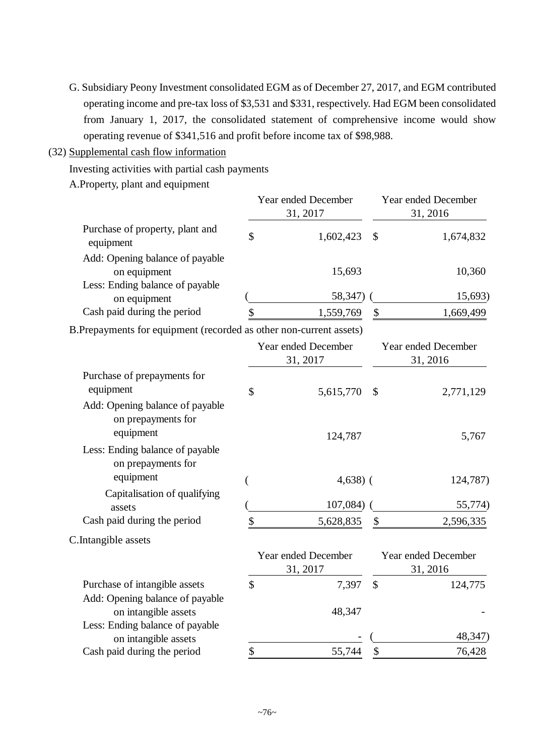G. Subsidiary Peony Investment consolidated EGM as of December 27, 2017, and EGM contributed operating income and pre-tax loss of \$3,531 and \$331, respectively. Had EGM been consolidated from January 1, 2017, the consolidated statement of comprehensive income would show operating revenue of \$341,516 and profit before income tax of \$98,988.

### (32) Supplemental cash flow information

Investing activities with partial cash payments

A.Property, plant and equipment

|                                                 |   | Year ended December<br>31, 2017 | Year ended December<br>31, 2016 |           |  |
|-------------------------------------------------|---|---------------------------------|---------------------------------|-----------|--|
| Purchase of property, plant and<br>equipment    | Φ | 1,602,423                       | - \$                            | 1,674,832 |  |
| Add: Opening balance of payable<br>on equipment |   | 15,693                          |                                 | 10,360    |  |
| Less: Ending balance of payable<br>on equipment |   | 58,347)                         |                                 | 15,693)   |  |
| Cash paid during the period                     |   | 1,559,769                       | \$                              | 1,669,499 |  |

B.Prepayments for equipment (recorded as other non-current assets)

|                                                                    | Year ended December<br>31, 2017 | Year ended December<br>31, 2016 |                                 |  |
|--------------------------------------------------------------------|---------------------------------|---------------------------------|---------------------------------|--|
| Purchase of prepayments for                                        |                                 |                                 |                                 |  |
| equipment                                                          | \$<br>5,615,770                 | $\mathcal{S}$                   | 2,771,129                       |  |
| Add: Opening balance of payable<br>on prepayments for<br>equipment |                                 |                                 |                                 |  |
|                                                                    | 124,787                         |                                 | 5,767                           |  |
| Less: Ending balance of payable<br>on prepayments for              |                                 |                                 |                                 |  |
| equipment                                                          | $4,638$ ) (                     |                                 | 124,787)                        |  |
| Capitalisation of qualifying                                       |                                 |                                 |                                 |  |
| assets                                                             | 107,084)                        |                                 | 55,774)                         |  |
| Cash paid during the period                                        | 5,628,835                       | \$                              | 2,596,335                       |  |
| C.Intangible assets                                                |                                 |                                 |                                 |  |
|                                                                    | Year ended December<br>31, 2017 |                                 | Year ended December<br>31, 2016 |  |
| Purchase of intangible assets                                      | \$<br>7,397                     | $\mathcal{S}$                   | 124,775                         |  |
| Add: Opening balance of payable                                    |                                 |                                 |                                 |  |
| on intangible assets                                               | 48,347                          |                                 |                                 |  |
| Less: Ending balance of payable                                    |                                 |                                 |                                 |  |
| on intangible assets                                               |                                 |                                 | 48,347)                         |  |
| Cash paid during the period                                        | \$<br>55,744                    | \$                              | 76,428                          |  |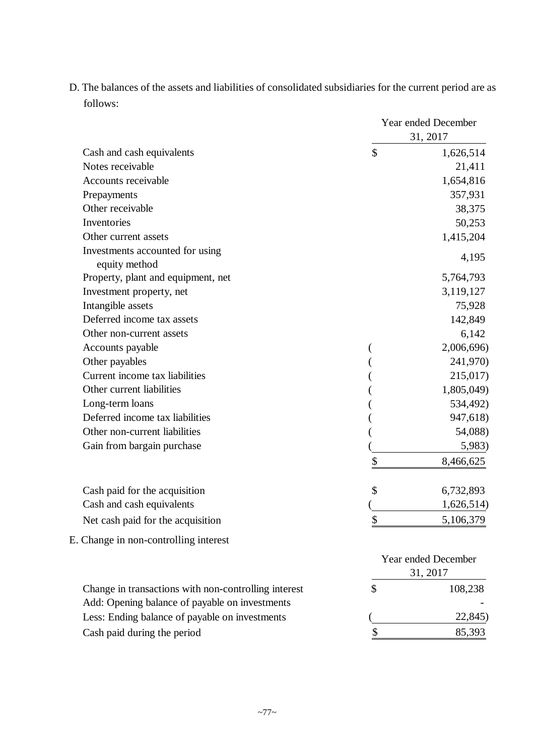D. The balances of the assets and liabilities of consolidated subsidiaries for the current period are as follows:

|                                                      | Year ended December             |  |  |
|------------------------------------------------------|---------------------------------|--|--|
|                                                      | 31, 2017                        |  |  |
| Cash and cash equivalents                            | \$<br>1,626,514                 |  |  |
| Notes receivable                                     | 21,411                          |  |  |
| Accounts receivable                                  | 1,654,816                       |  |  |
| Prepayments                                          | 357,931                         |  |  |
| Other receivable                                     | 38,375                          |  |  |
| Inventories                                          | 50,253                          |  |  |
| Other current assets                                 | 1,415,204                       |  |  |
| Investments accounted for using                      | 4,195                           |  |  |
| equity method                                        |                                 |  |  |
| Property, plant and equipment, net                   | 5,764,793                       |  |  |
| Investment property, net                             | 3,119,127                       |  |  |
| Intangible assets                                    | 75,928                          |  |  |
| Deferred income tax assets                           | 142,849                         |  |  |
| Other non-current assets                             | 6,142                           |  |  |
| Accounts payable                                     | 2,006,696)                      |  |  |
| Other payables                                       | 241,970)                        |  |  |
| Current income tax liabilities                       | 215,017)                        |  |  |
| Other current liabilities                            | 1,805,049)                      |  |  |
| Long-term loans                                      | 534,492)                        |  |  |
| Deferred income tax liabilities                      | 947,618)                        |  |  |
| Other non-current liabilities                        | 54,088)                         |  |  |
| Gain from bargain purchase                           | 5,983)                          |  |  |
|                                                      | \$<br>8,466,625                 |  |  |
| Cash paid for the acquisition                        | \$<br>6,732,893                 |  |  |
| Cash and cash equivalents                            | 1,626,514)                      |  |  |
| Net cash paid for the acquisition                    | \$<br>5,106,379                 |  |  |
| E. Change in non-controlling interest                |                                 |  |  |
|                                                      | Year ended December<br>31, 2017 |  |  |
| Change in transactions with non-controlling interest | \$<br>108,238                   |  |  |
| Add: Opening balance of payable on investments       |                                 |  |  |
| Less: Ending balance of payable on investments       | 22,845)                         |  |  |

Cash paid during the period  $\frac{\$}{\$}$  85,393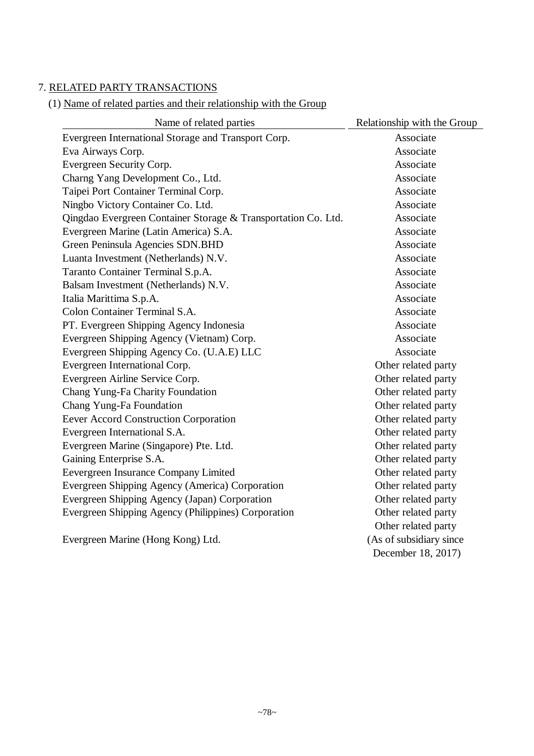# 7. RELATED PARTY TRANSACTIONS

# (1) Name of related parties and their relationship with the Group

| Name of related parties                                       | Relationship with the Group |
|---------------------------------------------------------------|-----------------------------|
| Evergreen International Storage and Transport Corp.           | Associate                   |
| Eva Airways Corp.                                             | Associate                   |
| Evergreen Security Corp.                                      | Associate                   |
| Charng Yang Development Co., Ltd.                             | Associate                   |
| Taipei Port Container Terminal Corp.                          | Associate                   |
| Ningbo Victory Container Co. Ltd.                             | Associate                   |
| Qingdao Evergreen Container Storage & Transportation Co. Ltd. | Associate                   |
| Evergreen Marine (Latin America) S.A.                         | Associate                   |
| Green Peninsula Agencies SDN.BHD                              | Associate                   |
| Luanta Investment (Netherlands) N.V.                          | Associate                   |
| Taranto Container Terminal S.p.A.                             | Associate                   |
| Balsam Investment (Netherlands) N.V.                          | Associate                   |
| Italia Marittima S.p.A.                                       | Associate                   |
| Colon Container Terminal S.A.                                 | Associate                   |
| PT. Evergreen Shipping Agency Indonesia                       | Associate                   |
| Evergreen Shipping Agency (Vietnam) Corp.                     | Associate                   |
| Evergreen Shipping Agency Co. (U.A.E) LLC                     | Associate                   |
| Evergreen International Corp.                                 | Other related party         |
| Evergreen Airline Service Corp.                               | Other related party         |
| Chang Yung-Fa Charity Foundation                              | Other related party         |
| Chang Yung-Fa Foundation                                      | Other related party         |
| Eever Accord Construction Corporation                         | Other related party         |
| Evergreen International S.A.                                  | Other related party         |
| Evergreen Marine (Singapore) Pte. Ltd.                        | Other related party         |
| Gaining Enterprise S.A.                                       | Other related party         |
| Eevergreen Insurance Company Limited                          | Other related party         |
| Evergreen Shipping Agency (America) Corporation               | Other related party         |
| Evergreen Shipping Agency (Japan) Corporation                 | Other related party         |
| Evergreen Shipping Agency (Philippines) Corporation           | Other related party         |
|                                                               | Other related party         |
| Evergreen Marine (Hong Kong) Ltd.                             | (As of subsidiary since     |
|                                                               | December 18, 2017)          |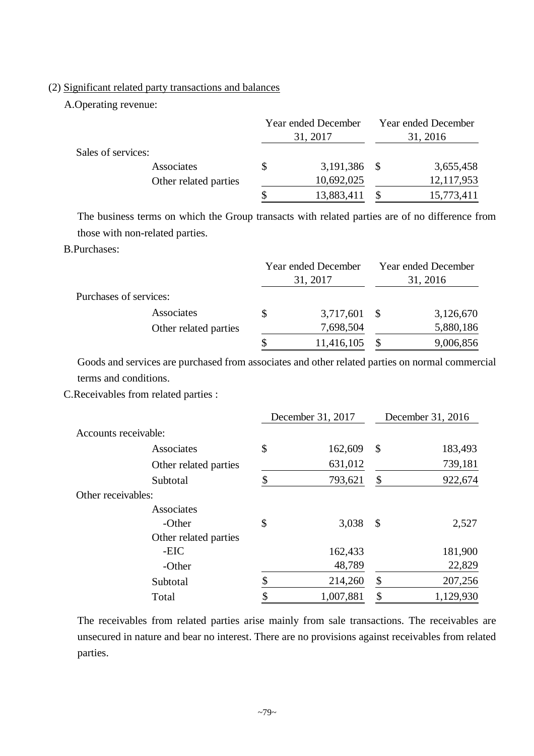#### (2) Significant related party transactions and balances

A.Operating revenue:

|                    |                       | Year ended December<br>31, 2017 |  | Year ended December<br>31, 2016 |
|--------------------|-----------------------|---------------------------------|--|---------------------------------|
| Sales of services: |                       |                                 |  |                                 |
|                    | Associates            | 3,191,386 \$                    |  | 3,655,458                       |
|                    | Other related parties | 10,692,025                      |  | 12,117,953                      |
|                    |                       | 13,883,411                      |  | 15,773,411                      |

The business terms on which the Group transacts with related parties are of no difference from those with non-related parties.

B.Purchases:

|                        | Year ended December |            |      | Year ended December |  |
|------------------------|---------------------|------------|------|---------------------|--|
|                        |                     | 31, 2017   |      | 31, 2016            |  |
| Purchases of services: |                     |            |      |                     |  |
| Associates             | \$                  | 3,717,601  | - \$ | 3,126,670           |  |
| Other related parties  |                     | 7,698,504  |      | 5,880,186           |  |
|                        |                     | 11,416,105 |      | 9,006,856           |  |

Goods and services are purchased from associates and other related parties on normal commercial terms and conditions.

C.Receivables from related parties :

|                       | December 31, 2017 |           | December 31, 2016 |           |
|-----------------------|-------------------|-----------|-------------------|-----------|
| Accounts receivable:  |                   |           |                   |           |
| Associates            | \$                | 162,609   | \$                | 183,493   |
| Other related parties |                   | 631,012   |                   | 739,181   |
| Subtotal              | \$                | 793,621   | \$                | 922,674   |
| Other receivables:    |                   |           |                   |           |
| Associates            |                   |           |                   |           |
| -Other                | \$                | 3,038     | $\mathbb{S}$      | 2,527     |
| Other related parties |                   |           |                   |           |
| -EIC                  |                   | 162,433   |                   | 181,900   |
| -Other                |                   | 48,789    |                   | 22,829    |
| Subtotal              |                   | 214,260   | \$                | 207,256   |
| Total                 | Φ                 | 1,007,881 | \$                | 1,129,930 |

The receivables from related parties arise mainly from sale transactions. The receivables are unsecured in nature and bear no interest. There are no provisions against receivables from related parties.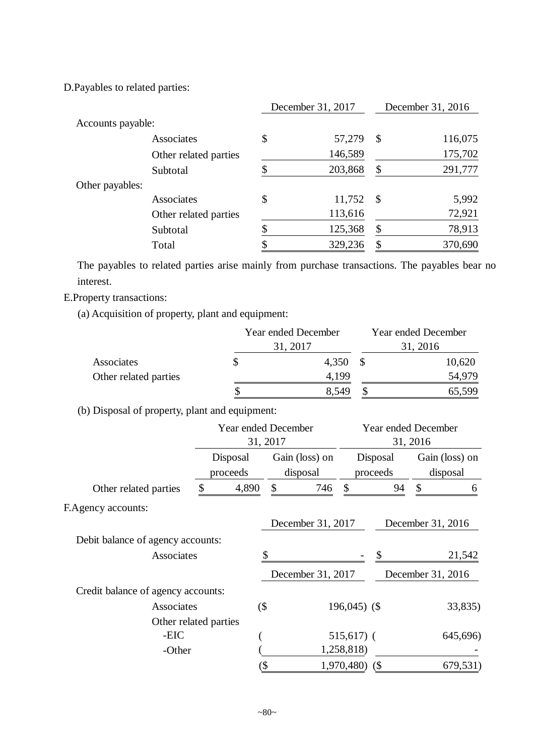D.Payables to related parties:

|                   |                       | December 31, 2017 |         | December 31, 2016 |         |  |
|-------------------|-----------------------|-------------------|---------|-------------------|---------|--|
| Accounts payable: |                       |                   |         |                   |         |  |
|                   | Associates            | \$                | 57,279  | $\mathbb{S}$      | 116,075 |  |
|                   | Other related parties |                   | 146,589 |                   | 175,702 |  |
|                   | Subtotal              |                   | 203,868 | \$                | 291,777 |  |
| Other payables:   |                       |                   |         |                   |         |  |
|                   | Associates            | \$                | 11,752  | \$                | 5,992   |  |
|                   | Other related parties |                   | 113,616 |                   | 72,921  |  |
|                   | Subtotal              | \$                | 125,368 | \$                | 78,913  |  |
|                   | Total                 |                   | 329,236 | \$                | 370,690 |  |

The payables to related parties arise mainly from purchase transactions. The payables bear no interest.

## E.Property transactions:

(a) Acquisition of property, plant and equipment:

|                       | Year ended December | Year ended December |        |  |  |
|-----------------------|---------------------|---------------------|--------|--|--|
|                       | 31, 2017            | 31, 2016            |        |  |  |
| Associates            | 4,350               |                     | 10,620 |  |  |
| Other related parties | 4,199               |                     | 54,979 |  |  |
|                       | \$<br>8.549         |                     | 65,599 |  |  |

(b) Disposal of property, plant and equipment:

|                                    |    | Year ended December<br>31, 2017 |    |                            | Year ended December<br>31, 2016 |                      |                   |                            |  |
|------------------------------------|----|---------------------------------|----|----------------------------|---------------------------------|----------------------|-------------------|----------------------------|--|
|                                    |    | Disposal<br>proceeds            |    | Gain (loss) on<br>disposal |                                 | Disposal<br>proceeds |                   | Gain (loss) on<br>disposal |  |
| Other related parties              | \$ | 4,890                           | \$ | 746                        | S                               | 94                   | $\mathcal{S}$     | 6                          |  |
| F. Agency accounts:                |    |                                 |    |                            |                                 |                      |                   |                            |  |
|                                    |    |                                 |    | December 31, 2017          |                                 |                      | December 31, 2016 |                            |  |
| Debit balance of agency accounts:  |    |                                 |    |                            |                                 |                      |                   |                            |  |
| Associates                         |    |                                 | \$ |                            |                                 |                      |                   | 21,542                     |  |
|                                    |    |                                 |    | December 31, 2017          |                                 |                      | December 31, 2016 |                            |  |
| Credit balance of agency accounts: |    |                                 |    |                            |                                 |                      |                   |                            |  |
| Associates                         |    | $($ \$                          |    |                            | $196,045$ (\$)                  |                      |                   | 33,835)                    |  |
| Other related parties              |    |                                 |    |                            |                                 |                      |                   |                            |  |
| -EIC                               |    |                                 |    |                            | $515,617$ (                     |                      |                   | 645,696)                   |  |
| -Other                             |    |                                 |    |                            | 1,258,818)                      |                      |                   |                            |  |
|                                    |    | (\$                             |    |                            | $1,970,480$ (\$)                |                      |                   | 679,531)                   |  |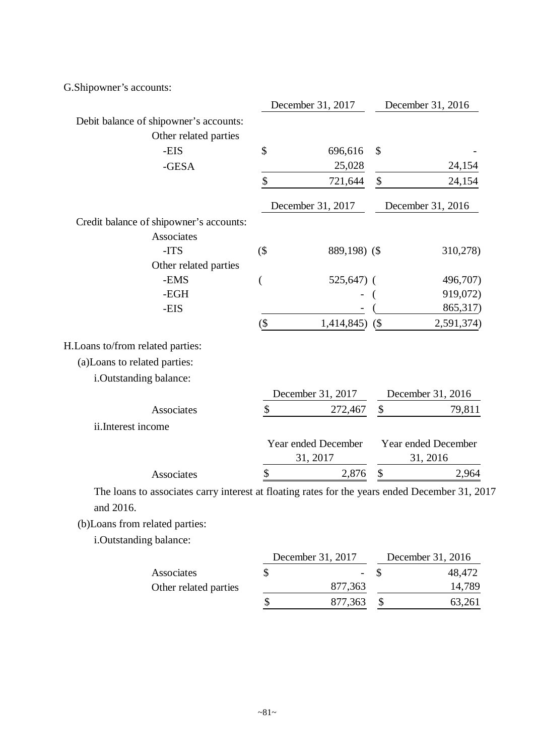G.Shipowner's accounts:

|                                                                                                |                | December 31, 2017   |                   | December 31, 2016   |
|------------------------------------------------------------------------------------------------|----------------|---------------------|-------------------|---------------------|
| Debit balance of shipowner's accounts:                                                         |                |                     |                   |                     |
| Other related parties                                                                          |                |                     |                   |                     |
| -EIS                                                                                           | \$             | 696,616             | \$                |                     |
| -GESA                                                                                          |                | 25,028              |                   | 24,154              |
|                                                                                                | \$             | 721,644             | \$                | 24,154              |
|                                                                                                |                | December 31, 2017   |                   | December 31, 2016   |
| Credit balance of shipowner's accounts:                                                        |                |                     |                   |                     |
| <b>Associates</b>                                                                              |                |                     |                   |                     |
| -ITS                                                                                           | $($ \$         | 889,198) (\$        |                   | 310,278)            |
| Other related parties                                                                          |                |                     |                   |                     |
| -EMS                                                                                           | $\overline{(}$ | $525,647$ ) (       |                   | 496,707)            |
| -EGH                                                                                           |                |                     |                   | 919,072)            |
| -EIS                                                                                           |                |                     |                   | 865,317)            |
|                                                                                                | (\$            | 1,414,845)          | (                 | 2,591,374)          |
| H.Loans to/from related parties:                                                               |                |                     |                   |                     |
| (a) Loans to related parties:                                                                  |                |                     |                   |                     |
| i.Outstanding balance:                                                                         |                |                     |                   |                     |
|                                                                                                |                | December 31, 2017   |                   | December 31, 2016   |
| Associates                                                                                     | \$             | 272,467             | $\boldsymbol{\$}$ | 79,811              |
| ii.Interest income                                                                             |                |                     |                   |                     |
|                                                                                                |                | Year ended December |                   | Year ended December |
|                                                                                                |                | 31, 2017            |                   | 31, 2016            |
| <b>Associates</b>                                                                              | \$             | 2,876               | \$                | 2,964               |
| The loans to associates carry interest at floating rates for the years ended December 31, 2017 |                |                     |                   |                     |
| and 2016.                                                                                      |                |                     |                   |                     |
| (b) Loans from related parties:                                                                |                |                     |                   |                     |
| i.Outstanding balance:                                                                         |                |                     |                   |                     |

|                       | December 31, 2017 | December 31, 2016 |        |  |  |
|-----------------------|-------------------|-------------------|--------|--|--|
| <b>Associates</b>     |                   |                   | 48,472 |  |  |
| Other related parties | 877,363           |                   | 14,789 |  |  |
|                       | 877,363           |                   | 63,261 |  |  |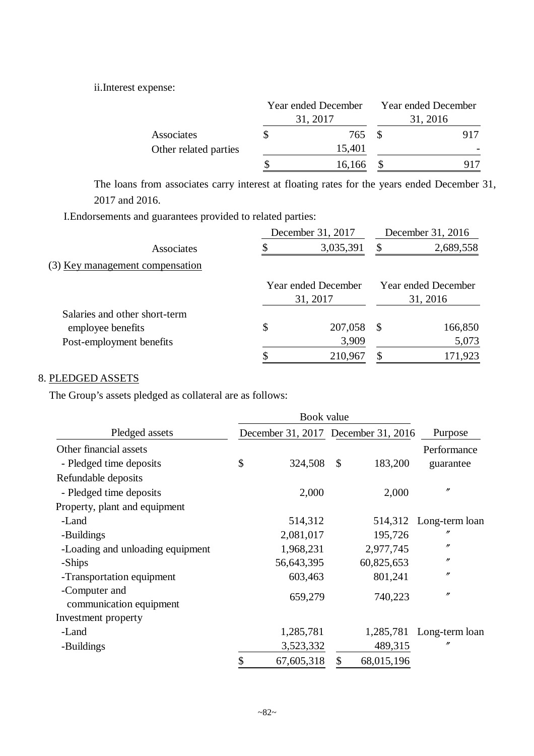ii.Interest expense:

|                       | Year ended December<br>31, 2017 |        | <b>Year ended December</b><br>31, 2016 |     |  |
|-----------------------|---------------------------------|--------|----------------------------------------|-----|--|
|                       |                                 |        |                                        |     |  |
| Associates            |                                 | 765.   |                                        | 917 |  |
| Other related parties |                                 | 15,401 |                                        |     |  |
|                       |                                 | 16,166 |                                        |     |  |

The loans from associates carry interest at floating rates for the years ended December 31, 2017 and 2016.

I.Endorsements and guarantees provided to related parties:

|                                                                                |                                 | December 31, 2017 | December 31, 2016               |                  |  |
|--------------------------------------------------------------------------------|---------------------------------|-------------------|---------------------------------|------------------|--|
| Associates                                                                     |                                 | 3,035,391         | \$                              | 2,689,558        |  |
| (3) Key management compensation                                                |                                 |                   |                                 |                  |  |
|                                                                                | Year ended December<br>31, 2017 |                   | Year ended December<br>31, 2016 |                  |  |
| Salaries and other short-term<br>employee benefits<br>Post-employment benefits | \$                              | 207,058<br>3,909  | -S                              | 166,850<br>5,073 |  |
|                                                                                |                                 | 210,967           |                                 | 171,923          |  |

## 8. PLEDGED ASSETS

The Group's assets pledged as collateral are as follows:

|                                                                                                | Book value                          |                                                            |    |                                                          |                                                                               |
|------------------------------------------------------------------------------------------------|-------------------------------------|------------------------------------------------------------|----|----------------------------------------------------------|-------------------------------------------------------------------------------|
| Pledged assets                                                                                 | December 31, 2017 December 31, 2016 |                                                            |    |                                                          | Purpose                                                                       |
| Other financial assets<br>- Pledged time deposits<br>Refundable deposits                       | \$                                  | 324,508                                                    | \$ | 183,200                                                  | Performance<br>guarantee                                                      |
| - Pledged time deposits<br>Property, plant and equipment                                       |                                     | 2,000                                                      |    | 2,000                                                    | $^{\prime\prime}$                                                             |
| -Land<br>-Buildings<br>-Loading and unloading equipment<br>-Ships<br>-Transportation equipment |                                     | 514,312<br>2,081,017<br>1,968,231<br>56,643,395<br>603,463 |    | 514,312<br>195,726<br>2,977,745<br>60,825,653<br>801,241 | Long-term loan<br>$^{\prime\prime}$<br>$^{\prime\prime}$<br>$^{\prime\prime}$ |
| -Computer and<br>communication equipment                                                       |                                     | 659,279                                                    |    | 740,223                                                  | $^{\prime\prime}$                                                             |
| Investment property                                                                            |                                     |                                                            |    |                                                          |                                                                               |
| -Land<br>-Buildings                                                                            |                                     | 1,285,781<br>3,523,332                                     |    | 1,285,781<br>489,315                                     | Long-term loan<br>n                                                           |
|                                                                                                | \$                                  | 67,605,318                                                 | \$ | 68,015,196                                               |                                                                               |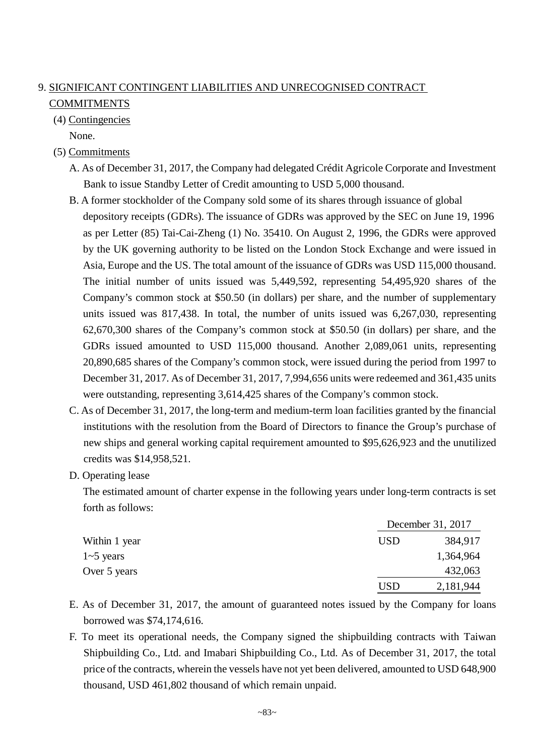# 9. SIGNIFICANT CONTINGENT LIABILITIES AND UNRECOGNISED CONTRACT COMMITMENTS

(4) Contingencies

None.

- (5) Commitments
	- A. As of December 31, 2017, the Company had delegated Crédit Agricole Corporate and Investment Bank to issue Standby Letter of Credit amounting to USD 5,000 thousand.
	- B. A former stockholder of the Company sold some of its shares through issuance of global depository receipts (GDRs). The issuance of GDRs was approved by the SEC on June 19, 1996 as per Letter (85) Tai-Cai-Zheng (1) No. 35410. On August 2, 1996, the GDRs were approved by the UK governing authority to be listed on the London Stock Exchange and were issued in Asia, Europe and the US. The total amount of the issuance of GDRs was USD 115,000 thousand. The initial number of units issued was 5,449,592, representing 54,495,920 shares of the Company's common stock at \$50.50 (in dollars) per share, and the number of supplementary units issued was 817,438. In total, the number of units issued was 6,267,030, representing 62,670,300 shares of the Company's common stock at \$50.50 (in dollars) per share, and the GDRs issued amounted to USD 115,000 thousand. Another 2,089,061 units, representing 20,890,685 shares of the Company's common stock, were issued during the period from 1997 to December 31, 2017. As of December 31, 2017, 7,994,656 units were redeemed and 361,435 units were outstanding, representing 3,614,425 shares of the Company's common stock.
	- C. As of December 31, 2017, the long-term and medium-term loan facilities granted by the financial institutions with the resolution from the Board of Directors to finance the Group's purchase of new ships and general working capital requirement amounted to \$95,626,923 and the unutilized credits was \$14,958,521.
	- D. Operating lease

The estimated amount of charter expense in the following years under long-term contracts is set forth as follows:

|               |            | December 31, 2017 |  |  |
|---------------|------------|-------------------|--|--|
| Within 1 year | <b>USD</b> | 384,917           |  |  |
| $1-5$ years   |            | 1,364,964         |  |  |
| Over 5 years  |            | 432,063           |  |  |
|               | <b>USD</b> | 2,181,944         |  |  |

- E. As of December 31, 2017, the amount of guaranteed notes issued by the Company for loans borrowed was \$74,174,616.
- F. To meet its operational needs, the Company signed the shipbuilding contracts with Taiwan Shipbuilding Co., Ltd. and Imabari Shipbuilding Co., Ltd. As of December 31, 2017, the total price of the contracts, wherein the vessels have not yet been delivered, amounted to USD 648,900 thousand, USD 461,802 thousand of which remain unpaid.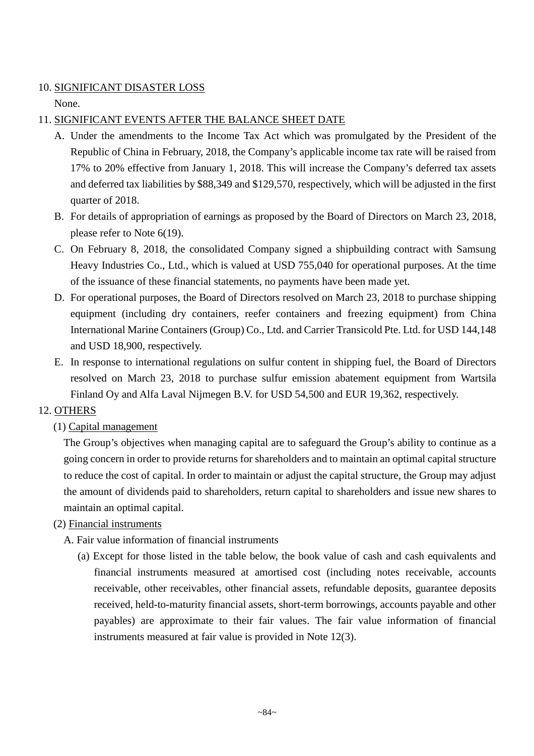### 10. SIGNIFICANT DISASTER LOSS

None.

## 11. SIGNIFICANT EVENTS AFTER THE BALANCE SHEET DATE

- A. Under the amendments to the Income Tax Act which was promulgated by the President of the Republic of China in February, 2018, the Company's applicable income tax rate will be raised from 17% to 20% effective from January 1, 2018. This will increase the Company's deferred tax assets and deferred tax liabilities by \$88,349 and \$129,570, respectively, which will be adjusted in the first quarter of 2018.
- B. For details of appropriation of earnings as proposed by the Board of Directors on March 23, 2018, please refer to Note 6(19).
- C. On February 8, 2018, the consolidated Company signed a shipbuilding contract with Samsung Heavy Industries Co., Ltd., which is valued at USD 755,040 for operational purposes. At the time of the issuance of these financial statements, no payments have been made yet.
- D. For operational purposes, the Board of Directors resolved on March 23, 2018 to purchase shipping equipment (including dry containers, reefer containers and freezing equipment) from China International Marine Containers (Group) Co., Ltd. and Carrier Transicold Pte. Ltd. for USD 144,148 and USD 18,900, respectively.
- E. In response to international regulations on sulfur content in shipping fuel, the Board of Directors resolved on March 23, 2018 to purchase sulfur emission abatement equipment from Wartsila Finland Oy and Alfa Laval Nijmegen B.V. for USD 54,500 and EUR 19,362, respectively.

### 12. OTHERS

(1) Capital management

The Group's objectives when managing capital are to safeguard the Group's ability to continue as a going concern in order to provide returns for shareholders and to maintain an optimal capital structure to reduce the cost of capital. In order to maintain or adjust the capital structure, the Group may adjust the amount of dividends paid to shareholders, return capital to shareholders and issue new shares to maintain an optimal capital.

### (2) Financial instruments

### A. Fair value information of financial instruments

(a) Except for those listed in the table below, the book value of cash and cash equivalents and financial instruments measured at amortised cost (including notes receivable, accounts receivable, other receivables, other financial assets, refundable deposits, guarantee deposits received, held-to-maturity financial assets, short-term borrowings, accounts payable and other payables) are approximate to their fair values. The fair value information of financial instruments measured at fair value is provided in Note 12(3).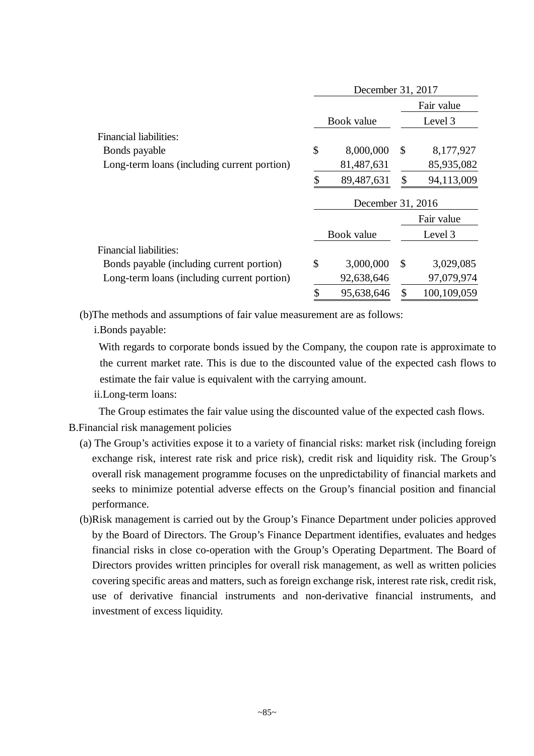|                                             | December 31, 2017 |                   |               |             |  |
|---------------------------------------------|-------------------|-------------------|---------------|-------------|--|
|                                             |                   |                   |               | Fair value  |  |
|                                             |                   | Book value        |               | Level 3     |  |
| Financial liabilities:                      |                   |                   |               |             |  |
| Bonds payable                               | \$                | 8,000,000         | $\mathcal{S}$ | 8,177,927   |  |
| Long-term loans (including current portion) |                   | 81,487,631        |               | 85,935,082  |  |
|                                             | S                 | 89,487,631        | \$            | 94,113,009  |  |
|                                             |                   | December 31, 2016 |               |             |  |
|                                             |                   |                   |               | Fair value  |  |
|                                             |                   | Book value        |               | Level 3     |  |
| Financial liabilities:                      |                   |                   |               |             |  |
| Bonds payable (including current portion)   | \$                | 3,000,000         | $\mathcal{S}$ | 3,029,085   |  |
| Long-term loans (including current portion) |                   | 92,638,646        |               | 97,079,974  |  |
|                                             |                   | 95,638,646        | \$            | 100,109,059 |  |

(b)The methods and assumptions of fair value measurement are as follows:

i.Bonds payable:

With regards to corporate bonds issued by the Company, the coupon rate is approximate to the current market rate. This is due to the discounted value of the expected cash flows to estimate the fair value is equivalent with the carrying amount.

ii.Long-term loans:

The Group estimates the fair value using the discounted value of the expected cash flows.

B.Financial risk management policies

- (a) The Group's activities expose it to a variety of financial risks: market risk (including foreign exchange risk, interest rate risk and price risk), credit risk and liquidity risk. The Group's overall risk management programme focuses on the unpredictability of financial markets and seeks to minimize potential adverse effects on the Group's financial position and financial performance.
- (b)Risk management is carried out by the Group's Finance Department under policies approved by the Board of Directors. The Group's Finance Department identifies, evaluates and hedges financial risks in close co-operation with the Group's Operating Department. The Board of Directors provides written principles for overall risk management, as well as written policies covering specific areas and matters, such as foreign exchange risk, interest rate risk, credit risk, use of derivative financial instruments and non-derivative financial instruments, and investment of excess liquidity.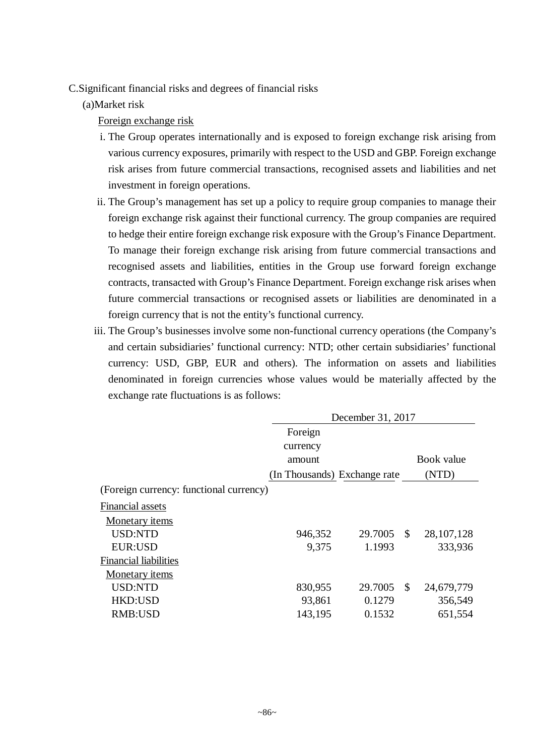C.Significant financial risks and degrees of financial risks

(a)Market risk

### Foreign exchange risk

- i. The Group operates internationally and is exposed to foreign exchange risk arising from various currency exposures, primarily with respect to the USD and GBP. Foreign exchange risk arises from future commercial transactions, recognised assets and liabilities and net investment in foreign operations.
- ii. The Group's management has set up a policy to require group companies to manage their foreign exchange risk against their functional currency. The group companies are required to hedge their entire foreign exchange risk exposure with the Group's Finance Department. To manage their foreign exchange risk arising from future commercial transactions and recognised assets and liabilities, entities in the Group use forward foreign exchange contracts, transacted with Group's Finance Department. Foreign exchange risk arises when future commercial transactions or recognised assets or liabilities are denominated in a foreign currency that is not the entity's functional currency.
- iii. The Group's businesses involve some non-functional currency operations (the Company's and certain subsidiaries' functional currency: NTD; other certain subsidiaries' functional currency: USD, GBP, EUR and others). The information on assets and liabilities denominated in foreign currencies whose values would be materially affected by the exchange rate fluctuations is as follows:

|                                         | December 31, 2017            |         |              |              |  |  |
|-----------------------------------------|------------------------------|---------|--------------|--------------|--|--|
|                                         | Foreign                      |         |              |              |  |  |
|                                         | currency                     |         |              |              |  |  |
|                                         | amount                       |         |              | Book value   |  |  |
|                                         | (In Thousands) Exchange rate |         |              | (NTD)        |  |  |
| (Foreign currency: functional currency) |                              |         |              |              |  |  |
| Financial assets                        |                              |         |              |              |  |  |
| Monetary <i>items</i>                   |                              |         |              |              |  |  |
| <b>USD:NTD</b>                          | 946,352                      | 29.7005 | \$           | 28, 107, 128 |  |  |
| EUR:USD                                 | 9,375                        | 1.1993  |              | 333,936      |  |  |
| <b>Financial liabilities</b>            |                              |         |              |              |  |  |
| Monetary <i>items</i>                   |                              |         |              |              |  |  |
| <b>USD:NTD</b>                          | 830,955                      | 29.7005 | $\mathbb{S}$ | 24,679,779   |  |  |
| HKD:USD                                 | 93,861                       | 0.1279  |              | 356,549      |  |  |
| RMB:USD                                 | 143,195                      | 0.1532  |              | 651,554      |  |  |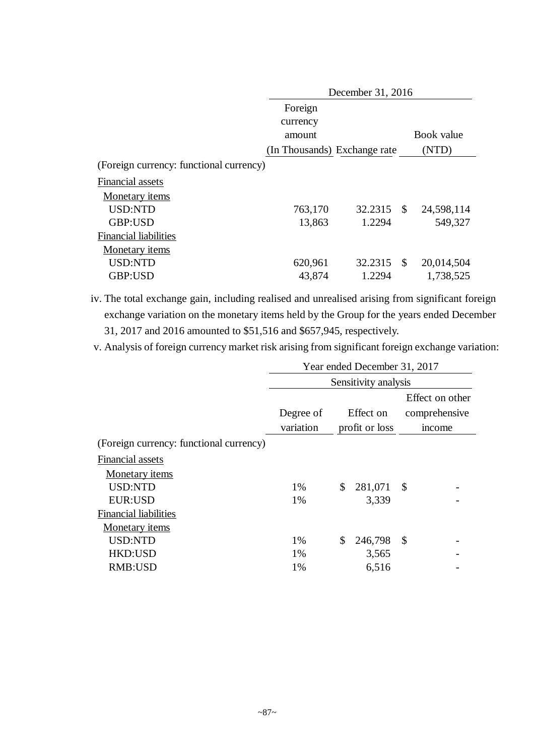|                                         | December 31, 2016            |         |               |            |  |  |  |
|-----------------------------------------|------------------------------|---------|---------------|------------|--|--|--|
|                                         | Foreign                      |         |               |            |  |  |  |
|                                         | currency                     |         |               |            |  |  |  |
|                                         | amount                       |         |               | Book value |  |  |  |
|                                         | (In Thousands) Exchange rate |         |               | (NTD)      |  |  |  |
| (Foreign currency: functional currency) |                              |         |               |            |  |  |  |
| Financial assets                        |                              |         |               |            |  |  |  |
| Monetary <i>items</i>                   |                              |         |               |            |  |  |  |
| <b>USD:NTD</b>                          | 763,170                      | 32.2315 | $\mathbb{S}$  | 24,598,114 |  |  |  |
| GBP:USD                                 | 13,863                       | 1.2294  |               | 549,327    |  |  |  |
| <b>Financial liabilities</b>            |                              |         |               |            |  |  |  |
| Monetary items                          |                              |         |               |            |  |  |  |
| USD:NTD                                 | 620,961                      | 32.2315 | <sup>\$</sup> | 20,014,504 |  |  |  |
| GBP:USD                                 | 43,874                       | 1.2294  |               | 1,738,525  |  |  |  |

iv. The total exchange gain, including realised and unrealised arising from significant foreign exchange variation on the monetary items held by the Group for the years ended December 31, 2017 and 2016 amounted to \$51,516 and \$657,945, respectively.

v. Analysis of foreign currency market risk arising from significant foreign exchange variation:

| Year ended December 31, 2017 |           |         |                |               |  |  |  |  |  |
|------------------------------|-----------|---------|----------------|---------------|--|--|--|--|--|
| Sensitivity analysis         |           |         |                |               |  |  |  |  |  |
| Effect on other              |           |         |                |               |  |  |  |  |  |
| Degree of                    | Effect on |         |                | comprehensive |  |  |  |  |  |
| variation                    |           |         |                | income        |  |  |  |  |  |
|                              |           |         |                |               |  |  |  |  |  |
|                              |           |         |                |               |  |  |  |  |  |
|                              |           |         |                |               |  |  |  |  |  |
| 1%                           | \$        | 281,071 |                |               |  |  |  |  |  |
| 1%                           |           | 3,339   |                |               |  |  |  |  |  |
|                              |           |         |                |               |  |  |  |  |  |
|                              |           |         |                |               |  |  |  |  |  |
| 1%                           | \$        | 246,798 | $\mathcal{S}$  |               |  |  |  |  |  |
| 1%                           |           | 3,565   |                |               |  |  |  |  |  |
| 1%                           |           | 6,516   |                |               |  |  |  |  |  |
|                              |           |         | profit or loss | - \$          |  |  |  |  |  |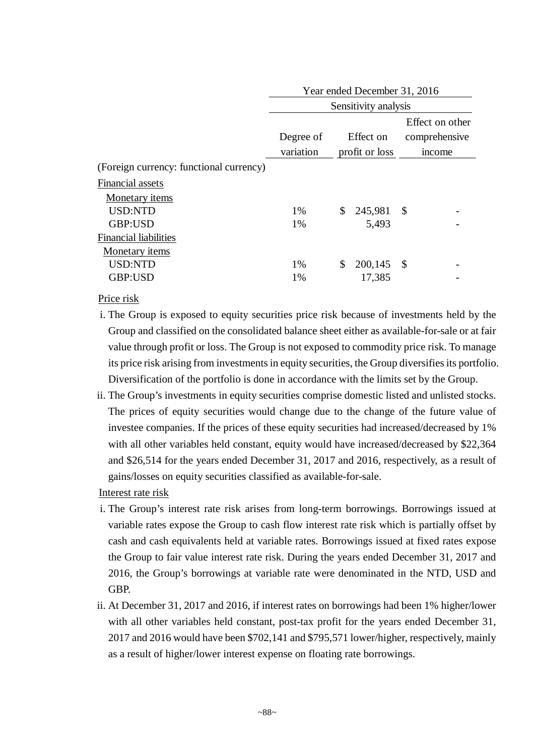|                                         | Year ended December 31, 2016 |                |               |               |  |  |  |  |  |  |
|-----------------------------------------|------------------------------|----------------|---------------|---------------|--|--|--|--|--|--|
|                                         | Sensitivity analysis         |                |               |               |  |  |  |  |  |  |
|                                         | Effect on other              |                |               |               |  |  |  |  |  |  |
|                                         | Degree of                    | Effect on      |               | comprehensive |  |  |  |  |  |  |
|                                         | variation                    | profit or loss |               | income        |  |  |  |  |  |  |
| (Foreign currency: functional currency) |                              |                |               |               |  |  |  |  |  |  |
| Financial assets                        |                              |                |               |               |  |  |  |  |  |  |
| Monetary items                          |                              |                |               |               |  |  |  |  |  |  |
| <b>USD:NTD</b>                          | 1%                           | 245,981<br>\$  | - \$          |               |  |  |  |  |  |  |
| GBP:USD                                 | 1%                           | 5,493          |               |               |  |  |  |  |  |  |
| <b>Financial liabilities</b>            |                              |                |               |               |  |  |  |  |  |  |
| Monetary items                          |                              |                |               |               |  |  |  |  |  |  |
| <b>USD:NTD</b>                          | 1%                           | \$<br>200,145  | $\mathcal{S}$ |               |  |  |  |  |  |  |
| GBP:USD                                 | 1%                           | 17,385         |               |               |  |  |  |  |  |  |
|                                         |                              |                |               |               |  |  |  |  |  |  |

Price risk

- i. The Group is exposed to equity securities price risk because of investments held by the Group and classified on the consolidated balance sheet either as available-for-sale or at fair value through profit or loss. The Group is not exposed to commodity price risk. To manage its price risk arising from investments in equity securities, the Group diversifies its portfolio. Diversification of the portfolio is done in accordance with the limits set by the Group.
- ii. The Group's investments in equity securities comprise domestic listed and unlisted stocks. The prices of equity securities would change due to the change of the future value of investee companies. If the prices of these equity securities had increased/decreased by 1% with all other variables held constant, equity would have increased/decreased by \$22,364 and \$26,514 for the years ended December 31, 2017 and 2016, respectively, as a result of gains/losses on equity securities classified as available-for-sale.

Interest rate risk

- i. The Group's interest rate risk arises from long-term borrowings. Borrowings issued at variable rates expose the Group to cash flow interest rate risk which is partially offset by cash and cash equivalents held at variable rates. Borrowings issued at fixed rates expose the Group to fair value interest rate risk. During the years ended December 31, 2017 and 2016, the Group's borrowings at variable rate were denominated in the NTD, USD and GBP.
- ii. At December 31, 2017 and 2016, if interest rates on borrowings had been 1% higher/lower with all other variables held constant, post-tax profit for the years ended December 31, 2017 and 2016 would have been \$702,141 and \$795,571 lower/higher, respectively, mainly as a result of higher/lower interest expense on floating rate borrowings.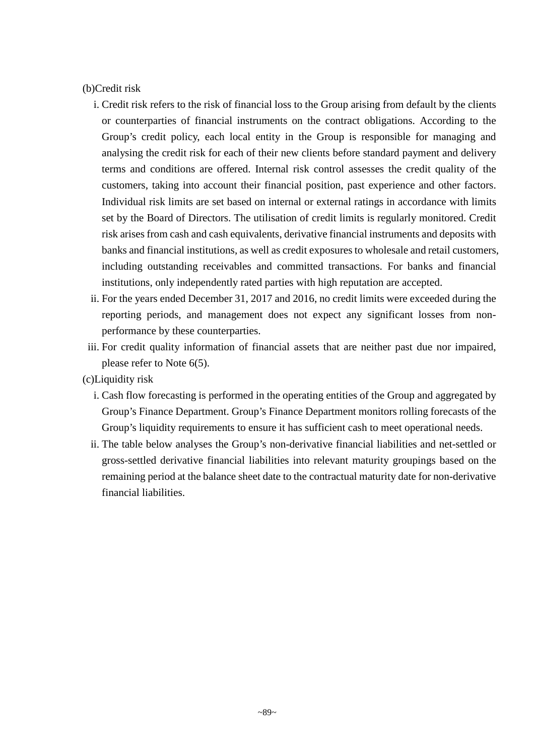### (b)Credit risk

- i. Credit risk refers to the risk of financial loss to the Group arising from default by the clients or counterparties of financial instruments on the contract obligations. According to the Group's credit policy, each local entity in the Group is responsible for managing and analysing the credit risk for each of their new clients before standard payment and delivery terms and conditions are offered. Internal risk control assesses the credit quality of the customers, taking into account their financial position, past experience and other factors. Individual risk limits are set based on internal or external ratings in accordance with limits set by the Board of Directors. The utilisation of credit limits is regularly monitored. Credit risk arises from cash and cash equivalents, derivative financial instruments and deposits with banks and financial institutions, as well as credit exposures to wholesale and retail customers, including outstanding receivables and committed transactions. For banks and financial institutions, only independently rated parties with high reputation are accepted.
- ii. For the years ended December 31, 2017 and 2016, no credit limits were exceeded during the reporting periods, and management does not expect any significant losses from nonperformance by these counterparties.
- iii. For credit quality information of financial assets that are neither past due nor impaired, please refer to Note 6(5).
- (c)Liquidity risk
	- i. Cash flow forecasting is performed in the operating entities of the Group and aggregated by Group's Finance Department. Group's Finance Department monitors rolling forecasts of the Group's liquidity requirements to ensure it has sufficient cash to meet operational needs.
	- ii. The table below analyses the Group's non-derivative financial liabilities and net-settled or gross-settled derivative financial liabilities into relevant maturity groupings based on the remaining period at the balance sheet date to the contractual maturity date for non-derivative financial liabilities.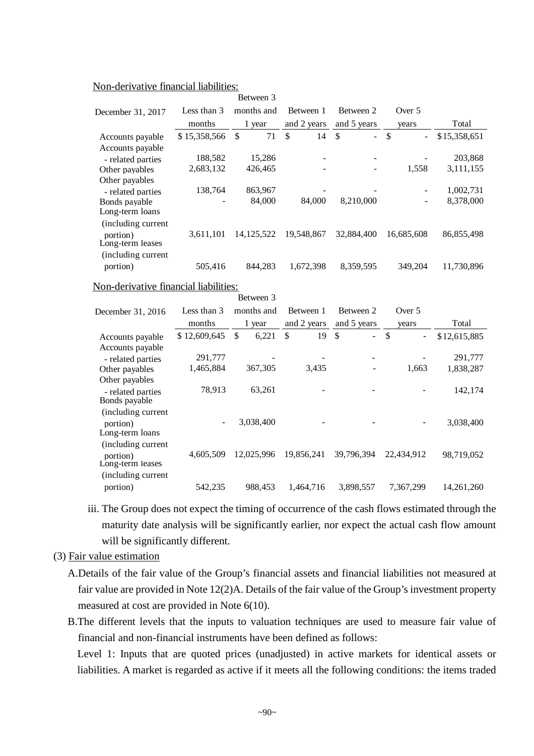|                                       |              | Between 3             |             |                                          |                                           |              |
|---------------------------------------|--------------|-----------------------|-------------|------------------------------------------|-------------------------------------------|--------------|
| December 31, 2017                     | Less than 3  | months and            | Between 1   | Between 2                                | Over 5                                    |              |
|                                       | months       | 1 year                | and 2 years | and 5 years                              | vears                                     | Total        |
| Accounts payable                      | \$15,358,566 | 71<br>\$              | \$<br>14    | $\mathbb{S}$<br>$\overline{\phantom{a}}$ | $\mathcal{S}$<br>$\overline{\phantom{a}}$ | \$15,358,651 |
| Accounts payable                      |              |                       |             |                                          |                                           |              |
| - related parties                     | 188,582      | 15,286                |             |                                          |                                           | 203,868      |
| Other payables                        | 2,683,132    | 426,465               |             |                                          | 1,558                                     | 3,111,155    |
| Other payables                        |              |                       |             |                                          |                                           |              |
| - related parties                     | 138,764      | 863,967               |             |                                          |                                           | 1,002,731    |
| Bonds payable                         |              | 84,000                | 84,000      | 8,210,000                                |                                           | 8,378,000    |
| Long-term loans                       |              |                       |             |                                          |                                           |              |
| (including current                    |              |                       |             |                                          |                                           |              |
| portion)                              | 3,611,101    | 14,125,522            | 19,548,867  | 32,884,400                               | 16,685,608                                | 86,855,498   |
| Long-term leases                      |              |                       |             |                                          |                                           |              |
| (including current                    |              |                       |             |                                          |                                           |              |
| portion)                              | 505,416      | 844,283               | 1,672,398   | 8,359,595                                | 349,204                                   | 11,730,896   |
| Non-derivative financial liabilities: |              |                       |             |                                          |                                           |              |
|                                       |              | Between 3             |             |                                          |                                           |              |
| December 31, 2016                     | Less than 3  | months and            | Between 1   | Between 2                                | Over 5                                    |              |
|                                       | months       | 1 year                | and 2 years | and 5 years                              | years                                     | Total        |
| Accounts payable                      | \$12,609,645 | $\mathbb{S}$<br>6,221 | \$<br>19    | \$                                       | \$                                        | \$12,615,885 |
| Accounts payable                      |              |                       |             |                                          |                                           |              |
| - related parties                     | 291,777      |                       |             |                                          |                                           | 291,777      |
| Other payables                        | 1,465,884    | 367,305               | 3,435       |                                          | 1,663                                     | 1,838,287    |
| Other payables                        |              |                       |             |                                          |                                           |              |
| - related parties                     | 78,913       | 63,261                |             |                                          |                                           | 142,174      |
| Bonds payable                         |              |                       |             |                                          |                                           |              |
| (including current                    |              |                       |             |                                          |                                           |              |
| portion)                              |              | 3,038,400             |             |                                          |                                           | 3,038,400    |
| Long-term loans                       |              |                       |             |                                          |                                           |              |
| (including current                    |              |                       |             |                                          |                                           |              |

#### Non-derivative financial liabilities:

iii. The Group does not expect the timing of occurrence of the cash flows estimated through the maturity date analysis will be significantly earlier, nor expect the actual cash flow amount will be significantly different.

portion) 542,235 988,453 1,464,716 3,898,557 7,367,299 14,261,260

portion) 4,605,509 12,025,996 19,856,241 39,796,394 22,434,912 98,719,052

(3) Fair value estimation

portion)<br>Long-term leases (including current

- A.Details of the fair value of the Group's financial assets and financial liabilities not measured at fair value are provided in Note 12(2)A. Details of the fair value of the Group's investment property measured at cost are provided in Note 6(10).
- B.The different levels that the inputs to valuation techniques are used to measure fair value of financial and non-financial instruments have been defined as follows:

Level 1: Inputs that are quoted prices (unadjusted) in active markets for identical assets or liabilities. A market is regarded as active if it meets all the following conditions: the items traded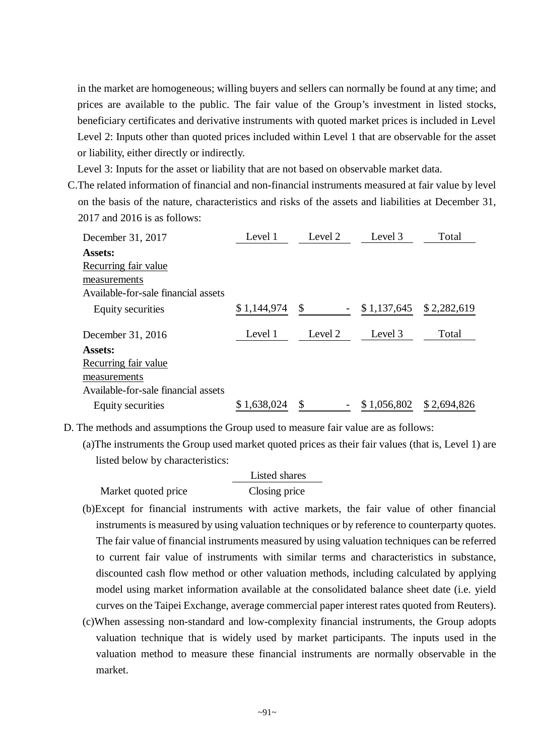in the market are homogeneous; willing buyers and sellers can normally be found at any time; and prices are available to the public. The fair value of the Group's investment in listed stocks, beneficiary certificates and derivative instruments with quoted market prices is included in Level Level 2: Inputs other than quoted prices included within Level 1 that are observable for the asset or liability, either directly or indirectly.

Level 3: Inputs for the asset or liability that are not based on observable market data.

C.The related information of financial and non-financial instruments measured at fair value by level on the basis of the nature, characteristics and risks of the assets and liabilities at December 31, 2017 and 2016 is as follows:

| December 31, 2017                   | Level 1     | Level 2 | Level 3     | Total       |
|-------------------------------------|-------------|---------|-------------|-------------|
| <b>Assets:</b>                      |             |         |             |             |
| Recurring fair value                |             |         |             |             |
| measurements                        |             |         |             |             |
| Available-for-sale financial assets |             |         |             |             |
| Equity securities                   | \$1,144,974 | S       | \$1,137,645 | \$2,282,619 |
| December 31, 2016                   | Level 1     | Level 2 | Level 3     | Total       |
| <b>Assets:</b>                      |             |         |             |             |
| Recurring fair value                |             |         |             |             |
| measurements                        |             |         |             |             |
| Available-for-sale financial assets |             |         |             |             |
| Equity securities                   | 1,638,024   |         | \$1,056,802 | \$2,694,826 |

- D. The methods and assumptions the Group used to measure fair value are as follows:
	- (a)The instruments the Group used market quoted prices as their fair values (that is, Level 1) are listed below by characteristics:

|                     | Listed shares |
|---------------------|---------------|
| Market quoted price | Closing price |

- (b)Except for financial instruments with active markets, the fair value of other financial instruments is measured by using valuation techniques or by reference to counterparty quotes. The fair value of financial instruments measured by using valuation techniques can be referred to current fair value of instruments with similar terms and characteristics in substance, discounted cash flow method or other valuation methods, including calculated by applying model using market information available at the consolidated balance sheet date (i.e. yield curves on the Taipei Exchange, average commercial paper interest rates quoted from Reuters).
- (c)When assessing non-standard and low-complexity financial instruments, the Group adopts valuation technique that is widely used by market participants. The inputs used in the valuation method to measure these financial instruments are normally observable in the market.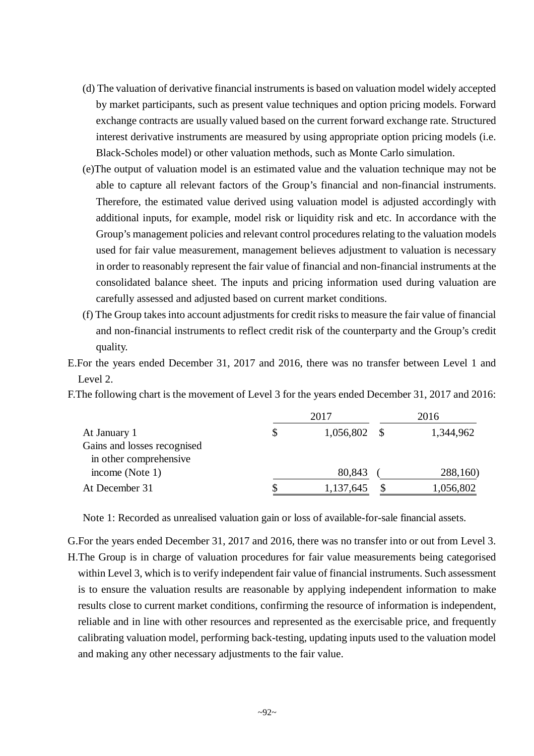- (d) The valuation of derivative financial instruments is based on valuation model widely accepted by market participants, such as present value techniques and option pricing models. Forward exchange contracts are usually valued based on the current forward exchange rate. Structured interest derivative instruments are measured by using appropriate option pricing models (i.e. Black-Scholes model) or other valuation methods, such as Monte Carlo simulation.
- (e)The output of valuation model is an estimated value and the valuation technique may not be able to capture all relevant factors of the Group's financial and non-financial instruments. Therefore, the estimated value derived using valuation model is adjusted accordingly with additional inputs, for example, model risk or liquidity risk and etc. In accordance with the Group's management policies and relevant control procedures relating to the valuation models used for fair value measurement, management believes adjustment to valuation is necessary in order to reasonably represent the fair value of financial and non-financial instruments at the consolidated balance sheet. The inputs and pricing information used during valuation are carefully assessed and adjusted based on current market conditions.
- (f) The Group takes into account adjustments for credit risks to measure the fair value of financial and non-financial instruments to reflect credit risk of the counterparty and the Group's credit quality.
- E.For the years ended December 31, 2017 and 2016, there was no transfer between Level 1 and Level 2.

F.The following chart is the movement of Level 3 for the years ended December 31, 2017 and 2016:

|                             | 2017            | 2016 |           |  |  |
|-----------------------------|-----------------|------|-----------|--|--|
| At January 1                | \$<br>1,056,802 |      | 1,344,962 |  |  |
| Gains and losses recognised |                 |      |           |  |  |
| in other comprehensive      |                 |      |           |  |  |
| income (Note $1$ )          | 80,843          |      | 288,160)  |  |  |
| At December 31              | 1,137,645       |      | 1,056,802 |  |  |

Note 1: Recorded as unrealised valuation gain or loss of available-for-sale financial assets.

G.For the years ended December 31, 2017 and 2016, there was no transfer into or out from Level 3. H.The Group is in charge of valuation procedures for fair value measurements being categorised within Level 3, which is to verify independent fair value of financial instruments. Such assessment is to ensure the valuation results are reasonable by applying independent information to make results close to current market conditions, confirming the resource of information is independent, reliable and in line with other resources and represented as the exercisable price, and frequently calibrating valuation model, performing back-testing, updating inputs used to the valuation model and making any other necessary adjustments to the fair value.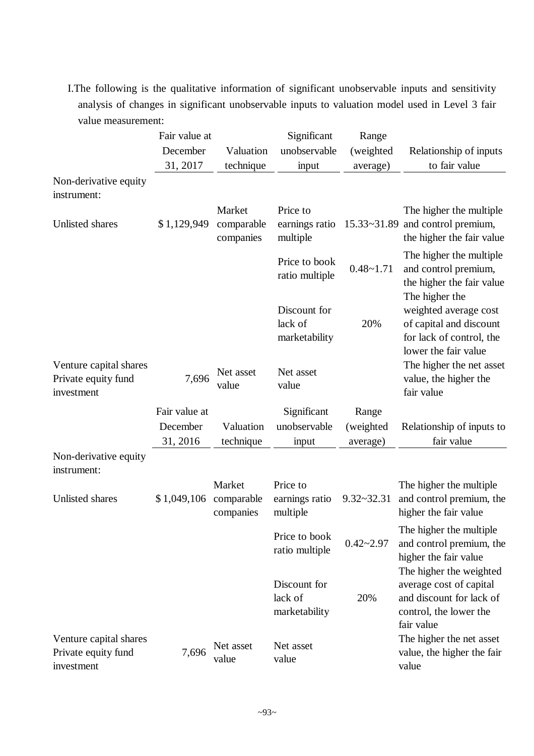I.The following is the qualitative information of significant unobservable inputs and sensitivity analysis of changes in significant unobservable inputs to valuation model used in Level 3 fair value measurement:

|                                                             | Fair value at |                                   | Significant                              | Range          |                                                                                                                        |  |  |  |
|-------------------------------------------------------------|---------------|-----------------------------------|------------------------------------------|----------------|------------------------------------------------------------------------------------------------------------------------|--|--|--|
|                                                             | December      | Valuation                         | unobservable                             | (weighted      | Relationship of inputs                                                                                                 |  |  |  |
|                                                             | 31, 2017      | technique                         | input                                    | average)       | to fair value                                                                                                          |  |  |  |
| Non-derivative equity<br>instrument:                        |               |                                   |                                          |                |                                                                                                                        |  |  |  |
| Unlisted shares                                             | \$1,129,949   | Market<br>comparable<br>companies | Price to<br>earnings ratio<br>multiple   | 15.33~31.89    | The higher the multiple<br>and control premium,<br>the higher the fair value                                           |  |  |  |
|                                                             |               |                                   | Price to book<br>ratio multiple          | $0.48 - 1.71$  | The higher the multiple<br>and control premium,<br>the higher the fair value<br>The higher the                         |  |  |  |
|                                                             |               |                                   | Discount for<br>lack of<br>marketability | 20%            | weighted average cost<br>of capital and discount<br>for lack of control, the<br>lower the fair value                   |  |  |  |
| Venture capital shares<br>Private equity fund<br>investment | 7,696         |                                   | Net asset<br>value                       |                | The higher the net asset<br>value, the higher the<br>fair value                                                        |  |  |  |
|                                                             | Fair value at |                                   | Significant                              | Range          |                                                                                                                        |  |  |  |
|                                                             | December      | Valuation                         | unobservable                             | (weighted      | Relationship of inputs to                                                                                              |  |  |  |
|                                                             | 31, 2016      | technique                         | input                                    | average)       | fair value                                                                                                             |  |  |  |
| Non-derivative equity<br>instrument:                        |               |                                   |                                          |                |                                                                                                                        |  |  |  |
|                                                             |               | Market                            | Price to                                 |                | The higher the multiple                                                                                                |  |  |  |
| <b>Unlisted shares</b>                                      | \$1,049,106   | comparable<br>companies           | earnings ratio<br>multiple               | $9.32 - 32.31$ | and control premium, the<br>higher the fair value                                                                      |  |  |  |
|                                                             |               |                                   | Price to book<br>ratio multiple          | $0.42 - 2.97$  | The higher the multiple<br>and control premium, the<br>higher the fair value                                           |  |  |  |
|                                                             |               |                                   | Discount for<br>lack of<br>marketability | 20%            | The higher the weighted<br>average cost of capital<br>and discount for lack of<br>control, the lower the<br>fair value |  |  |  |
| Venture capital shares<br>Private equity fund<br>investment | 7,696         | Net asset<br>value                | Net asset<br>value                       |                | The higher the net asset<br>value, the higher the fair<br>value                                                        |  |  |  |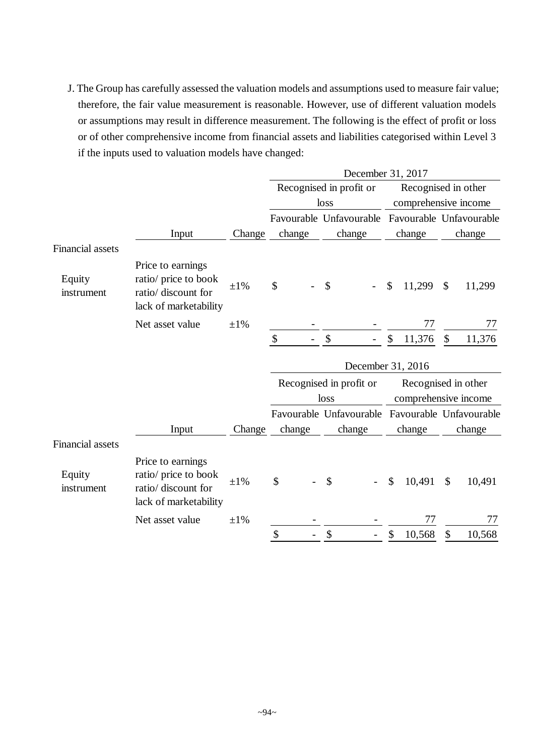J. The Group has carefully assessed the valuation models and assumptions used to measure fair value; therefore, the fair value measurement is reasonable. However, use of different valuation models or assumptions may result in difference measurement. The following is the effect of profit or loss or of other comprehensive income from financial assets and liabilities categorised within Level 3 if the inputs used to valuation models have changed:

|                         |                                                                                           |           | December 31, 2017       |                   |        |                         |                      |                                             |    |                                                 |  |
|-------------------------|-------------------------------------------------------------------------------------------|-----------|-------------------------|-------------------|--------|-------------------------|----------------------|---------------------------------------------|----|-------------------------------------------------|--|
|                         |                                                                                           |           | Recognised in profit or |                   |        |                         |                      | Recognised in other                         |    |                                                 |  |
|                         |                                                                                           |           |                         |                   | loss   |                         | comprehensive income |                                             |    |                                                 |  |
|                         |                                                                                           |           |                         |                   |        |                         |                      |                                             |    | Favourable Unfavourable Favourable Unfavourable |  |
|                         | Input                                                                                     | Change    | change                  |                   |        | change                  |                      | change                                      |    | change                                          |  |
| <b>Financial assets</b> |                                                                                           |           |                         |                   |        |                         |                      |                                             |    |                                                 |  |
| Equity<br>instrument    | Price to earnings<br>ratio/ price to book<br>ratio/ discount for<br>lack of marketability | $\pm 1\%$ | \$                      |                   | \$     |                         | \$                   | 11,299                                      | \$ | 11,299                                          |  |
|                         | Net asset value                                                                           | $\pm 1\%$ |                         |                   |        |                         |                      | 77                                          |    | 77                                              |  |
|                         |                                                                                           |           | \$                      |                   | $\$\,$ |                         | \$                   | 11,376                                      | \$ | 11,376                                          |  |
|                         |                                                                                           |           |                         | December 31, 2016 |        |                         |                      |                                             |    |                                                 |  |
|                         |                                                                                           |           |                         |                   | loss   | Recognised in profit or |                      | Recognised in other<br>comprehensive income |    |                                                 |  |
|                         |                                                                                           |           |                         |                   |        |                         |                      |                                             |    | Favourable Unfavourable Favourable Unfavourable |  |
|                         | Input                                                                                     | Change    |                         | change            |        | change                  |                      | change                                      |    | change                                          |  |
| Financial assets        |                                                                                           |           |                         |                   |        |                         |                      |                                             |    |                                                 |  |
| Equity<br>instrument    | Price to earnings<br>ratio/ price to book<br>ratio/ discount for<br>lack of marketability | $\pm 1\%$ | \$                      |                   | \$     |                         | \$                   | 10,491                                      | \$ | 10,491                                          |  |
|                         | Net asset value                                                                           | $\pm 1\%$ |                         |                   |        |                         |                      | 77                                          |    | 77                                              |  |
|                         |                                                                                           |           | \$                      |                   | \$     |                         | \$                   | 10,568                                      | \$ | 10,568                                          |  |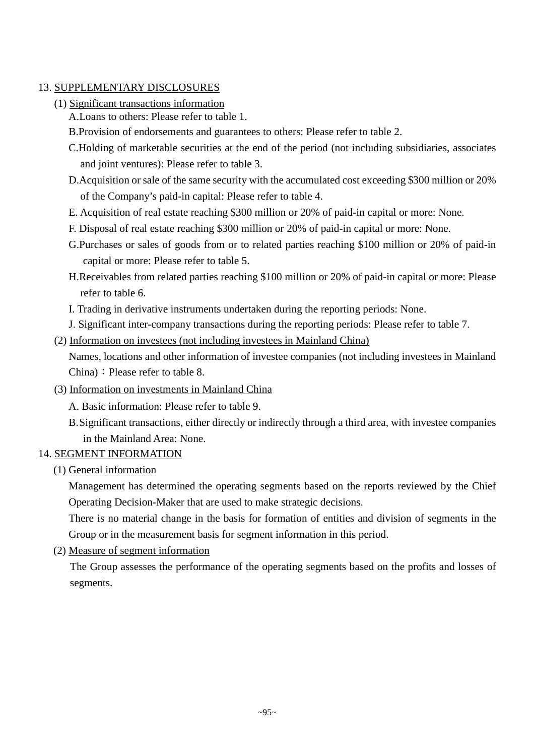### 13. SUPPLEMENTARY DISCLOSURES

(1) Significant transactions information

A.Loans to others: Please refer to table 1.

- B.Provision of endorsements and guarantees to others: Please refer to table 2.
- C.Holding of marketable securities at the end of the period (not including subsidiaries, associates and joint ventures): Please refer to table 3.
- D.Acquisition or sale of the same security with the accumulated cost exceeding \$300 million or 20% of the Company's paid-in capital: Please refer to table 4.
- E. Acquisition of real estate reaching \$300 million or 20% of paid-in capital or more: None.
- F. Disposal of real estate reaching \$300 million or 20% of paid-in capital or more: None.
- G.Purchases or sales of goods from or to related parties reaching \$100 million or 20% of paid-in capital or more: Please refer to table 5.
- H.Receivables from related parties reaching \$100 million or 20% of paid-in capital or more: Please refer to table 6.
- I. Trading in derivative instruments undertaken during the reporting periods: None.
- J. Significant inter-company transactions during the reporting periods: Please refer to table 7.
- (2) Information on investees (not including investees in Mainland China)

Names, locations and other information of investee companies (not including investees in Mainland China): Please refer to table 8.

(3) Information on investments in Mainland China

A. Basic information: Please refer to table 9.

B.Significant transactions, either directly or indirectly through a third area, with investee companies in the Mainland Area: None.

### 14. SEGMENT INFORMATION

(1) General information

Management has determined the operating segments based on the reports reviewed by the Chief Operating Decision-Maker that are used to make strategic decisions.

There is no material change in the basis for formation of entities and division of segments in the Group or in the measurement basis for segment information in this period.

(2) Measure of segment information

The Group assesses the performance of the operating segments based on the profits and losses of segments.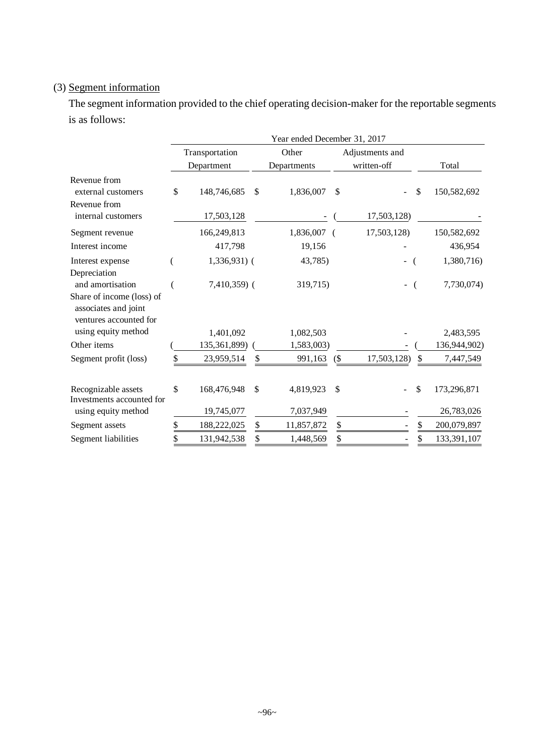# (3) Segment information

The segment information provided to the chief operating decision-maker for the reportable segments is as follows:

|                                                                                                    | Year ended December 31, 2017 |                              |    |                         |    |                                |              |                           |  |  |
|----------------------------------------------------------------------------------------------------|------------------------------|------------------------------|----|-------------------------|----|--------------------------------|--------------|---------------------------|--|--|
|                                                                                                    |                              | Transportation<br>Department |    | Other<br>Departments    |    | Adjustments and<br>written-off |              | Total                     |  |  |
| Revenue from<br>external customers                                                                 | \$                           | 148,746,685                  | \$ | 1,836,007               | \$ |                                | \$           | 150,582,692               |  |  |
| Revenue from<br>internal customers                                                                 |                              | 17,503,128                   |    |                         |    | 17,503,128)                    |              |                           |  |  |
| Segment revenue                                                                                    |                              | 166,249,813                  |    | 1,836,007 (             |    | 17,503,128)                    |              | 150,582,692               |  |  |
| Interest income                                                                                    |                              | 417,798                      |    | 19,156                  |    |                                |              | 436,954                   |  |  |
| Interest expense<br>Depreciation                                                                   |                              | $1,336,931$ (                |    | 43,785)                 |    |                                |              | 1,380,716)                |  |  |
| and amortisation                                                                                   |                              | $7,410,359$ (                |    | 319,715)                |    |                                |              | 7,730,074)                |  |  |
| Share of income (loss) of<br>associates and joint<br>ventures accounted for<br>using equity method |                              |                              |    |                         |    |                                |              |                           |  |  |
| Other items                                                                                        |                              | 1,401,092<br>135, 361, 899)  |    | 1,082,503<br>1,583,003) |    |                                |              | 2,483,595<br>136,944,902) |  |  |
| Segment profit (loss)                                                                              | \$                           | 23,959,514                   | \$ | 991,163                 | (  | 17,503,128)                    | $\mathbb{S}$ | 7,447,549                 |  |  |
| Recognizable assets<br>Investments accounted for                                                   | \$                           | 168,476,948                  | \$ | 4,819,923               | \$ |                                | \$           | 173,296,871               |  |  |
| using equity method                                                                                |                              | 19,745,077                   |    | 7,037,949               |    |                                |              | 26,783,026                |  |  |
| Segment assets                                                                                     |                              | 188,222,025                  | \$ | 11,857,872              | \$ |                                | \$           | 200,079,897               |  |  |
| Segment liabilities                                                                                | \$                           | 131,942,538                  | \$ | 1,448,569               | \$ |                                | \$           | 133,391,107               |  |  |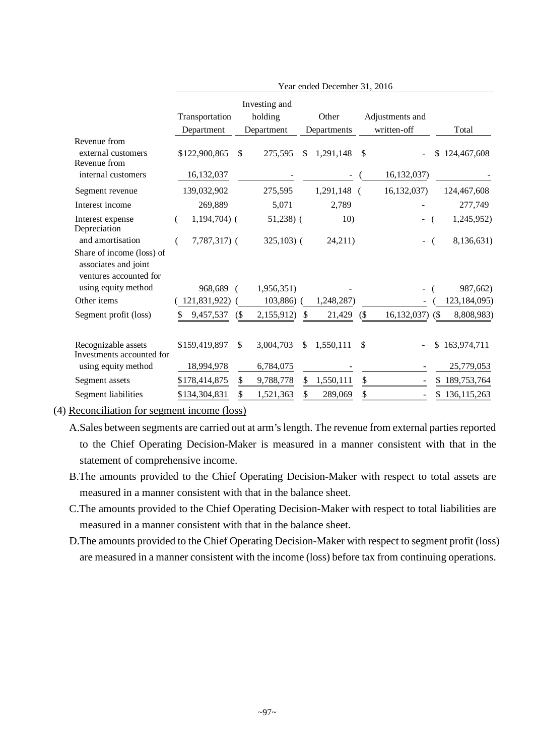|                                                                                                    |                              |        |                                        |     | Year ended December 31, 2016 |    |                                |    |               |
|----------------------------------------------------------------------------------------------------|------------------------------|--------|----------------------------------------|-----|------------------------------|----|--------------------------------|----|---------------|
|                                                                                                    | Transportation<br>Department |        | Investing and<br>holding<br>Department |     | Other<br>Departments         |    | Adjustments and<br>written-off |    | Total         |
| Revenue from<br>external customers<br>Revenue from                                                 | \$122,900,865                | \$     | 275,595                                | \$  | 1,291,148                    | \$ |                                |    | 124,467,608   |
| internal customers                                                                                 | 16,132,037                   |        |                                        |     |                              |    | 16,132,037)                    |    |               |
| Segment revenue                                                                                    | 139,032,902                  |        | 275,595                                |     | 1,291,148                    |    | 16, 132, 037                   |    | 124,467,608   |
| Interest income                                                                                    | 269,889                      |        | 5,071                                  |     | 2,789                        |    |                                |    | 277,749       |
| Interest expense<br>Depreciation                                                                   | $1,194,704$ ) (              |        | $51,238$ (                             |     | 10)                          |    |                                |    | 1,245,952)    |
| and amortisation                                                                                   | 7,787,317) (                 |        | $325,103$ (                            |     | 24,211)                      |    | $\sim$                         |    | 8,136,631)    |
| Share of income (loss) of<br>associates and joint<br>ventures accounted for<br>using equity method | 968,689                      |        | 1,956,351)                             |     |                              |    |                                |    | 987,662)      |
| Other items                                                                                        | 121,831,922)                 |        | 103,886)                               |     | 1,248,287)                   |    |                                |    | 123,184,095)  |
| Segment profit (loss)                                                                              | 9,457,537                    | $($ \$ | 2,155,912)                             | \$. | 21,429                       | (  | 16, 132, 037                   | (S | 8,808,983)    |
| Recognizable assets<br>Investments accounted for                                                   | \$159,419,897                | \$     | 3,004,703                              | \$  | 1,550,111                    | \$ |                                | \$ | 163,974,711   |
| using equity method                                                                                | 18,994,978                   |        | 6,784,075                              |     |                              |    |                                |    | 25,779,053    |
| Segment assets                                                                                     | \$178,414,875                | \$     | 9,788,778                              |     | 1,550,111                    | \$ |                                |    | 189,753,764   |
| Segment liabilities                                                                                | \$134,304,831                | \$     | 1,521,363                              |     | 289,069                      | \$ |                                | \$ | 136, 115, 263 |

(4) Reconciliation for segment income (loss)

A.Sales between segments are carried out at arm's length. The revenue from external parties reported to the Chief Operating Decision-Maker is measured in a manner consistent with that in the statement of comprehensive income.

- B.The amounts provided to the Chief Operating Decision-Maker with respect to total assets are measured in a manner consistent with that in the balance sheet.
- C.The amounts provided to the Chief Operating Decision-Maker with respect to total liabilities are measured in a manner consistent with that in the balance sheet.
- D.The amounts provided to the Chief Operating Decision-Maker with respect to segment profit (loss) are measured in a manner consistent with the income (loss) before tax from continuing operations.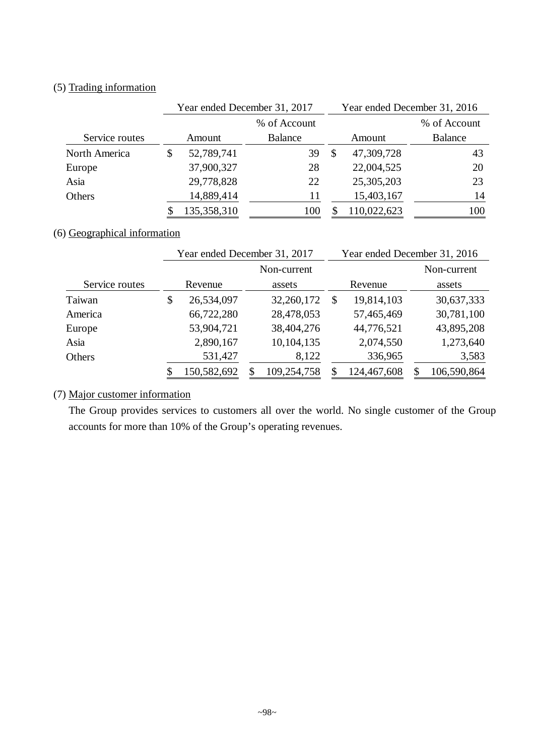## (5) Trading information

|                |                  | Year ended December 31, 2017 | Year ended December 31, 2016 |                |  |  |  |
|----------------|------------------|------------------------------|------------------------------|----------------|--|--|--|
|                |                  | % of Account                 |                              | % of Account   |  |  |  |
| Service routes | Amount           | <b>Balance</b>               | Amount                       | <b>Balance</b> |  |  |  |
| North America  | \$<br>52,789,741 | 39                           | \$<br>47,309,728             | 43             |  |  |  |
| Europe         | 37,900,327       | 28                           | 22,004,525                   | 20             |  |  |  |
| Asia           | 29,778,828       | 22                           | 25,305,203                   | 23             |  |  |  |
| Others         | 14,889,414       | 11                           | 15,403,167                   | 14             |  |  |  |
|                | 135,358,310      | 100                          | 110,022,623                  | 100            |  |  |  |

# (6) Geographical information

|                | Year ended December 31, 2017 |  |             |   | Year ended December 31, 2016 |  |             |  |  |
|----------------|------------------------------|--|-------------|---|------------------------------|--|-------------|--|--|
|                |                              |  | Non-current |   |                              |  | Non-current |  |  |
| Service routes | Revenue<br>assets            |  |             |   | Revenue                      |  | assets      |  |  |
| Taiwan         | \$<br>26,534,097             |  | 32,260,172  | S | 19,814,103                   |  | 30,637,333  |  |  |
| America        | 66,722,280                   |  | 28,478,053  |   | 57,465,469                   |  | 30,781,100  |  |  |
| Europe         | 53,904,721                   |  | 38,404,276  |   | 44,776,521                   |  | 43,895,208  |  |  |
| Asia           | 2,890,167                    |  | 10,104,135  |   | 2,074,550                    |  | 1,273,640   |  |  |
| Others         | 531,427                      |  | 8,122       |   | 336,965                      |  | 3,583       |  |  |
|                | 150,582,692                  |  | 109,254,758 |   | 124,467,608                  |  | 106,590,864 |  |  |

# (7) Major customer information

The Group provides services to customers all over the world. No single customer of the Group accounts for more than 10% of the Group's operating revenues.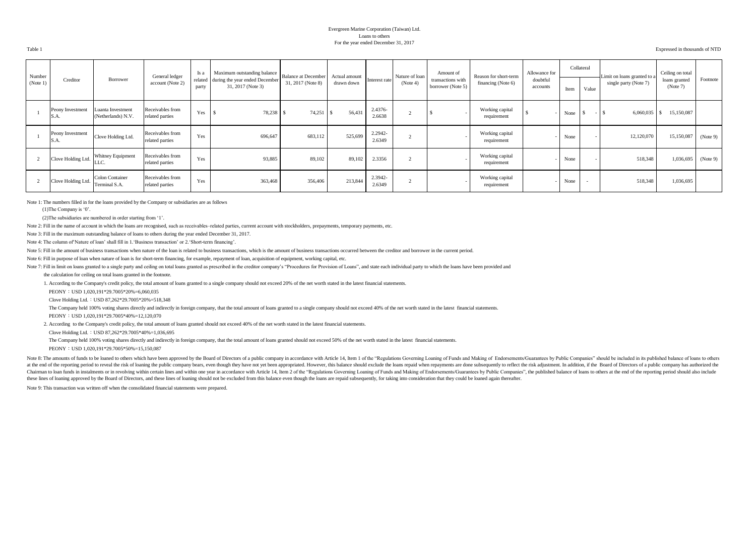#### Evergreen Marine Corporation (Taiwan) Ltd. Loans to others For the year ended December 31, 2017

Table 1 Expressed in thousands of NTD

| Number   | Creditor                 | Borrower                                | General ledger                      | Is a  | Maximum outstanding balance                                 | <b>Balance at December</b> | Actual amount | Interest rate     | Nature of loan | Amount of                              | Reason for short-term          | Allowance for        |      | Collateral | Limit on loans granted to a | Ceiling on total          |          |
|----------|--------------------------|-----------------------------------------|-------------------------------------|-------|-------------------------------------------------------------|----------------------------|---------------|-------------------|----------------|----------------------------------------|--------------------------------|----------------------|------|------------|-----------------------------|---------------------------|----------|
| (Note 1) |                          |                                         | account (Note 2)                    | party | related during the year ended December<br>31, 2017 (Note 3) | 31, 2017 (Note 8)          | drawn down    |                   | (Note 4)       | transactions with<br>borrower (Note 5) | financing (Note 6)             | doubtful<br>accounts | Item | Value      | single party (Note 7)       | loans granted<br>(Note 7) | Footnote |
|          | Peony Investment<br>S.A. | Luanta Investment<br>(Netherlands) N.V. | Receivables from<br>related parties | Yes   | 78,238 \$                                                   | $74,251$ \$                | 56,431        | 2.4376-<br>2.6638 | $\sim$         |                                        | Working capital<br>requirement |                      | None | $\sim$ 1   | 6,060,035                   | 15,150,087                |          |
|          | Peony Investment<br>S.A. | Clove Holding Ltd.                      | Receivables from<br>related parties | Yes   | 696,647                                                     | 683,112                    | 525,699       | 2.2942-<br>2.6349 | $\sim$         |                                        | Working capital<br>requirement |                      | None |            | 12,120,070                  | 15,150,087                | (Note 9) |
|          | Clove Holding Ltd.       | Whitney Equipment<br>LLC.               | Receivables from<br>related parties | Yes   | 93,885                                                      | 89,102                     | 89,102        | 2.3356            | $\sim$         |                                        | Working capital<br>requirement |                      | None |            | 518,348                     | 1,036,695                 | (Note 9) |
|          | Clove Holding Ltd.       | Colon Container<br>Terminal S.A.        | Receivables from<br>related parties | Yes   | 363,468                                                     | 356,406                    | 213,844       | 2.3942-<br>2.6349 | $\sim$         |                                        | Working capital<br>requirement |                      | None |            | 518,348                     | 1,036,695                 |          |

Note 1: The numbers filled in for the loans provided by the Company or subsidiaries are as follows

(1)The Company is '0'.

(2)The subsidiaries are numbered in order starting from '1'.

Note 2: Fill in the name of account in which the loans are recognised, such as receivables-related parties, current account with stockholders, prepayments, temporary payments, etc.

Note 3: Fill in the maximum outstanding balance of loans to others during the year ended December 31, 2017.

Note 4: The column of'Nature of loan' shall fill in 1.'Business transaction' or 2.'Short-term financing'.

Note 5: Fill in the amount of business transactions when nature of the loan is related to business transactions, which is the amount of business transactions occurred between the creditor and borrower in the current period

Note 6: Fill in purpose of loan when nature of loan is for short-term financing, for example, repayment of loan, acquisition of equipment, working capital, etc.

Note 7: Fill in limit on loans granted to a single party and ceiling on total loans granted as prescribed in the creditor company's "Procedures for Provision of Loans", and state each individual party to which the loans ha

the calculation for ceiling on total loans granted in the footnote.

1. According to the Company's credit policy, the total amount of loans granted to a single company should not exceed 20% of the net worth stated in the latest financial statements.

PEONY:USD 1,020,191\*29.7005\*20%=6,060,035

Clove Holding Ltd.:USD 87,262\*29.7005\*20%=518,348

The Company held 100% voting shares directly and indirectly in foreign company, that the total amount of loans granted to a single company should not exceed 40% of the net worth stated in the latest financial statements.

PEONY:USD 1,020,191\*29.7005\*40%=12,120,070

2. According to the Company's credit policy, the total amount of loans granted should not exceed 40% of the net worth stated in the latest financial statements.

Clove Holding Ltd.: USD 87,262\*29.7005\*40%=1,036,695

The Company held 100% voting shares directly and indirectly in foreign company, that the total amount of loans granted should not exceed 50% of the net worth stated in the latest financial statements.

PEONY:USD 1,020,191\*29.7005\*50%=15,150,087

Note 8: The amounts of funds to be loaned to others which have been annroved by the Board of Directors of a nublic company in accordance with Article 14. Item 1 of the "Repulations Governing Loaning of Funds and Making of at the end of the reporting period to reveal the risk of loaning the public company bears, even though they have not yet been appropriated. However, this balance should exclude the loans repaid when repayments are done sub Chairman to loan funds in instalments or in revolving within certain lines and within one year in accordance with Article 14, Item 2 of the "Regulations Governing Loaning of Funds and Making of Endorsements/Guarantees by P these lines of loaning approved by the Board of Directors, and these lines of loaning should not be excluded from this balance even though the loans are repaid subsequently, for taking into consideration that they could be

Note 9: This transaction was written off when the consolidated financial statements were prepared.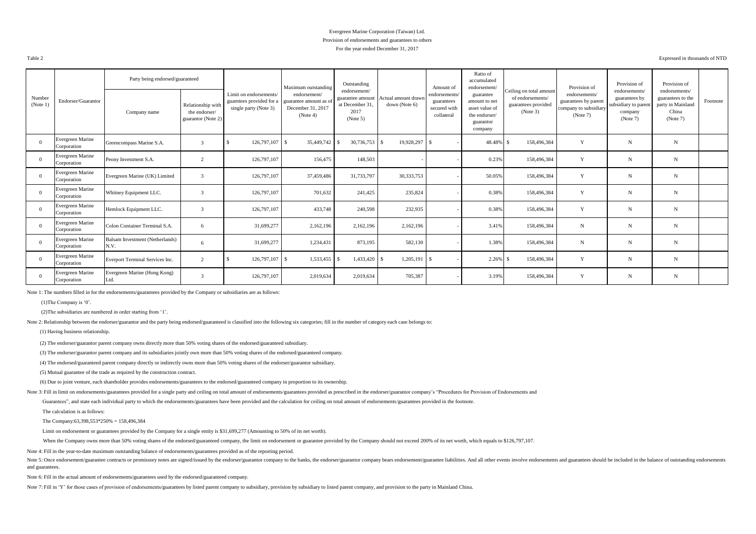#### Evergreen Marine Corporation (Taiwan) Ltd. Provision of endorsements and guarantees to others For the year ended December 31, 2017

Table 2 Expressed in thousands of NTD

|                    |                                 | Party being endorsed/guaranteed         |                                                          |                                                                             | Maximum outstanding                                                    | Outstanding                                                             |                                      | Amount of                                                | Ratio of<br>accumulated<br>endorsement                                               |                                                                                | Provision of                                                               | Provision of                                                                  | Provision of                                                                 |          |
|--------------------|---------------------------------|-----------------------------------------|----------------------------------------------------------|-----------------------------------------------------------------------------|------------------------------------------------------------------------|-------------------------------------------------------------------------|--------------------------------------|----------------------------------------------------------|--------------------------------------------------------------------------------------|--------------------------------------------------------------------------------|----------------------------------------------------------------------------|-------------------------------------------------------------------------------|------------------------------------------------------------------------------|----------|
| Number<br>(Note 1) | Endorser/Guarantor              | Company name                            | Relationship with<br>the endorser/<br>guarantor (Note 2) | Limit on endorsements/<br>guaratees provided for a<br>single party (Note 3) | endorsement/<br>guarantee amount as o<br>December 31, 2017<br>(Note 4) | endorsement/<br>guarantee amount<br>at December 31.<br>2017<br>(Note 5) | Actual amount drawn<br>down (Note 6) | endorsements<br>guarantees<br>secured with<br>collateral | guarantee<br>amount to net<br>asset value of<br>the endorser<br>guarantor<br>company | Ceiling on total amount<br>of endorsements/<br>guarantees provided<br>(Note 3) | endorsements/<br>guarantees by parent<br>company to subsidiary<br>(Note 7) | endorsements/<br>guarantees by<br>subsidiary to parent<br>company<br>(Note 7) | endorsements/<br>guarantees to the<br>party in Mainland<br>China<br>(Note 7) | Footnote |
| $\Omega$           | Evergreen Marine<br>Corporation | Greencompass Marine S.A.                | 3                                                        | 126,797,107 \$<br>$\mathbf{C}$                                              | 35,449,742 \$                                                          | 30,736,753 \$                                                           | 19,928,297                           | <sup>\$</sup>                                            | 48.48%                                                                               | 158,496,384<br>- S                                                             | Y                                                                          | N                                                                             | N                                                                            |          |
| $\Omega$           | Evergreen Marine<br>Corporation | Peony Investment S.A.                   | $\overline{2}$                                           | 126,797,107                                                                 | 156,475                                                                | 148,503                                                                 |                                      |                                                          | 0.23%                                                                                | 158,496,384                                                                    | Y                                                                          | $\mathbf N$                                                                   | $_{\rm N}$                                                                   |          |
| $\Omega$           | Evergreen Marine<br>Corporation | Evergreen Marine (UK) Limited           | $\mathbf{3}$                                             | 126,797,107                                                                 | 37,459,486                                                             | 31,733,797                                                              | 30,333,753                           |                                                          | 50.05%                                                                               | 158,496,384                                                                    | Y                                                                          | N                                                                             | N                                                                            |          |
| $\Omega$           | Evergreen Marine<br>Corporation | Whitney Equipment LLC.                  |                                                          | 126,797,107                                                                 | 701,632                                                                | 241,425                                                                 | 235,824                              |                                                          | 0.38%                                                                                | 158,496,384                                                                    | Y                                                                          | N                                                                             | N                                                                            |          |
| $\Omega$           | Evergreen Marine<br>Corporation | Hemlock Equipment LLC.                  |                                                          | 126,797,107                                                                 | 433,748                                                                | 240,598                                                                 | 232,935                              |                                                          | 0.38%                                                                                | 158,496,384                                                                    | Y                                                                          | N                                                                             | N                                                                            |          |
| $\Omega$           | Evergreen Marine<br>Corporation | Colon Container Terminal S.A.           | -6                                                       | 31,699,277                                                                  | 2,162,196                                                              | 2,162,196                                                               | 2,162,196                            |                                                          | 3.41%                                                                                | 158,496,384                                                                    | N                                                                          | N                                                                             | N                                                                            |          |
| $\Omega$           | Evergreen Marine<br>Corporation | Balsam Investment (Netherlands)<br>N.V. | -6                                                       | 31,699,277                                                                  | 1,234,431                                                              | 873,195                                                                 | 582,130                              |                                                          | 1.38%                                                                                | 158,496,384                                                                    | N                                                                          | N                                                                             | N                                                                            |          |
| $\Omega$           | Evergreen Marine<br>Corporation | Everport Terminal Services Inc.         | 2                                                        | 126,797,107 \$                                                              | 1,533,455                                                              | 1,433,420                                                               | 1,205,191                            | -S                                                       | 2.26%                                                                                | 158,496,384                                                                    | Y                                                                          | N                                                                             | N                                                                            |          |
| $\Omega$           | Evergreen Marine<br>Corporation | Evergreen Marine (Hong Kong)<br>Ltd.    |                                                          | 126,797,107                                                                 | 2,019,634                                                              | 2,019,634                                                               | 705,387                              |                                                          | 3.19%                                                                                | 158,496,384                                                                    | Y                                                                          | N                                                                             | $_{\rm N}$                                                                   |          |

Note 1: The numbers filled in for the endorsements/guarantees provided by the Company or subsidiaries are as follows:

(1)The Company is '0'.

(2)The subsidiaries are numbered in order starting from '1'.

Note 2: Relationship between the endorser/guarantor and the party being endorsed/guaranteed is classified into the following six categories; fill in the number of category each case belongs to:

(1) Having business relationship.

(2) The endorser/guarantor parent company owns directly more than 50% voting shares of the endorsed/guaranteed subsidiary.

(3) The endorser/guarantor parent company and its subsidiaries jointly own more than 50% voting shares of the endorsed/guaranteed company.

(4) The endorsed/guaranteed parent company directly or indirectly owns more than 50% voting shares of the endorser/guarantor subsidiary.

(5) Mutual guarantee of the trade as required by the construction contract.

(6) Due to joint venture, each shareholder provides endorsements/guarantees to the endorsed/guaranteed company in proportion to its ownership.

Note 3: Fill in limit on endorsements/guarantees provided for a single party and ceiling on total amount of endorsements/guarantees provided as prescribed in the endorser/guarantor company's "Procedures for Provision of En

Guarantees", and state each individual party to which the endorsements/guarantees have been provided and the calculation for ceiling on total amount of endorsements/guarantees provided in the footnote.

The calculation is as follows:

The Company:63,398,553\*250% = 158,496,384

Limit on endorsement or guarantees provided by the Company for a single entity is \$31,699,277 (Amounting to 50% of its net worth).

When the Company owns more than 50% voting shares of the endorsed/guaranteed company, the limit on endorsement or guarantee provided by the Company should not exceed 200% of its net worth, which equals to \$126,797,107.

Note 4: Fill in the year-to-date maximum outstanding balance of endorsements/guarantees provided as of the reporting period.

Note 5: Once endorsement/guarantee contracts or promissory notes are signed/issued by the endorser/guarantor company to the banks, the endorser/guarantor company bears endorsement/guarantee liabilities. And all other event and guarantees.

Note 6: Fill in the actual amount of endorsements/guarantees used by the endorsed/guaranteed company.

Note 7: Fill in 'Y' for those cases of provision of endorsements/guarantees by listed parent company to subsidiary, provision by subsidiary to listed parent company, and provision to the party in Mainland China.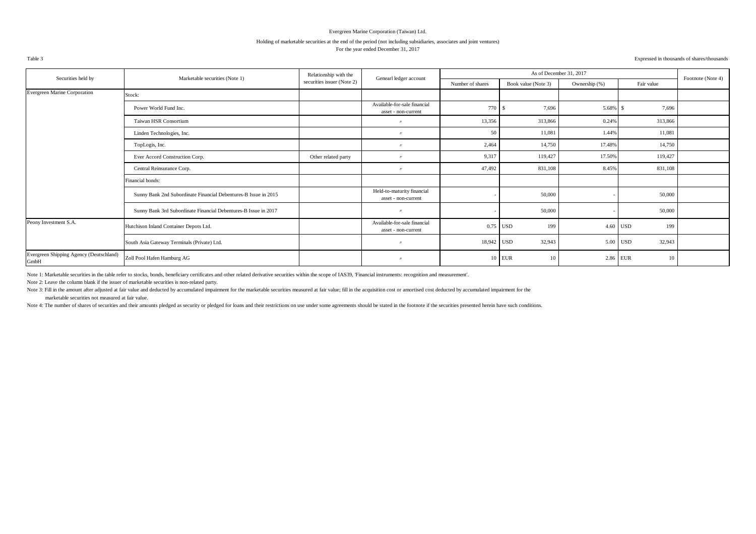#### Evergreen Marine Corporation (Taiwan) Ltd.

#### Holding of marketable securities at the end of the period (not including subsidiaries, associates and joint ventures) For the year ended December 31, 2017

| Securities held by                              | Marketable securities (Note 1)                                  | Relationship with the      | Genearl ledger account                              |                  | As of December 31, 2017 |               |                                                                                                                     | Footnote (Note 4) |
|-------------------------------------------------|-----------------------------------------------------------------|----------------------------|-----------------------------------------------------|------------------|-------------------------|---------------|---------------------------------------------------------------------------------------------------------------------|-------------------|
|                                                 |                                                                 | securities issuer (Note 2) |                                                     | Number of shares | Book value (Note 3)     | Ownership (%) | Fair value<br>7,696<br>313,866<br>11,081<br>14,750<br>119,427<br>831,108<br>50,000<br>50,000<br>199<br>32,943<br>10 |                   |
| Evergreen Marine Corporation                    | Stock:                                                          |                            |                                                     |                  |                         |               |                                                                                                                     |                   |
|                                                 | Power World Fund Inc.                                           |                            | Available-for-sale financial<br>asset - non-current | 770              | 7,696                   | 5.68%         |                                                                                                                     |                   |
|                                                 | <b>Taiwan HSR Consortium</b>                                    |                            |                                                     | 13,356           | 313,866                 | 0.24%         |                                                                                                                     |                   |
|                                                 | Linden Technologies, Inc.                                       |                            | $^{\prime\prime}$                                   | 50               | 11,081                  | 1.44%         |                                                                                                                     |                   |
|                                                 | TopLogis, Inc.                                                  |                            |                                                     | 2,464            | 14,750                  | 17.48%        |                                                                                                                     |                   |
|                                                 | Ever Accord Construction Corp.                                  | Other related party        |                                                     | 9,317            | 119,427                 | 17.50%        |                                                                                                                     |                   |
|                                                 | Central Reinsurance Corp.                                       |                            |                                                     | 47,492           | 831,108                 | 8.45%         |                                                                                                                     |                   |
|                                                 | Financial bonds:                                                |                            |                                                     |                  |                         |               |                                                                                                                     |                   |
|                                                 | Sunny Bank 2nd Subordinate Financial Debentures-B Issue in 2015 |                            | Held-to-maturity financial<br>asset - non-current   |                  | 50,000                  |               |                                                                                                                     |                   |
|                                                 | Sunny Bank 3rd Subordinate Financial Debentures-B Issue in 2017 |                            |                                                     |                  | 50,000                  |               |                                                                                                                     |                   |
| Peony Investment S.A.                           | Hutchison Inland Container Depots Ltd.                          |                            | Available-for-sale financial<br>asset - non-current | $0.75$ USD       | 199                     |               | 4.60 USD                                                                                                            |                   |
|                                                 | South Asia Gateway Terminals (Private) Ltd.                     |                            | $^{\prime\prime}$                                   | 18,942           | 32,943<br><b>USD</b>    |               | 5.00 USD                                                                                                            |                   |
| Evergreen Shipping Agency (Deutschland)<br>GmbH | Zoll Pool Hafen Hamburg AG                                      |                            | $^{\prime\prime}$                                   |                  | 10 EUR<br>10            | 2.86 EUR      |                                                                                                                     |                   |

Note 1: Marketable securities in the table refer to stocks, bonds, beneficiary certificates and other related derivative securities within the scope of IAS39, 'Financial instruments: recognition and measurement'.

Note 2: Leave the column blank if the issuer of marketable securities is non-related party.

Note 3: Fill in the amount after adjusted at fair value and deducted by accumulated impairment for the marketable securities measured at fair value; fill in the acquisition cost or amortised cost deducted by accumulated im marketable securities not measured at fair value.

Note 4: The number of shares of securities and their amounts pledged as security or pledged for loans and their restrictions on use under some agreements should be stated in the footnote if the securities presented herein

Table 3 Expressed in thousands of shares/thousands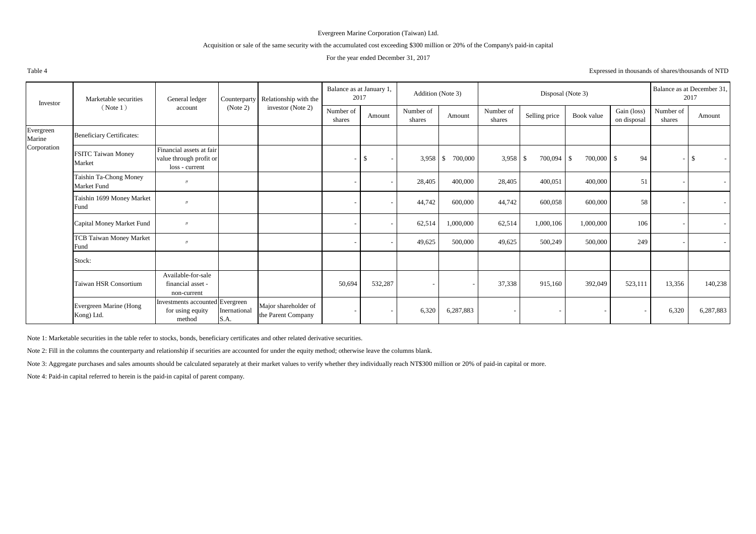#### Evergreen Marine Corporation (Taiwan) Ltd.

#### Acquisition or sale of the same security with the accumulated cost exceeding \$300 million or 20% of the Company's paid-in capital

#### For the year ended December 31, 2017

Expressed in thousands of shares/thousands of NTD

| Investor            | Marketable securities                 | General ledger                                                        | Counterparty         | Relationship with the                      | Balance as at January 1,<br>2017 |         | Addition (Note 3)   |           |                     | Disposal (Note 3)        |                    |                                                                                 |           | Balance as at December 31,<br>2017 |
|---------------------|---------------------------------------|-----------------------------------------------------------------------|----------------------|--------------------------------------------|----------------------------------|---------|---------------------|-----------|---------------------|--------------------------|--------------------|---------------------------------------------------------------------------------|-----------|------------------------------------|
|                     | (Note 1)                              | account                                                               | (Note 2)             | investor (Note 2)                          | Number of<br>shares              | Amount  | Number of<br>shares | Amount    | Number of<br>shares | Selling price            | Book value         | Gain (loss)<br>on disposal<br>shares<br>94<br>51<br>58<br>106<br>249<br>523,111 | Number of | Amount                             |
| Evergreen<br>Marine | <b>Beneficiary Certificates:</b>      |                                                                       |                      |                                            |                                  |         |                     |           |                     |                          |                    |                                                                                 |           |                                    |
| Corporation         | FSITC Taiwan Money<br>Market          | Financial assets at fair<br>value through profit or<br>loss - current |                      |                                            |                                  | S.      | $3,958$ \$          | 700,000   | 3,958               | 700,094<br>$\mathcal{S}$ | 700,000 \$<br>l \$ |                                                                                 |           | <b>S</b>                           |
|                     | Taishin Ta-Chong Money<br>Market Fund | $^{\prime}$                                                           |                      |                                            |                                  |         | 28,405              | 400,000   | 28,405              | 400,051                  | 400,000            |                                                                                 |           |                                    |
|                     | Taishin 1699 Money Market<br>Fund     | $^{\prime\prime}$                                                     |                      |                                            |                                  |         | 44,742              | 600,000   | 44,742              | 600,058                  | 600,000            |                                                                                 |           |                                    |
|                     | Capital Money Market Fund             | $^{\prime\prime}$                                                     |                      |                                            |                                  |         | 62,514              | 1,000,000 | 62,514              | 1,000,106                | 1,000,000          |                                                                                 |           |                                    |
|                     | TCB Taiwan Money Market<br>Fund       | $^{\prime\prime}$                                                     |                      |                                            |                                  |         | 49,625              | 500,000   | 49,625              | 500,249                  | 500,000            |                                                                                 |           |                                    |
|                     | Stock:                                |                                                                       |                      |                                            |                                  |         |                     |           |                     |                          |                    |                                                                                 |           |                                    |
|                     | Taiwan HSR Consortium                 | Available-for-sale<br>financial asset -<br>non-current                |                      |                                            | 50,694                           | 532,287 |                     |           | 37,338              | 915,160                  | 392,049            |                                                                                 | 13,356    | 140,238                            |
|                     | Evergreen Marine (Hong<br>Kong) Ltd.  | <b>Investments accounted</b> Evergreen<br>for using equity<br>method  | Inernational<br>S.A. | Major shareholder of<br>the Parent Company |                                  |         | 6,320               | 6,287,883 |                     |                          |                    |                                                                                 | 6,320     | 6,287,883                          |

Note 1: Marketable securities in the table refer to stocks, bonds, beneficiary certificates and other related derivative securities.

Note 2: Fill in the columns the counterparty and relationship if securities are accounted for under the equity method; otherwise leave the columns blank.

Note 3: Aggregate purchases and sales amounts should be calculated separately at their market values to verify whether they individually reach NT\$300 million or 20% of paid-in capital or more.

Note 4: Paid-in capital referred to herein is the paid-in capital of parent company.

Table 4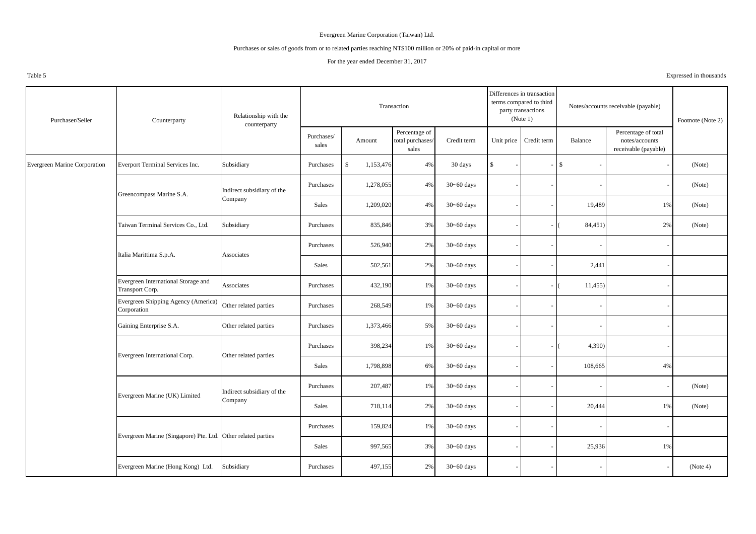#### Evergreen Marine Corporation (Taiwan) Ltd.

#### Purchases or sales of goods from or to related parties reaching NT\$100 million or 20% of paid-in capital or more

#### For the year ended December 31, 2017

Table 5

Purchases/ sales Amount Percentage of total purchases/ sales Credit term Unit price Credit term Balance Percentage of total notes/accounts receivable (payable) Evergreen Marine Corporation Everport Terminal Services Inc. Subsidiary Purchases \$ 1,153,476 4% 30 days \$ - \$ - (Note) Purchases 1,278,055 4% 30~60 days - - - - - - - - (Note) Sales 1,209,020 4% 30~60 days - - 19,489 1% 1% (Note) Taiwan Terminal Services Co., Ltd. Subsidiary Purchases 835,846 3% 30~60 days - ( 84.451) 2% (Note) Purchases 526,940 2% 30~60 days - - - - Sales  $502,561$   $2\%$   $30~-60$  days -  $2,441$ Evergreen International Storage and Transport Corp. Associates Associates Purchases 432,190 1% 30~60 days - (11,455) Evergreen Shipping Agency (America) Corporation Other related parties Purchases 268,549 1% 30~60 days - - - - Gaining Enterprise S.A. **Other related parties** Purchases 1,373,466 5% 30~60 days - - - - - - - - - - - - - - - -Purchases 398,234 1% 30~60 days - - ( 4,390) Sales 1,798,898 6% 30~60 days - - 108,665 4% Purchases 207,487 1% 30~60 days - - - - - - - - (Note) Sales 1% 718,114 2% 30~60 days - - 20,444 1% 1% (Note) Italia Marittima S.p.A. Associates Greencompass Marine S.A. Indirect subsidiary of the Company Purchaser/Seller Counterparty Relationship with the Relationship with the (Note 1) Rootnote (Note 2) counterparty Transaction Differences in transaction terms compared to third party transactions (Note 1) Notes/accounts receivable (payable) Evergreen Marine (UK) Limited  $\begin{bmatrix} \text{Indirect subsidiary of the} \\ \text{Equation:} \end{bmatrix}$ Company Evergreen International Corp. Other related parties

Evergreen Marine (Hong Kong) Ltd. Subsidiary **Report According to the Purchases 497,155** 2% 30~60 days - - - - - - - (Note 4)

Evergreen Marine (Singapore) Pte. Ltd. Other related parties

Purchases 159,824 1% 30~60 days - - - -

Sales 997,565 3% 30~60 days - - 25,936 1%

Expressed in thousands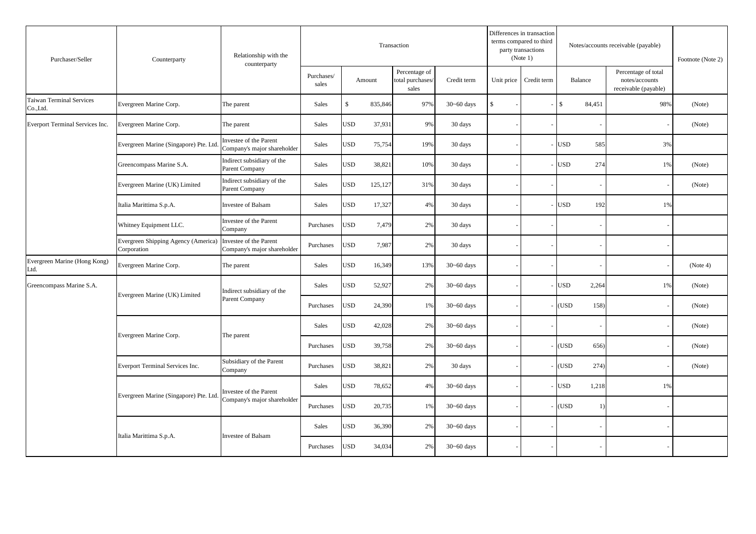| Purchaser/Seller                            | Counterparty                                       | Relationship with the<br>counterparty                 |                     |              |         | Differences in transaction<br>terms compared to third<br>party transactions<br>(Note 1) |                | Notes/accounts receivable (payable) | Footnote (Note 2) |              |         |                                                               |          |
|---------------------------------------------|----------------------------------------------------|-------------------------------------------------------|---------------------|--------------|---------|-----------------------------------------------------------------------------------------|----------------|-------------------------------------|-------------------|--------------|---------|---------------------------------------------------------------|----------|
|                                             |                                                    |                                                       | Purchases/<br>sales |              | Amount  | Percentage of<br>total purchases/<br>sales                                              | Credit term    | Unit price                          | Credit term       |              | Balance | Percentage of total<br>notes/accounts<br>receivable (payable) |          |
| <b>Taiwan Terminal Services</b><br>Co.,Ltd. | Evergreen Marine Corp.                             | The parent                                            | <b>Sales</b>        | $\mathbb{S}$ | 835,846 | 97%                                                                                     | $30 - 60$ days | \$                                  |                   | $\mathbb{S}$ | 84,451  | 98%                                                           | (Note)   |
| Everport Terminal Services Inc.             | Evergreen Marine Corp.                             | The parent                                            | <b>Sales</b>        | <b>USD</b>   | 37,931  | 9%                                                                                      | 30 days        |                                     |                   |              |         |                                                               | (Note)   |
|                                             | Evergreen Marine (Singapore) Pte. Ltd              | Investee of the Parent<br>Company's major shareholder | Sales               | <b>USD</b>   | 75,754  | 19%                                                                                     | 30 days        |                                     |                   | <b>USD</b>   | 585     | 3%                                                            |          |
|                                             | Greencompass Marine S.A.                           | Indirect subsidiary of the<br>Parent Company          | Sales               | <b>USD</b>   | 38,821  | 10%                                                                                     | 30 days        |                                     |                   | <b>USD</b>   | 274     | 1%                                                            | (Note)   |
|                                             | Evergreen Marine (UK) Limited                      | Indirect subsidiary of the<br>Parent Company          | Sales               | <b>USD</b>   | 125,127 | 31%                                                                                     | 30 days        |                                     |                   |              |         |                                                               | (Note)   |
|                                             | Italia Marittima S.p.A.                            | Investee of Balsam                                    | Sales               | <b>USD</b>   | 17,327  | 4%                                                                                      | 30 days        |                                     |                   | <b>USD</b>   | 192     | 1%                                                            |          |
|                                             | Whitney Equipment LLC.                             | Investee of the Parent<br>Company                     | Purchases           | <b>USD</b>   | 7,479   | 2%                                                                                      | 30 days        |                                     |                   |              |         |                                                               |          |
|                                             | Evergreen Shipping Agency (America)<br>Corporation | Investee of the Parent<br>Company's major shareholder | Purchases           | <b>USD</b>   | 7,987   | 2%                                                                                      | 30 days        |                                     |                   |              |         |                                                               |          |
| Evergreen Marine (Hong Kong)<br>Ltd.        | Evergreen Marine Corp.                             | The parent                                            | <b>Sales</b>        | <b>USD</b>   | 16,349  | 13%                                                                                     | $30 - 60$ days |                                     |                   |              |         |                                                               | (Note 4) |
| Greencompass Marine S.A.                    | Evergreen Marine (UK) Limited                      | Indirect subsidiary of the<br>Parent Company          | <b>Sales</b>        | <b>USD</b>   | 52,927  | 2%                                                                                      | $30 - 60$ days |                                     |                   | <b>USD</b>   | 2,264   | 1%                                                            | (Note)   |
|                                             |                                                    |                                                       | Purchases           | <b>USD</b>   | 24,390  | 1%                                                                                      | $30 - 60$ days |                                     |                   | (USD         | 158)    |                                                               | (Note)   |
|                                             | Evergreen Marine Corp.                             | The parent                                            | Sales               | <b>USD</b>   | 42,028  | 2%                                                                                      | $30 - 60$ days |                                     |                   |              |         |                                                               | (Note)   |
|                                             |                                                    |                                                       | Purchases           | <b>USD</b>   | 39,758  | 2%                                                                                      | $30 - 60$ days |                                     |                   | (USD         | 656)    |                                                               | (Note)   |
|                                             | Everport Terminal Services Inc.                    | Subsidiary of the Parent<br>Company                   | Purchases           | <b>USD</b>   | 38,821  | 2%                                                                                      | 30 days        |                                     |                   | (USD         | 274)    |                                                               | (Note)   |
|                                             | Evergreen Marine (Singapore) Pte. Ltd              | Investee of the Parent                                | Sales               | <b>USD</b>   | 78,652  | 4%                                                                                      | $30 - 60$ days |                                     |                   | <b>USD</b>   | 1,218   | 1%                                                            |          |
|                                             |                                                    | Company's major shareholder                           | Purchases           | <b>USD</b>   | 20,735  | 1%                                                                                      | $30 - 60$ days |                                     |                   | (USD         |         |                                                               |          |
|                                             |                                                    | <b>Investee of Balsam</b>                             | <b>Sales</b>        | <b>USD</b>   | 36,390  | 2%                                                                                      | $30 - 60$ days |                                     |                   |              |         |                                                               |          |
|                                             | Italia Marittima S.p.A.                            |                                                       | Purchases           | <b>USD</b>   | 34,034  | 2%                                                                                      | $30 - 60$ days |                                     |                   |              |         |                                                               |          |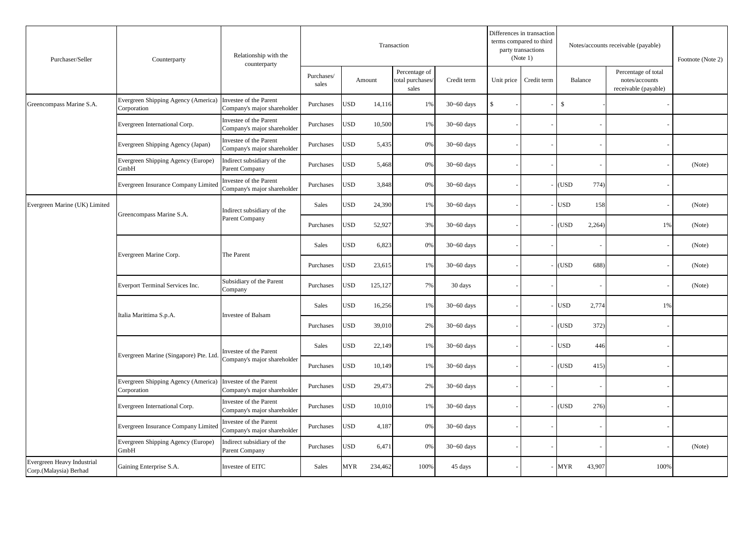| Purchaser/Seller                                     | Counterparty                                                              | Relationship with the<br>counterparty                 |                     |                      | Transaction                                |      |                | Differences in transaction<br>terms compared to third<br>party transactions<br>(Note 1) |              |         | Notes/accounts receivable (payable)                           | Footnote (Note 2) |
|------------------------------------------------------|---------------------------------------------------------------------------|-------------------------------------------------------|---------------------|----------------------|--------------------------------------------|------|----------------|-----------------------------------------------------------------------------------------|--------------|---------|---------------------------------------------------------------|-------------------|
|                                                      |                                                                           |                                                       | Purchases/<br>sales | Amount               | Percentage of<br>total purchases/<br>sales |      | Credit term    | Unit price Credit term                                                                  |              | Balance | Percentage of total<br>notes/accounts<br>receivable (payable) |                   |
| Greencompass Marine S.A.                             | Evergreen Shipping Agency (America) Investee of the Parent<br>Corporation | Company's major shareholder                           | Purchases           | USD<br>14,116        |                                            | 1%   | $30 - 60$ days | \$                                                                                      | $\mathbb{S}$ |         |                                                               |                   |
|                                                      | Evergreen International Corp.                                             | Investee of the Parent<br>Company's major shareholder | Purchases           | USD<br>10,500        |                                            | 1%   | $30 - 60$ days |                                                                                         |              |         |                                                               |                   |
|                                                      | Evergreen Shipping Agency (Japan)                                         | Investee of the Parent<br>Company's major shareholder | Purchases           | <b>USD</b>           | 5,435                                      | 0%   | $30 - 60$ days |                                                                                         |              |         |                                                               |                   |
|                                                      | Evergreen Shipping Agency (Europe)<br>GmbH                                | Indirect subsidiary of the<br>Parent Company          | Purchases           | USD                  | 5,468                                      | 0%   | $30 - 60$ days |                                                                                         |              |         |                                                               | (Note)            |
|                                                      | Evergreen Insurance Company Limited                                       | Investee of the Parent<br>Company's major shareholder | Purchases           | USD<br>3,848         |                                            | 0%   | $30 - 60$ days |                                                                                         | (USD         | 774)    |                                                               |                   |
| Evergreen Marine (UK) Limited                        | Greencompass Marine S.A.                                                  | Indirect subsidiary of the                            | Sales               | USD<br>24,390        |                                            | 1%   | $30 - 60$ days |                                                                                         | <b>USD</b>   | 158     |                                                               | (Note)            |
|                                                      |                                                                           | Parent Company                                        | Purchases           | USD<br>52,927        |                                            | 3%   | $30 - 60$ days |                                                                                         | (USD         | 2,264)  | 1%                                                            | (Note)            |
|                                                      | Evergreen Marine Corp.                                                    | The Parent                                            | Sales               | <b>USD</b>           | 6,823                                      | 0%   | $30 - 60$ days |                                                                                         |              |         |                                                               | (Note)            |
|                                                      |                                                                           |                                                       | Purchases           | USD<br>23,615        |                                            | 1%   | $30 - 60$ days |                                                                                         | (USD         | 688)    |                                                               | (Note)            |
|                                                      | Everport Terminal Services Inc.                                           | Subsidiary of the Parent<br>Company                   | Purchases           | USD<br>125,127       |                                            | 7%   | 30 days        |                                                                                         |              |         |                                                               | (Note)            |
|                                                      | Italia Marittima S.p.A.                                                   | Investee of Balsam                                    | Sales               | USD<br>16,256        |                                            | 1%   | $30 - 60$ days |                                                                                         | USD          | 2,774   | 1%                                                            |                   |
|                                                      |                                                                           |                                                       | Purchases           | USD<br>39,010        |                                            | 2%   | $30 - 60$ days |                                                                                         | (USD         | 372)    |                                                               |                   |
|                                                      | Evergreen Marine (Singapore) Pte. Ltd                                     | Investee of the Parent                                | Sales               | USD<br>22,149        |                                            | 1%   | $30 - 60$ days |                                                                                         | <b>USD</b>   | 446     |                                                               |                   |
|                                                      |                                                                           | Company's major shareholder                           | Purchases           | <b>JSD</b><br>10,149 |                                            | 1%   | $30 - 60$ days |                                                                                         | (USD         | 415)    |                                                               |                   |
|                                                      | Evergreen Shipping Agency (America) Investee of the Parent<br>Corporation | Company's major shareholder                           | Purchases           | USD<br>29,473        |                                            | 2%   | $30 - 60$ days |                                                                                         |              |         |                                                               |                   |
|                                                      | Evergreen International Corp.                                             | Investee of the Parent<br>Company's major shareholder | Purchases           | USD<br>10,010        |                                            | 1%   | $30 - 60$ days |                                                                                         | (USD)        | 276)    |                                                               |                   |
|                                                      | Evergreen Insurance Company Limited                                       | Investee of the Parent<br>Company's major shareholder | Purchases           | JSD<br>4,187         |                                            | 0%   | $30 - 60$ days |                                                                                         |              |         |                                                               |                   |
|                                                      | Evergreen Shipping Agency (Europe)<br>GmbH                                | Indirect subsidiary of the<br>Parent Company          | Purchases           | USD                  | 6,471                                      | 0%   | $30 - 60$ days |                                                                                         |              |         |                                                               | (Note)            |
| Evergreen Heavy Industrial<br>Corp.(Malaysia) Berhad | Gaining Enterprise S.A.                                                   | Investee of EITC                                      | Sales               | MYR<br>234,462       |                                            | 100% | 45 days        |                                                                                         | <b>MYR</b>   | 43,907  | 100%                                                          |                   |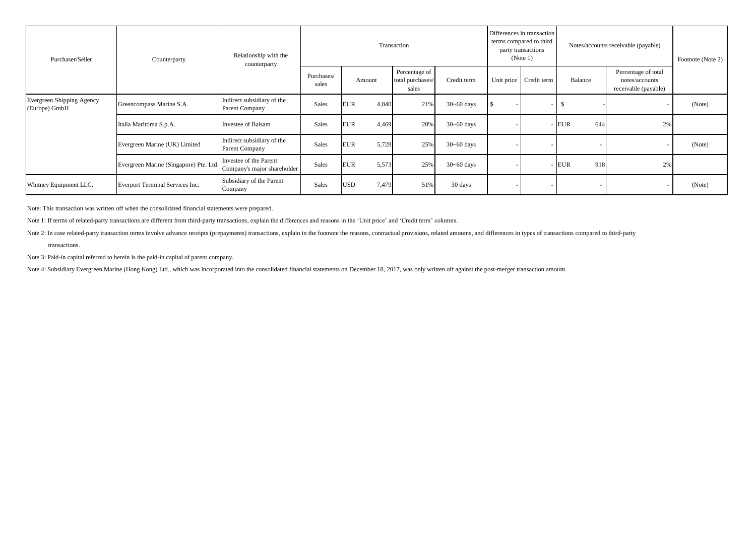| Purchaser/Seller                           | Counterparty                           | Relationship with the<br>counterparty                 |                     |                     | Transaction                                |                | Differences in transaction<br>terms compared to third<br>party transactions<br>(Note 1) | Notes/accounts receivable (payable) | Footnote (Note 2)                                             |        |
|--------------------------------------------|----------------------------------------|-------------------------------------------------------|---------------------|---------------------|--------------------------------------------|----------------|-----------------------------------------------------------------------------------------|-------------------------------------|---------------------------------------------------------------|--------|
|                                            |                                        |                                                       | Purchases/<br>sales | Amount              | Percentage of<br>total purchases/<br>sales | Credit term    | Unit price Credit term                                                                  | Balance                             | Percentage of total<br>notes/accounts<br>receivable (payable) |        |
| Evergreen Shipping Agency<br>(Europe) GmbH | Greencompass Marine S.A.               | Indirect subsidiary of the<br>Parent Company          | Sales               | 4,840<br><b>EUR</b> | 21%                                        | $30 - 60$ days | $\sim$                                                                                  |                                     |                                                               | (Note) |
|                                            | Italia Marittima S.p.A.                | Investee of Balsam                                    | Sales               | <b>EUR</b><br>4,469 | 20%                                        | $30 - 60$ days |                                                                                         | $-EUR$<br>644                       | 2%                                                            |        |
|                                            | Evergreen Marine (UK) Limited          | Indirect subsidiary of the<br>Parent Company          | Sales               | 5,728<br><b>EUR</b> | 25%                                        | $30 - 60$ days |                                                                                         |                                     |                                                               | (Note) |
|                                            | Evergreen Marine (Singapore) Pte. Ltd. | Investee of the Parent<br>Company's major shareholder | Sales               | <b>EUR</b><br>5,573 | 25%                                        | $30 - 60$ days |                                                                                         | 918<br>$-EUR$                       | 2%                                                            |        |
| Whitney Equipment LLC.                     | Everport Terminal Services Inc.        | Subsidiary of the Parent<br>Company                   | Sales               | <b>USD</b><br>7,479 | 51%                                        | 30 days        |                                                                                         |                                     |                                                               | (Note) |

Note: This transaction was written off when the consolidated financial statements were prepared.

Note 1: If terms of related-party transactions are different from third-party transactions, explain the differences and reasons in the 'Unit price' and 'Credit term' columns.

Note 2: In case related-party transaction terms involve advance receipts (prepayments) transactions, explain in the footnote the reasons, contractual provisions, related amounts, and differences in types of transactions co transactions.

Note 3: Paid-in capital referred to herein is the paid-in capital of parent company.

Note 4: Subsidiary Evergreen Marine (Hong Kong) Ltd., which was incorporated into the consolidated financial statements on December 18, 2017, was only written off against the post-merger transaction amount.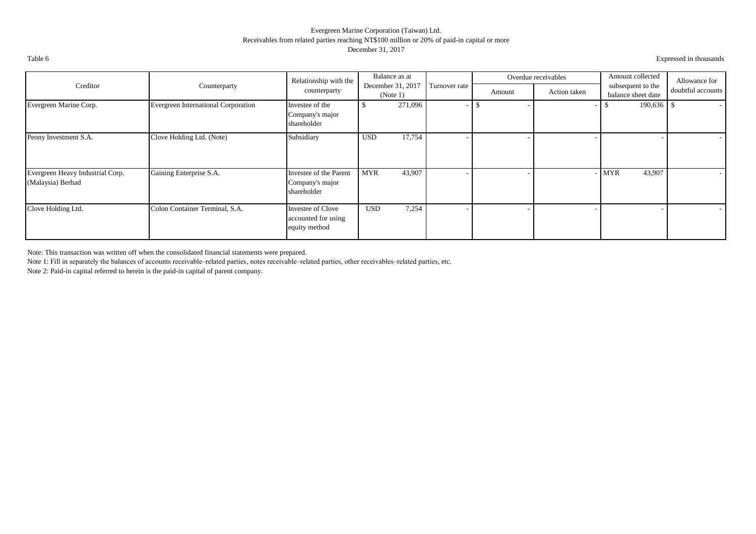#### Evergreen Marine Corporation (Taiwan) Ltd. Receivables from related parties reaching NT\$100 million or 20% of paid-in capital or more December 31, 2017

Table 6 Expressed in thousands

|                                                       |                                     | Relationship with the                                     | Balance as at                 |               |        | Overdue receivables | Amount collected                        | Allowance for     |
|-------------------------------------------------------|-------------------------------------|-----------------------------------------------------------|-------------------------------|---------------|--------|---------------------|-----------------------------------------|-------------------|
| Creditor                                              | Counterparty                        | counterparty                                              | December 31, 2017<br>(Note 1) | Turnover rate | Amount | Action taken        | subsequent to the<br>balance sheet date | doubtful accounts |
| Evergreen Marine Corp.                                | Evergreen International Corporation | Investee of the<br>Company's major<br>shareholder         | 271,096<br>- 75               |               | -\$    |                     | 190,636                                 | $\sim$            |
| Peony Investment S.A.                                 | Clove Holding Ltd. (Note)           | Subsidiary                                                | 17,754<br><b>USD</b>          |               |        |                     |                                         | $\sim$            |
| Evergreen Heavy Industrial Corp.<br>(Malaysia) Berhad | Gaining Enterprise S.A.             | Investee of the Parent<br>Company's major<br>shareholder  | 43,907<br><b>MYR</b>          |               |        |                     | 43,907<br>$-MYR$                        | $\sim$            |
| Clove Holding Ltd.                                    | Colon Container Terminal, S.A.      | Investee of Clove<br>accounted for using<br>equity method | <b>USD</b><br>7,254           |               |        |                     |                                         |                   |

Note: This transaction was written off when the consolidated financial statements were prepared.

Note 1: Fill in separately the balances of accounts receivable–related parties, notes receivable–related parties, other receivables–related parties, etc.

Note 2: Paid-in capital referred to herein is the paid-in capital of parent company.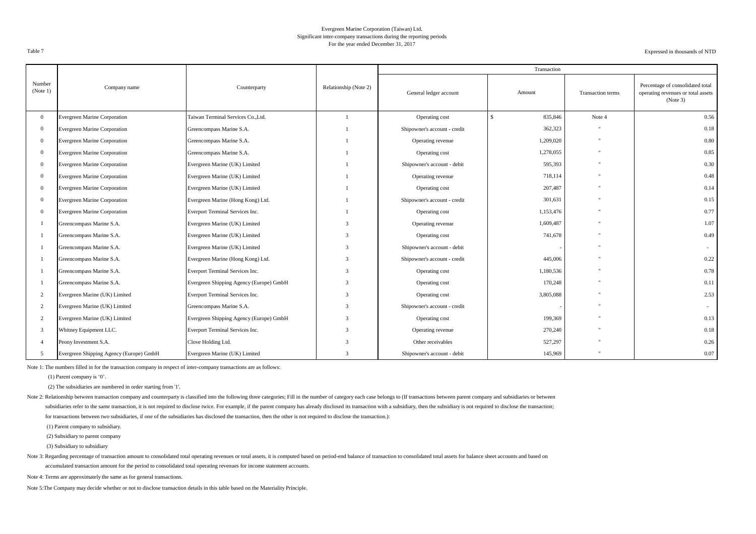### Evergreen Marine Corporation (Taiwan) Ltd. Significant inter-company transactions during the reporting periods For the year ended December 31, 2017

Expressed in thousands of NTD

|                    |                                         |                                         |                       | Transaction                  |                               |                   |                                                                                    |  |
|--------------------|-----------------------------------------|-----------------------------------------|-----------------------|------------------------------|-------------------------------|-------------------|------------------------------------------------------------------------------------|--|
| Number<br>(Note 1) | Company name                            | Counterparty                            | Relationship (Note 2) | General ledger account       | Amount                        | Transaction terms | Percentage of consolidated total<br>operating revenues or total assets<br>(Note 3) |  |
| $\overline{0}$     | <b>Evergreen Marine Corporation</b>     | Taiwan Terminal Services Co., Ltd.      | $\overline{1}$        | Operating cost               | $\mathbf{\hat{S}}$<br>835,846 | Note 4            | 0.56                                                                               |  |
| $\overline{0}$     | <b>Evergreen Marine Corporation</b>     | Greencompass Marine S.A.                |                       | Shipowner's account - credit | 362,323                       |                   | 0.18                                                                               |  |
| $\Omega$           | <b>Evergreen Marine Corporation</b>     | Greencompass Marine S.A.                |                       | Operating revenue            | 1,209,020                     |                   | 0.80                                                                               |  |
| $\Omega$           | <b>Evergreen Marine Corporation</b>     | Greencompass Marine S.A.                |                       | Operating cost               | 1,278,055                     |                   | 0.85                                                                               |  |
| $\Omega$           | <b>Evergreen Marine Corporation</b>     | Evergreen Marine (UK) Limited           |                       | Shipowner's account - debit  | 595,393                       |                   | 0.30                                                                               |  |
| $\Omega$           | <b>Evergreen Marine Corporation</b>     | Evergreen Marine (UK) Limited           |                       | Operating revenue            | 718,114                       |                   | 0.48                                                                               |  |
| $\Omega$           | <b>Evergreen Marine Corporation</b>     | Evergreen Marine (UK) Limited           |                       | Operating cost               | 207,487                       |                   | 0.14                                                                               |  |
| $\overline{0}$     | <b>Evergreen Marine Corporation</b>     | Evergreen Marine (Hong Kong) Ltd.       |                       | Shipowner's account - credit | 301,631                       |                   | 0.15                                                                               |  |
| $\Omega$           | <b>Evergreen Marine Corporation</b>     | Everport Terminal Services Inc.         |                       | Operating cost               | 1,153,476                     |                   | 0.77                                                                               |  |
|                    | Greencompass Marine S.A.                | Evergreen Marine (UK) Limited           | 3                     | Operating revenue            | 1,609,487                     |                   | 1.07                                                                               |  |
|                    | Greencompass Marine S.A.                | Evergreen Marine (UK) Limited           | $\mathcal{R}$         | Operating cost               | 741,678                       |                   | 0.49                                                                               |  |
|                    | Greencompass Marine S.A.                | Evergreen Marine (UK) Limited           | 3                     | Shipowner's account - debit  |                               |                   | $\sim$                                                                             |  |
|                    | Greencompass Marine S.A.                | Evergreen Marine (Hong Kong) Ltd.       | 3                     | Shipowner's account - credit | 445,006                       |                   | 0.22                                                                               |  |
|                    | Greencompass Marine S.A.                | Everport Terminal Services Inc.         | $\mathcal{R}$         | Operating cost               | 1,180,536                     |                   | 0.78                                                                               |  |
|                    | Greencompass Marine S.A.                | Evergreen Shipping Agency (Europe) GmbH | $\mathcal{R}$         | Operating cost               | 170,248                       |                   | 0.11                                                                               |  |
| $\overline{2}$     | Evergreen Marine (UK) Limited           | Everport Terminal Services Inc.         | $\mathcal{R}$         | Operating cost               | 3,805,088                     |                   | 2.53                                                                               |  |
| $\overline{2}$     | Evergreen Marine (UK) Limited           | Greencompass Marine S.A.                | 3                     | Shipowner's account - credit |                               |                   | $\sim$                                                                             |  |
| $\overline{2}$     | Evergreen Marine (UK) Limited           | Evergreen Shipping Agency (Europe) GmbH | 3                     | Operating cost               | 199,369                       |                   | 0.13                                                                               |  |
| 3                  | Whitney Equipment LLC.                  | Everport Terminal Services Inc.         | $\mathcal{R}$         | Operating revenue            | 270,240                       |                   | 0.18                                                                               |  |
| $\overline{4}$     | Peony Investment S.A.                   | Clove Holding Ltd.                      | $\mathcal{R}$         | Other receivables            | 527,297                       |                   | 0.26                                                                               |  |
| -5                 | Evergreen Shipping Agency (Europe) GmbH | Evergreen Marine (UK) Limited           | 3                     | Shipowner's account - debit  | 145,969                       |                   | 0.07                                                                               |  |

Note 1: The numbers filled in for the transaction company in respect of inter-company transactions are as follows:

(1) Parent company is '0'.

(2) The subsidiaries are numbered in order starting from '1'.

Note 2: Relationship between transaction company and counterparty is classified into the following three categories; Fill in the number of category each case belongs to (If transactions between parent company and subsidiar subsidiaries refer to the same transaction, it is not required to disclose twice. For example, if the parent company has already disclosed its transaction with a subsidiary, then the subsidiary is not required to disclose for transactions between two subsidiaries, if one of the subsidiaries has disclosed the transaction, then the other is not required to disclose the transaction.):

(1) Parent company to subsidiary.

(2) Subsidiary to parent company

(3) Subsidiary to subsidiary

Note 3: Regarding percentage of transaction amount to consolidated total operating revenues or total assets, it is computed based on period-end balance of transaction to consolidated total assets for balance sheet accounts

accumulated transaction amount for the period to consolidated total operating revenues for income statement accounts.

Note 4: Terms are approximately the same as for general transactions.

Note 5:The Company may decide whether or not to disclose transaction details in this table based on the Materiality Principle.

Table 7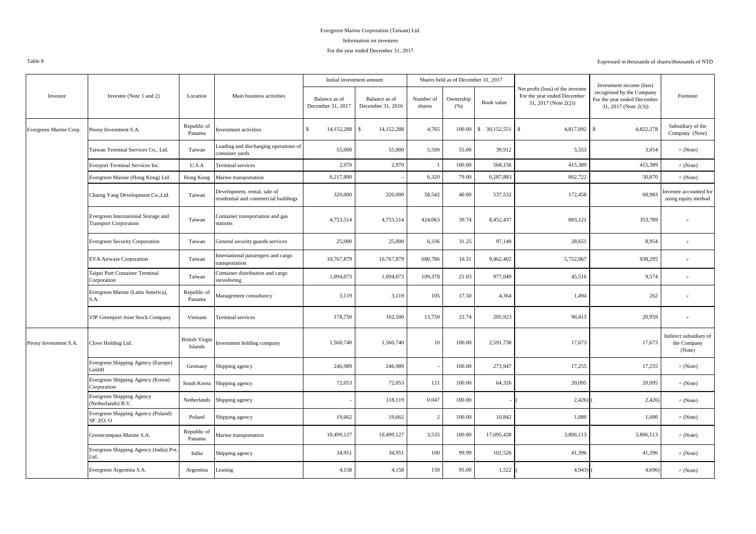# Evergreen Marine Corporation (Taiwan) Ltd.

#### Information on investees

## For the year ended December 31, 2017

Expressed in thousands of shares/thousands of NTD

|                        |                                                                     |                                  |                                                                      | Initial investment amount          |                                    | Shares held as of December 31, 2017 |                  |               |                                                                                          |                                                                                                              |                                                 |
|------------------------|---------------------------------------------------------------------|----------------------------------|----------------------------------------------------------------------|------------------------------------|------------------------------------|-------------------------------------|------------------|---------------|------------------------------------------------------------------------------------------|--------------------------------------------------------------------------------------------------------------|-------------------------------------------------|
| Investor               | Investee (Note 1 and 2)                                             | Location                         | Main business activities                                             | Balance as of<br>December 31, 2017 | Balance as of<br>December 31, 2016 | Number of<br>shares                 | Ownership<br>(%) | Book value    | Net profit (loss) of the investee<br>For the year ended December<br>31, 2017 (Note 2(2)) | Investment income (loss)<br>recognised by the Company<br>For the year ended December<br>31, 2017 (Note 2(3)) | Footnote                                        |
| Evergreen Marine Corp. | Peony Investment S.A.                                               | Republic of<br>Panama            | Investment activities                                                | $\mathbf{\hat{S}}$<br>14,152,288   | 14,152,288                         | 4.765                               | 100.00           | \$ 30,152,551 | $\mathbb{S}$<br>4,817,092                                                                | 4,822,278<br>$\mathcal{S}$                                                                                   | Subsidiary of the<br>Company (Note)             |
|                        | Taiwan Terminal Services Co., Ltd.                                  | Taiwan                           | Loading and discharging operations of<br>container yards             | 55,000                             | 55,000                             | 5,500                               | 55.00            | 39,912        | 5,553                                                                                    | 3,054                                                                                                        | $\text{M}$ (Note)                               |
|                        | Everport Terminal Services Inc.                                     | U.S.A                            | Terminal services                                                    | 2,970                              | 2,970                              |                                     | 100.00           | 568,156       | 415,389                                                                                  | 415,389                                                                                                      | $\text{W}$ (Note)                               |
|                        | Evergreen Marine (Hong Kong) Ltd.                                   | Hong Kong                        | Marine transportation                                                | 6,217,800                          |                                    | 6,320                               | 79.00            | 6,287,883     | 862,722                                                                                  | 50,870                                                                                                       | $\text{W}$ (Note)                               |
|                        | Charng Yang Development Co., Ltd.                                   | Taiwan                           | Development, rental, sale of<br>residential and commercial buildings | 320,000                            | 320,000                            | 58,542                              | 40.00            | 537,532       | 172,458                                                                                  | 68,983                                                                                                       | nvestee accounted for<br>using equity method    |
|                        | Evergreen International Storage and<br><b>Transport Corporation</b> | Taiwan                           | Container transportation and gas<br>stations                         | 4,753,514                          | 4,753,514                          | 424,063                             | 39.74            | 8,452,437     | 883,121                                                                                  | 353,789                                                                                                      | $^{\prime\prime}$                               |
|                        | <b>Evergreen Security Corporation</b>                               | Taiwan                           | General security guards services                                     | 25,000                             | 25,000                             | 6,336                               | 31.25            | 97,140        | 28,651                                                                                   | 8.954                                                                                                        | $\mathcal{L}$                                   |
|                        | <b>EVA Airways Corporation</b>                                      | Taiwan                           | International passengers and cargo<br>ransportation                  | 10,767,879                         | 10,767,879                         | 680,786                             | 16.31            | 9,462,402     | 5,752,067                                                                                | 938,295                                                                                                      | $^{\prime\prime}$                               |
|                        | Taipei Port Container Terminal<br>Corporation                       | Taiwan                           | Container distribution and cargo<br>stevedoring                      | 1,094,073                          | 1,094,073                          | 109,378                             | 21.03            | 977,049       | 45,516                                                                                   | 9,574                                                                                                        | $\mathbf{u}$                                    |
|                        | Evergreen Marine (Latin America),<br>S.A.                           | Republic of<br>Panama            | Management consultancy                                               | 3,119                              | 3,119                              | 105                                 | 17.50            | 4,364         | 1,494                                                                                    | 262                                                                                                          | $\mathbf{u}$                                    |
|                        | VIP Greenport Joint Stock Company                                   | Vietnam                          | Terminal services                                                    | 178,750                            | 162,500                            | 13,750                              | 21.74            | 205,923       | 96,413                                                                                   | 20,959                                                                                                       | $^{\prime\prime}$                               |
| Peony Investment S.A.  | Clove Holding Ltd.                                                  | <b>British Virgin</b><br>Islands | Investment holding company                                           | 1,560,740                          | 1,560,740                          | 10                                  | 100.00           | 2,591,738     | 17,673                                                                                   | 17,673                                                                                                       | Indirect subsidiary of<br>the Company<br>(Note) |
|                        | Evergreen Shipping Agency (Europe)<br>GmbH                          | Germany                          | Shipping agency                                                      | 246,989                            | 246,989                            |                                     | 100.00           | 273,947       | 17,255                                                                                   | 17,255                                                                                                       | $\text{W}$ (Note)                               |
|                        | Evergreen Shipping Agency (Korea)<br>Corporation                    | South Korea                      | Shipping agency                                                      | 72,053                             | 72,053                             | 121                                 | 100.00           | 64,326        | 20,095                                                                                   | 20,095                                                                                                       | $\prime\prime$ (Note)                           |
|                        | <b>Evergreen Shipping Agency</b><br>(Netherlands) B.V.              | Netherlands                      | Shipping agency                                                      |                                    | 118,119                            | 0.047                               | 100.00           |               | 2,426)                                                                                   | 2,426                                                                                                        | $\text{W}$ (Note)                               |
|                        | Evergreen Shipping Agency (Poland)<br>SP. ZO. O                     | Poland                           | Shipping agency                                                      | 19,662                             | 19,662                             | $\overline{2}$                      | 100.00           | 10,842        | 1,080                                                                                    | 1,080                                                                                                        | $\textit{n}$ (Note)                             |
|                        | Greencompass Marine S.A.                                            | Republic of<br>Panama            | Marine transportation                                                | 10,499,127                         | 10,499,127                         | 3,535                               | 100.00           | 17,695,428    | 3,806,113                                                                                | 3,806,113                                                                                                    | $\prime\prime$ (Note)                           |
|                        | Evergreen Shipping Agency (India) Pvt.<br>Ltd.                      | India                            | Shipping agency                                                      | 34,951                             | 34,951                             | 100                                 | 99.99            | 102,526       | 41,396                                                                                   | 41,396                                                                                                       | $\text{W}$ (Note)                               |
|                        | Evergreen Argentina S.A.                                            | Argentina                        | Leasing                                                              | 4,158                              | 4,158                              | 150                                 | 95.00            | 1,522         | 4,943                                                                                    | 4,696)                                                                                                       | $\textit{M}$ (Note)                             |

Table 8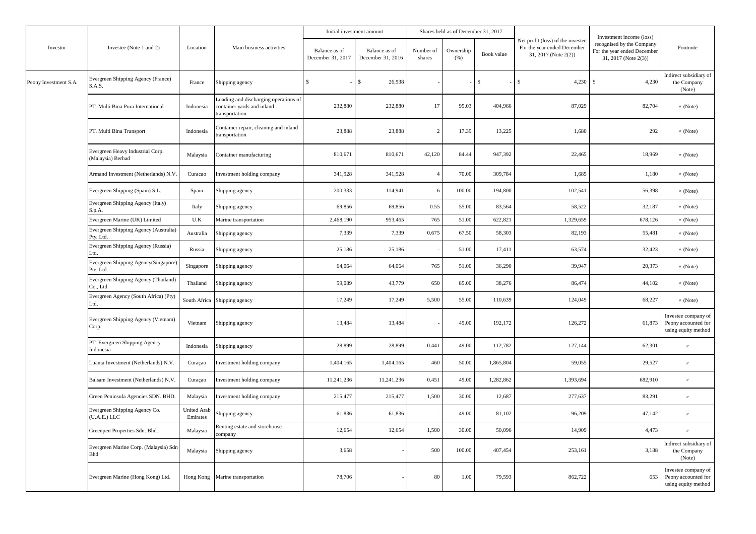|                       |                                                       |                         |                                                                                      | Initial investment amount          |                                    |                     | Shares held as of December 31, 2017 |               |                                                                                          | Investment income (loss)                                                              |                                                                   |
|-----------------------|-------------------------------------------------------|-------------------------|--------------------------------------------------------------------------------------|------------------------------------|------------------------------------|---------------------|-------------------------------------|---------------|------------------------------------------------------------------------------------------|---------------------------------------------------------------------------------------|-------------------------------------------------------------------|
| Investor              | Investee (Note 1 and 2)                               | Location                | Main business activities                                                             | Balance as of<br>December 31, 2017 | Balance as of<br>December 31, 2016 | Number of<br>shares | Ownership<br>(% )                   | Book value    | Net profit (loss) of the investee<br>For the year ended December<br>31, 2017 (Note 2(2)) | recognised by the Company<br>For the year ended December<br>$31, 2017$ (Note $2(3)$ ) | Footnote                                                          |
| Peony Investment S.A. | Evergreen Shipping Agency (France)<br>S.A.S.          | France                  | Shipping agency                                                                      | \$.                                | 26,938<br>- \$                     |                     |                                     | $\mathsf{\$}$ | 4,230<br>\$                                                                              | 4,230<br>-S                                                                           | Indirect subsidiary of<br>the Company<br>(Note)                   |
|                       | PT. Multi Bina Pura International                     | Indonesia               | Loading and discharging operations of<br>container yards and inland<br>ransportation | 232,880                            | 232,880                            | 17                  | 95.03                               | 404,966       | 87,029                                                                                   | 82,704                                                                                | $\prime\prime$ (Note)                                             |
|                       | PT. Multi Bina Transport                              | Indonesia               | Container repair, cleaning and inland<br>ransportation                               | 23,888                             | 23,888                             | $\overline{2}$      | 17.39                               | 13,225        | 1,680                                                                                    | 292                                                                                   | $\text{M}$ (Note)                                                 |
|                       | Evergreen Heavy Industrial Corp.<br>(Malaysia) Berhad | Malaysia                | Container manufacturing                                                              | 810,671                            | 810,671                            | 42,120              | 84.44                               | 947,392       | 22,465                                                                                   | 18,969                                                                                | $\prime\prime$ (Note)                                             |
|                       | Armand Investment (Netherlands) N.V.                  | Curacao                 | Investment holding company                                                           | 341,928                            | 341,928                            | $\overline{4}$      | 70.00                               | 309,784       | 1,685                                                                                    | 1,180                                                                                 | $\text{M}$ (Note)                                                 |
|                       | Evergreen Shipping (Spain) S.L.                       | Spain                   | Shipping agency                                                                      | 200,333                            | 114,941                            | 6                   | 100.00                              | 194,800       | 102,541                                                                                  | 56,398                                                                                | $\text{W}$ (Note)                                                 |
|                       | Evergreen Shipping Agency (Italy)<br>S.p.A.           | Italy                   | Shipping agency                                                                      | 69,856                             | 69,856                             | 0.55                | 55.00                               | 83,564        | 58,522                                                                                   | 32,187                                                                                | $\prime\prime$ (Note)                                             |
|                       | Evergreen Marine (UK) Limited                         | U.K                     | Marine transportation                                                                | 2,468,190                          | 953,465                            | 765                 | 51.00                               | 622,821       | 1,329,659                                                                                | 678,126                                                                               | $\prime\prime$ (Note)                                             |
|                       | Evergreen Shipping Agency (Australia)<br>Pty. Ltd.    | Australia               | Shipping agency                                                                      | 7,339                              | 7,339                              | 0.675               | 67.50                               | 58,303        | 82,193                                                                                   | 55,481                                                                                | $\text{M}$ (Note)                                                 |
|                       | Evergreen Shipping Agency (Russia)<br>Ltd.            | Russia                  | Shipping agency                                                                      | 25,186                             | 25,186                             |                     | 51.00                               | 17,411        | 63,574                                                                                   | 32,423                                                                                | $\prime\prime$ (Note)                                             |
|                       | Evergreen Shipping Agency(Singapore)<br>Pte. Ltd.     | Singapore               | Shipping agency                                                                      | 64,064                             | 64,064                             | 765                 | 51.00                               | 36,290        | 39,947                                                                                   | 20,373                                                                                | $\text{M}$ (Note)                                                 |
|                       | Evergreen Shipping Agency (Thailand)<br>Co., Ltd.     | Thailand                | Shipping agency                                                                      | 59,089                             | 43,779                             | 650                 | 85.00                               | 38,276        | 86,474                                                                                   | 44,102                                                                                | $\prime\prime$ (Note)                                             |
|                       | Evergreen Agency (South Africa) (Pty)<br>Ltd.         | South Africa            | Shipping agency                                                                      | 17,249                             | 17,249                             | 5,500               | 55.00                               | 110,639       | 124,049                                                                                  | 68,227                                                                                | $\prime\prime$ (Note)                                             |
|                       | Evergreen Shipping Agency (Vietnam)<br>Corp.          | Vietnam                 | Shipping agency                                                                      | 13,484                             | 13,484                             |                     | 49.00                               | 192,172       | 126,272                                                                                  | 61,873                                                                                | Investee company of<br>Peony accounted for<br>using equity method |
|                       | PT. Evergreen Shipping Agency<br>Indonesia            | Indonesia               | Shipping agency                                                                      | 28,899                             | 28,899                             | 0.441               | 49.00                               | 112,782       | 127,144                                                                                  | 62,301                                                                                |                                                                   |
|                       | Luanta Investment (Netherlands) N.V.                  | Curaçao                 | Investment holding company                                                           | 1,404,165                          | 1,404,165                          | 460                 | 50.00                               | 1,865,804     | 59,055                                                                                   | 29,527                                                                                |                                                                   |
|                       | Balsam Investment (Netherlands) N.V.                  | Curaçao                 | Investment holding company                                                           | 11,241,236                         | 11,241,236                         | 0.451               | 49.00                               | 1,282,862     | 1,393,694                                                                                | 682,910                                                                               | $^{\prime\prime}$                                                 |
|                       | Green Peninsula Agencies SDN. BHD.                    | Malaysia                | Investment holding company                                                           | 215,477                            | 215,477                            | 1,500               | 30.00                               | 12,687        | 277,637                                                                                  | 83,291                                                                                | $^{\prime\prime}$                                                 |
|                       | Evergreen Shipping Agency Co.<br>(U.A.E.) LLC         | United Arab<br>Emirates | Shipping agency                                                                      | 61,836                             | 61,836                             |                     | 49.00                               | 81,102        | 96,209                                                                                   | 47,142                                                                                |                                                                   |
|                       | Greenpen Properties Sdn. Bhd.                         | Malaysia                | Renting estate and storehouse<br>company                                             | 12,654                             | 12,654                             | 1,500               | 30.00                               | 50,096        | 14,909                                                                                   | 4,473                                                                                 |                                                                   |
|                       | Evergreen Marine Corp. (Malaysia) Sdn<br><b>Bhd</b>   | Malaysia                | Shipping agency                                                                      | 3,658                              |                                    | 500                 | 100.00                              | 407,454       | 253,161                                                                                  | 3,188                                                                                 | Indirect subsidiary of<br>the Company<br>(Note)                   |
|                       | Evergreen Marine (Hong Kong) Ltd.                     | Hong Kong               | Marine transportation                                                                | 78,706                             |                                    | 80                  | 1.00                                | 79,593        | 862,722                                                                                  | 653                                                                                   | Investee company of<br>Peony accounted for<br>using equity method |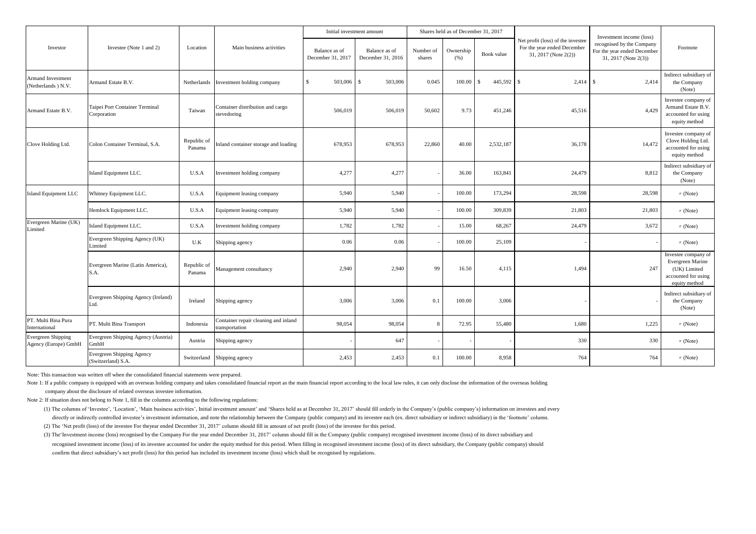|                                                   |                                                        |                                                                                                                                                 |                                                        | Initial investment amount |            | Shares held as of December 31, 2017                                                      |                                                                                  |           |                             | Investment income (loss) |                                                                                                 |
|---------------------------------------------------|--------------------------------------------------------|-------------------------------------------------------------------------------------------------------------------------------------------------|--------------------------------------------------------|---------------------------|------------|------------------------------------------------------------------------------------------|----------------------------------------------------------------------------------|-----------|-----------------------------|--------------------------|-------------------------------------------------------------------------------------------------|
| Investor                                          | Investee (Note 1 and 2)                                | Main business activities<br>Location<br>Number of<br>Balance as of<br>Balance as of<br>December 31, 2017<br>December 31, 2016<br>shares<br>(% ) |                                                        | Ownership                 | Book value | Net profit (loss) of the investee<br>For the year ended December<br>31, 2017 (Note 2(2)) | recognised by the Company<br>For the year ended December<br>31, 2017 (Note 2(3)) | Footnote  |                             |                          |                                                                                                 |
| Armand Investment<br>(Netherlands) N.V.           | Armand Estate B.V.                                     | Netherlands                                                                                                                                     | Investment holding company                             | 503,006<br>S              | 503,006    | 0.045                                                                                    | 100.00                                                                           | 445,592   | $2,414$ \$<br>$\mathcal{S}$ | 2,414                    | Indirect subsidiary of<br>the Company<br>(Note)                                                 |
| Armand Estate B.V.                                | Taipei Port Container Terminal<br>Corporation          | Taiwan                                                                                                                                          | Container distribution and cargo<br>stevedoring        | 506,019                   | 506,019    | 50,602                                                                                   | 9.73                                                                             | 451,246   | 45,516                      | 4,429                    | Investee company of<br>Armand Estate B.V.<br>accounted for using<br>equity method               |
| Clove Holding Ltd.                                | Colon Container Terminal, S.A.                         | Republic of<br>Panama                                                                                                                           | Inland container storage and loading                   | 678,953                   | 678,953    | 22,860                                                                                   | 40.00                                                                            | 2,532,187 | 36,178                      | 14,472                   | Investee company of<br>Clove Holding Ltd.<br>accounted for using<br>equity method               |
|                                                   | Island Equipment LLC.                                  | U.S.A                                                                                                                                           | Investment holding company                             | 4,277                     | 4,277      |                                                                                          | 36.00                                                                            | 163,841   | 24,479                      | 8,812                    | Indirect subsidiary of<br>the Company<br>(Note)                                                 |
| Island Equipment LLC                              | Whitney Equipment LLC.                                 | U.S.A                                                                                                                                           | Equipment leasing company                              | 5,940                     | 5,940      |                                                                                          | 100.00                                                                           | 173,294   | 28,598                      | 28,598                   | $\prime\prime$ (Note)                                                                           |
|                                                   | Hemlock Equipment LLC.                                 | U.S.A                                                                                                                                           | Equipment leasing company                              | 5,940                     | 5,940      |                                                                                          | 100.00                                                                           | 309,839   | 21,803                      | 21,803                   | $\prime\prime$ (Note)                                                                           |
| Evergreen Marine (UK)<br>Limited                  | Island Equipment LLC.                                  | U.S.A                                                                                                                                           | Investment holding company                             | 1,782                     | 1,782      |                                                                                          | 15.00                                                                            | 68,267    | 24,479                      | 3,672                    | $\prime\prime$ (Note)                                                                           |
|                                                   | Evergreen Shipping Agency (UK)<br>Limited              | U.K                                                                                                                                             | Shipping agency                                        | 0.06                      | 0.06       |                                                                                          | 100.00                                                                           | 25,109    |                             |                          | $\prime\prime$ (Note)                                                                           |
|                                                   | Evergreen Marine (Latin America),<br>S.A.              | Republic of<br>Panama                                                                                                                           | Management consultancy                                 | 2,940                     | 2,940      | 99                                                                                       | 16.50                                                                            | 4,115     | 1,494                       | 247                      | Investee company of<br>Evergreen Marine<br>(UK) Limited<br>accounted for using<br>equity method |
|                                                   | Evergreen Shipping Agency (Ireland)<br>Ltd.            | Ireland                                                                                                                                         | Shipping agency                                        | 3,006                     | 3,006      | 0.1                                                                                      | 100.00                                                                           | 3,006     |                             |                          | Indirect subsidiary of<br>the Company<br>(Note)                                                 |
| PT. Multi Bina Pura<br>International              | PT. Multi Bina Transport                               | Indonesia                                                                                                                                       | Container repair cleaning and inland<br>transportation | 98,054                    | 98,054     | 8                                                                                        | 72.95                                                                            | 55,480    | 1.680                       | 1,225                    | $\prime\prime$ (Note)                                                                           |
| <b>Evergreen Shipping</b><br>Agency (Europe) GmbH | Evergreen Shipping Agency (Austria)<br>GmbH            | Austria                                                                                                                                         | Shipping agency                                        |                           | 647        |                                                                                          |                                                                                  |           | 330                         | 330                      | $\prime\prime$ (Note)                                                                           |
|                                                   | <b>Evergreen Shipping Agency</b><br>(Switzerland) S.A. | Switzerland                                                                                                                                     | Shipping agency                                        | 2,453                     | 2,453      | 0.1                                                                                      | 100.00                                                                           | 8,958     | 764                         | 764                      | $\prime\prime$ (Note)                                                                           |

Note: This transaction was written off when the consolidated financial statements were prepared.

Note 1: If a public company is equipped with an overseas holding company and takes consolidated financial report as the main financial report according to the local law rules, it can only disclose the information of the ov company about the disclosure of related overseas investee information.

Note 2: If situation does not belong to Note 1, fill in the columns according to the following regulations:

(1) The columns of 'Investee', 'Location', 'Main business activities', Initial investment amount' and 'Shares held as at December 31, 2017' should fill orderly in the Company's (public company's) information on investees a directly or indirectly controlled investee's investment information, and note the relationship between the Company (public company) and its investee each (ex. direct subsidiary or indirect subsidiary) in the 'footnote' col (2) The 'Net profit (loss) of the investee For theyear ended December 31, 2017' column should fill in amount of net profit (loss) of the investee for this period.

(3) The'Investment income (loss) recognised by the Company For the year ended December 31, 2017' column should fill in the Company (public company) recognised investment income (loss) of its direct subsidiary and

 recognised investment income (loss) of its investee accounted for under the equity method for this period. When filling in recognised investment income (loss) of its direct subsidiary, the Company (public company) should confirm that direct subsidiary's net profit (loss) for this period has included its investment income (loss) which shall be recognised by regulations.